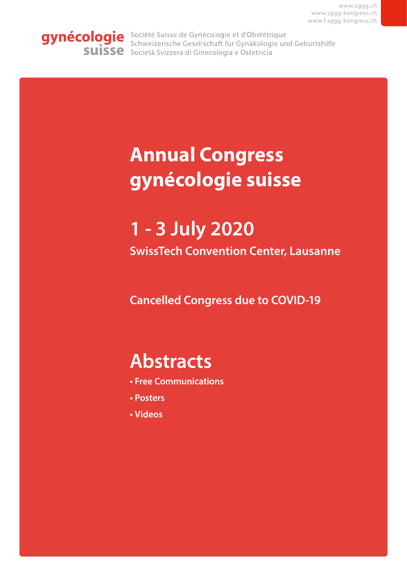<span id="page-0-0"></span>gynécologie Société Suisse de Gynécologie et d'Obstétrique Schweizerische Gesellschaft für Gynäkologie und Geburtshilfe **SUISSE** Società Svizzera di Ginecologia e Ostetricia

# **Annual Congress gynécologie suisse**

# **1 - 3 July 2020**

**SwissTech Convention Center, Lausanne**

**Cancelled Congress due to COVID-19**

# **Abstracts**

- **Free Communications**
- **Posters**
- **Videos**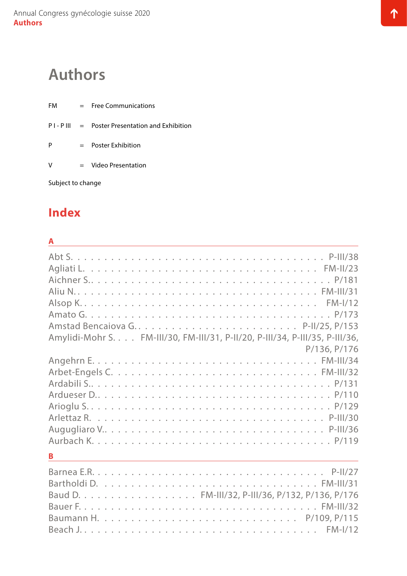# <span id="page-1-0"></span>**Authors**

FM = Free Communications  $PI - P III = Poster Presentation and Exhibition$ P = Poster Exhibition V = Video Presentation

Subject to change

### **Index**

### **A** Abt S. . [P-III/38](#page-60-0) Agliati L. . [FM-II/23](#page-25-0) Aichner S. . . . . . . . . . . . . . . . . . . . . . . . . . . . . . . . . . . . [P/181](#page-156-0) Aliu N. . . . . . . . . . . . . . . . . . . . . . . . . . . . . . . . . . . . [FM-III/31](#page-28-0) Alsop K. . . . . . . . . . . . . . . . . . . . . . . . . . . . . . . . . . . . [FM-I/12](#page-19-0) Amato G. . [P/173](#page-148-0) Amstad Bencaiova G. . . . . . . . . . . . . . . . . . . . . . . . [P-II/25,](#page-47-0) [P/153](#page-128-0) Amylidi-Mohr S. . [FM-III/30,](#page-27-0) [FM-III/31](#page-28-0), [P-II/20](#page-42-0), [P-III/34](#page-56-0), [P-III/35,](#page-57-0) [P-III/36,](#page-58-0) [P/136,](#page-111-0) [P/176](#page-151-0) Angehrn E. . [FM-III/34](#page-31-0) Arbet-Engels C. . [FM-III/32](#page-29-0) Ardabili S. . . . . . . . . . . . . . . . . . . . . . . . . . . . . . . . . . . . [P/131](#page-106-0) Ardueser D. . . . . . . . . . . . . . . . . . . . . . . . . . . . . . . . . . . [P/110](#page-85-0) Arioglu S. . [P/129](#page-104-0) Arlettaz R. . [P-III/30](#page-51-0) Augugliaro V. . . . . . . . . . . . . . . . . . . . . . . . . . . . . . . . . [P-III/36](#page-58-0) Aurbach K. . [P/119](#page-94-0) **B** Barnea E.R. . [P-II/27](#page-49-0) Bartholdi D. . [FM-III/31](#page-28-0) Baud D. . . . . . . . . . . . . . . . . . [FM-III/32](#page-29-0), [P-III/36](#page-58-0), [P/132,](#page-107-0) [P/136,](#page-111-0) [P/176](#page-151-0) Bauer F. . [FM-III/32](#page-29-0) Baumann H. . . [P/109,](#page-84-0) [P/115](#page-90-0) Beach J. . . [FM-I/12](#page-19-0)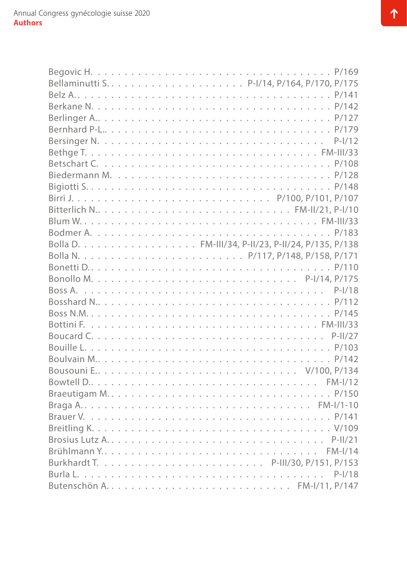| Bitterlich N FM-II/21, P-I/10                      |  |  |  |  |  |  |  |  |  |  |  |  |  |  |  |
|----------------------------------------------------|--|--|--|--|--|--|--|--|--|--|--|--|--|--|--|
|                                                    |  |  |  |  |  |  |  |  |  |  |  |  |  |  |  |
|                                                    |  |  |  |  |  |  |  |  |  |  |  |  |  |  |  |
| Bolla D. FM-III/34, P-II/23, P-II/24, P/135, P/138 |  |  |  |  |  |  |  |  |  |  |  |  |  |  |  |
|                                                    |  |  |  |  |  |  |  |  |  |  |  |  |  |  |  |
|                                                    |  |  |  |  |  |  |  |  |  |  |  |  |  |  |  |
|                                                    |  |  |  |  |  |  |  |  |  |  |  |  |  |  |  |
|                                                    |  |  |  |  |  |  |  |  |  |  |  |  |  |  |  |
|                                                    |  |  |  |  |  |  |  |  |  |  |  |  |  |  |  |
|                                                    |  |  |  |  |  |  |  |  |  |  |  |  |  |  |  |
|                                                    |  |  |  |  |  |  |  |  |  |  |  |  |  |  |  |
|                                                    |  |  |  |  |  |  |  |  |  |  |  |  |  |  |  |
|                                                    |  |  |  |  |  |  |  |  |  |  |  |  |  |  |  |
|                                                    |  |  |  |  |  |  |  |  |  |  |  |  |  |  |  |
|                                                    |  |  |  |  |  |  |  |  |  |  |  |  |  |  |  |
|                                                    |  |  |  |  |  |  |  |  |  |  |  |  |  |  |  |
|                                                    |  |  |  |  |  |  |  |  |  |  |  |  |  |  |  |
|                                                    |  |  |  |  |  |  |  |  |  |  |  |  |  |  |  |
|                                                    |  |  |  |  |  |  |  |  |  |  |  |  |  |  |  |
|                                                    |  |  |  |  |  |  |  |  |  |  |  |  |  |  |  |
|                                                    |  |  |  |  |  |  |  |  |  |  |  |  |  |  |  |
|                                                    |  |  |  |  |  |  |  |  |  |  |  |  |  |  |  |
|                                                    |  |  |  |  |  |  |  |  |  |  |  |  |  |  |  |
|                                                    |  |  |  |  |  |  |  |  |  |  |  |  |  |  |  |
|                                                    |  |  |  |  |  |  |  |  |  |  |  |  |  |  |  |
|                                                    |  |  |  |  |  |  |  |  |  |  |  |  |  |  |  |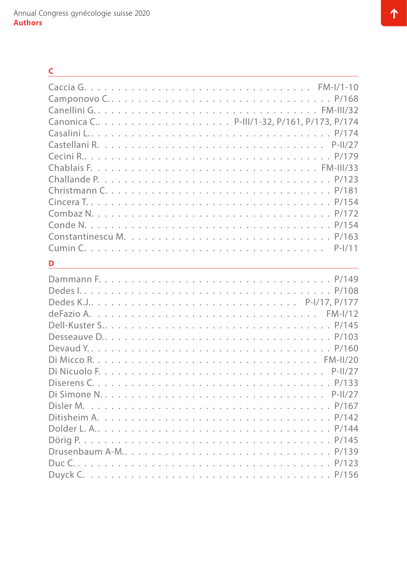| C                   |
|---------------------|
|                     |
|                     |
|                     |
|                     |
|                     |
|                     |
|                     |
|                     |
|                     |
|                     |
|                     |
|                     |
|                     |
|                     |
| $P-I/11$            |
| D                   |
|                     |
|                     |
|                     |
|                     |
|                     |
|                     |
|                     |
|                     |
| $P-11/27$           |
|                     |
|                     |
|                     |
|                     |
|                     |
|                     |
| Drusenbaum A-MP/139 |
|                     |
|                     |
|                     |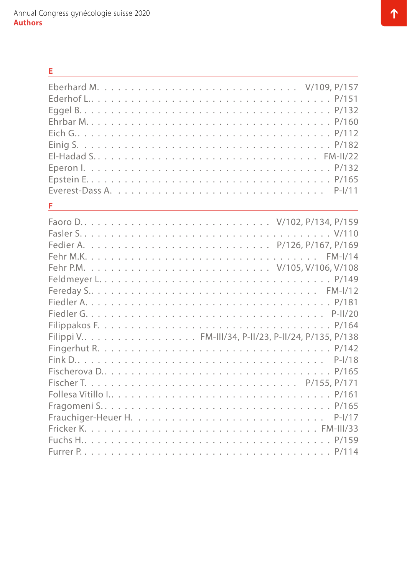| Е                                                    |
|------------------------------------------------------|
|                                                      |
|                                                      |
|                                                      |
|                                                      |
|                                                      |
|                                                      |
|                                                      |
|                                                      |
|                                                      |
| $P-I/11$                                             |
| F                                                    |
|                                                      |
|                                                      |
|                                                      |
|                                                      |
|                                                      |
|                                                      |
|                                                      |
|                                                      |
|                                                      |
|                                                      |
| Filippi V. FM-III/34, P-II/23, P-II/24, P/135, P/138 |
|                                                      |
| $P-I/18$                                             |
| Fischerova D<br>P/165                                |
|                                                      |
|                                                      |
|                                                      |
|                                                      |
|                                                      |
|                                                      |
|                                                      |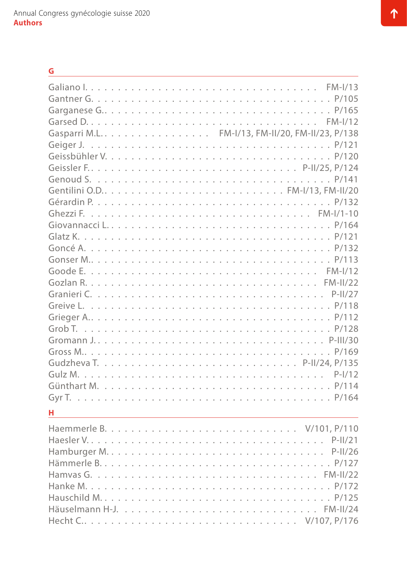| G                                                |
|--------------------------------------------------|
|                                                  |
|                                                  |
|                                                  |
|                                                  |
| Gasparri M.L. FM-I/13, FM-II/20, FM-II/23, P/138 |
|                                                  |
|                                                  |
|                                                  |
|                                                  |
|                                                  |
|                                                  |
|                                                  |
|                                                  |
|                                                  |
|                                                  |
|                                                  |
|                                                  |
|                                                  |
|                                                  |
|                                                  |
|                                                  |
|                                                  |
|                                                  |
|                                                  |
|                                                  |
|                                                  |
|                                                  |
|                                                  |
| н                                                |
|                                                  |
|                                                  |
|                                                  |
|                                                  |
|                                                  |
|                                                  |
|                                                  |

Häuselmann H-J. . [FM-II/24](#page-26-0) Hecht C. . . . . . . . . . . . . . . . . . . . . . . . . . . . . . . . . [V/107,](#page-69-0) [P/176](#page-151-0)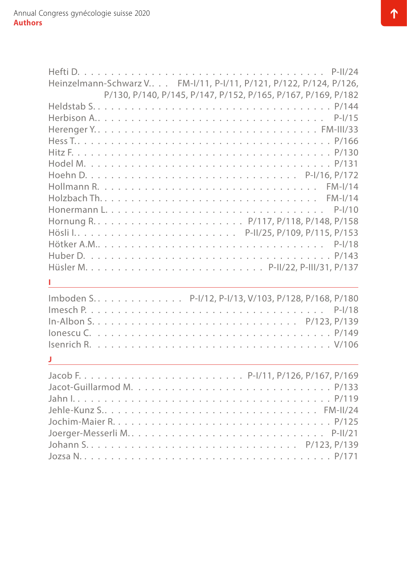| Heinzelmann-Schwarz V FM-I/11, P-I/11, P/121, P/122, P/124, P/126, |
|--------------------------------------------------------------------|
| P/130, P/140, P/145, P/147, P/152, P/165, P/167, P/169, P/182      |
|                                                                    |
|                                                                    |
|                                                                    |
|                                                                    |
|                                                                    |
|                                                                    |
|                                                                    |
|                                                                    |
|                                                                    |
|                                                                    |
|                                                                    |
|                                                                    |
|                                                                    |
|                                                                    |
|                                                                    |
|                                                                    |
| Imboden S. P-I/12, P-I/13, V/103, P/128, P/168, P/180              |
|                                                                    |
|                                                                    |
|                                                                    |
|                                                                    |
|                                                                    |
|                                                                    |
|                                                                    |
|                                                                    |
|                                                                    |
|                                                                    |
|                                                                    |
|                                                                    |
|                                                                    |
|                                                                    |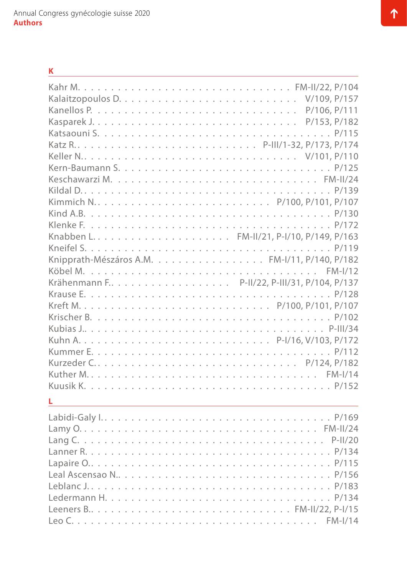| K |
|---|
|   |
|   |
|   |
|   |
|   |
|   |
|   |
|   |
|   |
|   |
|   |
|   |
|   |
|   |
|   |
|   |
|   |
|   |
|   |
|   |
|   |
|   |
|   |
|   |
|   |
|   |
|   |
|   |
|   |
|   |
|   |
|   |
|   |
|   |
|   |
|   |

Leeners B. . . . . . . . . . . . . . . . . . . . . . . . . . . . . . [FM-II/22](#page-24-0), [P-I/15](#page-38-0) Leo C. . . [FM-I/14](#page-21-0)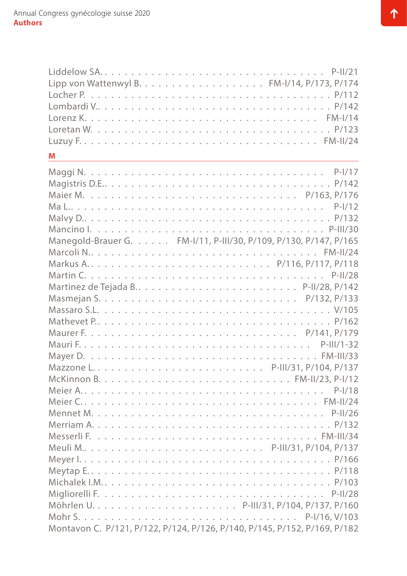| Liddelow SAP-II/21                                                        |  |
|---------------------------------------------------------------------------|--|
|                                                                           |  |
|                                                                           |  |
|                                                                           |  |
|                                                                           |  |
|                                                                           |  |
|                                                                           |  |
| M                                                                         |  |
|                                                                           |  |
|                                                                           |  |
|                                                                           |  |
|                                                                           |  |
|                                                                           |  |
|                                                                           |  |
| Manegold-Brauer G. FM-I/11, P-III/30, P/109, P/130, P/147, P/165          |  |
|                                                                           |  |
|                                                                           |  |
|                                                                           |  |
|                                                                           |  |
|                                                                           |  |
|                                                                           |  |
|                                                                           |  |
|                                                                           |  |
|                                                                           |  |
|                                                                           |  |
|                                                                           |  |
|                                                                           |  |
|                                                                           |  |
|                                                                           |  |
|                                                                           |  |
|                                                                           |  |
|                                                                           |  |
| Meuli MP-III/31, P/104, P/137                                             |  |
|                                                                           |  |
|                                                                           |  |
|                                                                           |  |
|                                                                           |  |
|                                                                           |  |
|                                                                           |  |
| Montavon C. P/121, P/122, P/124, P/126, P/140, P/145, P/152, P/169, P/182 |  |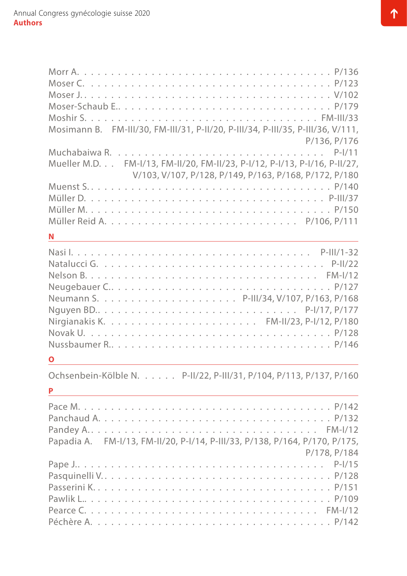| Moser-Schaub EP/179                                                             |
|---------------------------------------------------------------------------------|
|                                                                                 |
| Mosimann B. FM-III/30, FM-III/31, P-II/20, P-III/34, P-III/35, P-III/36, V/111, |
| P/136, P/176                                                                    |
| Mueller M.D. FM-I/13, FM-II/20, FM-II/23, P-I/12, P-I/13, P-I/16, P-II/27,      |
| V/103, V/107, P/128, P/149, P/163, P/168, P/172, P/180                          |
|                                                                                 |
|                                                                                 |
|                                                                                 |
|                                                                                 |
| N                                                                               |
|                                                                                 |
|                                                                                 |
|                                                                                 |
| Neugebauer CP/127                                                               |
|                                                                                 |
|                                                                                 |
|                                                                                 |
|                                                                                 |
|                                                                                 |
| $\overline{\textbf{O}}$                                                         |
| Ochsenbein-Kölble N. P-II/22, P-III/31, P/104, P/113, P/137, P/160              |
| P                                                                               |
|                                                                                 |
|                                                                                 |
|                                                                                 |
| Papadia A. FM-I/13, FM-II/20, P-I/14, P-III/33, P/138, P/164, P/170, P/175,     |
| P/178, P/184                                                                    |
|                                                                                 |
|                                                                                 |
|                                                                                 |
|                                                                                 |
|                                                                                 |
|                                                                                 |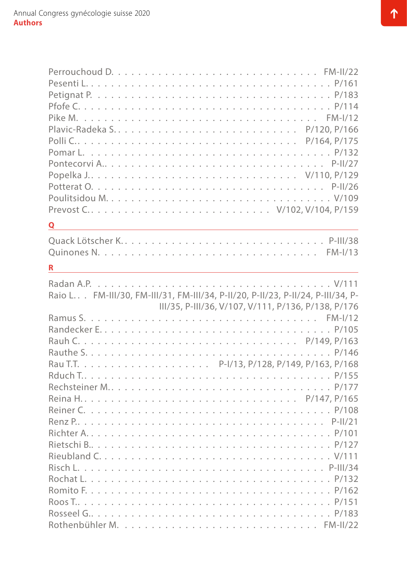|   | Popelka J V/110, P/129                                                          |  |
|---|---------------------------------------------------------------------------------|--|
|   |                                                                                 |  |
|   |                                                                                 |  |
|   | Prevost CV/102, V/104, P/159                                                    |  |
| Q |                                                                                 |  |
|   | Quack Lötscher KP-III/38                                                        |  |
|   |                                                                                 |  |
| R | <u> 1989 - Johann Stoff, amerikansk politiker (d. 1989)</u>                     |  |
|   |                                                                                 |  |
|   | Raio L FM-III/30, FM-III/31, FM-III/34, P-II/20, P-II/23, P-II/24, P-III/34, P- |  |
|   |                                                                                 |  |
|   | III/35, P-III/36, V/107, V/111, P/136, P/138, P/176                             |  |
|   |                                                                                 |  |
|   |                                                                                 |  |
|   |                                                                                 |  |
|   |                                                                                 |  |
|   |                                                                                 |  |
|   |                                                                                 |  |
|   | Rechsteiner MP/177                                                              |  |
|   |                                                                                 |  |
|   |                                                                                 |  |
|   |                                                                                 |  |
|   |                                                                                 |  |
|   |                                                                                 |  |
|   |                                                                                 |  |
|   |                                                                                 |  |
|   |                                                                                 |  |
|   |                                                                                 |  |
|   |                                                                                 |  |
|   |                                                                                 |  |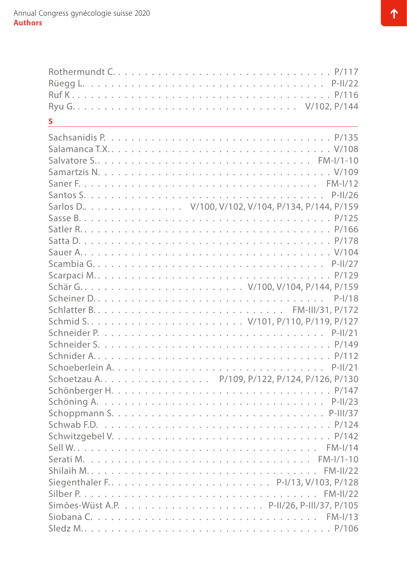| S.                                                                                                      |  |
|---------------------------------------------------------------------------------------------------------|--|
|                                                                                                         |  |
|                                                                                                         |  |
| Salvatore S FM-I/1-10                                                                                   |  |
|                                                                                                         |  |
|                                                                                                         |  |
|                                                                                                         |  |
| Sarlos D. V/100, V/102, V/104, P/134, P/144, P/159                                                      |  |
|                                                                                                         |  |
|                                                                                                         |  |
|                                                                                                         |  |
|                                                                                                         |  |
|                                                                                                         |  |
|                                                                                                         |  |
|                                                                                                         |  |
|                                                                                                         |  |
|                                                                                                         |  |
|                                                                                                         |  |
|                                                                                                         |  |
|                                                                                                         |  |
|                                                                                                         |  |
|                                                                                                         |  |
| Schoetzau A P/109, P/122, P/124, P/126, P/130                                                           |  |
|                                                                                                         |  |
|                                                                                                         |  |
|                                                                                                         |  |
| Schwab F.D. $\dots \dots \dots \dots \dots \dots \dots \dots \dots \dots \dots \dots \dots \dots$ P/124 |  |
|                                                                                                         |  |
|                                                                                                         |  |
|                                                                                                         |  |
|                                                                                                         |  |
|                                                                                                         |  |
|                                                                                                         |  |
|                                                                                                         |  |
|                                                                                                         |  |
|                                                                                                         |  |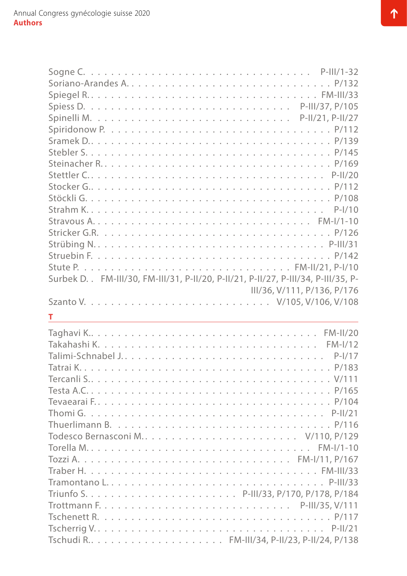| Surbek D. . FM-III/30, FM-III/31, P-II/20, P-II/21, P-II/27, P-III/34, P-III/35, P- |
|-------------------------------------------------------------------------------------|
| III/36, V/111, P/136, P/176                                                         |
|                                                                                     |
| т                                                                                   |
|                                                                                     |
|                                                                                     |
|                                                                                     |
|                                                                                     |
|                                                                                     |
|                                                                                     |
|                                                                                     |
|                                                                                     |
|                                                                                     |
|                                                                                     |
|                                                                                     |
|                                                                                     |
|                                                                                     |
|                                                                                     |
|                                                                                     |
|                                                                                     |
|                                                                                     |
|                                                                                     |
|                                                                                     |
| Tschudi R FM-III/34, P-II/23, P-II/24, P/138                                        |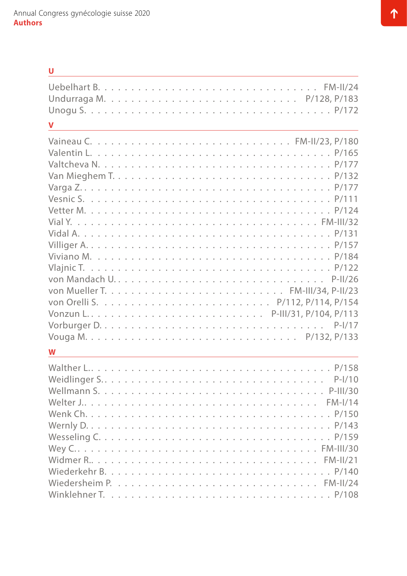#### **U**

| $\overline{\mathsf{V}}$ |  |  |  |  |  |  |  |  |  |  |  |  |          |  |
|-------------------------|--|--|--|--|--|--|--|--|--|--|--|--|----------|--|
|                         |  |  |  |  |  |  |  |  |  |  |  |  |          |  |
| W                       |  |  |  |  |  |  |  |  |  |  |  |  |          |  |
|                         |  |  |  |  |  |  |  |  |  |  |  |  | $P-I/10$ |  |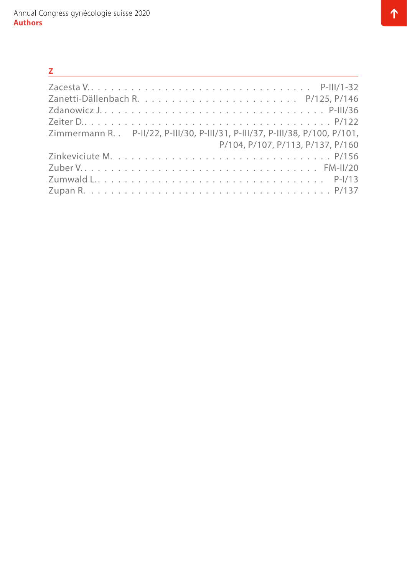| $\mathbf{Z}$ and $\mathbf{Z}$                                                  |
|--------------------------------------------------------------------------------|
|                                                                                |
|                                                                                |
|                                                                                |
|                                                                                |
| Zimmermann R. . P-II/22, P-III/30, P-III/31, P-III/37, P-III/38, P/100, P/101, |
| P/104, P/107, P/113, P/137, P/160                                              |
|                                                                                |
|                                                                                |
|                                                                                |
|                                                                                |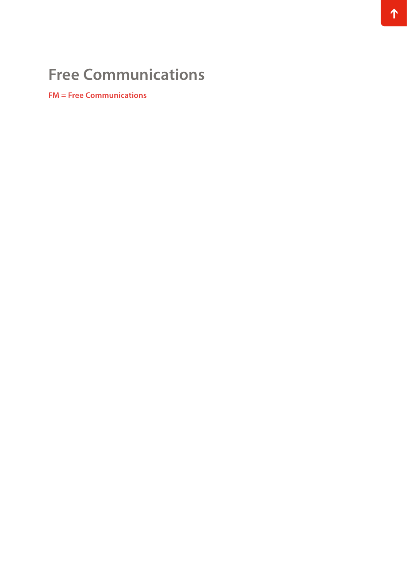# **Free Communications**

**FM = Free Communications**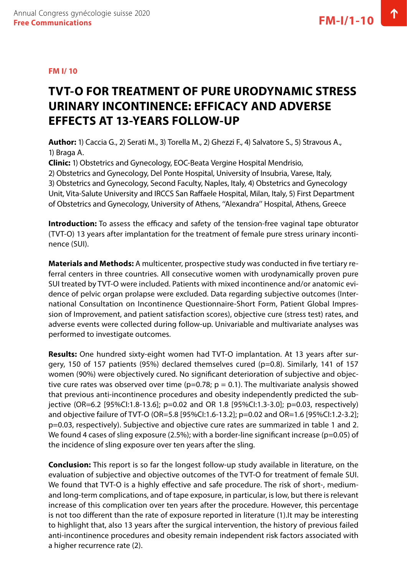#### <span id="page-16-0"></span>**FM I/ 10**

### **TVT-O FOR TREATMENT OF PURE URODYNAMIC STRESS URINARY INCONTINENCE: EFFICACY AND ADVERSE EFFECTS AT 13-YEARS FOLLOW-UP**

**Author:** 1) Caccia G., 2) Serati M., 3) Torella M., 2) Ghezzi F., 4) Salvatore S., 5) Stravous A., 1) Braga A.

**Clinic:** 1) Obstetrics and Gynecology, EOC-Beata Vergine Hospital Mendrisio,

2) Obstetrics and Gynecology, Del Ponte Hospital, University of Insubria, Varese, Italy,

3) Obstetrics and Gynecology, Second Faculty, Naples, Italy, 4) Obstetrics and Gynecology Unit, Vita-Salute University and IRCCS San Raffaele Hospital, Milan, Italy, 5) First Department of Obstetrics and Gynecology, University of Athens, ''Alexandra'' Hospital, Athens, Greece

**Introduction:** To assess the efficacy and safety of the tension-free vaginal tape obturator (TVT-O) 13 years after implantation for the treatment of female pure stress urinary incontinence (SUI).

**Materials and Methods:** A multicenter, prospective study was conducted in five tertiary referral centers in three countries. All consecutive women with urodynamically proven pure SUI treated by TVT-O were included. Patients with mixed incontinence and/or anatomic evidence of pelvic organ prolapse were excluded. Data regarding subjective outcomes (International Consultation on Incontinence Questionnaire-Short Form, Patient Global Impression of Improvement, and patient satisfaction scores), objective cure (stress test) rates, and adverse events were collected during follow-up. Univariable and multivariate analyses was performed to investigate outcomes.

**Results:** One hundred sixty-eight women had TVT-O implantation. At 13 years after surgery, 150 of 157 patients (95%) declared themselves cured (p=0.8). Similarly, 141 of 157 women (90%) were objectively cured. No significant deterioration of subjective and objective cure rates was observed over time ( $p=0.78$ ;  $p = 0.1$ ). The multivariate analysis showed that previous anti-incontinence procedures and obesity independently predicted the subjective (OR=6.2 [95%CI:1.8-13.6]; p=0.02 and OR 1.8 [95%CI:1.3-3.0]; p=0.03, respectively) and objective failure of TVT-O (OR=5.8 [95%CI:1.6-13.2]; p=0.02 and OR=1.6 [95%CI:1.2-3.2]; p=0.03, respectively). Subjective and objective cure rates are summarized in table 1 and 2. We found 4 cases of sling exposure (2.5%); with a border-line significant increase (p=0.05) of the incidence of sling exposure over ten years after the sling.

**Conclusion:** This report is so far the longest follow-up study available in literature, on the evaluation of subjective and objective outcomes of the TVT-O for treatment of female SUI. We found that TVT-O is a highly effective and safe procedure. The risk of short-, mediumand long-term complications, and of tape exposure, in particular, is low, but there is relevant increase of this complication over ten years after the procedure. However, this percentage is not too different than the rate of exposure reported in literature (1).It may be interesting to highlight that, also 13 years after the surgical intervention, the history of previous failed anti-incontinence procedures and obesity remain independent risk factors associated with a higher recurrence rate (2).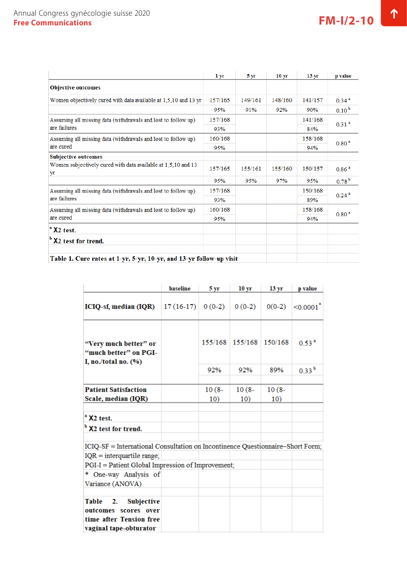|                                                                               | 1 yr    | 5 yr    | 10 <sub>yr</sub> | 13 <sub>yr</sub> | p value             |
|-------------------------------------------------------------------------------|---------|---------|------------------|------------------|---------------------|
| <b>Objective outcomes</b>                                                     |         |         |                  |                  |                     |
| Women objectively cured with data available at 1,5,10 and 13 yr               | 157/165 | 149/161 | 148/160          | 141/157          | $0.34$ <sup>a</sup> |
|                                                                               | 95%     | 91%     | 92%              | 90%              | $0.10^{b}$          |
| Assuming all missing data (withdrawals and lost to follow up)<br>are failures | 157/168 |         |                  | 141/168          | 0.31 <sup>2</sup>   |
|                                                                               | 93%     |         |                  | 84%              |                     |
| Assuming all missing data (withdrawals and lost to follow up)<br>are cured    | 160/168 |         |                  | 158/168          | 0.80 <sup>2</sup>   |
|                                                                               | 95%     |         |                  | 94%              |                     |
| <b>Subjective outcomes</b>                                                    |         |         |                  |                  |                     |
| Women subjectively cured with data available at 1,5,10 and 13<br>yr           | 157/165 | 155/161 | 155/160          | 150/157          | 0.86 <sup>2</sup>   |
|                                                                               | 95%     | 95%     | 97%              | 95%              | $0.78^{b}$          |
| Assuming all missing data (withdrawals and lost to follow up)                 | 157/168 |         |                  | 150/168          | 0.24 <sup>2</sup>   |
| are failures                                                                  | 93%     |         |                  | 89%              |                     |
| Assuming all missing data (withdrawals and lost to follow up)<br>are cured    | 160/168 |         |                  | 158/168          | 0.80 <sup>2</sup>   |
|                                                                               | 95%     |         |                  | 94%              |                     |
| <sup>a</sup> X <sub>2</sub> test.                                             |         |         |                  |                  |                     |
| <sup>b</sup> X2 test for trend.                                               |         |         |                  |                  |                     |
|                                                                               |         |         |                  |                  |                     |
| Table 1. Cure rates at 1-yr, 5-yr, 10-yr, and 13-yr follow-up visit           |         |         |                  |                  |                     |

| Table 1. Cure rates at 1-yr, 5-yr, 10-yr, and 13-yr follow-up visit |  |  |
|---------------------------------------------------------------------|--|--|
|---------------------------------------------------------------------|--|--|

|                                                                                                                | baseline           | 5 yr            | 10 <sub>yr</sub> | 13 <sub>yr</sub> | p value                 |  |  |
|----------------------------------------------------------------------------------------------------------------|--------------------|-----------------|------------------|------------------|-------------------------|--|--|
| ICIQ-sf, median (IQR)                                                                                          | $17(16-17)$ 0(0-2) |                 | $0(0-2)$         | $0(0-2)$         | $ <0.0001$ <sup>*</sup> |  |  |
| "Very much better" or<br>"much better" on PGI-<br>I, no./total no. $(\%)$                                      |                    | 155/168         | 155/168          | 150/168          | 0.53 <sup>2</sup>       |  |  |
|                                                                                                                |                    | 92%             | 92%              | 89%              | $0.33^{b}$              |  |  |
| <b>Patient Satisfaction</b><br>Scale, median (IQR)                                                             |                    | $10(8 -$<br>10) | $10(8 -$<br>10)  | $10(8 -$<br>10)  |                         |  |  |
| <sup>a</sup> X <sub>2</sub> test.                                                                              |                    |                 |                  |                  |                         |  |  |
| <sup>b</sup> X2 test for trend.                                                                                |                    |                 |                  |                  |                         |  |  |
| ICIQ-SF = International Consultation on Incontinence Questionnaire-Short Form;<br>$IQR = interquartile range;$ |                    |                 |                  |                  |                         |  |  |
| PGI-I = Patient Global Impression of Improvement;                                                              |                    |                 |                  |                  |                         |  |  |
| * One-way Analysis of<br>Variance (ANOVA)                                                                      |                    |                 |                  |                  |                         |  |  |
|                                                                                                                |                    |                 |                  |                  |                         |  |  |
| Table<br>2.<br><b>Subjective</b>                                                                               |                    |                 |                  |                  |                         |  |  |
| outcomes scores over                                                                                           |                    |                 |                  |                  |                         |  |  |
| time after Tension free<br>vaginal tape-obturator                                                              |                    |                 |                  |                  |                         |  |  |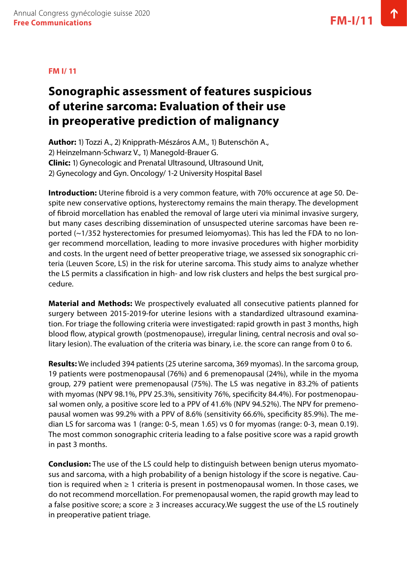#### <span id="page-18-0"></span>**FM I/ 11**

### **Sonographic assessment of features suspicious of uterine sarcoma: Evaluation of their use in preoperative prediction of malignancy**

**Author:** 1) Tozzi A., 2) Knipprath-Mészáros A.M., 1) Butenschön A., 2) Heinzelmann-Schwarz V., 1) Manegold-Brauer G. **Clinic:** 1) Gynecologic and Prenatal Ultrasound, Ultrasound Unit, 2) Gynecology and Gyn. Oncology/ 1-2 University Hospital Basel

**Introduction:** Uterine fibroid is a very common feature, with 70% occurence at age 50. Despite new conservative options, hysterectomy remains the main therapy. The development of fibroid morcellation has enabled the removal of large uteri via minimal invasive surgery, but many cases describing dissemination of unsuspected uterine sarcomas have been reported (~1/352 hysterectomies for presumed leiomyomas). This has led the FDA to no longer recommend morcellation, leading to more invasive procedures with higher morbidity and costs. In the urgent need of better preoperative triage, we assessed six sonographic criteria (Leuven Score, LS) in the risk for uterine sarcoma. This study aims to analyze whether the LS permits a classification in high- and low risk clusters and helps the best surgical procedure.

**Material and Methods:** We prospectively evaluated all consecutive patients planned for surgery between 2015-2019-for uterine lesions with a standardized ultrasound examination. For triage the following criteria were investigated: rapid growth in past 3 months, high blood flow, atypical growth (postmenopause), irregular lining, central necrosis and oval solitary lesion). The evaluation of the criteria was binary, i.e. the score can range from 0 to 6.

**Results:** We included 394 patients (25 uterine sarcoma, 369 myomas). In the sarcoma group, 19 patients were postmenopausal (76%) and 6 premenopausal (24%), while in the myoma group, 279 patient were premenopausal (75%). The LS was negative in 83.2% of patients with myomas (NPV 98.1%, PPV 25.3%, sensitivity 76%, specificity 84.4%). For postmenopausal women only, a positive score led to a PPV of 41.6% (NPV 94.52%). The NPV for premenopausal women was 99.2% with a PPV of 8.6% (sensitivity 66.6%, specificity 85.9%). The median LS for sarcoma was 1 (range: 0-5, mean 1.65) vs 0 for myomas (range: 0-3, mean 0.19). The most common sonographic criteria leading to a false positive score was a rapid growth in past 3 months.

**Conclusion:** The use of the LS could help to distinguish between benign uterus myomatosus and sarcoma, with a high probability of a benign histology if the score is negative. Caution is required when  $\geq 1$  criteria is present in postmenopausal women. In those cases, we do not recommend morcellation. For premenopausal women, the rapid growth may lead to a false positive score; a score  $\geq 3$  increases accuracy. We suggest the use of the LS routinely in preoperative patient triage.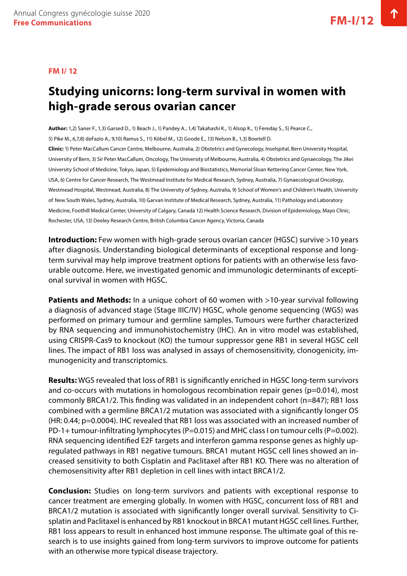#### <span id="page-19-0"></span>**FM I/ 12**

### **Studying unicorns: long-term survival in women with high-grade serous ovarian cancer**

**Author:** 1,2) Saner F., 1,3) Garsed D., 1) Beach J., 1) Pandey A., 1,4) Takahashi K., 1) Alsop K., 1) Fereday S., 5) Pearce C., 5) Pike M., 6,7,8) deFazio A., 9,10) Ramus S., 11) Köbel M., 12) Goode E., 13) Nelson B., 1,3) Bowtell D. **Clinic:** 1) Peter MacCallum Cancer Centre, Melbourne, Australia, 2) Obstetrics and Gynecology, Inselspital, Bern University Hospital, University of Bern, 3) Sir Peter MacCallum, Oncology, The University of Melbourne, Australia, 4) Obstetrics and Gynaecology, The Jikei University School of Medicine, Tokyo, Japan, 5) Epidemiology and Biostatistics, Memorial Sloan Kettering Cancer Center, New York, USA, 6) Centre for Cancer Research, The Westmead Institute for Medical Research, Sydney, Australia, 7) Gynaecological Oncology, Westmead Hospital, Westmead, Australia, 8) The University of Sydney, Australia, 9) School of Women's and Children's Health, University of New South Wales, Sydney, Australia, 10) Garvan Institute of Medical Research, Sydney, Australia, 11) Pathology and Laboratory Medicine, Foothill Medical Center, University of Calgary, Canada 12) Health Science Research, Division of Epidemiology, Mayo Clinic, Rochester, USA, 13) Deeley Research Centre, British Columbia Cancer Agency, Victoria, Canada

**Introduction:** Few women with high-grade serous ovarian cancer (HGSC) survive >10 years after diagnosis. Understanding biological determinants of exceptional response and longterm survival may help improve treatment options for patients with an otherwise less favourable outcome. Here, we investigated genomic and immunologic determinants of exceptional survival in women with HGSC.

**Patients and Methods:** In a unique cohort of 60 women with >10-year survival following a diagnosis of advanced stage (Stage IIIC/IV) HGSC, whole genome sequencing (WGS) was performed on primary tumour and germline samples. Tumours were further characterized by RNA sequencing and immunohistochemistry (IHC). An in vitro model was established, using CRISPR-Cas9 to knockout (KO) the tumour suppressor gene RB1 in several HGSC cell lines. The impact of RB1 loss was analysed in assays of chemosensitivity, clonogenicity, immunogenicity and transcriptomics.

**Results:** WGS revealed that loss of RB1 is significantly enriched in HGSC long-term survivors and co-occurs with mutations in homologous recombination repair genes (p=0.014), most commonly BRCA1/2. This finding was validated in an independent cohort (n=847); RB1 loss combined with a germline BRCA1/2 mutation was associated with a significantly longer OS (HR: 0.44; p=0.0004). IHC revealed that RB1 loss was associated with an increased number of PD-1+ tumour-infiltrating lymphocytes (P=0.015) and MHC class I on tumour cells (P=0.002). RNA sequencing identified E2F targets and interferon gamma response genes as highly upregulated pathways in RB1 negative tumours. BRCA1 mutant HGSC cell lines showed an increased sensitivity to both Cisplatin and Paclitaxel after RB1 KO. There was no alteration of chemosensitivity after RB1 depletion in cell lines with intact BRCA1/2.

**Conclusion:** Studies on long-term survivors and patients with exceptional response to cancer treatment are emerging globally. In women with HGSC, concurrent loss of RB1 and BRCA1/2 mutation is associated with significantly longer overall survival. Sensitivity to Cisplatin and Paclitaxel is enhanced by RB1 knockout in BRCA1 mutant HGSC cell lines. Further, RB1 loss appears to result in enhanced host immune response. The ultimate goal of this research is to use insights gained from long-term survivors to improve outcome for patients with an otherwise more typical disease trajectory.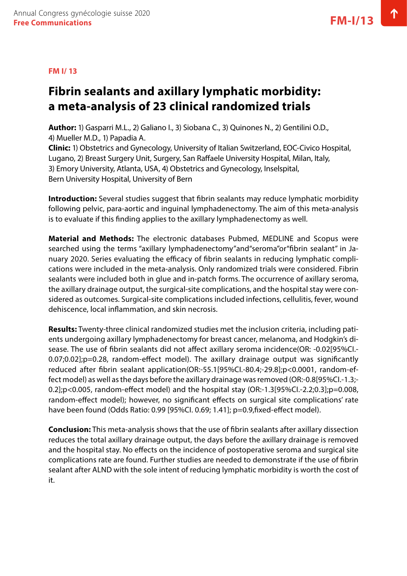#### <span id="page-20-0"></span>**FM I/ 13**

### **Fibrin sealants and axillary lymphatic morbidity: a meta-analysis of 23 clinical randomized trials**

**Author:** 1) Gasparri M.L., 2) Galiano I., 3) Siobana C., 3) Quinones N., 2) Gentilini O.D., 4) Mueller M.D., 1) Papadia A.

**Clinic:** 1) Obstetrics and Gynecology, University of Italian Switzerland, EOC-Civico Hospital, Lugano, 2) Breast Surgery Unit, Surgery, San Raffaele University Hospital, Milan, Italy, 3) Emory University, Atlanta, USA, 4) Obstetrics and Gynecology, Inselspital, Bern University Hospital, University of Bern

**Introduction:** Several studies suggest that fibrin sealants may reduce lymphatic morbidity following pelvic, para-aortic and inguinal lymphadenectomy. The aim of this meta-analysis is to evaluate if this finding applies to the axillary lymphadenectomy as well.

**Material and Methods:** The electronic databases Pubmed, MEDLINE and Scopus were searched using the terms "axillary lymphadenectomy"and"seroma"or"fibrin sealant" in January 2020. Series evaluating the efficacy of fibrin sealants in reducing lymphatic complications were included in the meta-analysis. Only randomized trials were considered. Fibrin sealants were included both in glue and in-patch forms. The occurrence of axillary seroma, the axillary drainage output, the surgical-site complications, and the hospital stay were considered as outcomes. Surgical-site complications included infections, cellulitis, fever, wound dehiscence, local inflammation, and skin necrosis.

**Results:** Twenty-three clinical randomized studies met the inclusion criteria, including patients undergoing axillary lymphadenectomy for breast cancer, melanoma, and Hodgkin's disease. The use of fibrin sealants did not affect axillary seroma incidence(OR: -0.02[95%CI.- 0.07;0.02];p=0.28, random-effect model). The axillary drainage output was significantly reduced after fibrin sealant application(OR:-55.1[95%CI.-80.4;-29.8];p<0.0001, random-effect model) as well as the days before the axillary drainage was removed (OR:-0.8[95%CI.-1.3;- 0.2];p<0.005, random-effect model) and the hospital stay (OR:-1.3[95%CI.-2.2;0.3];p=0.008, random-effect model); however, no significant effects on surgical site complications' rate have been found (Odds Ratio: 0.99 [95%CI. 0.69; 1.41]; p=0.9,fixed-effect model).

**Conclusion:** This meta-analysis shows that the use of fibrin sealants after axillary dissection reduces the total axillary drainage output, the days before the axillary drainage is removed and the hospital stay. No effects on the incidence of postoperative seroma and surgical site complications rate are found. Further studies are needed to demonstrate if the use of fibrin sealant after ALND with the sole intent of reducing lymphatic morbidity is worth the cost of it.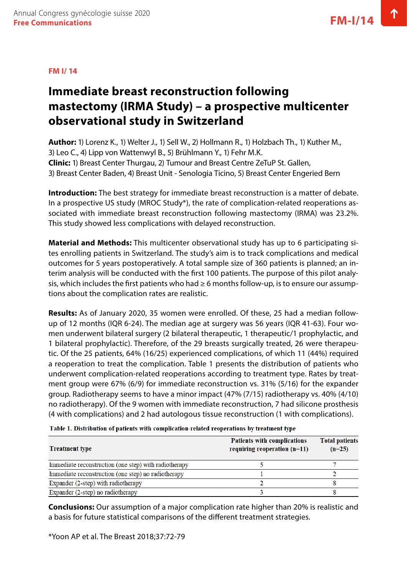#### <span id="page-21-0"></span>**FM I/ 14**

### **Immediate breast reconstruction following mastectomy (IRMA Study) – a prospective multicenter observational study in Switzerland**

**Author:** 1) Lorenz K., 1) Welter J., 1) Sell W., 2) Hollmann R., 1) Holzbach Th., 1) Kuther M., 3) Leo C., 4) Lipp von Wattenwyl B., 5) Brühlmann Y., 1) Fehr M.K. **Clinic:** 1) Breast Center Thurgau, 2) Tumour and Breast Centre ZeTuP St. Gallen, 3) Breast Center Baden, 4) Breast Unit - Senologia Ticino, 5) Breast Center Engeried Bern

**Introduction:** The best strategy for immediate breast reconstruction is a matter of debate. In a prospective US study (MROC Study\*), the rate of complication-related reoperations associated with immediate breast reconstruction following mastectomy (IRMA) was 23.2%. This study showed less complications with delayed reconstruction.

**Material and Methods:** This multicenter observational study has up to 6 participating sites enrolling patients in Switzerland. The study's aim is to track complications and medical outcomes for 5 years postoperatively. A total sample size of 360 patients is planned; an interim analysis will be conducted with the first 100 patients. The purpose of this pilot analysis, which includes the first patients who had  $\geq 6$  months follow-up, is to ensure our assumptions about the complication rates are realistic.

**Results:** As of January 2020, 35 women were enrolled. Of these, 25 had a median followup of 12 months (IQR 6-24). The median age at surgery was 56 years (IQR 41-63). Four women underwent bilateral surgery (2 bilateral therapeutic, 1 therapeutic/1 prophylactic, and 1 bilateral prophylactic). Therefore, of the 29 breasts surgically treated, 26 were therapeutic. Of the 25 patients, 64% (16/25) experienced complications, of which 11 (44%) required a reoperation to treat the complication. Table 1 presents the distribution of patients who underwent complication-related reoperations according to treatment type. Rates by treatment group were 67% (6/9) for immediate reconstruction vs. 31% (5/16) for the expander group. Radiotherapy seems to have a minor impact (47% (7/15) radiotherapy vs. 40% (4/10) no radiotherapy). Of the 9 women with immediate reconstruction, 7 had silicone prosthesis (4 with complications) and 2 had autologous tissue reconstruction (1 with complications).

| <b>Treatment type</b>                                 | <b>Patients with complications</b><br>requiring reoperation $(n=11)$ | <b>Total patients</b><br>$(n=25)$ |
|-------------------------------------------------------|----------------------------------------------------------------------|-----------------------------------|
| Immediate reconstruction (one step) with radiotherapy |                                                                      |                                   |
| Immediate reconstruction (one step) no radiotherapy   |                                                                      |                                   |
| Expander (2-step) with radiotherapy                   |                                                                      |                                   |
| Expander (2-step) no radiotherapy                     |                                                                      |                                   |

Table 1. Distribution of patients with complication-related reoperations by treatment type

**Conclusions:** Our assumption of a major complication rate higher than 20% is realistic and a basis for future statistical comparisons of the different treatment strategies.

\*Yoon AP et al. The Breast 2018;37:72-79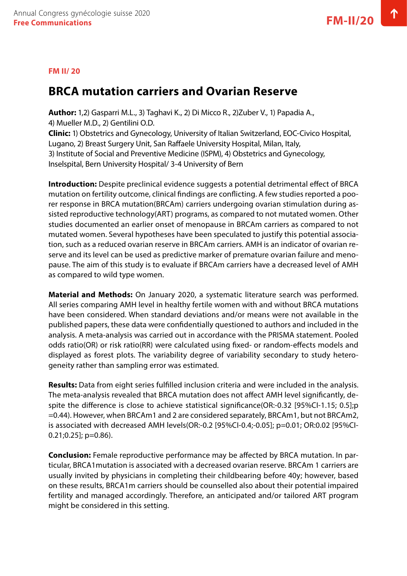#### <span id="page-22-0"></span>**FM II/ 20**

### **BRCA mutation carriers and Ovarian Reserve**

**Author:** 1,2) Gasparri M.L., 3) Taghavi K., 2) Di Micco R., 2)Zuber V., 1) Papadia A., 4) Mueller M.D., 2) Gentilini O.D.

**Clinic:** 1) Obstetrics and Gynecology, University of Italian Switzerland, EOC-Civico Hospital, Lugano, 2) Breast Surgery Unit, San Raffaele University Hospital, Milan, Italy, 3) Institute of Social and Preventive Medicine (ISPM), 4) Obstetrics and Gynecology, Inselspital, Bern University Hospital/ 3-4 University of Bern

**Introduction:** Despite preclinical evidence suggests a potential detrimental effect of BRCA mutation on fertility outcome, clinical findings are conflicting. A few studies reported a poorer response in BRCA mutation(BRCAm) carriers undergoing ovarian stimulation during assisted reproductive technology(ART) programs, as compared to not mutated women. Other studies documented an earlier onset of menopause in BRCAm carriers as compared to not mutated women. Several hypotheses have been speculated to justify this potential association, such as a reduced ovarian reserve in BRCAm carriers. AMH is an indicator of ovarian reserve and its level can be used as predictive marker of premature ovarian failure and menopause. The aim of this study is to evaluate if BRCAm carriers have a decreased level of AMH as compared to wild type women.

**Material and Methods:** On January 2020, a systematic literature search was performed. All series comparing AMH level in healthy fertile women with and without BRCA mutations have been considered. When standard deviations and/or means were not available in the published papers, these data were confidentially questioned to authors and included in the analysis. A meta-analysis was carried out in accordance with the PRISMA statement. Pooled odds ratio(OR) or risk ratio(RR) were calculated using fixed- or random-effects models and displayed as forest plots. The variability degree of variability secondary to study heterogeneity rather than sampling error was estimated.

**Results:** Data from eight series fulfilled inclusion criteria and were included in the analysis. The meta-analysis revealed that BRCA mutation does not affect AMH level significantly, despite the difference is close to achieve statistical significance(OR:-0.32 [95%CI-1.15; 0.5];p =0.44). However, when BRCAm1 and 2 are considered separately, BRCAm1, but not BRCAm2, is associated with decreased AMH levels(OR:-0.2 [95%CI-0.4;-0.05]; p=0.01; OR:0.02 [95%CI- $0.21;0.25]$ ; p=0.86).

**Conclusion:** Female reproductive performance may be affected by BRCA mutation. In particular, BRCA1mutation is associated with a decreased ovarian reserve. BRCAm 1 carriers are usually invited by physicians in completing their childbearing before 40y; however, based on these results, BRCA1m carriers should be counselled also about their potential impaired fertility and managed accordingly. Therefore, an anticipated and/or tailored ART program might be considered in this setting.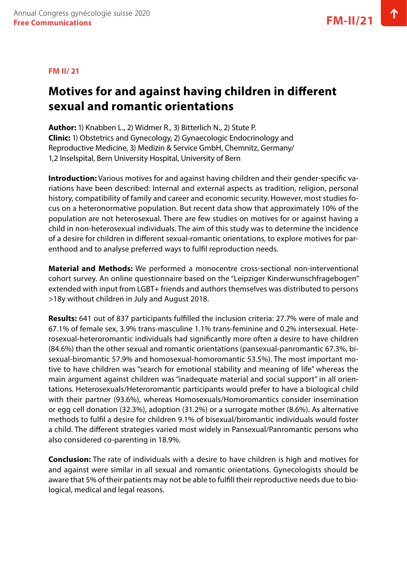### <span id="page-23-0"></span>**Motives for and against having children in different sexual and romantic orientations**

**Author:** 1) Knabben L., 2) Widmer R., 3) Bitterlich N., 2) Stute P. **Clinic:** 1) Obstetrics and Gynecology, 2) Gynaecologic Endocrinology and Reproductive Medicine, 3) Medizin & Service GmbH, Chemnitz, Germany/ 1,2 Inselspital, Bern University Hospital, University of Bern

**Introduction:** Various motives for and against having children and their gender-specific variations have been described: Internal and external aspects as tradition, religion, personal history, compatibility of family and career and economic security. However, most studies focus on a heteronormative population. But recent data show that approximately 10% of the population are not heterosexual. There are few studies on motives for or against having a child in non-heterosexual individuals. The aim of this study was to determine the incidence of a desire for children in different sexual-romantic orientations, to explore motives for parenthood and to analyse preferred ways to fulfil reproduction needs.

**Material and Methods:** We performed a monocentre cross-sectional non-interventional cohort survey. An online questionnaire based on the "Leipziger Kinderwunschfragebogen" extended with input from LGBT+ friends and authors themselves was distributed to persons >18y without children in July and August 2018.

**Results:** 641 out of 837 participants fulfilled the inclusion criteria: 27.7% were of male and 67.1% of female sex, 3.9% trans-masculine 1.1% trans-feminine and 0.2% intersexual. Heterosexual-heteroromantic individuals had significantly more often a desire to have children (84.6%) than the other sexual and romantic orientations (pansexual-panromantic 67.3%, bisexual-biromantic 57.9% and homosexual-homoromantic 53.5%). The most important motive to have children was "search for emotional stability and meaning of life" whereas the main argument against children was "inadequate material and social support" in all orientations. Heterosexuals/Heteroromantic participants would prefer to have a biological child with their partner (93.6%), whereas Homosexuals/Homoromantics consider insemination or egg cell donation (32.3%), adoption (31.2%) or a surrogate mother (8.6%). As alternative methods to fulfil a desire for children 9.1% of bisexual/biromantic individuals would foster a child. The different strategies varied most widely in Pansexual/Panromantic persons who also considered co-parenting in 18.9%.

**Conclusion:** The rate of individuals with a desire to have children is high and motives for and against were similar in all sexual and romantic orientations. Gynecologists should be aware that 5% of their patients may not be able to fulfill their reproductive needs due to biological, medical and legal reasons.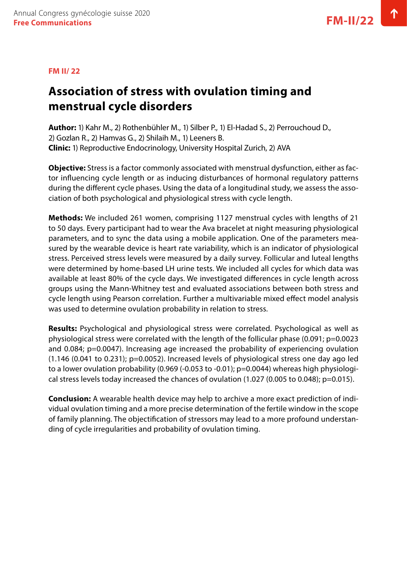#### <span id="page-24-0"></span>**FM II/ 22**

### **Association of stress with ovulation timing and menstrual cycle disorders**

**Author:** 1) Kahr M., 2) Rothenbühler M., 1) Silber P., 1) El-Hadad S., 2) Perrouchoud D., 2) Gozlan R., 2) Hamvas G., 2) Shilaih M., 1) Leeners B. **Clinic:** 1) Reproductive Endocrinology, University Hospital Zurich, 2) AVA

**Objective:** Stress is a factor commonly associated with menstrual dysfunction, either as factor influencing cycle length or as inducing disturbances of hormonal regulatory patterns during the different cycle phases. Using the data of a longitudinal study, we assess the association of both psychological and physiological stress with cycle length.

**Methods:** We included 261 women, comprising 1127 menstrual cycles with lengths of 21 to 50 days. Every participant had to wear the Ava bracelet at night measuring physiological parameters, and to sync the data using a mobile application. One of the parameters measured by the wearable device is heart rate variability, which is an indicator of physiological stress. Perceived stress levels were measured by a daily survey. Follicular and luteal lengths were determined by home-based LH urine tests. We included all cycles for which data was available at least 80% of the cycle days. We investigated differences in cycle length across groups using the Mann-Whitney test and evaluated associations between both stress and cycle length using Pearson correlation. Further a multivariable mixed effect model analysis was used to determine ovulation probability in relation to stress.

**Results:** Psychological and physiological stress were correlated. Psychological as well as physiological stress were correlated with the length of the follicular phase (0.091; p=0.0023 and 0.084; p=0.0047). Increasing age increased the probability of experiencing ovulation (1.146 (0.041 to 0.231); p=0.0052). Increased levels of physiological stress one day ago led to a lower ovulation probability (0.969 (-0.053 to -0.01); p=0.0044) whereas high physiological stress levels today increased the chances of ovulation (1.027 (0.005 to 0.048); p=0.015).

**Conclusion:** A wearable health device may help to archive a more exact prediction of individual ovulation timing and a more precise determination of the fertile window in the scope of family planning. The objectification of stressors may lead to a more profound understanding of cycle irregularities and probability of ovulation timing.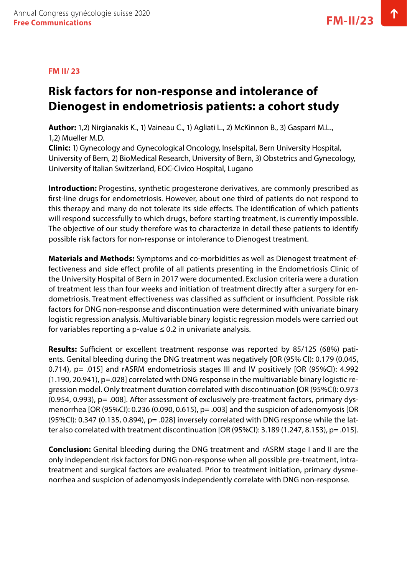#### <span id="page-25-0"></span>**FM II/ 23**

### **Risk factors for non-response and intolerance of Dienogest in endometriosis patients: a cohort study**

**Author:** 1,2) Nirgianakis K., 1) Vaineau C., 1) Agliati L., 2) McKinnon B., 3) Gasparri M.L., 1,2) Mueller M.D.

**Clinic:** 1) Gynecology and Gynecological Oncology, Inselspital, Bern University Hospital, University of Bern, 2) BioMedical Research, University of Bern, 3) Obstetrics and Gynecology, University of Italian Switzerland, EOC-Civico Hospital, Lugano

**Introduction:** Progestins, synthetic progesterone derivatives, are commonly prescribed as first-line drugs for endometriosis. However, about one third of patients do not respond to this therapy and many do not tolerate its side effects. The identification of which patients will respond successfully to which drugs, before starting treatment, is currently impossible. The objective of our study therefore was to characterize in detail these patients to identify possible risk factors for non-response or intolerance to Dienogest treatment.

**Materials and Methods:** Symptoms and co-morbidities as well as Dienogest treatment effectiveness and side effect profile of all patients presenting in the Endometriosis Clinic of the University Hospital of Bern in 2017 were documented. Exclusion criteria were a duration of treatment less than four weeks and initiation of treatment directly after a surgery for endometriosis. Treatment effectiveness was classified as sufficient or insufficient. Possible risk factors for DNG non-response and discontinuation were determined with univariate binary logistic regression analysis. Multivariable binary logistic regression models were carried out for variables reporting a p-value  $\leq 0.2$  in univariate analysis.

**Results:** Sufficient or excellent treatment response was reported by 85/125 (68%) patients. Genital bleeding during the DNG treatment was negatively [OR (95% CI): 0.179 (0.045, 0.714), p= .015] and rASRM endometriosis stages III and IV positively [OR (95%CI): 4.992 (1.190, 20.941), p=.028] correlated with DNG response in the multivariable binary logistic regression model. Only treatment duration correlated with discontinuation [OR (95%CI): 0.973 (0.954, 0.993), p= .008]. After assessment of exclusively pre-treatment factors, primary dysmenorrhea [OR (95%CI): 0.236 (0.090, 0.615), p= .003] and the suspicion of adenomyosis [OR (95%CI): 0.347 (0.135, 0.894), p= .028] inversely correlated with DNG response while the latter also correlated with treatment discontinuation [OR (95%CI): 3.189 (1.247, 8.153), p= .015].

**Conclusion:** Genital bleeding during the DNG treatment and rASRM stage I and II are the only independent risk factors for DNG non-response when all possible pre-treatment, intratreatment and surgical factors are evaluated. Prior to treatment initiation, primary dysmenorrhea and suspicion of adenomyosis independently correlate with DNG non-response.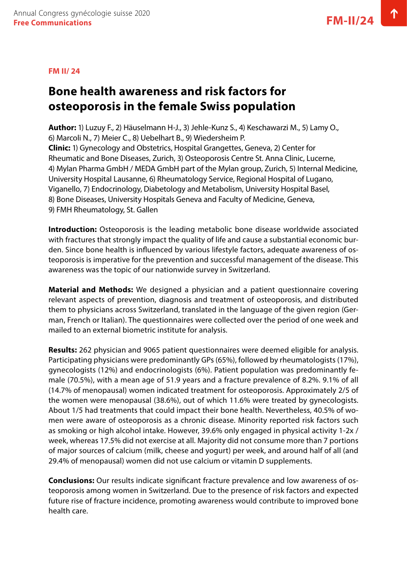#### <span id="page-26-0"></span>**FM II/ 24**

### **Bone health awareness and risk factors for osteoporosis in the female Swiss population**

**Author:** 1) Luzuy F., 2) Häuselmann H-J., 3) Jehle-Kunz S., 4) Keschawarzi M., 5) Lamy O., 6) Marcoli N., 7) Meier C., 8) Uebelhart B., 9) Wiedersheim P. **Clinic:** 1) Gynecology and Obstetrics, Hospital Grangettes, Geneva, 2) Center for Rheumatic and Bone Diseases, Zurich, 3) Osteoporosis Centre St. Anna Clinic, Lucerne, 4) Mylan Pharma GmbH / MEDA GmbH part of the Mylan group, Zurich, 5) Internal Medicine, University Hospital Lausanne, 6) Rheumatology Service, Regional Hospital of Lugano, Viganello, 7) Endocrinology, Diabetology and Metabolism, University Hospital Basel, 8) Bone Diseases, University Hospitals Geneva and Faculty of Medicine, Geneva, 9) FMH Rheumatology, St. Gallen

**Introduction:** Osteoporosis is the leading metabolic bone disease worldwide associated with fractures that strongly impact the quality of life and cause a substantial economic burden. Since bone health is influenced by various lifestyle factors, adequate awareness of osteoporosis is imperative for the prevention and successful management of the disease. This awareness was the topic of our nationwide survey in Switzerland.

**Material and Methods:** We designed a physician and a patient questionnaire covering relevant aspects of prevention, diagnosis and treatment of osteoporosis, and distributed them to physicians across Switzerland, translated in the language of the given region (German, French or Italian). The questionnaires were collected over the period of one week and mailed to an external biometric institute for analysis.

**Results:** 262 physician and 9065 patient questionnaires were deemed eligible for analysis. Participating physicians were predominantly GPs (65%), followed by rheumatologists (17%), gynecologists (12%) and endocrinologists (6%). Patient population was predominantly female (70.5%), with a mean age of 51.9 years and a fracture prevalence of 8.2%. 9.1% of all (14.7% of menopausal) women indicated treatment for osteoporosis. Approximately 2/5 of the women were menopausal (38.6%), out of which 11.6% were treated by gynecologists. About 1/5 had treatments that could impact their bone health. Nevertheless, 40.5% of women were aware of osteoporosis as a chronic disease. Minority reported risk factors such as smoking or high alcohol intake. However, 39.6% only engaged in physical activity 1-2x / week, whereas 17.5% did not exercise at all. Majority did not consume more than 7 portions of major sources of calcium (milk, cheese and yogurt) per week, and around half of all (and 29.4% of menopausal) women did not use calcium or vitamin D supplements.

**Conclusions:** Our results indicate significant fracture prevalence and low awareness of osteoporosis among women in Switzerland. Due to the presence of risk factors and expected future rise of fracture incidence, promoting awareness would contribute to improved bone health care.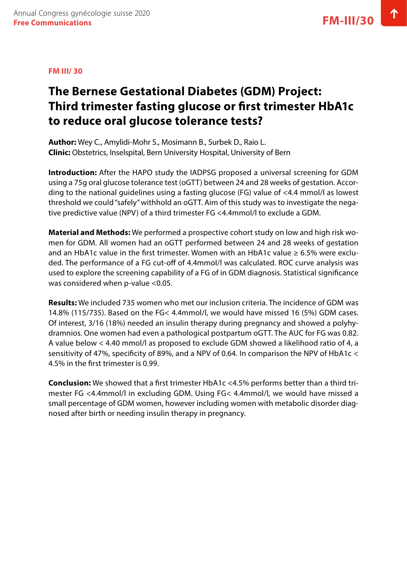#### <span id="page-27-0"></span>**FM III/ 30**

### **The Bernese Gestational Diabetes (GDM) Project: Third trimester fasting glucose or first trimester HbA1c to reduce oral glucose tolerance tests?**

**Author:** Wey C., Amylidi-Mohr S., Mosimann B., Surbek D., Raio L. **Clinic:** Obstetrics, Inselspital, Bern University Hospital, University of Bern

**Introduction:** After the HAPO study the IADPSG proposed a universal screening for GDM using a 75g oral glucose tolerance test (oGTT) between 24 and 28 weeks of gestation. According to the national guidelines using a fasting glucose (FG) value of <4.4 mmol/l as lowest threshold we could "safely" withhold an oGTT. Aim of this study was to investigate the negative predictive value (NPV) of a third trimester FG <4.4mmol/l to exclude a GDM.

**Material and Methods:** We performed a prospective cohort study on low and high risk women for GDM. All women had an oGTT performed between 24 and 28 weeks of gestation and an HbA1c value in the first trimester. Women with an HbA1c value  $\geq 6.5\%$  were excluded. The performance of a FG cut-off of 4.4mmol/l was calculated. ROC curve analysis was used to explore the screening capability of a FG of in GDM diagnosis. Statistical significance was considered when p-value <0.05.

**Results:** We included 735 women who met our inclusion criteria. The incidence of GDM was 14.8% (115/735). Based on the FG< 4.4mmol/l, we would have missed 16 (5%) GDM cases. Of interest, 3/16 (18%) needed an insulin therapy during pregnancy and showed a polyhydramnios. One women had even a pathological postpartum oGTT. The AUC for FG was 0.82. A value below < 4.40 mmol/l as proposed to exclude GDM showed a likelihood ratio of 4, a sensitivity of 47%, specificity of 89%, and a NPV of 0.64. In comparison the NPV of HbA1c < 4.5% in the first trimester is 0.99.

**Conclusion:** We showed that a first trimester HbA1c <4.5% performs better than a third trimester FG <4.4mmol/l in excluding GDM. Using FG< 4.4mmol/l, we would have missed a small percentage of GDM women, however including women with metabolic disorder diagnosed after birth or needing insulin therapy in pregnancy.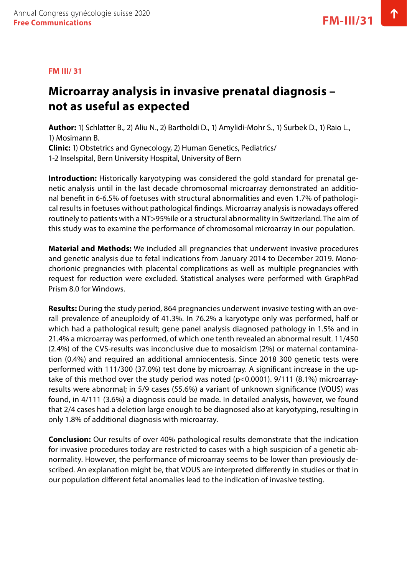#### <span id="page-28-0"></span>**FM III/ 31**

### **Microarray analysis in invasive prenatal diagnosis – not as useful as expected**

**Author:** 1) Schlatter B., 2) Aliu N., 2) Bartholdi D., 1) Amylidi-Mohr S., 1) Surbek D., 1) Raio L., 1) Mosimann B. **Clinic:** 1) Obstetrics and Gynecology, 2) Human Genetics, Pediatrics/

1-2 Inselspital, Bern University Hospital, University of Bern

**Introduction:** Historically karyotyping was considered the gold standard for prenatal genetic analysis until in the last decade chromosomal microarray demonstrated an additional benefit in 6-6.5% of foetuses with structural abnormalities and even 1.7% of pathological results in foetuses without pathological findings. Microarray analysis is nowadays offered routinely to patients with a NT>95%ile or a structural abnormality in Switzerland. The aim of this study was to examine the performance of chromosomal microarray in our population.

**Material and Methods:** We included all pregnancies that underwent invasive procedures and genetic analysis due to fetal indications from January 2014 to December 2019. Monochorionic pregnancies with placental complications as well as multiple pregnancies with request for reduction were excluded. Statistical analyses were performed with GraphPad Prism 8.0 for Windows.

**Results:** During the study period, 864 pregnancies underwent invasive testing with an overall prevalence of aneuploidy of 41.3%. In 76.2% a karyotype only was performed, half or which had a pathological result; gene panel analysis diagnosed pathology in 1.5% and in 21.4% a microarray was performed, of which one tenth revealed an abnormal result. 11/450 (2.4%) of the CVS-results was inconclusive due to mosaicism (2%) or maternal contamination (0.4%) and required an additional amniocentesis. Since 2018 300 genetic tests were performed with 111/300 (37.0%) test done by microarray. A significant increase in the uptake of this method over the study period was noted (p<0.0001). 9/111 (8.1%) microarrayresults were abnormal; in 5/9 cases (55.6%) a variant of unknown significance (VOUS) was found, in 4/111 (3.6%) a diagnosis could be made. In detailed analysis, however, we found that 2/4 cases had a deletion large enough to be diagnosed also at karyotyping, resulting in only 1.8% of additional diagnosis with microarray.

**Conclusion:** Our results of over 40% pathological results demonstrate that the indication for invasive procedures today are restricted to cases with a high suspicion of a genetic abnormality. However, the performance of microarray seems to be lower than previously described. An explanation might be, that VOUS are interpreted differently in studies or that in our population different fetal anomalies lead to the indication of invasive testing.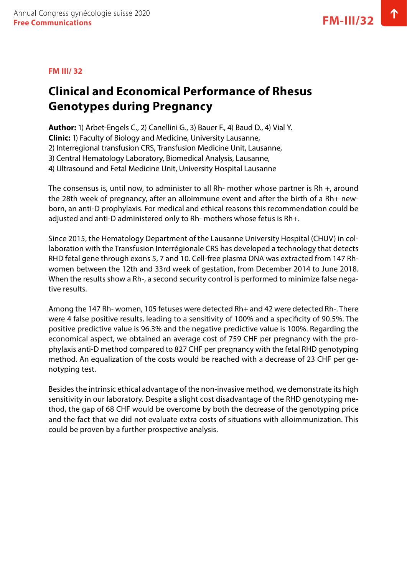#### <span id="page-29-0"></span>**FM III/ 32**

### **Clinical and Economical Performance of Rhesus Genotypes during Pregnancy**

**Author:** 1) Arbet-Engels C., 2) Canellini G., 3) Bauer F., 4) Baud D., 4) Vial Y.

**Clinic:** 1) Faculty of Biology and Medicine, University Lausanne,

2) Interregional transfusion CRS, Transfusion Medicine Unit, Lausanne,

3) Central Hematology Laboratory, Biomedical Analysis, Lausanne,

4) Ultrasound and Fetal Medicine Unit, University Hospital Lausanne

The consensus is, until now, to administer to all Rh- mother whose partner is Rh +, around the 28th week of pregnancy, after an alloimmune event and after the birth of a Rh+ newborn, an anti-D prophylaxis. For medical and ethical reasons this recommendation could be adjusted and anti-D administered only to Rh- mothers whose fetus is Rh+.

Since 2015, the Hematology Department of the Lausanne University Hospital (CHUV) in collaboration with the Transfusion Interrégionale CRS has developed a technology that detects RHD fetal gene through exons 5, 7 and 10. Cell-free plasma DNA was extracted from 147 Rhwomen between the 12th and 33rd week of gestation, from December 2014 to June 2018. When the results show a Rh-, a second security control is performed to minimize false negative results.

Among the 147 Rh- women, 105 fetuses were detected Rh+ and 42 were detected Rh-. There were 4 false positive results, leading to a sensitivity of 100% and a specificity of 90.5%. The positive predictive value is 96.3% and the negative predictive value is 100%. Regarding the economical aspect, we obtained an average cost of 759 CHF per pregnancy with the prophylaxis anti-D method compared to 827 CHF per pregnancy with the fetal RHD genotyping method. An equalization of the costs would be reached with a decrease of 23 CHF per genotyping test.

Besides the intrinsic ethical advantage of the non-invasive method, we demonstrate its high sensitivity in our laboratory. Despite a slight cost disadvantage of the RHD genotyping method, the gap of 68 CHF would be overcome by both the decrease of the genotyping price and the fact that we did not evaluate extra costs of situations with alloimmunization. This could be proven by a further prospective analysis.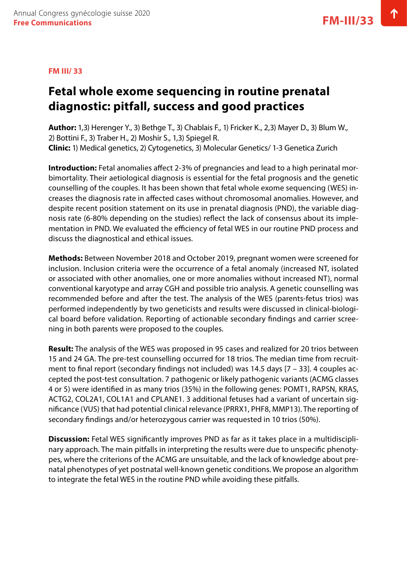#### <span id="page-30-0"></span>**FM III/ 33**

### **Fetal whole exome sequencing in routine prenatal diagnostic: pitfall, success and good practices**

**Author:** 1,3) Herenger Y., 3) Bethge T., 3) Chablais F., 1) Fricker K., 2,3) Mayer D., 3) Blum W., 2) Bottini F., 3) Traber H., 2) Moshir S., 1,3) Spiegel R. **Clinic:** 1) Medical genetics, 2) Cytogenetics, 3) Molecular Genetics/ 1-3 Genetica Zurich

**Introduction:** Fetal anomalies affect 2-3% of pregnancies and lead to a high perinatal morbimortality. Their aetiological diagnosis is essential for the fetal prognosis and the genetic counselling of the couples. It has been shown that fetal whole exome sequencing (WES) increases the diagnosis rate in affected cases without chromosomal anomalies. However, and despite recent position statement on its use in prenatal diagnosis (PND), the variable diagnosis rate (6-80% depending on the studies) reflect the lack of consensus about its implementation in PND. We evaluated the efficiency of fetal WES in our routine PND process and discuss the diagnostical and ethical issues.

**Methods:** Between November 2018 and October 2019, pregnant women were screened for inclusion. Inclusion criteria were the occurrence of a fetal anomaly (increased NT, isolated or associated with other anomalies, one or more anomalies without increased NT), normal conventional karyotype and array CGH and possible trio analysis. A genetic counselling was recommended before and after the test. The analysis of the WES (parents-fetus trios) was performed independently by two geneticists and results were discussed in clinical-biological board before validation. Reporting of actionable secondary findings and carrier screening in both parents were proposed to the couples.

**Result:** The analysis of the WES was proposed in 95 cases and realized for 20 trios between 15 and 24 GA. The pre-test counselling occurred for 18 trios. The median time from recruitment to final report (secondary findings not included) was 14.5 days [7 – 33]. 4 couples accepted the post-test consultation. 7 pathogenic or likely pathogenic variants (ACMG classes 4 or 5) were identified in as many trios (35%) in the following genes: POMT1, RAPSN, KRAS, ACTG2, COL2A1, COL1A1 and CPLANE1. 3 additional fetuses had a variant of uncertain significance (VUS) that had potential clinical relevance (PRRX1, PHF8, MMP13). The reporting of secondary findings and/or heterozygous carrier was requested in 10 trios (50%).

**Discussion:** Fetal WES significantly improves PND as far as it takes place in a multidisciplinary approach. The main pitfalls in interpreting the results were due to unspecific phenotypes, where the criterions of the ACMG are unsuitable, and the lack of knowledge about prenatal phenotypes of yet postnatal well-known genetic conditions. We propose an algorithm to integrate the fetal WES in the routine PND while avoiding these pitfalls.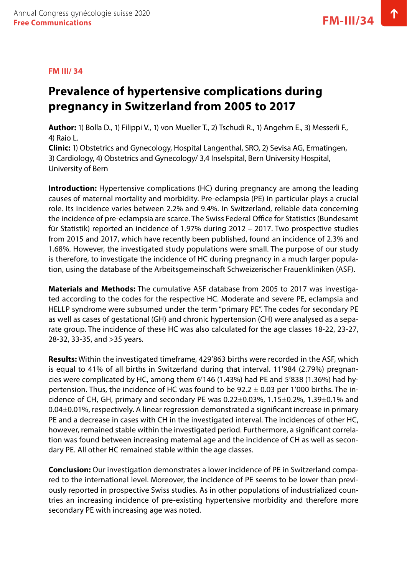#### <span id="page-31-0"></span>**FM III/ 34**

### **Prevalence of hypertensive complications during pregnancy in Switzerland from 2005 to 2017**

**Author:** 1) Bolla D., 1) Filippi V., 1) von Mueller T., 2) Tschudi R., 1) Angehrn E., 3) Messerli F., 4) Raio L.

**Clinic:** 1) Obstetrics and Gynecology, Hospital Langenthal, SRO, 2) Sevisa AG, Ermatingen, 3) Cardiology, 4) Obstetrics and Gynecology/ 3,4 Inselspital, Bern University Hospital, University of Bern

**Introduction:** Hypertensive complications (HC) during pregnancy are among the leading causes of maternal mortality and morbidity. Pre-eclampsia (PE) in particular plays a crucial role. Its incidence varies between 2.2% and 9.4%. In Switzerland, reliable data concerning the incidence of pre-eclampsia are scarce. The Swiss Federal Office for Statistics (Bundesamt für Statistik) reported an incidence of 1.97% during 2012 – 2017. Two prospective studies from 2015 and 2017, which have recently been published, found an incidence of 2.3% and 1.68%. However, the investigated study populations were small. The purpose of our study is therefore, to investigate the incidence of HC during pregnancy in a much larger population, using the database of the Arbeitsgemeinschaft Schweizerischer Frauenkliniken (ASF).

**Materials and Methods:** The cumulative ASF database from 2005 to 2017 was investigated according to the codes for the respective HC. Moderate and severe PE, eclampsia and HELLP syndrome were subsumed under the term "primary PE". The codes for secondary PE as well as cases of gestational (GH) and chronic hypertension (CH) were analysed as a separate group. The incidence of these HC was also calculated for the age classes 18-22, 23-27, 28-32, 33-35, and >35 years.

**Results:** Within the investigated timeframe, 429'863 births were recorded in the ASF, which is equal to 41% of all births in Switzerland during that interval. 11'984 (2.79%) pregnancies were complicated by HC, among them 6'146 (1.43%) had PE and 5'838 (1.36%) had hypertension. Thus, the incidence of HC was found to be  $92.2 \pm 0.03$  per 1'000 births. The incidence of CH, GH, primary and secondary PE was 0.22±0.03%, 1.15±0.2%, 1.39±0.1% and 0.04±0.01%, respectively. A linear regression demonstrated a significant increase in primary PE and a decrease in cases with CH in the investigated interval. The incidences of other HC, however, remained stable within the investigated period. Furthermore, a significant correlation was found between increasing maternal age and the incidence of CH as well as secondary PE. All other HC remained stable within the age classes.

**Conclusion:** Our investigation demonstrates a lower incidence of PE in Switzerland compared to the international level. Moreover, the incidence of PE seems to be lower than previously reported in prospective Swiss studies. As in other populations of industrialized countries an increasing incidence of pre-existing hypertensive morbidity and therefore more secondary PE with increasing age was noted.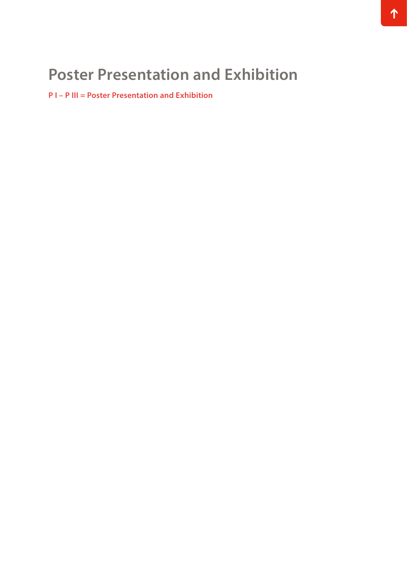## **Poster Presentation and Exhibition**

**P I – P III = Poster Presentation and Exhibition**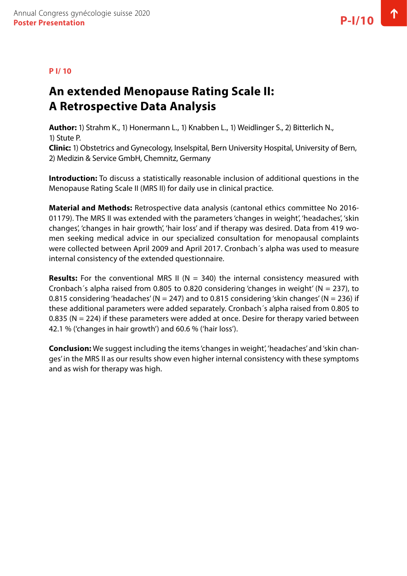#### <span id="page-33-0"></span>**P I/ 10**

### **An extended Menopause Rating Scale II: A Retrospective Data Analysis**

**Author:** 1) Strahm K., 1) Honermann L., 1) Knabben L., 1) Weidlinger S., 2) Bitterlich N., 1) Stute P.

**Clinic:** 1) Obstetrics and Gynecology, Inselspital, Bern University Hospital, University of Bern, 2) Medizin & Service GmbH, Chemnitz, Germany

**Introduction:** To discuss a statistically reasonable inclusion of additional questions in the Menopause Rating Scale II (MRS II) for daily use in clinical practice.

**Material and Methods:** Retrospective data analysis (cantonal ethics committee No 2016- 01179). The MRS II was extended with the parameters 'changes in weight', 'headaches', 'skin changes', 'changes in hair growth', 'hair loss' and if therapy was desired. Data from 419 women seeking medical advice in our specialized consultation for menopausal complaints were collected between April 2009 and April 2017. Cronbach´s alpha was used to measure internal consistency of the extended questionnaire.

**Results:** For the conventional MRS II ( $N = 340$ ) the internal consistency measured with Cronbach's alpha raised from 0.805 to 0.820 considering 'changes in weight' ( $N = 237$ ), to 0.815 considering 'headaches' ( $N = 247$ ) and to 0.815 considering 'skin changes' ( $N = 236$ ) if these additional parameters were added separately. Cronbach´s alpha raised from 0.805 to 0.835 ( $N = 224$ ) if these parameters were added at once. Desire for therapy varied between 42.1 % ('changes in hair growth') and 60.6 % ('hair loss').

**Conclusion:** We suggest including the items 'changes in weight', 'headaches' and 'skin changes' in the MRS II as our results show even higher internal consistency with these symptoms and as wish for therapy was high.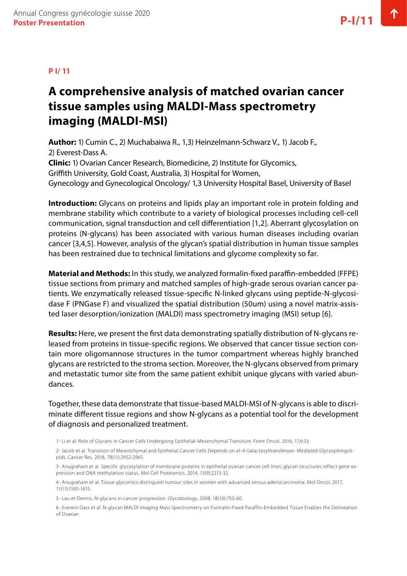#### <span id="page-34-0"></span>**P I/ 11**

### **A comprehensive analysis of matched ovarian cancer tissue samples using MALDI-Mass spectrometry imaging (MALDI-MSI)**

**Author:** 1) Cumin C., 2) Muchabaiwa R., 1,3) Heinzelmann-Schwarz V., 1) Jacob F., 2) Everest-Dass A. **Clinic:** 1) Ovarian Cancer Research, Biomedicine, 2) Institute for Glycomics, Griffith University, Gold Coast, Australia, 3) Hospital for Women, Gynecology and Gynecological Oncology/ 1,3 University Hospital Basel, University of Basel

**Introduction:** Glycans on proteins and lipids play an important role in protein folding and membrane stability which contribute to a variety of biological processes including cell-cell communication, signal transduction and cell differentiation [1,2]. Aberrant glycosylation on proteins (N-glycans) has been associated with various human diseases including ovarian cancer [3,4,5]. However, analysis of the glycan's spatial distribution in human tissue samples has been restrained due to technical limitations and glycome complexity so far.

**Material and Methods:** In this study, we analyzed formalin-fixed paraffin-embedded (FFPE) tissue sections from primary and matched samples of high-grade serous ovarian cancer patients. We enzymatically released tissue-specific N-linked glycans using peptide-N-glycosidase F (PNGase F) and visualized the spatial distribution (50um) using a novel matrix-assisted laser desorption/ionization (MALDI) mass spectrometry imaging (MSI) setup [6].

**Results:** Here, we present the first data demonstrating spatially distribution of N-glycans released from proteins in tissue-specific regions. We observed that cancer tissue section contain more oligomannose structures in the tumor compartment whereas highly branched glycans are restricted to the stroma section. Moreover, the N-glycans observed from primary and metastatic tumor site from the same patient exhibit unique glycans with varied abundances.

Together, these data demonstrate that tissue-based MALDI-MSI of N-glycans is able to discriminate different tissue regions and show N-glycans as a potential tool for the development of diagnosis and personalized treatment.

1- Li et al. Role of Glycans in Cancer Cells Undergoing Epithelial-Mesenchymal Transition. Front Oncol. 2016, 17,6:33.

2- Jacob et al. Transition of Mesenchymal and Epithelial Cancer Cells Depends on a1-4 Galactosyltransferase- Mediated Glycosphingolipids. Cancer Res. 2018, 78(11):2952-2965.

3- Anugraham et al. Specific glycosylation of membrane proteins in epithelial ovarian cancer cell lines: glycan structures reflect gene expression and DNA methylation status. Mol Cell Proteomics. 2014, 13(9):2213-32.

4- Anugraham et al. Tissue glycomics distinguish tumour sites in women with advanced serous adenocarcinoma. Mol Oncol, 2017, 11(11):1595-1615.

5- Lau et Dennis. N-glycans in cancer progression. Glycobiology, 2008, 18(10):750-60.

6- Everest-Dass et al. N-glycan MALDI Imaging Mass Spectrometry on Formalin-Fixed Paraffin-Embedded Tissue Enables the Delineation of Ovarian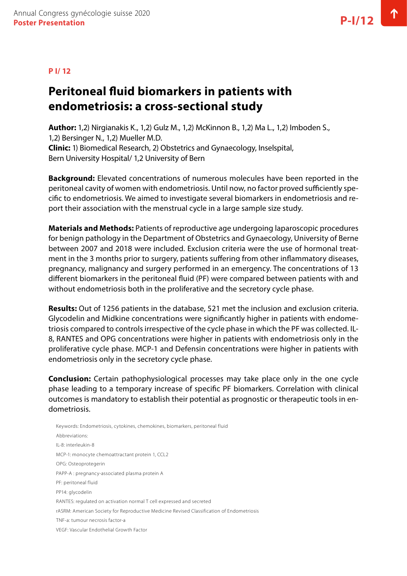#### <span id="page-35-0"></span>**P I/ 12**

### **Peritoneal fluid biomarkers in patients with endometriosis: a cross-sectional study**

**Author:** 1,2) Nirgianakis K., 1,2) Gulz M., 1,2) McKinnon B., 1,2) Ma L., 1,2) Imboden S., 1,2) Bersinger N., 1,2) Mueller M.D. **Clinic:** 1) Biomedical Research, 2) Obstetrics and Gynaecology, Inselspital, Bern University Hospital/ 1,2 University of Bern

**Background:** Elevated concentrations of numerous molecules have been reported in the peritoneal cavity of women with endometriosis. Until now, no factor proved sufficiently specific to endometriosis. We aimed to investigate several biomarkers in endometriosis and report their association with the menstrual cycle in a large sample size study.

**Materials and Methods:** Patients of reproductive age undergoing laparoscopic procedures for benign pathology in the Department of Obstetrics and Gynaecology, University of Berne between 2007 and 2018 were included. Exclusion criteria were the use of hormonal treatment in the 3 months prior to surgery, patients suffering from other inflammatory diseases, pregnancy, malignancy and surgery performed in an emergency. The concentrations of 13 different biomarkers in the peritoneal fluid (PF) were compared between patients with and without endometriosis both in the proliferative and the secretory cycle phase.

**Results:** Out of 1256 patients in the database, 521 met the inclusion and exclusion criteria. Glycodelin and Midkine concentrations were significantly higher in patients with endometriosis compared to controls irrespective of the cycle phase in which the PF was collected. IL-8, RANTES and OPG concentrations were higher in patients with endometriosis only in the proliferative cycle phase. MCP-1 and Defensin concentrations were higher in patients with endometriosis only in the secretory cycle phase.

**Conclusion:** Certain pathophysiological processes may take place only in the one cycle phase leading to a temporary increase of specific PF biomarkers. Correlation with clinical outcomes is mandatory to establish their potential as prognostic or therapeutic tools in endometriosis.

Keywords: Endometriosis, cytokines, chemokines, biomarkers, peritoneal fluid Abbreviations: IL-8: interleukin-8 MCP-1: monocyte chemoattractant protein 1, CCL2 OPG: Osteoprotegerin PAPP-A : pregnancy-associated plasma protein A PF: peritoneal fluid PP14: glycodelin RANTES: regulated on activation normal T cell expressed and secreted rASRM: American Society for Reproductive Medicine Revised Classification of Endometriosis TNF-a: tumour necrosis factor-a VEGF: Vascular Endothelial Growth Factor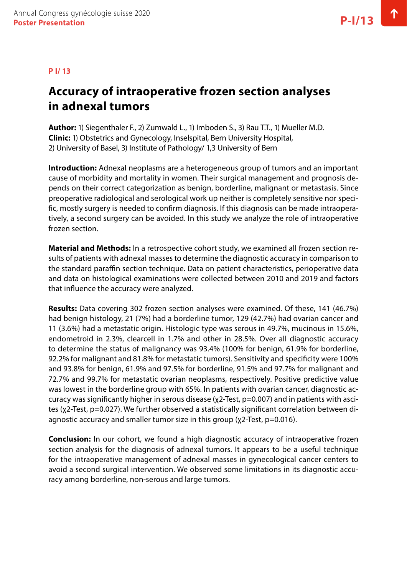#### **P I/ 13**

# **Accuracy of intraoperative frozen section analyses in adnexal tumors**

**Author:** 1) Siegenthaler F., 2) Zumwald L., 1) Imboden S., 3) Rau T.T., 1) Mueller M.D. **Clinic:** 1) Obstetrics and Gynecology, Inselspital, Bern University Hospital, 2) University of Basel, 3) Institute of Pathology/ 1,3 University of Bern

**Introduction:** Adnexal neoplasms are a heterogeneous group of tumors and an important cause of morbidity and mortality in women. Their surgical management and prognosis depends on their correct categorization as benign, borderline, malignant or metastasis. Since preoperative radiological and serological work up neither is completely sensitive nor specific, mostly surgery is needed to confirm diagnosis. If this diagnosis can be made intraoperatively, a second surgery can be avoided. In this study we analyze the role of intraoperative frozen section.

**Material and Methods:** In a retrospective cohort study, we examined all frozen section results of patients with adnexal masses to determine the diagnostic accuracy in comparison to the standard paraffin section technique. Data on patient characteristics, perioperative data and data on histological examinations were collected between 2010 and 2019 and factors that influence the accuracy were analyzed.

**Results:** Data covering 302 frozen section analyses were examined. Of these, 141 (46.7%) had benign histology, 21 (7%) had a borderline tumor, 129 (42.7%) had ovarian cancer and 11 (3.6%) had a metastatic origin. Histologic type was serous in 49.7%, mucinous in 15.6%, endometroid in 2.3%, clearcell in 1.7% and other in 28.5%. Over all diagnostic accuracy to determine the status of malignancy was 93.4% (100% for benign, 61.9% for borderline, 92.2% for malignant and 81.8% for metastatic tumors). Sensitivity and specificity were 100% and 93.8% for benign, 61.9% and 97.5% for borderline, 91.5% and 97.7% for malignant and 72.7% and 99.7% for metastatic ovarian neoplasms, respectively. Positive predictive value was lowest in the borderline group with 65%. In patients with ovarian cancer, diagnostic accuracy was significantly higher in serous disease (χ2-Test, p=0.007) and in patients with ascites (χ2-Test, p=0.027). We further observed a statistically significant correlation between diagnostic accuracy and smaller tumor size in this group (χ2-Test, p=0.016).

**Conclusion:** In our cohort, we found a high diagnostic accuracy of intraoperative frozen section analysis for the diagnosis of adnexal tumors. It appears to be a useful technique for the intraoperative management of adnexal masses in gynecological cancer centers to avoid a second surgical intervention. We observed some limitations in its diagnostic accuracy among borderline, non-serous and large tumors.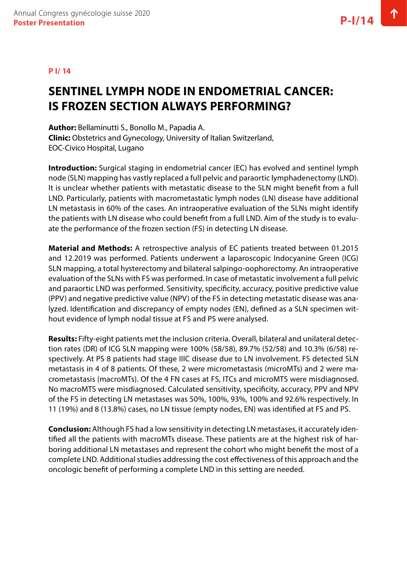#### **P I/ 14**

### **SENTINEL LYMPH NODE IN ENDOMETRIAL CANCER: IS FROZEN SECTION ALWAYS PERFORMING?**

**Author:** Bellaminutti S., Bonollo M., Papadia A. **Clinic:** Obstetrics and Gynecology, University of Italian Switzerland, EOC-Civico Hospital, Lugano

**Introduction:** Surgical staging in endometrial cancer (EC) has evolved and sentinel lymph node (SLN) mapping has vastly replaced a full pelvic and paraortic lymphadenectomy (LND). It is unclear whether patients with metastatic disease to the SLN might benefit from a full LND. Particularly, patients with macrometastatic lymph nodes (LN) disease have additional LN metastasis in 60% of the cases. An intraoperative evaluation of the SLNs might identify the patients with LN disease who could benefit from a full LND. Aim of the study is to evaluate the performance of the frozen section (FS) in detecting LN disease.

**Material and Methods:** A retrospective analysis of EC patients treated between 01.2015 and 12.2019 was performed. Patients underwent a laparoscopic Indocyanine Green (ICG) SLN mapping, a total hysterectomy and bilateral salpingo-oophorectomy. An intraoperative evaluation of the SLNs with FS was performed. In case of metastatic involvement a full pelvic and paraortic LND was performed. Sensitivity, specificity, accuracy, positive predictive value (PPV) and negative predictive value (NPV) of the FS in detecting metastatic disease was analyzed. Identification and discrepancy of empty nodes (EN), defined as a SLN specimen without evidence of lymph nodal tissue at FS and PS were analysed.

**Results:** Fifty-eight patients met the inclusion criteria. Overall, bilateral and unilateral detection rates (DR) of ICG SLN mapping were 100% (58/58), 89.7% (52/58) and 10.3% (6/58) respectively. At PS 8 patients had stage IIIC disease due to LN involvement. FS detected SLN metastasis in 4 of 8 patients. Of these, 2 were micrometastasis (microMTs) and 2 were macrometastasis (macroMTs). Of the 4 FN cases at FS, ITCs and microMTS were misdiagnosed. No macroMTS were misdiagnosed. Calculated sensitivity, specificity, accuracy, PPV and NPV of the FS in detecting LN metastases was 50%, 100%, 93%, 100% and 92.6% respectively. In 11 (19%) and 8 (13.8%) cases, no LN tissue (empty nodes, EN) was identified at FS and PS.

**Conclusion:** Although FS had a low sensitivity in detecting LN metastases, it accurately identified all the patients with macroMTs disease. These patients are at the highest risk of harboring additional LN metastases and represent the cohort who might benefit the most of a complete LND. Additional studies addressing the cost effectiveness of this approach and the oncologic benefit of performing a complete LND in this setting are needed.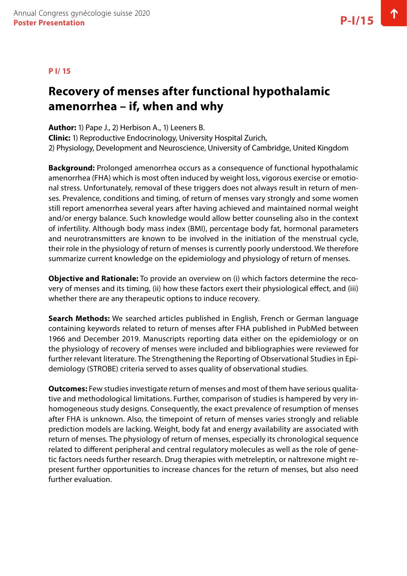#### **P I/ 15**

### **Recovery of menses after functional hypothalamic amenorrhea – if, when and why**

**Author:** 1) Pape J., 2) Herbison A., 1) Leeners B.

**Clinic:** 1) Reproductive Endocrinology, University Hospital Zurich, 2) Physiology, Development and Neuroscience, University of Cambridge, United Kingdom

**Background:** Prolonged amenorrhea occurs as a consequence of functional hypothalamic amenorrhea (FHA) which is most often induced by weight loss, vigorous exercise or emotional stress. Unfortunately, removal of these triggers does not always result in return of menses. Prevalence, conditions and timing, of return of menses vary strongly and some women still report amenorrhea several years after having achieved and maintained normal weight and/or energy balance. Such knowledge would allow better counseling also in the context of infertility. Although body mass index (BMI), percentage body fat, hormonal parameters and neurotransmitters are known to be involved in the initiation of the menstrual cycle, their role in the physiology of return of menses is currently poorly understood. We therefore summarize current knowledge on the epidemiology and physiology of return of menses.

**Objective and Rationale:** To provide an overview on (i) which factors determine the recovery of menses and its timing, (ii) how these factors exert their physiological effect, and (iii) whether there are any therapeutic options to induce recovery.

**Search Methods:** We searched articles published in English, French or German language containing keywords related to return of menses after FHA published in PubMed between 1966 and December 2019. Manuscripts reporting data either on the epidemiology or on the physiology of recovery of menses were included and bibliographies were reviewed for further relevant literature. The Strengthening the Reporting of Observational Studies in Epidemiology (STROBE) criteria served to asses quality of observational studies.

**Outcomes:** Few studies investigate return of menses and most of them have serious qualitative and methodological limitations. Further, comparison of studies is hampered by very inhomogeneous study designs. Consequently, the exact prevalence of resumption of menses after FHA is unknown. Also, the timepoint of return of menses varies strongly and reliable prediction models are lacking. Weight, body fat and energy availability are associated with return of menses. The physiology of return of menses, especially its chronological sequence related to different peripheral and central regulatory molecules as well as the role of genetic factors needs further research. Drug therapies with metreleptin, or naltrexone might represent further opportunities to increase chances for the return of menses, but also need further evaluation.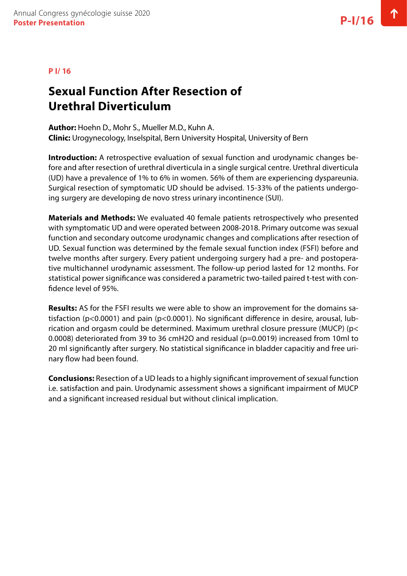#### **P I/ 16**

# **Sexual Function After Resection of Urethral Diverticulum**

**Author:** Hoehn D., Mohr S., Mueller M.D., Kuhn A. **Clinic:** Urogynecology, Inselspital, Bern University Hospital, University of Bern

**Introduction:** A retrospective evaluation of sexual function and urodynamic changes before and after resection of urethral diverticula in a single surgical centre. Urethral diverticula (UD) have a prevalence of 1% to 6% in women. 56% of them are experiencing dyspareunia. Surgical resection of symptomatic UD should be advised. 15-33% of the patients undergoing surgery are developing de novo stress urinary incontinence (SUI).

**Materials and Methods:** We evaluated 40 female patients retrospectively who presented with symptomatic UD and were operated between 2008-2018. Primary outcome was sexual function and secondary outcome urodynamic changes and complications after resection of UD. Sexual function was determined by the female sexual function index (FSFI) before and twelve months after surgery. Every patient undergoing surgery had a pre- and postoperative multichannel urodynamic assessment. The follow-up period lasted for 12 months. For statistical power significance was considered a parametric two-tailed paired t-test with confidence Ievel of 95%.

**Results:** AS for the FSFI results we were able to show an improvement for the domains satisfaction (p<0.0001) and pain (p<0.0001). No significant difference in desire, arousal, lubrication and orgasm could be determined. Maximum urethral closure pressure (MUCP) (p< 0.0008) deteriorated from 39 to 36 cmH2O and residual (p=0.0019) increased from 10ml to 20 ml significantly after surgery. No statistical significance in bladder capacitiy and free urinary flow had been found.

**Conclusions:** Resection of a UD leads to a highly significant improvement of sexual function i.e. satisfaction and pain. Urodynamic assessment shows a significant impairment of MUCP and a significant increased residual but without clinical implication.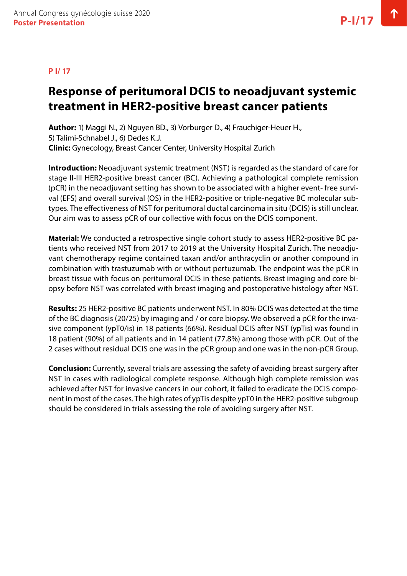#### **P I/ 17**

# **Response of peritumoral DCIS to neoadjuvant systemic treatment in HER2-positive breast cancer patients**

**Author:** 1) Maggi N., 2) Nguyen BD., 3) Vorburger D., 4) Frauchiger-Heuer H., 5) Talimi-Schnabel J., 6) Dedes K.J. **Clinic:** Gynecology, Breast Cancer Center, University Hospital Zurich

**Introduction:** Neoadjuvant systemic treatment (NST) is regarded as the standard of care for stage II-III HER2-positive breast cancer (BC). Achieving a pathological complete remission (pCR) in the neoadjuvant setting has shown to be associated with a higher event- free survival (EFS) and overall survival (OS) in the HER2-positive or triple-negative BC molecular subtypes. The effectiveness of NST for peritumoral ductal carcinoma in situ (DCIS) is still unclear. Our aim was to assess pCR of our collective with focus on the DCIS component.

**Material:** We conducted a retrospective single cohort study to assess HER2-positive BC patients who received NST from 2017 to 2019 at the University Hospital Zurich. The neoadjuvant chemotherapy regime contained taxan and/or anthracyclin or another compound in combination with trastuzumab with or without pertuzumab. The endpoint was the pCR in breast tissue with focus on peritumoral DCIS in these patients. Breast imaging and core biopsy before NST was correlated with breast imaging and postoperative histology after NST.

**Results:** 25 HER2-positive BC patients underwent NST. In 80% DCIS was detected at the time of the BC diagnosis (20/25) by imaging and / or core biopsy. We observed a pCR for the invasive component (ypT0/is) in 18 patients (66%). Residual DCIS after NST (ypTis) was found in 18 patient (90%) of all patients and in 14 patient (77.8%) among those with pCR. Out of the 2 cases without residual DCIS one was in the pCR group and one was in the non-pCR Group.

**Conclusion:** Currently, several trials are assessing the safety of avoiding breast surgery after NST in cases with radiological complete response. Although high complete remission was achieved after NST for invasive cancers in our cohort, it failed to eradicate the DCIS component in most of the cases. The high rates of ypTis despite ypT0 in the HER2-positive subgroup should be considered in trials assessing the role of avoiding surgery after NST.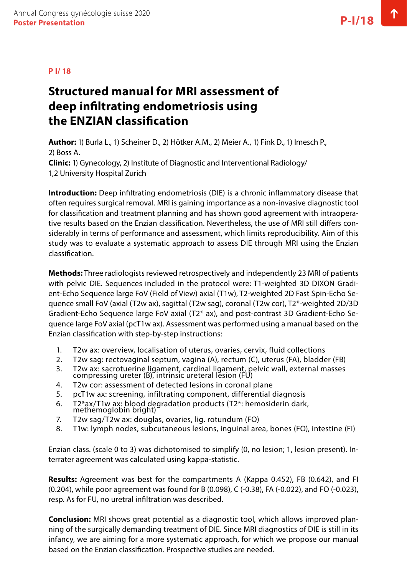#### **P I/ 18**

### **Structured manual for MRI assessment of deep infiltrating endometriosis using the ENZIAN classification**

**Author:** 1) Burla L., 1) Scheiner D., 2) Hötker A.M., 2) Meier A., 1) Fink D., 1) Imesch P., 2) Boss A. **Clinic:** 1) Gynecology, 2) Institute of Diagnostic and Interventional Radiology/

1,2 University Hospital Zurich

**Introduction:** Deep infiltrating endometriosis (DIE) is a chronic inflammatory disease that often requires surgical removal. MRI is gaining importance as a non-invasive diagnostic tool for classification and treatment planning and has shown good agreement with intraoperative results based on the Enzian classification. Nevertheless, the use of MRI still differs considerably in terms of performance and assessment, which limits reproducibility. Aim of this study was to evaluate a systematic approach to assess DIE through MRI using the Enzian classification.

**Methods:** Three radiologists reviewed retrospectively and independently 23 MRI of patients with pelvic DIE. Sequences included in the protocol were: T1-weighted 3D DIXON Gradient-Echo Sequence large FoV (Field of View) axial (T1w), T2-weighted 2D Fast Spin-Echo Sequence small FoV (axial (T2w ax), sagittal (T2w sag), coronal (T2w cor), T2\*-weighted 2D/3D Gradient-Echo Sequence large FoV axial (T2\* ax), and post-contrast 3D Gradient-Echo Sequence large FoV axial (pcT1w ax). Assessment was performed using a manual based on the Enzian classification with step-by-step instructions:

- 1. T2w ax: overview, localisation of uterus, ovaries, cervix, fluid collections
- 2. T2w sag: rectovaginal septum, vagina (A), rectum (C), uterus (FA), bladder (FB)
- 3. T2w ax: sacrotuerine ligament, cardinal ligament, pelvic wall, external masses compressing ureter (B), intrinsic ureteral lesion (FU)
- 4. T2w cor: assessment of detected lesions in coronal plane
- 5. pcT1w ax: screening, infiltrating component, differential diagnosis
- 6. T2\*ax/T1w ax: blood degradation products (T2\*: hemosiderin dark, methemoglobin bright)
- 7. T2w sag/T2w ax: douglas, ovaries, lig. rotundum (FO)
- 8. T1w: lymph nodes, subcutaneous lesions, inguinal area, bones (FO), intestine (FI)

Enzian class. (scale 0 to 3) was dichotomised to simplify (0, no lesion; 1, lesion present). Interrater agreement was calculated using kappa-statistic.

**Results:** Agreement was best for the compartments A (Kappa 0.452), FB (0.642), and FI (0.204), while poor agreement was found for B (0.098), C (-0.38), FA (-0.022), and FO (-0.023), resp. As for FU, no uretral infiltration was described.

**Conclusion:** MRI shows great potential as a diagnostic tool, which allows improved planning of the surgically demanding treatment of DIE. Since MRI diagnostics of DIE is still in its infancy, we are aiming for a more systematic approach, for which we propose our manual based on the Enzian classification. Prospective studies are needed.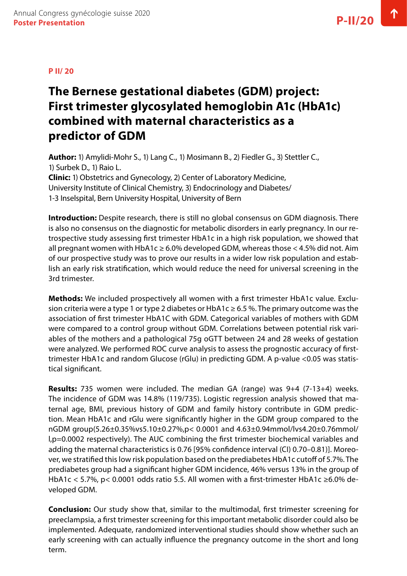# **The Bernese gestational diabetes (GDM) project: First trimester glycosylated hemoglobin A1c (HbA1c) combined with maternal characteristics as a predictor of GDM**

**Author:** 1) Amylidi-Mohr S., 1) Lang C., 1) Mosimann B., 2) Fiedler G., 3) Stettler C., 1) Surbek D., 1) Raio L. **Clinic:** 1) Obstetrics and Gynecology, 2) Center of Laboratory Medicine, University Institute of Clinical Chemistry, 3) Endocrinology and Diabetes/ 1-3 Inselspital, Bern University Hospital, University of Bern

**Introduction:** Despite research, there is still no global consensus on GDM diagnosis. There is also no consensus on the diagnostic for metabolic disorders in early pregnancy. In our retrospective study assessing first trimester HbA1c in a high risk population, we showed that all pregnant women with HbA1c  $\geq 6.0\%$  developed GDM, whereas those  $< 4.5\%$  did not. Aim of our prospective study was to prove our results in a wider low risk population and establish an early risk stratification, which would reduce the need for universal screening in the 3rd trimester.

**Methods:** We included prospectively all women with a first trimester HbA1c value. Exclusion criteria were a type 1 or type 2 diabetes or HbA1c  $\geq 6.5$  %. The primary outcome was the association of first trimester HbA1C with GDM. Categorical variables of mothers with GDM were compared to a control group without GDM. Correlations between potential risk variables of the mothers and a pathological 75g oGTT between 24 and 28 weeks of gestation were analyzed. We performed ROC curve analysis to assess the prognostic accuracy of firsttrimester HbA1c and random Glucose (rGlu) in predicting GDM. A p-value <0.05 was statistical significant.

**Results:** 735 women were included. The median GA (range) was 9+4 (7-13+4) weeks. The incidence of GDM was 14.8% (119/735). Logistic regression analysis showed that maternal age, BMI, previous history of GDM and family history contribute in GDM prediction. Mean HbA1c and rGlu were significantly higher in the GDM group compared to the nGDM group(5.26±0.35%vs5.10±0.27%,p< 0.0001 and 4.63±0.94mmol/lvs4.20±0.76mmol/ l,p=0.0002 respectively). The AUC combining the first trimester biochemical variables and adding the maternal characteristics is 0.76 [95% confidence interval (CI) 0.70–0.81)]. Moreover, we stratified this low risk population based on the prediabetes HbA1c cutoff of 5.7%. The prediabetes group had a significant higher GDM incidence, 46% versus 13% in the group of HbA1c < 5.7%, p< 0.0001 odds ratio 5.5. All women with a first‐trimester HbA1c ≥6.0% developed GDM.

**Conclusion:** Our study show that, similar to the multimodal, first trimester screening for preeclampsia, a first trimester screening for this important metabolic disorder could also be implemented. Adequate, randomized interventional studies should show whether such an early screening with can actually influence the pregnancy outcome in the short and long term.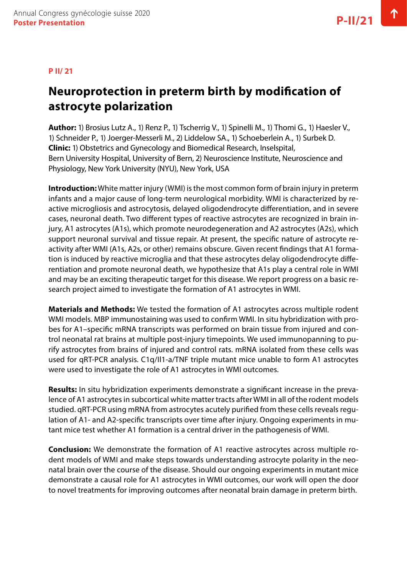#### **P II/ 21**

### **Neuroprotection in preterm birth by modification of astrocyte polarization**

**Author:** 1) Brosius Lutz A., 1) Renz P., 1) Tscherrig V., 1) Spinelli M., 1) Thomi G., 1) Haesler V., 1) Schneider P., 1) Joerger-Messerli M., 2) Liddelow SA., 1) Schoeberlein A., 1) Surbek D. **Clinic:** 1) Obstetrics and Gynecology and Biomedical Research, Inselspital, Bern University Hospital, University of Bern, 2) Neuroscience Institute, Neuroscience and Physiology, New York University (NYU), New York, USA

**Introduction:** White matter injury (WMI) is the most common form of brain injury in preterm infants and a major cause of long-term neurological morbidity. WMI is characterized by reactive microgliosis and astrocytosis, delayed oligodendrocyte differentiation, and in severe cases, neuronal death. Two different types of reactive astrocytes are recognized in brain injury, A1 astrocytes (A1s), which promote neurodegeneration and A2 astrocytes (A2s), which support neuronal survival and tissue repair. At present, the specific nature of astrocyte reactivity after WMI (A1s, A2s, or other) remains obscure. Given recent findings that A1 formation is induced by reactive microglia and that these astrocytes delay oligodendrocyte differentiation and promote neuronal death, we hypothesize that A1s play a central role in WMI and may be an exciting therapeutic target for this disease. We report progress on a basic research project aimed to investigate the formation of A1 astrocytes in WMI.

**Materials and Methods:** We tested the formation of A1 astrocytes across multiple rodent WMI models. MBP immunostaining was used to confirm WMI. In situ hybridization with probes for A1–specific mRNA transcripts was performed on brain tissue from injured and control neonatal rat brains at multiple post-injury timepoints. We used immunopanning to purify astrocytes from brains of injured and control rats. mRNA isolated from these cells was used for qRT-PCR analysis. C1q/Il1-a/TNF triple mutant mice unable to form A1 astrocytes were used to investigate the role of A1 astrocytes in WMI outcomes.

**Results:** In situ hybridization experiments demonstrate a significant increase in the prevalence of A1 astrocytes in subcortical white matter tracts after WMI in all of the rodent models studied. qRT-PCR using mRNA from astrocytes acutely purified from these cells reveals regulation of A1- and A2-specific transcripts over time after injury. Ongoing experiments in mutant mice test whether A1 formation is a central driver in the pathogenesis of WMI.

**Conclusion:** We demonstrate the formation of A1 reactive astrocytes across multiple rodent models of WMI and make steps towards understanding astrocyte polarity in the neonatal brain over the course of the disease. Should our ongoing experiments in mutant mice demonstrate a causal role for A1 astrocytes in WMI outcomes, our work will open the door to novel treatments for improving outcomes after neonatal brain damage in preterm birth.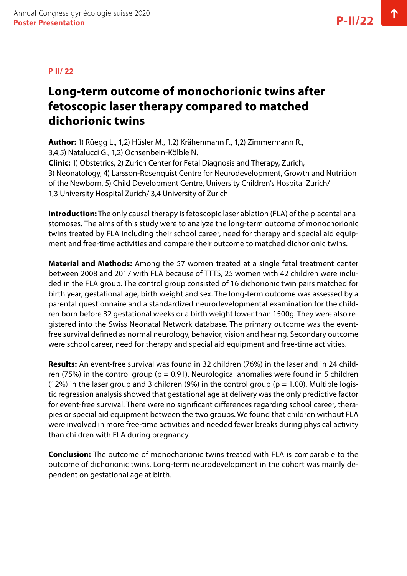#### **P II/ 22**

# **Long-term outcome of monochorionic twins after fetoscopic laser therapy compared to matched dichorionic twins**

**Author:** 1) Rüegg L., 1,2) Hüsler M., 1,2) Krähenmann F., 1,2) Zimmermann R., 3,4,5) Natalucci G., 1,2) Ochsenbein-Kölble N. **Clinic:** 1) Obstetrics, 2) Zurich Center for Fetal Diagnosis and Therapy, Zurich, 3) Neonatology, 4) Larsson-Rosenquist Centre for Neurodevelopment, Growth and Nutrition of the Newborn, 5) Child Development Centre, University Children's Hospital Zurich/ 1,3 University Hospital Zurich/ 3,4 University of Zurich

**Introduction:** The only causal therapy is fetoscopic laser ablation (FLA) of the placental anastomoses. The aims of this study were to analyze the long-term outcome of monochorionic twins treated by FLA including their school career, need for therapy and special aid equipment and free-time activities and compare their outcome to matched dichorionic twins.

**Material and Methods:** Among the 57 women treated at a single fetal treatment center between 2008 and 2017 with FLA because of TTTS, 25 women with 42 children were included in the FLA group. The control group consisted of 16 dichorionic twin pairs matched for birth year, gestational age, birth weight and sex. The long-term outcome was assessed by a parental questionnaire and a standardized neurodevelopmental examination for the children born before 32 gestational weeks or a birth weight lower than 1500g. They were also registered into the Swiss Neonatal Network database. The primary outcome was the eventfree survival defined as normal neurology, behavior, vision and hearing. Secondary outcome were school career, need for therapy and special aid equipment and free-time activities.

**Results:** An event-free survival was found in 32 children (76%) in the laser and in 24 children (75%) in the control group ( $p = 0.91$ ). Neurological anomalies were found in 5 children (12%) in the laser group and 3 children (9%) in the control group ( $p = 1.00$ ). Multiple logistic regression analysis showed that gestational age at delivery was the only predictive factor for event-free survival. There were no significant differences regarding school career, therapies or special aid equipment between the two groups. We found that children without FLA were involved in more free-time activities and needed fewer breaks during physical activity than children with FLA during pregnancy.

**Conclusion:** The outcome of monochorionic twins treated with FLA is comparable to the outcome of dichorionic twins. Long-term neurodevelopment in the cohort was mainly dependent on gestational age at birth.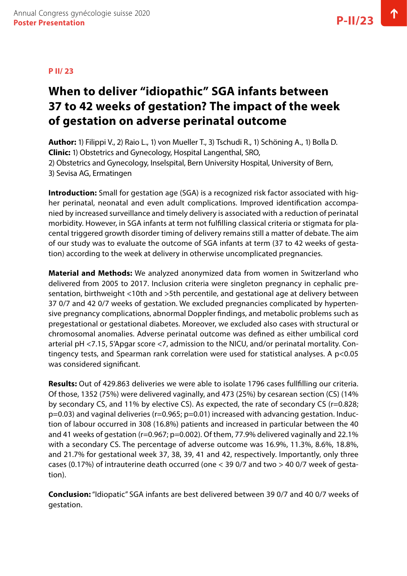# **When to deliver "idiopathic" SGA infants between 37 to 42 weeks of gestation? The impact of the week of gestation on adverse perinatal outcome**

**Author:** 1) Filippi V., 2) Raio L., 1) von Mueller T., 3) Tschudi R., 1) Schöning A., 1) Bolla D. **Clinic:** 1) Obstetrics and Gynecology, Hospital Langenthal, SRO, 2) Obstetrics and Gynecology, Inselspital, Bern University Hospital, University of Bern, 3) Sevisa AG, Ermatingen

**Introduction:** Small for gestation age (SGA) is a recognized risk factor associated with higher perinatal, neonatal and even adult complications. Improved identification accompanied by increased surveillance and timely delivery is associated with a reduction of perinatal morbidity. However, in SGA infants at term not fulfilling classical criteria or stigmata for placental triggered growth disorder timing of delivery remains still a matter of debate. The aim of our study was to evaluate the outcome of SGA infants at term (37 to 42 weeks of gestation) according to the week at delivery in otherwise uncomplicated pregnancies.

**Material and Methods:** We analyzed anonymized data from women in Switzerland who delivered from 2005 to 2017. Inclusion criteria were singleton pregnancy in cephalic presentation, birthweight <10th and >5th percentile, and gestational age at delivery between 37 0/7 and 42 0/7 weeks of gestation. We excluded pregnancies complicated by hypertensive pregnancy complications, abnormal Doppler findings, and metabolic problems such as pregestational or gestational diabetes. Moreover, we excluded also cases with structural or chromosomal anomalies. Adverse perinatal outcome was defined as either umbilical cord arterial pH <7.15, 5'Apgar score <7, admission to the NICU, and/or perinatal mortality. Contingency tests, and Spearman rank correlation were used for statistical analyses. A p<0.05 was considered significant.

**Results:** Out of 429.863 deliveries we were able to isolate 1796 cases fullfilling our criteria. Of those, 1352 (75%) were delivered vaginally, and 473 (25%) by cesarean section (CS) (14% by secondary CS, and 11% by elective CS). As expected, the rate of secondary CS (r=0.828;  $p=0.03$ ) and vaginal deliveries ( $r=0.965$ ;  $p=0.01$ ) increased with advancing gestation. Induction of labour occurred in 308 (16.8%) patients and increased in particular between the 40 and 41 weeks of gestation (r=0.967; p=0.002). Of them, 77.9% delivered vaginally and 22.1% with a secondary CS. The percentage of adverse outcome was 16.9%, 11.3%, 8.6%, 18.8%, and 21.7% for gestational week 37, 38, 39, 41 and 42, respectively. Importantly, only three cases (0.17%) of intrauterine death occurred (one < 39 0/7 and two > 40 0/7 week of gestation).

**Conclusion:** "Idiopatic" SGA infants are best delivered between 39 0/7 and 40 0/7 weeks of gestation.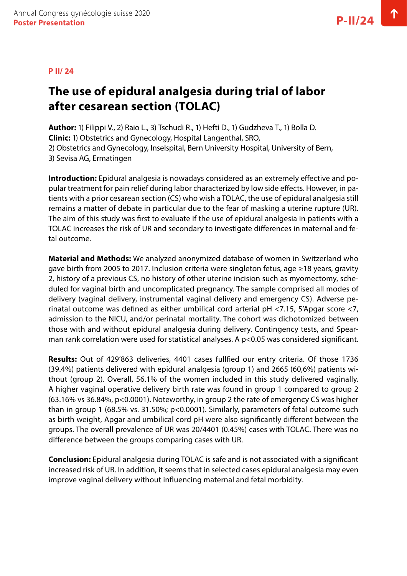#### **P II/ 24**

### **The use of epidural analgesia during trial of labor after cesarean section (TOLAC)**

**Author:** 1) Filippi V., 2) Raio L., 3) Tschudi R., 1) Hefti D., 1) Gudzheva T., 1) Bolla D. **Clinic:** 1) Obstetrics and Gynecology, Hospital Langenthal, SRO, 2) Obstetrics and Gynecology, Inselspital, Bern University Hospital, University of Bern,

3) Sevisa AG, Ermatingen

**Introduction:** Epidural analgesia is nowadays considered as an extremely effective and popular treatment for pain relief during labor characterized by low side effects. However, in patients with a prior cesarean section (CS) who wish a TOLAC, the use of epidural analgesia still remains a matter of debate in particular due to the fear of masking a uterine rupture (UR). The aim of this study was first to evaluate if the use of epidural analgesia in patients with a TOLAC increases the risk of UR and secondary to investigate differences in maternal and fetal outcome.

**Material and Methods:** We analyzed anonymized database of women in Switzerland who gave birth from 2005 to 2017. Inclusion criteria were singleton fetus, age ≥18 years, gravity 2, history of a previous CS, no history of other uterine incision such as myomectomy, scheduled for vaginal birth and uncomplicated pregnancy. The sample comprised all modes of delivery (vaginal delivery, instrumental vaginal delivery and emergency CS). Adverse perinatal outcome was defined as either umbilical cord arterial  $pH < 7.15$ , 5'Apgar score  $< 7$ , admission to the NICU, and/or perinatal mortality. The cohort was dichotomized between those with and without epidural analgesia during delivery. Contingency tests, and Spearman rank correlation were used for statistical analyses. A p<0.05 was considered significant.

**Results:** Out of 429'863 deliveries, 4401 cases fullfied our entry criteria. Of those 1736 (39.4%) patients delivered with epidural analgesia (group 1) and 2665 (60,6%) patients without (group 2). Overall, 56.1% of the women included in this study delivered vaginally. A higher vaginal operative delivery birth rate was found in group 1 compared to group 2 (63.16% vs 36.84%, p<0.0001). Noteworthy, in group 2 the rate of emergency CS was higher than in group 1 (68.5% vs. 31.50%; p<0.0001). Similarly, parameters of fetal outcome such as birth weight, Apgar and umbilical cord pH were also significantly different between the groups. The overall prevalence of UR was 20/4401 (0.45%) cases with TOLAC. There was no difference between the groups comparing cases with UR.

**Conclusion:** Epidural analgesia during TOLAC is safe and is not associated with a significant increased risk of UR. In addition, it seems that in selected cases epidural analgesia may even improve vaginal delivery without influencing maternal and fetal morbidity.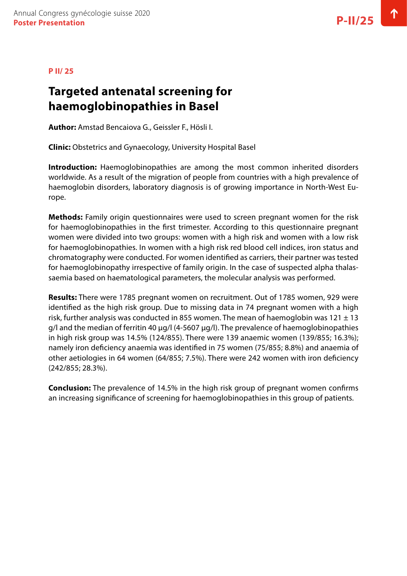#### **P II/ 25**

#### **Targeted antenatal screening for haemoglobinopathies in Basel**

**Author:** Amstad Bencaiova G., Geissler F., Hösli I.

**Clinic:** Obstetrics and Gynaecology, University Hospital Basel

**Introduction:** Haemoglobinopathies are among the most common inherited disorders worldwide. As a result of the migration of people from countries with a high prevalence of haemoglobin disorders, laboratory diagnosis is of growing importance in North-West Europe.

**Methods:** Family origin questionnaires were used to screen pregnant women for the risk for haemoglobinopathies in the first trimester. According to this questionnaire pregnant women were divided into two groups: women with a high risk and women with a low risk for haemoglobinopathies. In women with a high risk red blood cell indices, iron status and chromatography were conducted. For women identified as carriers, their partner was tested for haemoglobinopathy irrespective of family origin. In the case of suspected alpha thalassaemia based on haematological parameters, the molecular analysis was performed.

**Results:** There were 1785 pregnant women on recruitment. Out of 1785 women, 929 were identified as the high risk group. Due to missing data in 74 pregnant women with a high risk, further analysis was conducted in 855 women. The mean of haemoglobin was  $121 \pm 13$  $g$ /l and the median of ferritin 40  $\mu$ g/l (4-5607  $\mu$ g/l). The prevalence of haemoglobinopathies in high risk group was 14.5% (124/855). There were 139 anaemic women (139/855; 16.3%); namely iron deficiency anaemia was identified in 75 women (75/855; 8.8%) and anaemia of other aetiologies in 64 women (64/855; 7.5%). There were 242 women with iron deficiency (242/855; 28.3%).

**Conclusion:** The prevalence of 14.5% in the high risk group of pregnant women confirms an increasing significance of screening for haemoglobinopathies in this group of patients.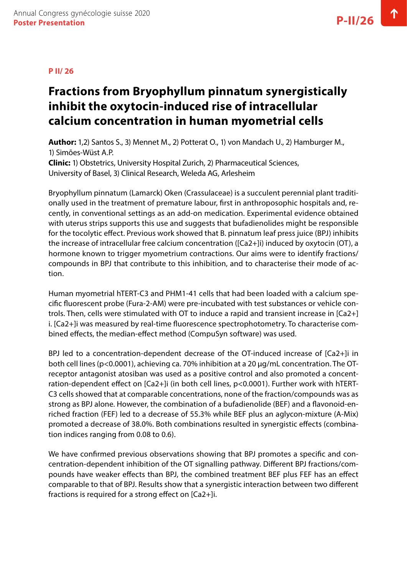# **Fractions from Bryophyllum pinnatum synergistically inhibit the oxytocin-induced rise of intracellular calcium concentration in human myometrial cells**

**Author:** 1,2) Santos S., 3) Mennet M., 2) Potterat O., 1) von Mandach U., 2) Hamburger M., 1) Simões-Wüst A.P. **Clinic:** 1) Obstetrics, University Hospital Zurich, 2) Pharmaceutical Sciences, University of Basel, 3) Clinical Research, Weleda AG, Arlesheim

Bryophyllum pinnatum (Lamarck) Oken (Crassulaceae) is a succulent perennial plant traditionally used in the treatment of premature labour, first in anthroposophic hospitals and, recently, in conventional settings as an add-on medication. Experimental evidence obtained with uterus strips supports this use and suggests that bufadienolides might be responsible for the tocolytic effect. Previous work showed that B. pinnatum leaf press juice (BPJ) inhibits the increase of intracellular free calcium concentration ([Ca2+]i) induced by oxytocin (OT), a hormone known to trigger myometrium contractions. Our aims were to identify fractions/ compounds in BPJ that contribute to this inhibition, and to characterise their mode of action.

Human myometrial hTERT-C3 and PHM1-41 cells that had been loaded with a calcium specific fluorescent probe (Fura-2-AM) were pre-incubated with test substances or vehicle controls. Then, cells were stimulated with OT to induce a rapid and transient increase in [Ca2+] i. [Ca2+]i was measured by real-time fluorescence spectrophotometry. To characterise combined effects, the median-effect method (CompuSyn software) was used.

BPJ led to a concentration-dependent decrease of the OT-induced increase of [Ca2+]i in both cell lines (p<0.0001), achieving ca. 70% inhibition at a 20 µg/mL concentration. The OTreceptor antagonist atosiban was used as a positive control and also promoted a concentration-dependent effect on [Ca2+]i (in both cell lines, p<0.0001). Further work with hTERT-C3 cells showed that at comparable concentrations, none of the fraction/compounds was as strong as BPJ alone. However, the combination of a bufadienolide (BEF) and a flavonoid-enriched fraction (FEF) led to a decrease of 55.3% while BEF plus an aglycon-mixture (A-Mix) promoted a decrease of 38.0%. Both combinations resulted in synergistic effects (combination indices ranging from 0.08 to 0.6).

We have confirmed previous observations showing that BPJ promotes a specific and concentration-dependent inhibition of the OT signalling pathway. Different BPJ fractions/compounds have weaker effects than BPJ, the combined treatment BEF plus FEF has an effect comparable to that of BPJ. Results show that a synergistic interaction between two different fractions is required for a strong effect on [Ca2+]i.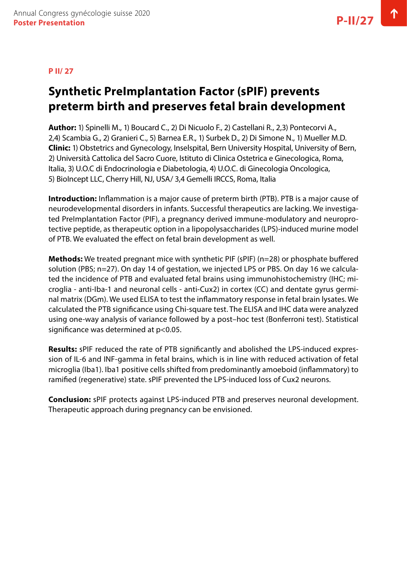#### **P II/ 27**

# **Synthetic PreImplantation Factor (sPIF) prevents preterm birth and preserves fetal brain development**

**Author:** 1) Spinelli M., 1) Boucard C., 2) Di Nicuolo F., 2) Castellani R., 2,3) Pontecorvi A., 2,4) Scambia G., 2) Granieri C., 5) Barnea E.R., 1) Surbek D., 2) Di Simone N., 1) Mueller M.D. **Clinic:** 1) Obstetrics and Gynecology, Inselspital, Bern University Hospital, University of Bern, 2) Università Cattolica del Sacro Cuore, Istituto di Clinica Ostetrica e Ginecologica, Roma, Italia, 3) U.O.C di Endocrinologia e Diabetologia, 4) U.O.C. di Ginecologia Oncologica, 5) BioIncept LLC, Cherry Hill, NJ, USA/ 3,4 Gemelli IRCCS, Roma, Italia

**Introduction:** Inflammation is a major cause of preterm birth (PTB). PTB is a major cause of neurodevelopmental disorders in infants. Successful therapeutics are lacking. We investigated PreImplantation Factor (PIF), a pregnancy derived immune-modulatory and neuroprotective peptide, as therapeutic option in a lipopolysaccharides (LPS)-induced murine model of PTB. We evaluated the effect on fetal brain development as well.

**Methods:** We treated pregnant mice with synthetic PIF (sPIF) (n=28) or phosphate buffered solution (PBS; n=27). On day 14 of gestation, we injected LPS or PBS. On day 16 we calculated the incidence of PTB and evaluated fetal brains using immunohistochemistry (IHC; microglia - anti-Iba-1 and neuronal cells - anti-Cux2) in cortex (CC) and dentate gyrus germinal matrix (DGm). We used ELISA to test the inflammatory response in fetal brain lysates. We calculated the PTB significance using Chi-square test. The ELISA and IHC data were analyzed using one-way analysis of variance followed by a post–hoc test (Bonferroni test). Statistical significance was determined at p<0.05.

**Results:** sPIF reduced the rate of PTB significantly and abolished the LPS-induced expression of IL-6 and INF-gamma in fetal brains, which is in line with reduced activation of fetal microglia (Iba1). Iba1 positive cells shifted from predominantly amoeboid (inflammatory) to ramified (regenerative) state. sPIF prevented the LPS-induced loss of Cux2 neurons.

**Conclusion:** sPIF protects against LPS-induced PTB and preserves neuronal development. Therapeutic approach during pregnancy can be envisioned.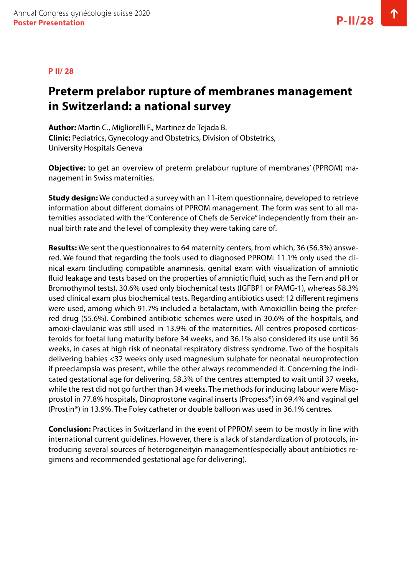#### **P II/ 28**

### **Preterm prelabor rupture of membranes management in Switzerland: a national survey**

**Author:** Martin C., Migliorelli F., Martinez de Tejada B. **Clinic:** Pediatrics, Gynecology and Obstetrics, Division of Obstetrics, University Hospitals Geneva

**Objective:** to get an overview of preterm prelabour rupture of membranes' (PPROM) management in Swiss maternities.

**Study design:** We conducted a survey with an 11-item questionnaire, developed to retrieve information about different domains of PPROM management. The form was sent to all maternities associated with the "Conference of Chefs de Service" independently from their annual birth rate and the level of complexity they were taking care of.

**Results:** We sent the questionnaires to 64 maternity centers, from which, 36 (56.3%) answered. We found that regarding the tools used to diagnosed PPROM: 11.1% only used the clinical exam (including compatible anamnesis, genital exam with visualization of amniotic fluid leakage and tests based on the properties of amniotic fluid, such as the Fern and pH or Bromothymol tests), 30.6% used only biochemical tests (IGFBP1 or PAMG-1), whereas 58.3% used clinical exam plus biochemical tests. Regarding antibiotics used: 12 different regimens were used, among which 91.7% included a betalactam, with Amoxicillin being the preferred drug (55.6%). Combined antibiotic schemes were used in 30.6% of the hospitals, and amoxi-clavulanic was still used in 13.9% of the maternities. All centres proposed corticosteroids for foetal lung maturity before 34 weeks, and 36.1% also considered its use until 36 weeks, in cases at high risk of neonatal respiratory distress syndrome. Two of the hospitals delivering babies <32 weeks only used magnesium sulphate for neonatal neuroprotection if preeclampsia was present, while the other always recommended it. Concerning the indicated gestational age for delivering, 58.3% of the centres attempted to wait until 37 weeks, while the rest did not go further than 34 weeks. The methods for inducing labour were Misoprostol in 77.8% hospitals, Dinoprostone vaginal inserts (Propess®) in 69.4% and vaginal gel (Prostin®) in 13.9%. The Foley catheter or double balloon was used in 36.1% centres.

**Conclusion:** Practices in Switzerland in the event of PPROM seem to be mostly in line with international current guidelines. However, there is a lack of standardization of protocols, introducing several sources of heterogeneityin management(especially about antibiotics regimens and recommended gestational age for delivering).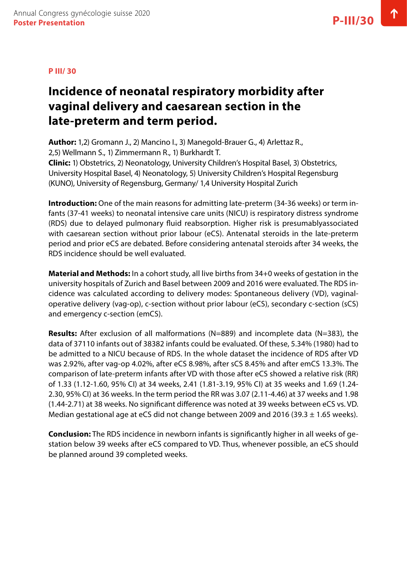# **Incidence of neonatal respiratory morbidity after vaginal delivery and caesarean section in the late-preterm and term period.**

**Author:** 1,2) Gromann J., 2) Mancino I., 3) Manegold-Brauer G., 4) Arlettaz R., 2,5) Wellmann S., 1) Zimmermann R., 1) Burkhardt T. **Clinic:** 1) Obstetrics, 2) Neonatology, University Children's Hospital Basel, 3) Obstetrics,

University Hospital Basel, 4) Neonatology, 5) University Children's Hospital Regensburg (KUNO), University of Regensburg, Germany/ 1,4 University Hospital Zurich

**Introduction:** One of the main reasons for admitting late-preterm (34-36 weeks) or term infants (37-41 weeks) to neonatal intensive care units (NICU) is respiratory distress syndrome (RDS) due to delayed pulmonary fluid reabsorption. Higher risk is presumablyassociated with caesarean section without prior labour (eCS). Antenatal steroids in the late-preterm period and prior eCS are debated. Before considering antenatal steroids after 34 weeks, the RDS incidence should be well evaluated.

**Material and Methods:** In a cohort study, all live births from 34+0 weeks of gestation in the university hospitals of Zurich and Basel between 2009 and 2016 were evaluated. The RDS incidence was calculated according to delivery modes: Spontaneous delivery (VD), vaginaloperative delivery (vag-op), c-section without prior labour (eCS), secondary c-section (sCS) and emergency c-section (emCS).

**Results:** After exclusion of all malformations (N=889) and incomplete data (N=383), the data of 37110 infants out of 38382 infants could be evaluated. Of these, 5.34% (1980) had to be admitted to a NICU because of RDS. In the whole dataset the incidence of RDS after VD was 2.92%, after vag-op 4.02%, after eCS 8.98%, after sCS 8.45% and after emCS 13.3%. The comparison of late-preterm infants after VD with those after eCS showed a relative risk (RR) of 1.33 (1.12-1.60, 95% CI) at 34 weeks, 2.41 (1.81-3.19, 95% CI) at 35 weeks and 1.69 (1.24- 2.30, 95% CI) at 36 weeks. In the term period the RR was 3.07 (2.11-4.46) at 37 weeks and 1.98 (1.44-2.71) at 38 weeks. No significant difference was noted at 39 weeks between eCS vs. VD. Median gestational age at eCS did not change between 2009 and 2016 (39.3  $\pm$  1.65 weeks).

**Conclusion:** The RDS incidence in newborn infants is significantly higher in all weeks of gestation below 39 weeks after eCS compared to VD. Thus, whenever possible, an eCS should be planned around 39 completed weeks.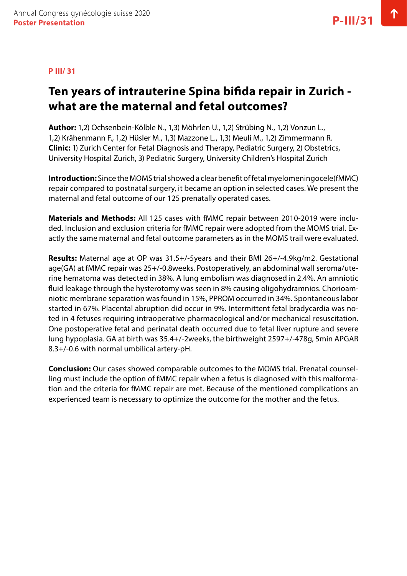### **Ten years of intrauterine Spina bifida repair in Zurich what are the maternal and fetal outcomes?**

**Author:** 1,2) Ochsenbein-Kölble N., 1,3) Möhrlen U., 1,2) Strübing N., 1,2) Vonzun L., 1,2) Krähenmann F., 1,2) Hüsler M., 1,3) Mazzone L., 1,3) Meuli M., 1,2) Zimmermann R. **Clinic:** 1) Zurich Center for Fetal Diagnosis and Therapy, Pediatric Surgery, 2) Obstetrics, University Hospital Zurich, 3) Pediatric Surgery, University Children's Hospital Zurich

**Introduction:** Since the MOMS trial showed a clear benefit of fetal myelomeningocele(fMMC) repair compared to postnatal surgery, it became an option in selected cases. We present the maternal and fetal outcome of our 125 prenatally operated cases.

**Materials and Methods:** All 125 cases with fMMC repair between 2010-2019 were included. Inclusion and exclusion criteria for fMMC repair were adopted from the MOMS trial. Exactly the same maternal and fetal outcome parameters as in the MOMS trail were evaluated.

**Results:** Maternal age at OP was 31.5+/-5years and their BMI 26+/-4.9kg/m2. Gestational age(GA) at fMMC repair was 25+/-0.8weeks. Postoperatively, an abdominal wall seroma/uterine hematoma was detected in 38%. A lung embolism was diagnosed in 2.4%. An amniotic fluid leakage through the hysterotomy was seen in 8% causing oligohydramnios. Chorioamniotic membrane separation was found in 15%, PPROM occurred in 34%. Spontaneous labor started in 67%. Placental abruption did occur in 9%. Intermittent fetal bradycardia was noted in 4 fetuses requiring intraoperative pharmacological and/or mechanical resuscitation. One postoperative fetal and perinatal death occurred due to fetal liver rupture and severe lung hypoplasia. GA at birth was 35.4+/-2weeks, the birthweight 2597+/-478g, 5min APGAR 8.3+/-0.6 with normal umbilical artery-pH.

**Conclusion:** Our cases showed comparable outcomes to the MOMS trial. Prenatal counselling must include the option of fMMC repair when a fetus is diagnosed with this malformation and the criteria for fMMC repair are met. Because of the mentioned complications an experienced team is necessary to optimize the outcome for the mother and the fetus.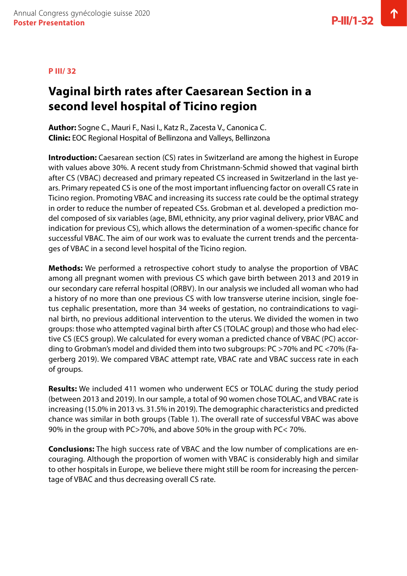# **Vaginal birth rates after Caesarean Section in a second level hospital of Ticino region**

**Author:** Sogne C., Mauri F., Nasi I., Katz R., Zacesta V., Canonica C. **Clinic:** EOC Regional Hospital of Bellinzona and Valleys, Bellinzona

**Introduction:** Caesarean section (CS) rates in Switzerland are among the highest in Europe with values above 30%. A recent study from Christmann-Schmid showed that vaginal birth after CS (VBAC) decreased and primary repeated CS increased in Switzerland in the last years. Primary repeated CS is one of the most important influencing factor on overall CS rate in Ticino region. Promoting VBAC and increasing its success rate could be the optimal strategy in order to reduce the number of repeated CSs. Grobman et al. developed a prediction model composed of six variables (age, BMI, ethnicity, any prior vaginal delivery, prior VBAC and indication for previous CS), which allows the determination of a women-specific chance for successful VBAC. The aim of our work was to evaluate the current trends and the percentages of VBAC in a second level hospital of the Ticino region.

**Methods:** We performed a retrospective cohort study to analyse the proportion of VBAC among all pregnant women with previous CS which gave birth between 2013 and 2019 in our secondary care referral hospital (ORBV). In our analysis we included all woman who had a history of no more than one previous CS with low transverse uterine incision, single foetus cephalic presentation, more than 34 weeks of gestation, no contraindications to vaginal birth, no previous additional intervention to the uterus. We divided the women in two groups: those who attempted vaginal birth after CS (TOLAC group) and those who had elective CS (ECS group). We calculated for every woman a predicted chance of VBAC (PC) according to Grobman's model and divided them into two subgroups: PC >70% and PC <70% (Fagerberg 2019). We compared VBAC attempt rate, VBAC rate and VBAC success rate in each of groups.

**Results:** We included 411 women who underwent ECS or TOLAC during the study period (between 2013 and 2019). In our sample, a total of 90 women chose TOLAC, and VBAC rate is increasing (15.0% in 2013 vs. 31.5% in 2019). The demographic characteristics and predicted chance was similar in both groups (Table 1). The overall rate of successful VBAC was above 90% in the group with PC>70%, and above 50% in the group with PC< 70%.

**Conclusions:** The high success rate of VBAC and the low number of complications are encouraging. Although the proportion of women with VBAC is considerably high and similar to other hospitals in Europe, we believe there might still be room for increasing the percentage of VBAC and thus decreasing overall CS rate.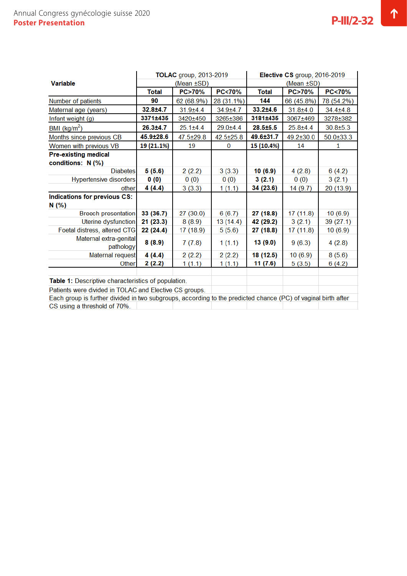|                                                                                                               | <b>TOLAC</b> group, 2013-2019 |                  |                  | Elective CS group, 2016-2019 |                  |                  |
|---------------------------------------------------------------------------------------------------------------|-------------------------------|------------------|------------------|------------------------------|------------------|------------------|
| <b>Variable</b>                                                                                               | (Mean ±SD)                    |                  |                  | (Mean ±SD)                   |                  |                  |
|                                                                                                               | Total                         | <b>PC&gt;70%</b> | <b>PC&lt;70%</b> | <b>Total</b>                 | <b>PC&gt;70%</b> | <b>PC&lt;70%</b> |
| Number of patients                                                                                            | 90                            | 62 (68.9%)       | 28 (31.1%)       | 144                          | 66 (45.8%)       | 78 (54.2%)       |
| Maternal age (years)                                                                                          | 32.8±4.7                      | $31.9 \pm 4.4$   | $34.9 + 4.7$     | $33.2{\pm}4.6$               | $31.8 + 4.0$     | $34.4 \pm 4.8$   |
| Infant weight (g)                                                                                             | 3371±435                      | 3420±450         | 3265±386         | 3181±435                     | 3067±469         | 3278±382         |
| BMI ( $\text{kg/m}^2$ )                                                                                       | $26.3 \pm 4.7$                | $25.1 \pm 4.4$   | $29.0 + 4.4$     | $28.5 \pm 5.5$               | $25.8 + 4.4$     | $30.8 \pm 5.3$   |
| Months since previous CB                                                                                      | 45.9±28.6                     | 47.5±29.8        | $42.5 \pm 25.8$  | 49.6±31.7                    | $49.2 \pm 30.0$  | $50.0 \pm 33.3$  |
| Women with previous VB                                                                                        | 19 (21.1%)                    | 19               | $\bf{0}$         | 15 (10.4%)                   | 14               | 1                |
| <b>Pre-existing medical</b>                                                                                   |                               |                  |                  |                              |                  |                  |
| conditions: N (%)                                                                                             |                               |                  |                  |                              |                  |                  |
| <b>Diabetes</b>                                                                                               | 5(5.6)                        | 2(2.2)           | 3(3.3)           | 10(6.9)                      | 4(2.8)           | 6(4.2)           |
| <b>Hypertensive disorders</b>                                                                                 | 0(0)                          | 0(0)             | 0(0)             | 3(2.1)                       | 0(0)             | 3(2.1)           |
| other                                                                                                         | 4 (4.4)                       | 3(3.3)           | 1(1.1)           | 34 (23.6)                    | 14(9.7)          | 20 (13.9)        |
| Indications for previous CS:                                                                                  |                               |                  |                  |                              |                  |                  |
| N (%)                                                                                                         |                               |                  |                  |                              |                  |                  |
| <b>Breech presentation</b>                                                                                    | 33 (36.7)                     | 27(30.0)         | 6(6.7)           | 27 (18.8)                    | 17 (11.8)        | 10(6.9)          |
| <b>Uterine dysfunction</b>                                                                                    | 21 (23.3)                     | 8(8.9)           | 13(14.4)         | 42 (29.2)                    | 3(2.1)           | 39 (27.1)        |
| Foetal distress, altered CTG                                                                                  | 22 (24.4)                     | 17 (18.9)        | 5(5.6)           | 27 (18.8)                    | 17 (11.8)        | 10(6.9)          |
| Maternal extra-genital<br>pathology                                                                           | 8(8.9)                        | 7(7.8)           | 1(1.1)           | 13 (9.0)                     | 9(6.3)           | 4(2.8)           |
| Maternal request                                                                                              | 4(4.4)                        | 2(2.2)           | 2(2.2)           | 18 (12.5)                    | 10(6.9)          | 8(5.6)           |
| Other                                                                                                         | 2(2.2)                        | 1(1.1)           | 1(1.1)           | 11 (7.6)                     | 5(3.5)           | 6(4.2)           |
|                                                                                                               |                               |                  |                  |                              |                  |                  |
| Table 1: Descriptive characteristics of population.                                                           |                               |                  |                  |                              |                  |                  |
| Patients were divided in TOLAC and Elective CS groups.                                                        |                               |                  |                  |                              |                  |                  |
| Each group is further divided in two subgroups, according to the predicted chance (PC) of vaginal birth after |                               |                  |                  |                              |                  |                  |
| CS using a threshold of 70%.                                                                                  |                               |                  |                  |                              |                  |                  |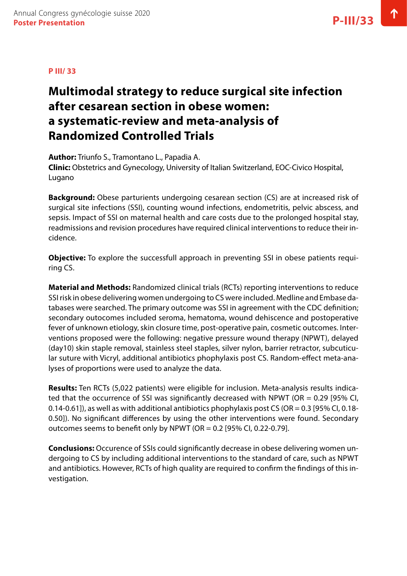# **Multimodal strategy to reduce surgical site infection after cesarean section in obese women: a systematic-review and meta-analysis of Randomized Controlled Trials**

**Author:** Triunfo S., Tramontano L., Papadia A.

**Clinic:** Obstetrics and Gynecology, University of Italian Switzerland, EOC-Civico Hospital, Lugano

**Background:** Obese parturients undergoing cesarean section (CS) are at increased risk of surgical site infections (SSI), counting wound infections, endometritis, pelvic abscess, and sepsis. Impact of SSI on maternal health and care costs due to the prolonged hospital stay, readmissions and revision procedures have required clinical interventions to reduce their incidence.

**Objective:** To explore the successfull approach in preventing SSI in obese patients requiring CS.

**Material and Methods:** Randomized clinical trials (RCTs) reporting interventions to reduce SSI risk in obese delivering women undergoing to CS were included. Medline and Embase databases were searched. The primary outcome was SSI in agreement with the CDC definition; secondary outocomes included seroma, hematoma, wound dehiscence and postoperative fever of unknown etiology, skin closure time, post-operative pain, cosmetic outcomes. Interventions proposed were the following: negative pressure wound therapy (NPWT), delayed (day10) skin staple removal, stainless steel staples, silver nylon, barrier retractor, subcuticular suture with Vicryl, additional antibiotics phophylaxis post CS. Random-effect meta-analyses of proportions were used to analyze the data.

**Results:** Ten RCTs (5,022 patients) were eligible for inclusion. Meta-analysis results indicated that the occurrence of SSI was significantly decreased with NPWT (OR = 0.29 [95% CI, 0.14-0.61]), as well as with additional antibiotics phophylaxis post CS (OR = 0.3 [95% CI, 0.18- 0.50]). No significant differences by using the other interventions were found. Secondary outcomes seems to benefit only by NPWT (OR =  $0.2$  [95% CI, 0.22-0.79].

**Conclusions:** Occurence of SSIs could significantly decrease in obese delivering women undergoing to CS by including additional interventions to the standard of care, such as NPWT and antibiotics. However, RCTs of high quality are required to confirm the findings of this investigation.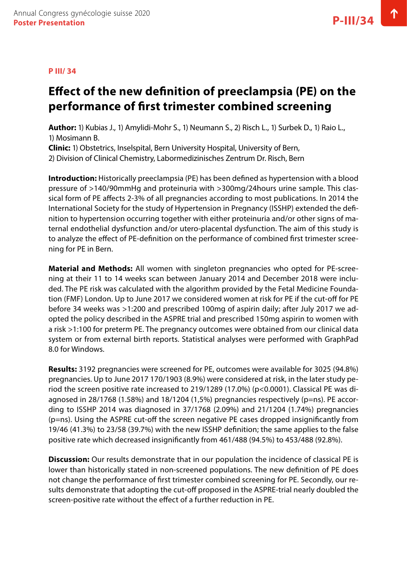# **Effect of the new definition of preeclampsia (PE) on the performance of first trimester combined screening**

**Author:** 1) Kubias J., 1) Amylidi-Mohr S., 1) Neumann S., 2) Risch L., 1) Surbek D., 1) Raio L., 1) Mosimann B.

**Clinic:** 1) Obstetrics, Inselspital, Bern University Hospital, University of Bern, 2) Division of Clinical Chemistry, Labormedizinisches Zentrum Dr. Risch, Bern

**Introduction:** Historically preeclampsia (PE) has been defined as hypertension with a blood pressure of >140/90mmHg and proteinuria with >300mg/24hours urine sample. This classical form of PE affects 2-3% of all pregnancies according to most publications. In 2014 the International Society for the study of Hypertension in Pregnancy (ISSHP) extended the definition to hypertension occurring together with either proteinuria and/or other signs of maternal endothelial dysfunction and/or utero-placental dysfunction. The aim of this study is to analyze the effect of PE-definition on the performance of combined first trimester screening for PE in Bern.

**Material and Methods:** All women with singleton pregnancies who opted for PE-screening at their 11 to 14 weeks scan between January 2014 and December 2018 were included. The PE risk was calculated with the algorithm provided by the Fetal Medicine Foundation (FMF) London. Up to June 2017 we considered women at risk for PE if the cut-off for PE before 34 weeks was >1:200 and prescribed 100mg of aspirin daily; after July 2017 we adopted the policy described in the ASPRE trial and prescribed 150mg aspirin to women with a risk >1:100 for preterm PE. The pregnancy outcomes were obtained from our clinical data system or from external birth reports. Statistical analyses were performed with GraphPad 8.0 for Windows.

**Results:** 3192 pregnancies were screened for PE, outcomes were available for 3025 (94.8%) pregnancies. Up to June 2017 170/1903 (8.9%) were considered at risk, in the later study period the screen positive rate increased to 219/1289 (17.0%) (p<0.0001). Classical PE was diagnosed in 28/1768 (1.58%) and 18/1204 (1,5%) pregnancies respectively (p=ns). PE according to ISSHP 2014 was diagnosed in 37/1768 (2.09%) and 21/1204 (1.74%) pregnancies (p=ns). Using the ASPRE cut-off the screen negative PE cases dropped insignificantly from 19/46 (41.3%) to 23/58 (39.7%) with the new ISSHP definition; the same applies to the false positive rate which decreased insignificantly from 461/488 (94.5%) to 453/488 (92.8%).

**Discussion:** Our results demonstrate that in our population the incidence of classical PE is lower than historically stated in non-screened populations. The new definition of PE does not change the performance of first trimester combined screening for PE. Secondly, our results demonstrate that adopting the cut-off proposed in the ASPRE-trial nearly doubled the screen-positive rate without the effect of a further reduction in PE.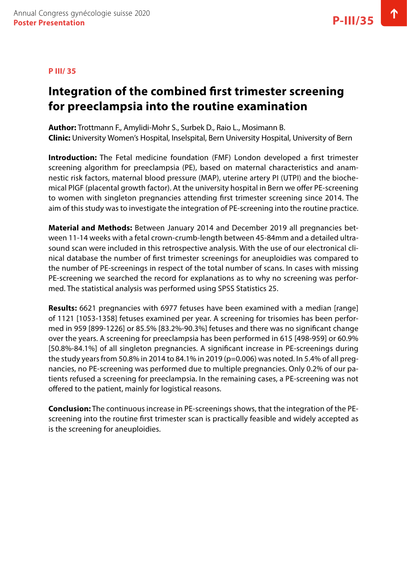#### **P III/ 35**

### **Integration of the combined first trimester screening for preeclampsia into the routine examination**

**Author:** Trottmann F., Amylidi-Mohr S., Surbek D., Raio L., Mosimann B. **Clinic:** University Women's Hospital, Inselspital, Bern University Hospital, University of Bern

**Introduction:** The Fetal medicine foundation (FMF) London developed a first trimester screening algorithm for preeclampsia (PE), based on maternal characteristics and anamnestic risk factors, maternal blood pressure (MAP), uterine artery PI (UTPI) and the biochemical PlGF (placental growth factor). At the university hospital in Bern we offer PE-screening to women with singleton pregnancies attending first trimester screening since 2014. The aim of this study was to investigate the integration of PE-screening into the routine practice.

**Material and Methods:** Between January 2014 and December 2019 all pregnancies between 11-14 weeks with a fetal crown-crumb-length between 45-84mm and a detailed ultrasound scan were included in this retrospective analysis. With the use of our electronical clinical database the number of first trimester screenings for aneuploidies was compared to the number of PE-screenings in respect of the total number of scans. In cases with missing PE-screening we searched the record for explanations as to why no screening was performed. The statistical analysis was performed using SPSS Statistics 25.

**Results:** 6621 pregnancies with 6977 fetuses have been examined with a median [range] of 1121 [1053-1358] fetuses examined per year. A screening for trisomies has been performed in 959 [899-1226] or 85.5% [83.2%-90.3%] fetuses and there was no significant change over the years. A screening for preeclampsia has been performed in 615 [498-959] or 60.9% [50.8%-84.1%] of all singleton pregnancies. A significant increase in PE-screenings during the study years from 50.8% in 2014 to 84.1% in 2019 (p=0.006) was noted. In 5.4% of all pregnancies, no PE-screening was performed due to multiple pregnancies. Only 0.2% of our patients refused a screening for preeclampsia. In the remaining cases, a PE-screening was not offered to the patient, mainly for logistical reasons.

**Conclusion:** The continuous increase in PE-screenings shows, that the integration of the PEscreening into the routine first trimester scan is practically feasible and widely accepted as is the screening for aneuploidies.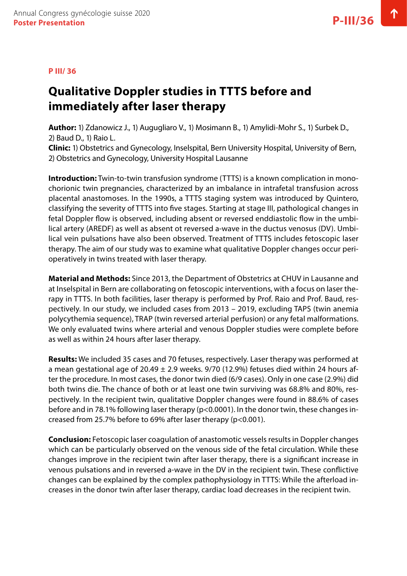# **Qualitative Doppler studies in TTTS before and immediately after laser therapy**

**Author:** 1) Zdanowicz J., 1) Augugliaro V., 1) Mosimann B., 1) Amylidi-Mohr S., 1) Surbek D., 2) Baud D., 1) Raio L.

**Clinic:** 1) Obstetrics and Gynecology, Inselspital, Bern University Hospital, University of Bern, 2) Obstetrics and Gynecology, University Hospital Lausanne

**Introduction:** Twin-to-twin transfusion syndrome (TTTS) is a known complication in monochorionic twin pregnancies, characterized by an imbalance in intrafetal transfusion across placental anastomoses. In the 1990s, a TTTS staging system was introduced by Quintero, classifying the severity of TTTS into five stages. Starting at stage III, pathological changes in fetal Doppler flow is observed, including absent or reversed enddiastolic flow in the umbilical artery (AREDF) as well as absent ot reversed a-wave in the ductus venosus (DV). Umbilical vein pulsations have also been observed. Treatment of TTTS includes fetoscopic laser therapy. The aim of our study was to examine what qualitative Doppler changes occur perioperatively in twins treated with laser therapy.

**Material and Methods:** Since 2013, the Department of Obstetrics at CHUV in Lausanne and at Inselspital in Bern are collaborating on fetoscopic interventions, with a focus on laser therapy in TTTS. In both facilities, laser therapy is performed by Prof. Raio and Prof. Baud, respectively. In our study, we included cases from 2013 – 2019, excluding TAPS (twin anemia polycythemia sequence), TRAP (twin reversed arterial perfusion) or any fetal malformations. We only evaluated twins where arterial and venous Doppler studies were complete before as well as within 24 hours after laser therapy.

**Results:** We included 35 cases and 70 fetuses, respectively. Laser therapy was performed at a mean gestational age of 20.49  $\pm$  2.9 weeks. 9/70 (12.9%) fetuses died within 24 hours after the procedure. In most cases, the donor twin died (6/9 cases). Only in one case (2.9%) did both twins die. The chance of both or at least one twin surviving was 68.8% and 80%, respectively. In the recipient twin, qualitative Doppler changes were found in 88.6% of cases before and in 78.1% following laser therapy (p<0.0001). In the donor twin, these changes increased from 25.7% before to 69% after laser therapy (p<0.001).

**Conclusion:** Fetoscopic laser coagulation of anastomotic vessels results in Doppler changes which can be particularly observed on the venous side of the fetal circulation. While these changes improve in the recipient twin after laser therapy, there is a significant increase in venous pulsations and in reversed a-wave in the DV in the recipient twin. These conflictive changes can be explained by the complex pathophysiology in TTTS: While the afterload increases in the donor twin after laser therapy, cardiac load decreases in the recipient twin.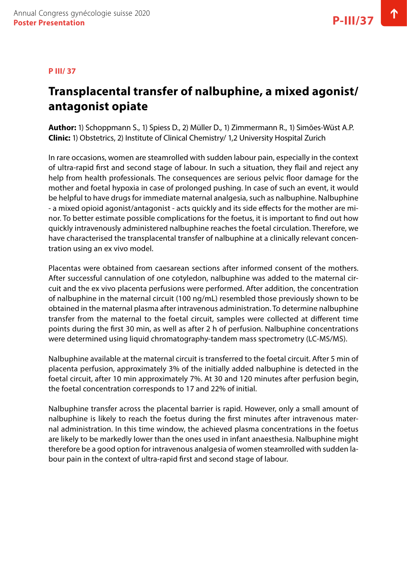#### **P III/ 37**

### **Transplacental transfer of nalbuphine, a mixed agonist/ antagonist opiate**

**Author:** 1) Schoppmann S., 1) Spiess D., 2) Müller D., 1) Zimmermann R., 1) Simões-Wüst A.P. **Clinic:** 1) Obstetrics, 2) Institute of Clinical Chemistry/ 1,2 University Hospital Zurich

In rare occasions, women are steamrolled with sudden labour pain, especially in the context of ultra-rapid first and second stage of labour. In such a situation, they flail and reject any help from health professionals. The consequences are serious pelvic floor damage for the mother and foetal hypoxia in case of prolonged pushing. In case of such an event, it would be helpful to have drugs for immediate maternal analgesia, such as nalbuphine. Nalbuphine - a mixed opioid agonist/antagonist - acts quickly and its side effects for the mother are minor. To better estimate possible complications for the foetus, it is important to find out how quickly intravenously administered nalbuphine reaches the foetal circulation. Therefore, we have characterised the transplacental transfer of nalbuphine at a clinically relevant concentration using an ex vivo model.

Placentas were obtained from caesarean sections after informed consent of the mothers. After successful cannulation of one cotyledon, nalbuphine was added to the maternal circuit and the ex vivo placenta perfusions were performed. After addition, the concentration of nalbuphine in the maternal circuit (100 ng/mL) resembled those previously shown to be obtained in the maternal plasma after intravenous administration. To determine nalbuphine transfer from the maternal to the foetal circuit, samples were collected at different time points during the first 30 min, as well as after 2 h of perfusion. Nalbuphine concentrations were determined using liquid chromatography-tandem mass spectrometry (LC-MS/MS).

Nalbuphine available at the maternal circuit is transferred to the foetal circuit. After 5 min of placenta perfusion, approximately 3% of the initially added nalbuphine is detected in the foetal circuit, after 10 min approximately 7%. At 30 and 120 minutes after perfusion begin, the foetal concentration corresponds to 17 and 22% of initial.

Nalbuphine transfer across the placental barrier is rapid. However, only a small amount of nalbuphine is likely to reach the foetus during the first minutes after intravenous maternal administration. In this time window, the achieved plasma concentrations in the foetus are likely to be markedly lower than the ones used in infant anaesthesia. Nalbuphine might therefore be a good option for intravenous analgesia of women steamrolled with sudden labour pain in the context of ultra-rapid first and second stage of labour.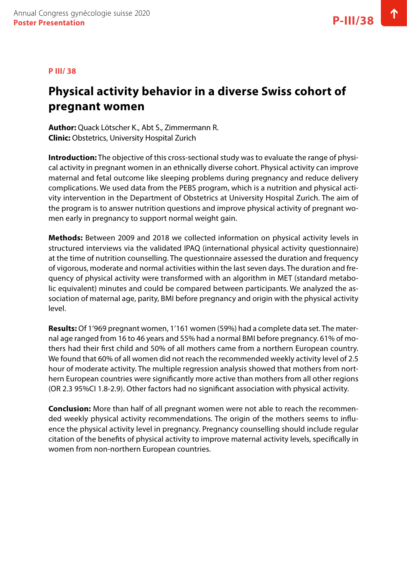#### **P III/ 38**

# **Physical activity behavior in a diverse Swiss cohort of pregnant women**

**Author:** Quack Lötscher K., Abt S., Zimmermann R. **Clinic:** Obstetrics, University Hospital Zurich

**Introduction:** The objective of this cross-sectional study was to evaluate the range of physical activity in pregnant women in an ethnically diverse cohort. Physical activity can improve maternal and fetal outcome like sleeping problems during pregnancy and reduce delivery complications. We used data from the PEBS program, which is a nutrition and physical activity intervention in the Department of Obstetrics at University Hospital Zurich. The aim of the program is to answer nutrition questions and improve physical activity of pregnant women early in pregnancy to support normal weight gain.

**Methods:** Between 2009 and 2018 we collected information on physical activity levels in structured interviews via the validated IPAQ (international physical activity questionnaire) at the time of nutrition counselling. The questionnaire assessed the duration and frequency of vigorous, moderate and normal activities within the last seven days. The duration and frequency of physical activity were transformed with an algorithm in MET (standard metabolic equivalent) minutes and could be compared between participants. We analyzed the association of maternal age, parity, BMI before pregnancy and origin with the physical activity level.

**Results:** Of 1'969 pregnant women, 1'161 women (59%) had a complete data set. The maternal age ranged from 16 to 46 years and 55% had a normal BMI before pregnancy. 61% of mothers had their first child and 50% of all mothers came from a northern European country. We found that 60% of all women did not reach the recommended weekly activity level of 2.5 hour of moderate activity. The multiple regression analysis showed that mothers from northern European countries were significantly more active than mothers from all other regions (OR 2.3 95%CI 1.8-2.9). Other factors had no significant association with physical activity.

**Conclusion:** More than half of all pregnant women were not able to reach the recommended weekly physical activity recommendations. The origin of the mothers seems to influence the physical activity level in pregnancy. Pregnancy counselling should include regular citation of the benefits of physical activity to improve maternal activity levels, specifically in women from non-northern European countries.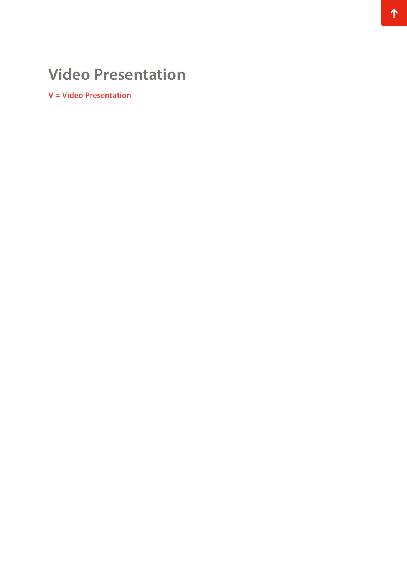# **Video Presentation**

**V = Video Presentation**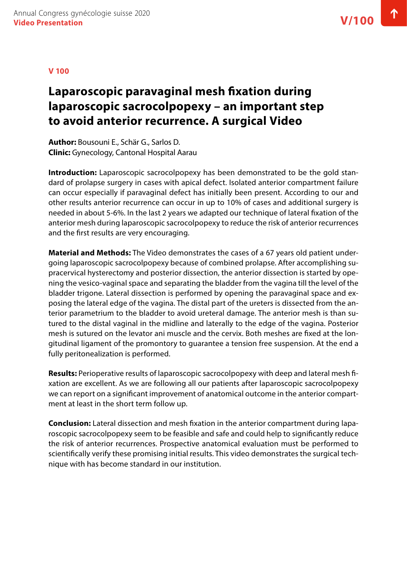#### **V 100**

### **Laparoscopic paravaginal mesh fixation during laparoscopic sacrocolpopexy – an important step to avoid anterior recurrence. A surgical Video**

**Author:** Bousouni E., Schär G., Sarlos D. **Clinic:** Gynecology, Cantonal Hospital Aarau

**Introduction:** Laparoscopic sacrocolpopexy has been demonstrated to be the gold standard of prolapse surgery in cases with apical defect. Isolated anterior compartment failure can occur especially if paravaginal defect has initially been present. According to our and other results anterior recurrence can occur in up to 10% of cases and additional surgery is needed in about 5-6%. In the last 2 years we adapted our technique of lateral fixation of the anterior mesh during laparoscopic sacrocolpopexy to reduce the risk of anterior recurrences and the first results are very encouraging.

**Material and Methods:** The Video demonstrates the cases of a 67 years old patient undergoing laparoscopic sacrocolpopexy because of combined prolapse. After accomplishing supracervical hysterectomy and posterior dissection, the anterior dissection is started by opening the vesico-vaginal space and separating the bladder from the vagina till the level of the bladder trigone. Lateral dissection is performed by opening the paravaginal space and exposing the lateral edge of the vagina. The distal part of the ureters is dissected from the anterior parametrium to the bladder to avoid ureteral damage. The anterior mesh is than sutured to the distal vaginal in the midline and laterally to the edge of the vagina. Posterior mesh is sutured on the levator ani muscle and the cervix. Both meshes are fixed at the longitudinal ligament of the promontory to guarantee a tension free suspension. At the end a fully peritonealization is performed.

**Results:** Perioperative results of laparoscopic sacrocolpopexy with deep and lateral mesh fixation are excellent. As we are following all our patients after laparoscopic sacrocolpopexy we can report on a significant improvement of anatomical outcome in the anterior compartment at least in the short term follow up.

**Conclusion:** Lateral dissection and mesh fixation in the anterior compartment during laparoscopic sacrocolpopexy seem to be feasible and safe and could help to significantly reduce the risk of anterior recurrences. Prospective anatomical evaluation must be performed to scientifically verify these promising initial results. This video demonstrates the surgical technique with has become standard in our institution.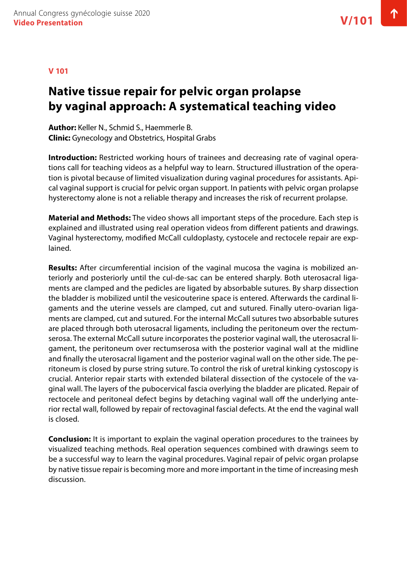#### **V 101**

# **Native tissue repair for pelvic organ prolapse by vaginal approach: A systematical teaching video**

**Author:** Keller N., Schmid S., Haemmerle B. **Clinic:** Gynecology and Obstetrics, Hospital Grabs

**Introduction:** Restricted working hours of trainees and decreasing rate of vaginal operations call for teaching videos as a helpful way to learn. Structured illustration of the operation is pivotal because of limited visualization during vaginal procedures for assistants. Apical vaginal support is crucial for pelvic organ support. In patients with pelvic organ prolapse hysterectomy alone is not a reliable therapy and increases the risk of recurrent prolapse.

**Material and Methods:** The video shows all important steps of the procedure. Each step is explained and illustrated using real operation videos from different patients and drawings. Vaginal hysterectomy, modified McCall culdoplasty, cystocele and rectocele repair are explained.

**Results:** After circumferential incision of the vaginal mucosa the vagina is mobilized anteriorly and posteriorly until the cul-de-sac can be entered sharply. Both uterosacral ligaments are clamped and the pedicles are ligated by absorbable sutures. By sharp dissection the bladder is mobilized until the vesicouterine space is entered. Afterwards the cardinal ligaments and the uterine vessels are clamped, cut and sutured. Finally utero-ovarian ligaments are clamped, cut and sutured. For the internal McCall sutures two absorbable sutures are placed through both uterosacral ligaments, including the peritoneum over the rectumserosa. The external McCall suture incorporates the posterior vaginal wall, the uterosacral ligament, the peritoneum over rectumserosa with the posterior vaginal wall at the midline and finally the uterosacral ligament and the posterior vaginal wall on the other side. The peritoneum is closed by purse string suture. To control the risk of uretral kinking cystoscopy is crucial. Anterior repair starts with extended bilateral dissection of the cystocele of the vaginal wall. The layers of the pubocervical fascia overlying the bladder are plicated. Repair of rectocele and peritoneal defect begins by detaching vaginal wall off the underlying anterior rectal wall, followed by repair of rectovaginal fascial defects. At the end the vaginal wall is closed.

**Conclusion:** It is important to explain the vaginal operation procedures to the trainees by visualized teaching methods. Real operation sequences combined with drawings seem to be a successful way to learn the vaginal procedures. Vaginal repair of pelvic organ prolapse by native tissue repair is becoming more and more important in the time of increasing mesh discussion.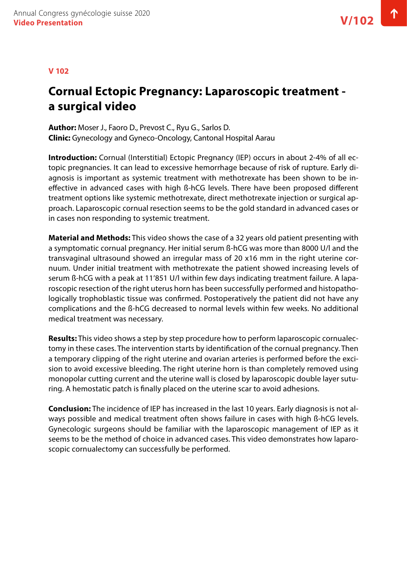#### **V 102**

# **Cornual Ectopic Pregnancy: Laparoscopic treatment a surgical video**

**Author:** Moser J., Faoro D., Prevost C., Ryu G., Sarlos D. **Clinic:** Gynecology and Gyneco-Oncology, Cantonal Hospital Aarau

**Introduction:** Cornual (Interstitial) Ectopic Pregnancy (IEP) occurs in about 2-4% of all ectopic pregnancies. It can lead to excessive hemorrhage because of risk of rupture. Early diagnosis is important as systemic treatment with methotrexate has been shown to be ineffective in advanced cases with high ß-hCG levels. There have been proposed different treatment options like systemic methotrexate, direct methotrexate injection or surgical approach. Laparoscopic cornual resection seems to be the gold standard in advanced cases or in cases non responding to systemic treatment.

**Material and Methods:** This video shows the case of a 32 years old patient presenting with a symptomatic cornual pregnancy. Her initial serum ß-hCG was more than 8000 U/l and the transvaginal ultrasound showed an irregular mass of 20 x16 mm in the right uterine cornuum. Under initial treatment with methotrexate the patient showed increasing levels of serum ß-hCG with a peak at 11'851 U/l within few days indicating treatment failure. A laparoscopic resection of the right uterus horn has been successfully performed and histopathologically trophoblastic tissue was confirmed. Postoperatively the patient did not have any complications and the ß-hCG decreased to normal levels within few weeks. No additional medical treatment was necessary.

**Results:** This video shows a step by step procedure how to perform laparoscopic cornualectomy in these cases. The intervention starts by identification of the cornual pregnancy. Then a temporary clipping of the right uterine and ovarian arteries is performed before the excision to avoid excessive bleeding. The right uterine horn is than completely removed using monopolar cutting current and the uterine wall is closed by laparoscopic double layer suturing. A hemostatic patch is finally placed on the uterine scar to avoid adhesions.

**Conclusion:** The incidence of IEP has increased in the last 10 years. Early diagnosis is not always possible and medical treatment often shows failure in cases with high ß-hCG levels. Gynecologic surgeons should be familiar with the laparoscopic management of IEP as it seems to be the method of choice in advanced cases. This video demonstrates how laparoscopic cornualectomy can successfully be performed.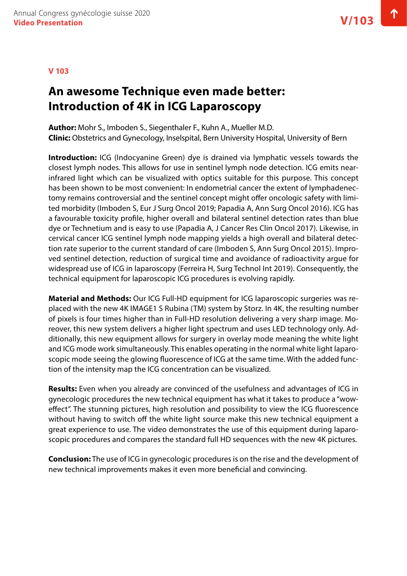### **An awesome Technique even made better: Introduction of 4K in ICG Laparoscopy**

**Author:** Mohr S., Imboden S., Siegenthaler F., Kuhn A., Mueller M.D. **Clinic:** Obstetrics and Gynecology, Inselspital, Bern University Hospital, University of Bern

**Introduction:** ICG (Indocyanine Green) dye is drained via lymphatic vessels towards the closest lymph nodes. This allows for use in sentinel lymph node detection. ICG emits nearinfrared light which can be visualized with optics suitable for this purpose. This concept has been shown to be most convenient: In endometrial cancer the extent of lymphadenectomy remains controversial and the sentinel concept might offer oncologic safety with limited morbidity (Imboden S, Eur J Surg Oncol 2019; Papadia A, Ann Surg Oncol 2016). ICG has a favourable toxicity profile, higher overall and bilateral sentinel detection rates than blue dye or Technetium and is easy to use (Papadia A, J Cancer Res Clin Oncol 2017). Likewise, in cervical cancer ICG sentinel lymph node mapping yields a high overall and bilateral detection rate superior to the current standard of care (Imboden S, Ann Surg Oncol 2015). Improved sentinel detection, reduction of surgical time and avoidance of radioactivity argue for widespread use of ICG in laparoscopy (Ferreira H, Surg Technol Int 2019). Consequently, the technical equipment for laparoscopic ICG procedures is evolving rapidly.

**Material and Methods:** Our ICG Full-HD equipment for ICG laparoscopic surgeries was replaced with the new 4K IMAGE1 S Rubina (TM) system by Storz. In 4K, the resulting number of pixels is four times higher than in Full-HD resolution delivering a very sharp image. Moreover, this new system delivers a higher light spectrum and uses LED technology only. Additionally, this new equipment allows for surgery in overlay mode meaning the white light and ICG mode work simultaneously. This enables operating in the normal white light laparoscopic mode seeing the glowing fluorescence of ICG at the same time. With the added function of the intensity map the ICG concentration can be visualized.

**Results:** Even when you already are convinced of the usefulness and advantages of ICG in gynecologic procedures the new technical equipment has what it takes to produce a "woweffect". The stunning pictures, high resolution and possibility to view the ICG fluorescence without having to switch off the white light source make this new technical equipment a great experience to use. The video demonstrates the use of this equipment during laparoscopic procedures and compares the standard full HD sequences with the new 4K pictures.

**Conclusion:** The use of ICG in gynecologic procedures is on the rise and the development of new technical improvements makes it even more beneficial and convincing.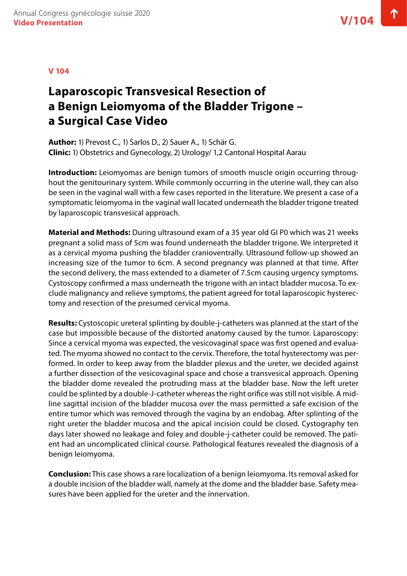# **Laparoscopic Transvesical Resection of a Benign Leiomyoma of the Bladder Trigone – a Surgical Case Video**

**Author:** 1) Prevost C., 1) Sarlos D., 2) Sauer A., 1) Schär G. **Clinic:** 1) Obstetrics and Gynecology, 2) Urology/ 1,2 Cantonal Hospital Aarau

**Introduction:** Leiomyomas are benign tumors of smooth muscle origin occurring throughout the genitourinary system. While commonly occurring in the uterine wall, they can also be seen in the vaginal wall with a few cases reported in the literature. We present a case of a symptomatic leiomyoma in the vaginal wall located underneath the bladder trigone treated by laparoscopic transvesical approach.

**Material and Methods:** During ultrasound exam of a 35 year old GI P0 which was 21 weeks pregnant a solid mass of 5cm was found underneath the bladder trigone. We interpreted it as a cervical myoma pushing the bladder cranioventrally. Ultrasound follow-up showed an increasing size of the tumor to 6cm. A second pregnancy was planned at that time. After the second delivery, the mass extended to a diameter of 7.5cm causing urgency symptoms. Cystoscopy confirmed a mass underneath the trigone with an intact bladder mucosa. To exclude malignancy and relieve symptoms, the patient agreed for total laparoscopic hysterectomy and resection of the presumed cervical myoma.

**Results:** Cystoscopic ureteral splinting by double-j-catheters was planned at the start of the case but impossible because of the distorted anatomy caused by the tumor. Laparoscopy: Since a cervical myoma was expected, the vesicovaginal space was first opened and evaluated. The myoma showed no contact to the cervix. Therefore, the total hysterectomy was performed. In order to keep away from the bladder plexus and the ureter, we decided against a further dissection of the vesicovaginal space and chose a transvesical approach. Opening the bladder dome revealed the protruding mass at the bladder base. Now the left ureter could be splinted by a double-J-catheter whereas the right orifice was still not visible. A midline sagittal incision of the bladder mucosa over the mass permitted a safe excision of the entire tumor which was removed through the vagina by an endobag. After splinting of the right ureter the bladder mucosa and the apical incision could be closed. Cystography ten days later showed no leakage and foley and double-j-catheter could be removed. The patient had an uncomplicated clinical course. Pathological features revealed the diagnosis of a benign leiomyoma.

**Conclusion:** This case shows a rare localization of a benign leiomyoma. Its removal asked for a double incision of the bladder wall, namely at the dome and the bladder base. Safety measures have been applied for the ureter and the innervation.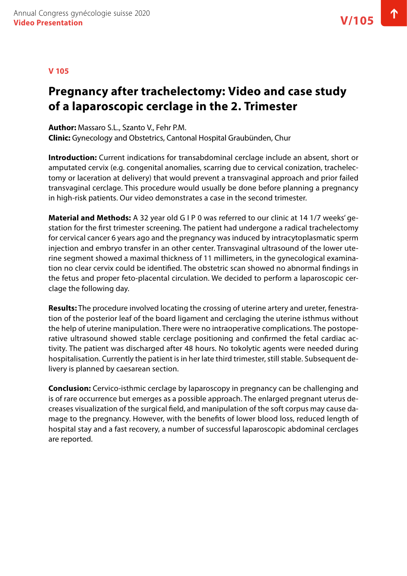### **Pregnancy after trachelectomy: Video and case study of a laparoscopic cerclage in the 2. Trimester**

**Author:** Massaro S.L., Szanto V., Fehr P.M. **Clinic:** Gynecology and Obstetrics, Cantonal Hospital Graubünden, Chur

**Introduction:** Current indications for transabdominal cerclage include an absent, short or amputated cervix (e.g. congenital anomalies, scarring due to cervical conization, trachelectomy or laceration at delivery) that would prevent a transvaginal approach and prior failed transvaginal cerclage. This procedure would usually be done before planning a pregnancy in high-risk patients. Our video demonstrates a case in the second trimester.

**Material and Methods:** A 32 year old G I P 0 was referred to our clinic at 14 1/7 weeks' gestation for the first trimester screening. The patient had undergone a radical trachelectomy for cervical cancer 6 years ago and the pregnancy was induced by intracytoplasmatic sperm injection and embryo transfer in an other center. Transvaginal ultrasound of the lower uterine segment showed a maximal thickness of 11 millimeters, in the gynecological examination no clear cervix could be identified. The obstetric scan showed no abnormal findings in the fetus and proper feto-placental circulation. We decided to perform a laparoscopic cerclage the following day.

**Results:** The procedure involved locating the crossing of uterine artery and ureter, fenestration of the posterior leaf of the board ligament and cerclaging the uterine isthmus without the help of uterine manipulation. There were no intraoperative complications. The postoperative ultrasound showed stable cerclage positioning and confirmed the fetal cardiac activity. The patient was discharged after 48 hours. No tokolytic agents were needed during hospitalisation. Currently the patient is in her late third trimester, still stable. Subsequent delivery is planned by caesarean section.

**Conclusion:** Cervico-isthmic cerclage by laparoscopy in pregnancy can be challenging and is of rare occurrence but emerges as a possible approach. The enlarged pregnant uterus decreases visualization of the surgical field, and manipulation of the soft corpus may cause damage to the pregnancy. However, with the benefits of lower blood loss, reduced length of hospital stay and a fast recovery, a number of successful laparoscopic abdominal cerclages are reported.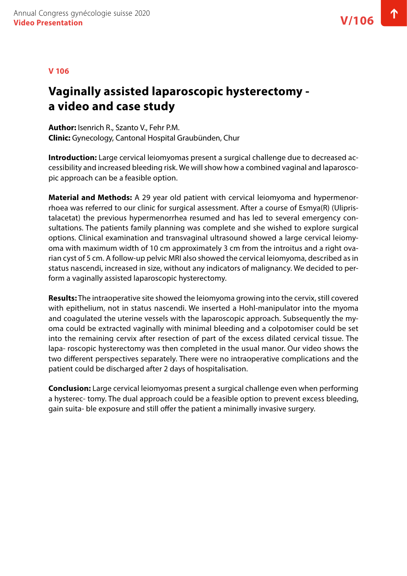#### **V 106**

# **Vaginally assisted laparoscopic hysterectomy a video and case study**

**Author:** Isenrich R., Szanto V., Fehr P.M. **Clinic:** Gynecology, Cantonal Hospital Graubünden, Chur

**Introduction:** Large cervical leiomyomas present a surgical challenge due to decreased accessibility and increased bleeding risk. We will show how a combined vaginal and laparoscopic approach can be a feasible option.

**Material and Methods:** A 29 year old patient with cervical leiomyoma and hypermenorrhoea was referred to our clinic for surgical assessment. After a course of Esmya(R) (Ulipristalacetat) the previous hypermenorrhea resumed and has led to several emergency consultations. The patients family planning was complete and she wished to explore surgical options. Clinical examination and transvaginal ultrasound showed a large cervical leiomyoma with maximum width of 10 cm approximately 3 cm from the introitus and a right ovarian cyst of 5 cm. A follow-up pelvic MRI also showed the cervical leiomyoma, described as in status nascendi, increased in size, without any indicators of malignancy. We decided to perform a vaginally assisted laparoscopic hysterectomy.

**Results:** The intraoperative site showed the leiomyoma growing into the cervix, still covered with epithelium, not in status nascendi. We inserted a Hohl-manipulator into the myoma and coagulated the uterine vessels with the laparoscopic approach. Subsequently the myoma could be extracted vaginally with minimal bleeding and a colpotomiser could be set into the remaining cervix after resection of part of the excess dilated cervical tissue. The lapa- roscopic hysterectomy was then completed in the usual manor. Our video shows the two different perspectives separately. There were no intraoperative complications and the patient could be discharged after 2 days of hospitalisation.

**Conclusion:** Large cervical leiomyomas present a surgical challenge even when performing a hysterec- tomy. The dual approach could be a feasible option to prevent excess bleeding, gain suita- ble exposure and still offer the patient a minimally invasive surgery.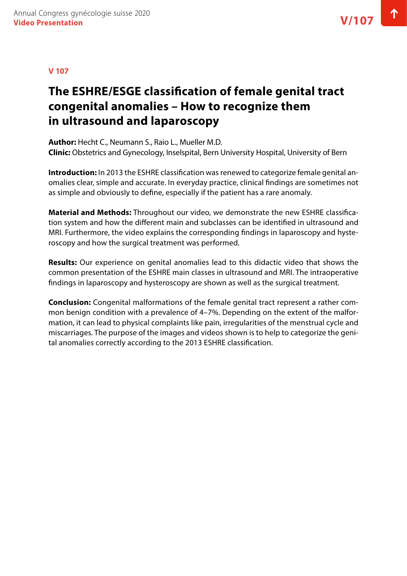# **The ESHRE/ESGE classification of female genital tract congenital anomalies – How to recognize them in ultrasound and laparoscopy**

**Author:** Hecht C., Neumann S., Raio L., Mueller M.D. **Clinic:** Obstetrics and Gynecology, Inselspital, Bern University Hospital, University of Bern

**Introduction:** In 2013 the ESHRE classification was renewed to categorize female genital anomalies clear, simple and accurate. In everyday practice, clinical findings are sometimes not as simple and obviously to define, especially if the patient has a rare anomaly.

**Material and Methods:** Throughout our video, we demonstrate the new ESHRE classification system and how the different main and subclasses can be identified in ultrasound and MRI. Furthermore, the video explains the corresponding findings in laparoscopy and hysteroscopy and how the surgical treatment was performed.

**Results:** Our experience on genital anomalies lead to this didactic video that shows the common presentation of the ESHRE main classes in ultrasound and MRI. The intraoperative findings in laparoscopy and hysteroscopy are shown as well as the surgical treatment.

**Conclusion:** Congenital malformations of the female genital tract represent a rather common benign condition with a prevalence of 4–7%. Depending on the extent of the malformation, it can lead to physical complaints like pain, irregularities of the menstrual cycle and miscarriages. The purpose of the images and videos shown is to help to categorize the genital anomalies correctly according to the 2013 ESHRE classification.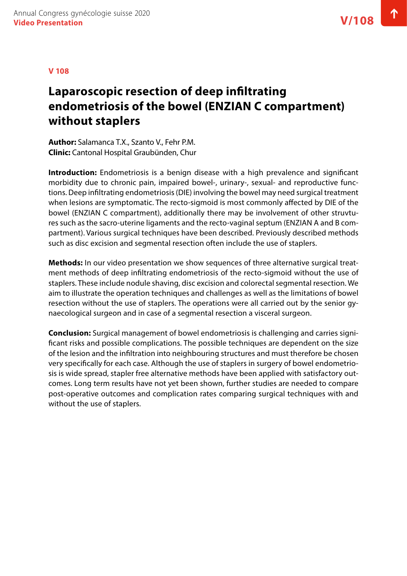# **Laparoscopic resection of deep infiltrating endometriosis of the bowel (ENZIAN C compartment) without staplers**

**Author:** Salamanca T.X., Szanto V., Fehr P.M. **Clinic:** Cantonal Hospital Graubünden, Chur

**Introduction:** Endometriosis is a benign disease with a high prevalence and significant morbidity due to chronic pain, impaired bowel-, urinary-, sexual- and reproductive functions. Deep infiltrating endometriosis (DIE) involving the bowel may need surgical treatment when lesions are symptomatic. The recto-sigmoid is most commonly affected by DIE of the bowel (ENZIAN C compartment), additionally there may be involvement of other struvtures such as the sacro-uterine ligaments and the recto-vaginal septum (ENZIAN A and B compartment). Various surgical techniques have been described. Previously described methods such as disc excision and segmental resection often include the use of staplers.

**Methods:** In our video presentation we show sequences of three alternative surgical treatment methods of deep infiltrating endometriosis of the recto-sigmoid without the use of staplers. These include nodule shaving, disc excision and colorectal segmental resection. We aim to illustrate the operation techniques and challenges as well as the limitations of bowel resection without the use of staplers. The operations were all carried out by the senior gynaecological surgeon and in case of a segmental resection a visceral surgeon.

**Conclusion:** Surgical management of bowel endometriosis is challenging and carries significant risks and possible complications. The possible techniques are dependent on the size of the lesion and the infiltration into neighbouring structures and must therefore be chosen very specifically for each case. Although the use of staplers in surgery of bowel endometriosis is wide spread, stapler free alternative methods have been applied with satisfactory outcomes. Long term results have not yet been shown, further studies are needed to compare post-operative outcomes and complication rates comparing surgical techniques with and without the use of staplers.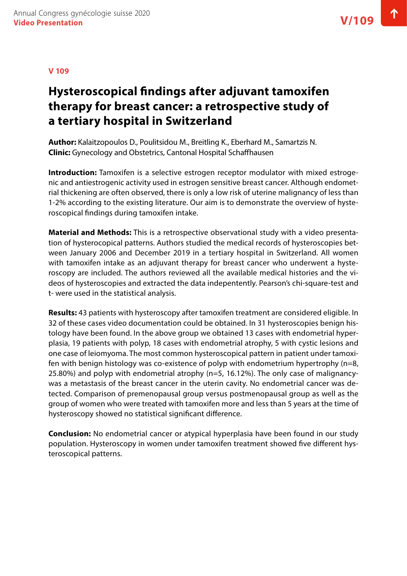# **Hysteroscopical findings after adjuvant tamoxifen therapy for breast cancer: a retrospective study of a tertiary hospital in Switzerland**

**Author:** Kalaitzopoulos D., Poulitsidou M., Breitling K., Eberhard M., Samartzis N. **Clinic:** Gynecology and Obstetrics, Cantonal Hospital Schaffhausen

**Introduction:** Tamoxifen is a selective estrogen receptor modulator with mixed estrogenic and antiestrogenic activity used in estrogen sensitive breast cancer. Although endometrial thickening are often observed, there is only a low risk of uterine malignancy of less than 1-2% according to the existing literature. Our aim is to demonstrate the overview of hysteroscopical findings during tamoxifen intake.

**Material and Methods:** This is a retrospective observational study with a video presentation of hysterocopical patterns. Authors studied the medical records of hysteroscopies between January 2006 and December 2019 in a tertiary hospital in Switzerland. All women with tamoxifen intake as an adjuvant therapy for breast cancer who underwent a hysteroscopy are included. The authors reviewed all the available medical histories and the videos of hysteroscopies and extracted the data indepentently. Pearson's chi-square-test and t- were used in the statistical analysis.

**Results:** 43 patients with hysteroscopy after tamoxifen treatment are considered eligible. In 32 of these cases video documentation could be obtained. In 31 hysteroscopies benign histology have been found. In the above group we obtained 13 cases with endometrial hyperplasia, 19 patients with polyp, 18 cases with endometrial atrophy, 5 with cystic lesions and one case of leiomyoma. The most common hysteroscopical pattern in patient under tamoxifen with benign histology was co-existence of polyp with endometrium hypertrophy (n=8, 25.80%) and polyp with endometrial atrophy (n=5, 16.12%). The only case of malignancywas a metastasis of the breast cancer in the uterin cavity. No endometrial cancer was detected. Comparison of premenopausal group versus postmenopausal group as well as the group of women who were treated with tamoxifen more and less than 5 years at the time of hysteroscopy showed no statistical significant difference.

**Conclusion:** No endometrial cancer or atypical hyperplasia have been found in our study population. Hysteroscopy in women under tamoxifen treatment showed five different hysteroscopical patterns.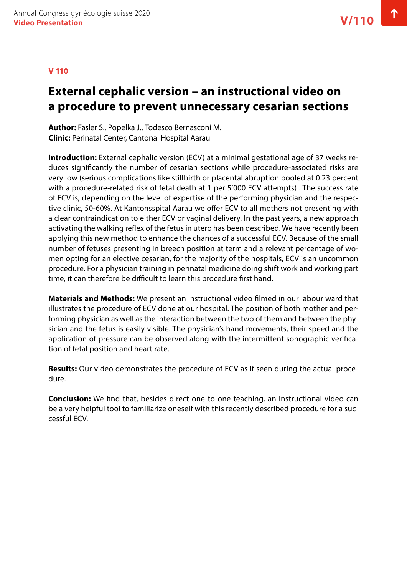#### **V 110**

# **External cephalic version – an instructional video on a procedure to prevent unnecessary cesarian sections**

**Author:** Fasler S., Popelka J., Todesco Bernasconi M. **Clinic:** Perinatal Center, Cantonal Hospital Aarau

**Introduction:** External cephalic version (ECV) at a minimal gestational age of 37 weeks reduces significantly the number of cesarian sections while procedure-associated risks are very low (serious complications like stillbirth or placental abruption pooled at 0.23 percent with a procedure-related risk of fetal death at 1 per 5'000 ECV attempts) . The success rate of ECV is, depending on the level of expertise of the performing physician and the respective clinic, 50-60%. At Kantonsspital Aarau we offer ECV to all mothers not presenting with a clear contraindication to either ECV or vaginal delivery. In the past years, a new approach activating the walking reflex of the fetus in utero has been described. We have recently been applying this new method to enhance the chances of a successful ECV. Because of the small number of fetuses presenting in breech position at term and a relevant percentage of women opting for an elective cesarian, for the majority of the hospitals, ECV is an uncommon procedure. For a physician training in perinatal medicine doing shift work and working part time, it can therefore be difficult to learn this procedure first hand.

**Materials and Methods:** We present an instructional video filmed in our labour ward that illustrates the procedure of ECV done at our hospital. The position of both mother and performing physician as well as the interaction between the two of them and between the physician and the fetus is easily visible. The physician's hand movements, their speed and the application of pressure can be observed along with the intermittent sonographic verification of fetal position and heart rate.

**Results:** Our video demonstrates the procedure of ECV as if seen during the actual procedure.

**Conclusion:** We find that, besides direct one-to-one teaching, an instructional video can be a very helpful tool to familiarize oneself with this recently described procedure for a successful ECV.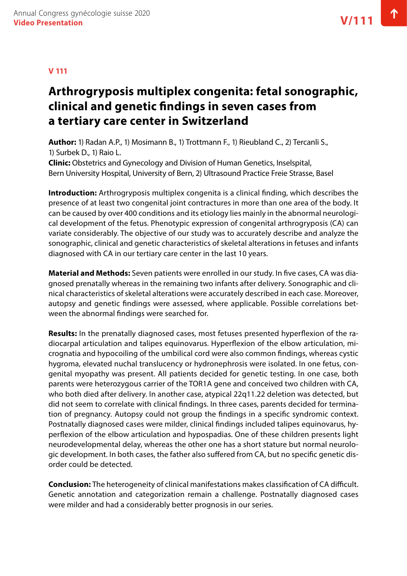### **V 111**

# **Arthrogryposis multiplex congenita: fetal sonographic, clinical and genetic findings in seven cases from a tertiary care center in Switzerland**

**Author:** 1) Radan A.P., 1) Mosimann B., 1) Trottmann F., 1) Rieubland C., 2) Tercanli S., 1) Surbek D., 1) Raio L. **Clinic:** Obstetrics and Gynecology and Division of Human Genetics, Inselspital,

Bern University Hospital, University of Bern, 2) Ultrasound Practice Freie Strasse, Basel

**Introduction:** Arthrogryposis multiplex congenita is a clinical finding, which describes the presence of at least two congenital joint contractures in more than one area of the body. It can be caused by over 400 conditions and its etiology lies mainly in the abnormal neurological development of the fetus. Phenotypic expression of congenital arthrogryposis (CA) can variate considerably. The objective of our study was to accurately describe and analyze the sonographic, clinical and genetic characteristics of skeletal alterations in fetuses and infants diagnosed with CA in our tertiary care center in the last 10 years.

**Material and Methods:** Seven patients were enrolled in our study. In five cases, CA was diagnosed prenatally whereas in the remaining two infants after delivery. Sonographic and clinical characteristics of skeletal alterations were accurately described in each case. Moreover, autopsy and genetic findings were assessed, where applicable. Possible correlations between the abnormal findings were searched for.

**Results:** In the prenatally diagnosed cases, most fetuses presented hyperflexion of the radiocarpal articulation and talipes equinovarus. Hyperflexion of the elbow articulation, micrognatia and hypocoiling of the umbilical cord were also common findings, whereas cystic hygroma, elevated nuchal translucency or hydronephrosis were isolated. In one fetus, congenital myopathy was present. All patients decided for genetic testing. In one case, both parents were heterozygous carrier of the TOR1A gene and conceived two children with CA, who both died after delivery. In another case, atypical 22q11.22 deletion was detected, but did not seem to correlate with clinical findings. In three cases, parents decided for termination of pregnancy. Autopsy could not group the findings in a specific syndromic context. Postnatally diagnosed cases were milder, clinical findings included talipes equinovarus, hyperflexion of the elbow articulation and hypospadias. One of these children presents light neurodevelopmental delay, whereas the other one has a short stature but normal neurologic development. In both cases, the father also suffered from CA, but no specific genetic disorder could be detected.

**Conclusion:** The heterogeneity of clinical manifestations makes classification of CA difficult. Genetic annotation and categorization remain a challenge. Postnatally diagnosed cases were milder and had a considerably better prognosis in our series.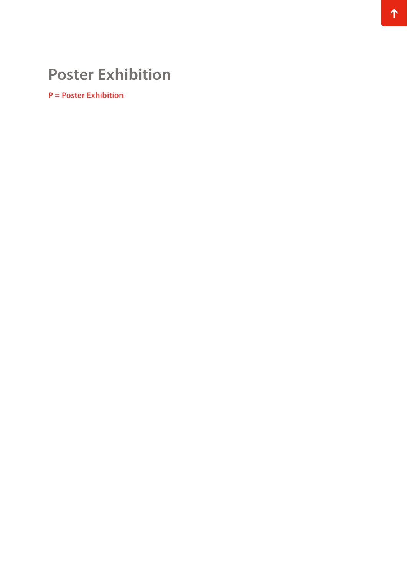# **Poster Exhibition**

**P = Poster Exhibition**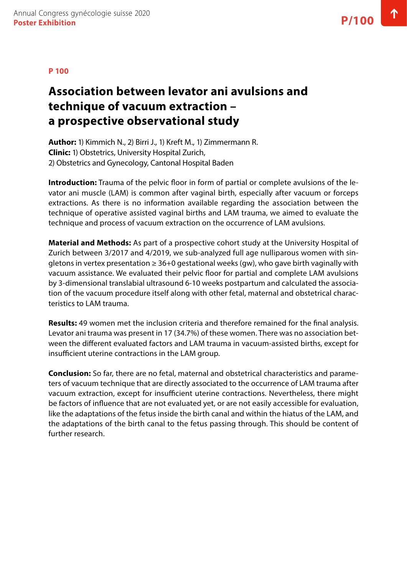# **Association between levator ani avulsions and technique of vacuum extraction – a prospective observational study**

**Author:** 1) Kimmich N., 2) Birri J., 1) Kreft M., 1) Zimmermann R. **Clinic:** 1) Obstetrics, University Hospital Zurich, 2) Obstetrics and Gynecology, Cantonal Hospital Baden

**Introduction:** Trauma of the pelvic floor in form of partial or complete avulsions of the levator ani muscle (LAM) is common after vaginal birth, especially after vacuum or forceps extractions. As there is no information available regarding the association between the technique of operative assisted vaginal births and LAM trauma, we aimed to evaluate the technique and process of vacuum extraction on the occurrence of LAM avulsions.

**Material and Methods:** As part of a prospective cohort study at the University Hospital of Zurich between 3/2017 and 4/2019, we sub-analyzed full age nulliparous women with singletons in vertex presentation  $\geq 36+0$  gestational weeks (gw), who gave birth vaginally with vacuum assistance. We evaluated their pelvic floor for partial and complete LAM avulsions by 3-dimensional translabial ultrasound 6-10 weeks postpartum and calculated the association of the vacuum procedure itself along with other fetal, maternal and obstetrical characteristics to LAM trauma.

**Results:** 49 women met the inclusion criteria and therefore remained for the final analysis. Levator ani trauma was present in 17 (34.7%) of these women. There was no association between the different evaluated factors and LAM trauma in vacuum-assisted births, except for insufficient uterine contractions in the LAM group.

**Conclusion:** So far, there are no fetal, maternal and obstetrical characteristics and parameters of vacuum technique that are directly associated to the occurrence of LAM trauma after vacuum extraction, except for insufficient uterine contractions. Nevertheless, there might be factors of influence that are not evaluated yet, or are not easily accessible for evaluation, like the adaptations of the fetus inside the birth canal and within the hiatus of the LAM, and the adaptations of the birth canal to the fetus passing through. This should be content of further research.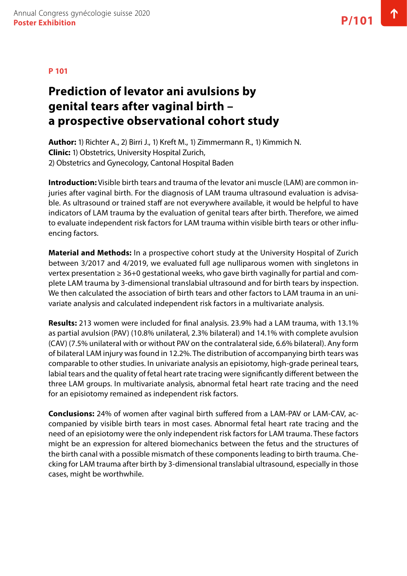### **Prediction of levator ani avulsions by genital tears after vaginal birth – a prospective observational cohort study**

**Author:** 1) Richter A., 2) Birri J., 1) Kreft M., 1) Zimmermann R., 1) Kimmich N. **Clinic:** 1) Obstetrics, University Hospital Zurich, 2) Obstetrics and Gynecology, Cantonal Hospital Baden

**Introduction:** Visible birth tears and trauma of the levator ani muscle (LAM) are common injuries after vaginal birth. For the diagnosis of LAM trauma ultrasound evaluation is advisable. As ultrasound or trained staff are not everywhere available, it would be helpful to have indicators of LAM trauma by the evaluation of genital tears after birth. Therefore, we aimed to evaluate independent risk factors for LAM trauma within visible birth tears or other influencing factors.

**Material and Methods:** In a prospective cohort study at the University Hospital of Zurich between 3/2017 and 4/2019, we evaluated full age nulliparous women with singletons in vertex presentation ≥ 36+0 gestational weeks, who gave birth vaginally for partial and complete LAM trauma by 3-dimensional translabial ultrasound and for birth tears by inspection. We then calculated the association of birth tears and other factors to LAM trauma in an univariate analysis and calculated independent risk factors in a multivariate analysis.

**Results:** 213 women were included for final analysis. 23.9% had a LAM trauma, with 13.1% as partial avulsion (PAV) (10.8% unilateral, 2.3% bilateral) and 14.1% with complete avulsion (CAV) (7.5% unilateral with or without PAV on the contralateral side, 6.6% bilateral). Any form of bilateral LAM injury was found in 12.2%. The distribution of accompanying birth tears was comparable to other studies. In univariate analysis an episiotomy, high-grade perineal tears, labial tears and the quality of fetal heart rate tracing were significantly different between the three LAM groups. In multivariate analysis, abnormal fetal heart rate tracing and the need for an episiotomy remained as independent risk factors.

**Conclusions:** 24% of women after vaginal birth suffered from a LAM-PAV or LAM-CAV, accompanied by visible birth tears in most cases. Abnormal fetal heart rate tracing and the need of an episiotomy were the only independent risk factors for LAM trauma. These factors might be an expression for altered biomechanics between the fetus and the structures of the birth canal with a possible mismatch of these components leading to birth trauma. Checking for LAM trauma after birth by 3-dimensional translabial ultrasound, especially in those cases, might be worthwhile.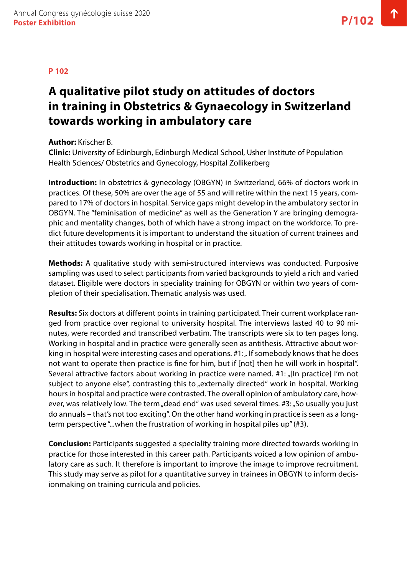# **A qualitative pilot study on attitudes of doctors in training in Obstetrics & Gynaecology in Switzerland towards working in ambulatory care**

### **Author:** Krischer B.

**Clinic:** University of Edinburgh, Edinburgh Medical School, Usher Institute of Population Health Sciences/ Obstetrics and Gynecology, Hospital Zollikerberg

**Introduction:** In obstetrics & gynecology (OBGYN) in Switzerland, 66% of doctors work in practices. Of these, 50% are over the age of 55 and will retire within the next 15 years, compared to 17% of doctors in hospital. Service gaps might develop in the ambulatory sector in OBGYN. The "feminisation of medicine" as well as the Generation Y are bringing demographic and mentality changes, both of which have a strong impact on the workforce. To predict future developments it is important to understand the situation of current trainees and their attitudes towards working in hospital or in practice.

**Methods:** A qualitative study with semi-structured interviews was conducted. Purposive sampling was used to select participants from varied backgrounds to yield a rich and varied dataset. Eligible were doctors in speciality training for OBGYN or within two years of completion of their specialisation. Thematic analysis was used.

**Results:** Six doctors at different points in training participated. Their current workplace ranged from practice over regional to university hospital. The interviews lasted 40 to 90 minutes, were recorded and transcribed verbatim. The transcripts were six to ten pages long. Working in hospital and in practice were generally seen as antithesis. Attractive about working in hospital were interesting cases and operations.  $#1:$   $#$  If somebody knows that he does not want to operate then practice is fine for him, but if [not] then he will work in hospital". Several attractive factors about working in practice were named. #1: "[In practice] I'm not subject to anyone else", contrasting this to "externally directed" work in hospital. Working hours in hospital and practice were contrasted. The overall opinion of ambulatory care, however, was relatively low. The term "dead end" was used several times. #3: "So usually you just do annuals – that's not too exciting". On the other hand working in practice is seen as a longterm perspective "...when the frustration of working in hospital piles up" (#3).

**Conclusion:** Participants suggested a speciality training more directed towards working in practice for those interested in this career path. Participants voiced a low opinion of ambulatory care as such. It therefore is important to improve the image to improve recruitment. This study may serve as pilot for a quantitative survey in trainees in OBGYN to inform decisionmaking on training curricula and policies.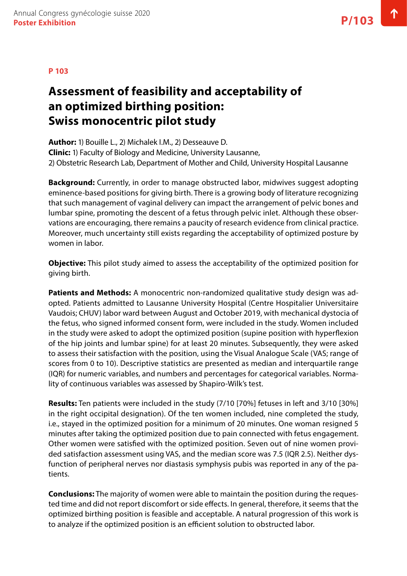# **Assessment of feasibility and acceptability of an optimized birthing position: Swiss monocentric pilot study**

**Author:** 1) Bouille L., 2) Michalek I.M., 2) Desseauve D. **Clinic:** 1) Faculty of Biology and Medicine, University Lausanne, 2) Obstetric Research Lab, Department of Mother and Child, University Hospital Lausanne

**Background:** Currently, in order to manage obstructed labor, midwives suggest adopting eminence-based positions for giving birth. There is a growing body of literature recognizing that such management of vaginal delivery can impact the arrangement of pelvic bones and lumbar spine, promoting the descent of a fetus through pelvic inlet. Although these observations are encouraging, there remains a paucity of research evidence from clinical practice. Moreover, much uncertainty still exists regarding the acceptability of optimized posture by women in labor.

**Objective:** This pilot study aimed to assess the acceptability of the optimized position for giving birth.

**Patients and Methods:** A monocentric non-randomized qualitative study design was adopted. Patients admitted to Lausanne University Hospital (Centre Hospitalier Universitaire Vaudois; CHUV) labor ward between August and October 2019, with mechanical dystocia of the fetus, who signed informed consent form, were included in the study. Women included in the study were asked to adopt the optimized position (supine position with hyperflexion of the hip joints and lumbar spine) for at least 20 minutes. Subsequently, they were asked to assess their satisfaction with the position, using the Visual Analogue Scale (VAS; range of scores from 0 to 10). Descriptive statistics are presented as median and interquartile range (IQR) for numeric variables, and numbers and percentages for categorical variables. Normality of continuous variables was assessed by Shapiro-Wilk's test.

**Results:** Ten patients were included in the study (7/10 [70%] fetuses in left and 3/10 [30%] in the right occipital designation). Of the ten women included, nine completed the study, i.e., stayed in the optimized position for a minimum of 20 minutes. One woman resigned 5 minutes after taking the optimized position due to pain connected with fetus engagement. Other women were satisfied with the optimized position. Seven out of nine women provided satisfaction assessment using VAS, and the median score was 7.5 (IQR 2.5). Neither dysfunction of peripheral nerves nor diastasis symphysis pubis was reported in any of the patients.

**Conclusions:** The majority of women were able to maintain the position during the requested time and did not report discomfort or side effects. In general, therefore, it seems that the optimized birthing position is feasible and acceptable. A natural progression of this work is to analyze if the optimized position is an efficient solution to obstructed labor.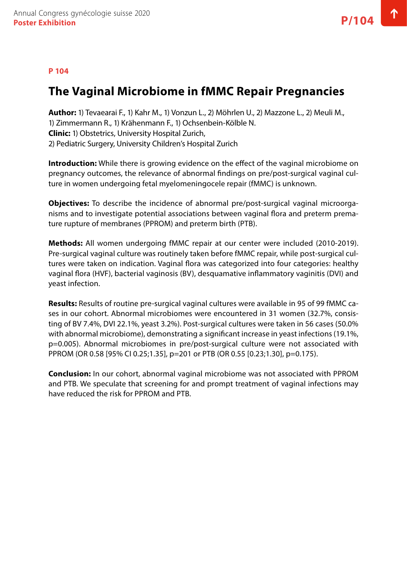#### **P 104**

### **The Vaginal Microbiome in fMMC Repair Pregnancies**

**Author:** 1) Tevaearai F., 1) Kahr M., 1) Vonzun L., 2) Möhrlen U., 2) Mazzone L., 2) Meuli M., 1) Zimmermann R., 1) Krähenmann F., 1) Ochsenbein-Kölble N. **Clinic:** 1) Obstetrics, University Hospital Zurich, 2) Pediatric Surgery, University Children's Hospital Zurich

**Introduction:** While there is growing evidence on the effect of the vaginal microbiome on pregnancy outcomes, the relevance of abnormal findings on pre/post-surgical vaginal culture in women undergoing fetal myelomeningocele repair (fMMC) is unknown.

**Objectives:** To describe the incidence of abnormal pre/post-surgical vaginal microorganisms and to investigate potential associations between vaginal flora and preterm premature rupture of membranes (PPROM) and preterm birth (PTB).

**Methods:** All women undergoing fMMC repair at our center were included (2010-2019). Pre-surgical vaginal culture was routinely taken before fMMC repair, while post-surgical cultures were taken on indication. Vaginal flora was categorized into four categories: healthy vaginal flora (HVF), bacterial vaginosis (BV), desquamative inflammatory vaginitis (DVI) and yeast infection.

**Results:** Results of routine pre-surgical vaginal cultures were available in 95 of 99 fMMC cases in our cohort. Abnormal microbiomes were encountered in 31 women (32.7%, consisting of BV 7.4%, DVI 22.1%, yeast 3.2%). Post-surgical cultures were taken in 56 cases (50.0% with abnormal microbiome), demonstrating a significant increase in yeast infections (19.1%, p=0.005). Abnormal microbiomes in pre/post-surgical culture were not associated with PPROM (OR 0.58 [95% CI 0.25;1.35], p=201 or PTB (OR 0.55 [0.23;1.30], p=0.175).

**Conclusion:** In our cohort, abnormal vaginal microbiome was not associated with PPROM and PTB. We speculate that screening for and prompt treatment of vaginal infections may have reduced the risk for PPROM and PTB.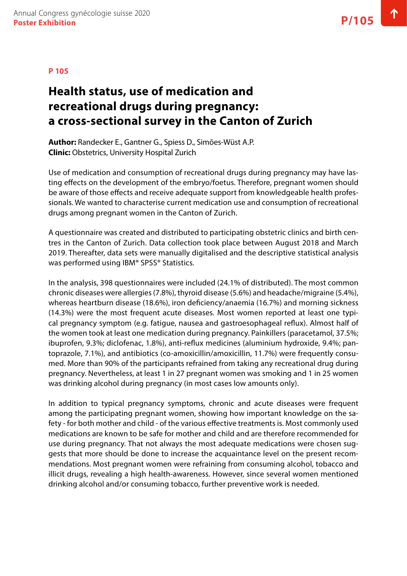# **Health status, use of medication and recreational drugs during pregnancy: a cross-sectional survey in the Canton of Zurich**

**Author:** Randecker E., Gantner G., Spiess D., Simões-Wüst A.P. **Clinic:** Obstetrics, University Hospital Zurich

Use of medication and consumption of recreational drugs during pregnancy may have lasting effects on the development of the embryo/foetus. Therefore, pregnant women should be aware of those effects and receive adequate support from knowledgeable health professionals. We wanted to characterise current medication use and consumption of recreational drugs among pregnant women in the Canton of Zurich.

A questionnaire was created and distributed to participating obstetric clinics and birth centres in the Canton of Zurich. Data collection took place between August 2018 and March 2019. Thereafter, data sets were manually digitalised and the descriptive statistical analysis was performed using IBM® SPSS® Statistics.

In the analysis, 398 questionnaires were included (24.1% of distributed). The most common chronic diseases were allergies (7.8%), thyroid disease (5.6%) and headache/migraine (5.4%), whereas heartburn disease (18.6%), iron deficiency/anaemia (16.7%) and morning sickness (14.3%) were the most frequent acute diseases. Most women reported at least one typical pregnancy symptom (e.g. fatigue, nausea and gastroesophageal reflux). Almost half of the women took at least one medication during pregnancy. Painkillers (paracetamol, 37.5%; ibuprofen, 9.3%; diclofenac, 1.8%), anti-reflux medicines (aluminium hydroxide, 9.4%; pantoprazole, 7.1%), and antibiotics (co-amoxicillin/amoxicillin, 11.7%) were frequently consumed. More than 90% of the participants refrained from taking any recreational drug during pregnancy. Nevertheless, at least 1 in 27 pregnant women was smoking and 1 in 25 women was drinking alcohol during pregnancy (in most cases low amounts only).

In addition to typical pregnancy symptoms, chronic and acute diseases were frequent among the participating pregnant women, showing how important knowledge on the safety - for both mother and child - of the various effective treatments is. Most commonly used medications are known to be safe for mother and child and are therefore recommended for use during pregnancy. That not always the most adequate medications were chosen suggests that more should be done to increase the acquaintance level on the present recommendations. Most pregnant women were refraining from consuming alcohol, tobacco and illicit drugs, revealing a high health-awareness. However, since several women mentioned drinking alcohol and/or consuming tobacco, further preventive work is needed.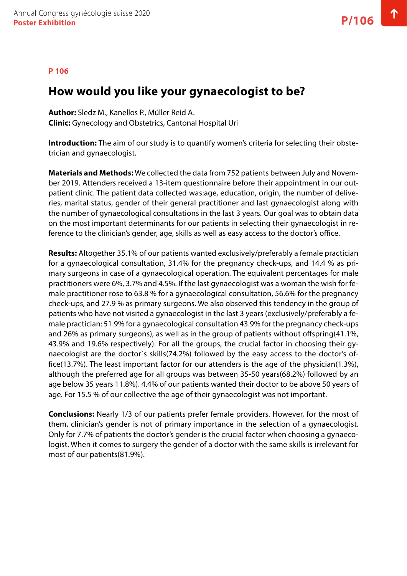#### **P 106**

### **How would you like your gynaecologist to be?**

**Author:** Sledz M., Kanellos P., Müller Reid A. **Clinic:** Gynecology and Obstetrics, Cantonal Hospital Uri

**Introduction:** The aim of our study is to quantify women's criteria for selecting their obstetrician and gynaecologist.

**Materials and Methods:** We collected the data from 752 patients between July and November 2019. Attenders received a 13-item questionnaire before their appointment in our outpatient clinic. The patient data collected was:age, education, origin, the number of deliveries, marital status, gender of their general practitioner and last gynaecologist along with the number of gynaecological consultations in the last 3 years. Our goal was to obtain data on the most important determinants for our patients in selecting their gynaecologist in reference to the clinician's gender, age, skills as well as easy access to the doctor's office.

**Results:** Altogether 35.1% of our patients wanted exclusively/preferably a female practician for a gynaecological consultation, 31.4% for the pregnancy check-ups, and 14.4 % as primary surgeons in case of a gynaecological operation. The equivalent percentages for male practitioners were 6%, 3.7% and 4.5%. If the last gynaecologist was a woman the wish for female practitioner rose to 63.8 % for a gynaecological consultation, 56.6% for the pregnancy check-ups, and 27.9 % as primary surgeons. We also observed this tendency in the group of patients who have not visited a gynaecologist in the last 3 years (exclusively/preferably a female practician: 51.9% for a gynaecological consultation 43.9% for the pregnancy check-ups and 26% as primary surgeons), as well as in the group of patients without offspring(41.1%, 43.9% and 19.6% respectively). For all the groups, the crucial factor in choosing their gynaecologist are the doctor`s skills(74.2%) followed by the easy access to the doctor's office(13.7%). The least important factor for our attenders is the age of the physician(1.3%), although the preferred age for all groups was between 35-50 years(68.2%) followed by an age below 35 years 11.8%). 4.4% of our patients wanted their doctor to be above 50 years of age. For 15.5 % of our collective the age of their gynaecologist was not important.

**Conclusions:** Nearly 1/3 of our patients prefer female providers. However, for the most of them, clinician's gender is not of primary importance in the selection of a gynaecologist. Only for 7.7% of patients the doctor's gender is the crucial factor when choosing a gynaecologist. When it comes to surgery the gender of a doctor with the same skills is irrelevant for most of our patients(81.9%).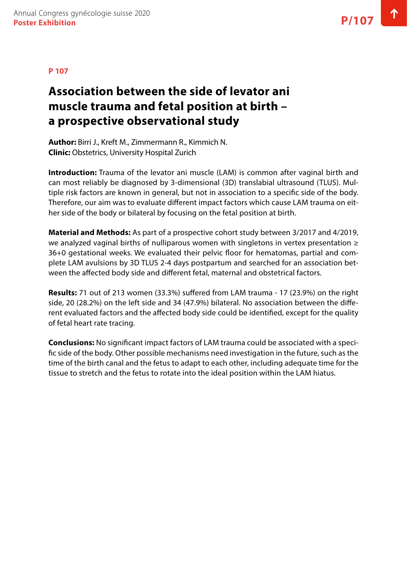# **Association between the side of levator ani muscle trauma and fetal position at birth – a prospective observational study**

**Author:** Birri J., Kreft M., Zimmermann R., Kimmich N. **Clinic:** Obstetrics, University Hospital Zurich

**Introduction:** Trauma of the levator ani muscle (LAM) is common after vaginal birth and can most reliably be diagnosed by 3-dimensional (3D) translabial ultrasound (TLUS). Multiple risk factors are known in general, but not in association to a specific side of the body. Therefore, our aim was to evaluate different impact factors which cause LAM trauma on either side of the body or bilateral by focusing on the fetal position at birth.

**Material and Methods:** As part of a prospective cohort study between 3/2017 and 4/2019, we analyzed vaginal births of nulliparous women with singletons in vertex presentation ≥ 36+0 gestational weeks. We evaluated their pelvic floor for hematomas, partial and complete LAM avulsions by 3D TLUS 2-4 days postpartum and searched for an association between the affected body side and different fetal, maternal and obstetrical factors.

**Results:** 71 out of 213 women (33.3%) suffered from LAM trauma - 17 (23.9%) on the right side, 20 (28.2%) on the left side and 34 (47.9%) bilateral. No association between the different evaluated factors and the affected body side could be identified, except for the quality of fetal heart rate tracing.

**Conclusions:** No significant impact factors of LAM trauma could be associated with a specific side of the body. Other possible mechanisms need investigation in the future, such as the time of the birth canal and the fetus to adapt to each other, including adequate time for the tissue to stretch and the fetus to rotate into the ideal position within the LAM hiatus.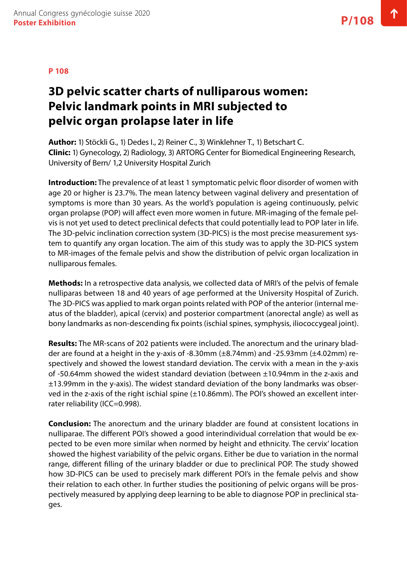# **3D pelvic scatter charts of nulliparous women: Pelvic landmark points in MRI subjected to pelvic organ prolapse later in life**

**Author:** 1) Stöckli G., 1) Dedes I., 2) Reiner C., 3) Winklehner T., 1) Betschart C. **Clinic:** 1) Gynecology, 2) Radiology, 3) ARTORG Center for Biomedical Engineering Research, University of Bern/ 1,2 University Hospital Zurich

**Introduction:** The prevalence of at least 1 symptomatic pelvic floor disorder of women with age 20 or higher is 23.7%. The mean latency between vaginal delivery and presentation of symptoms is more than 30 years. As the world's population is ageing continuously, pelvic organ prolapse (POP) will affect even more women in future. MR-imaging of the female pelvis is not yet used to detect preclinical defects that could potentially lead to POP later in life. The 3D-pelvic inclination correction system (3D-PICS) is the most precise measurement system to quantify any organ location. The aim of this study was to apply the 3D-PICS system to MR-images of the female pelvis and show the distribution of pelvic organ localization in nulliparous females.

**Methods:** In a retrospective data analysis, we collected data of MRI's of the pelvis of female nulliparas between 18 and 40 years of age performed at the University Hospital of Zurich. The 3D-PICS was applied to mark organ points related with POP of the anterior (internal meatus of the bladder), apical (cervix) and posterior compartment (anorectal angle) as well as bony landmarks as non-descending fix points (ischial spines, symphysis, iliococcygeal joint).

**Results:** The MR-scans of 202 patients were included. The anorectum and the urinary bladder are found at a height in the y-axis of -8.30mm (±8.74mm) and -25.93mm (±4.02mm) respectively and showed the lowest standard deviation. The cervix with a mean in the y-axis of -50.64mm showed the widest standard deviation (between  $\pm$ 10.94mm in the z-axis and ±13.99mm in the y-axis). The widest standard deviation of the bony landmarks was observed in the z-axis of the right ischial spine (±10.86mm). The POI's showed an excellent interrater reliability (ICC=0.998).

**Conclusion:** The anorectum and the urinary bladder are found at consistent locations in nulliparae. The different POI's showed a good interindividual correlation that would be expected to be even more similar when normed by height and ethnicity. The cervix' location showed the highest variability of the pelvic organs. Either be due to variation in the normal range, different filling of the urinary bladder or due to preclinical POP. The study showed how 3D-PICS can be used to precisely mark different POI's in the female pelvis and show their relation to each other. In further studies the positioning of pelvic organs will be prospectively measured by applying deep learning to be able to diagnose POP in preclinical stages.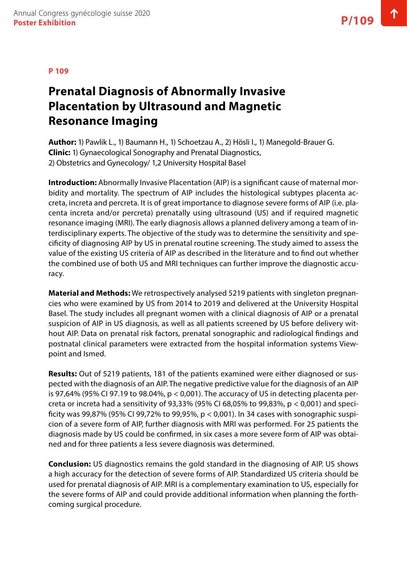# **Prenatal Diagnosis of Abnormally Invasive Placentation by Ultrasound and Magnetic Resonance Imaging**

**Author:** 1) Pawlik L., 1) Baumann H., 1) Schoetzau A., 2) Hösli I., 1) Manegold-Brauer G. **Clinic:** 1) Gynaecological Sonography and Prenatal Diagnostics, 2) Obstetrics and Gynecology/ 1,2 University Hospital Basel

**Introduction:** Abnormally Invasive Placentation (AIP) is a significant cause of maternal morbidity and mortality. The spectrum of AIP includes the histological subtypes placenta accreta, increta and percreta. It is of great importance to diagnose severe forms of AIP (i.e. placenta increta and/or percreta) prenatally using ultrasound (US) and if required magnetic resonance imaging (MRI). The early diagnosis allows a planned delivery among a team of interdisciplinary experts. The objective of the study was to determine the sensitivity and specificity of diagnosing AIP by US in prenatal routine screening. The study aimed to assess the value of the existing US criteria of AIP as described in the literature and to find out whether the combined use of both US and MRI techniques can further improve the diagnostic accuracy.

**Material and Methods:** We retrospectively analysed 5219 patients with singleton pregnancies who were examined by US from 2014 to 2019 and delivered at the University Hospital Basel. The study includes all pregnant women with a clinical diagnosis of AIP or a prenatal suspicion of AIP in US diagnosis, as well as all patients screened by US before delivery without AIP. Data on prenatal risk factors, prenatal sonographic and radiological findings and postnatal clinical parameters were extracted from the hospital information systems Viewpoint and Ismed.

**Results:** Out of 5219 patients, 181 of the patients examined were either diagnosed or suspected with the diagnosis of an AIP. The negative predictive value for the diagnosis of an AIP is 97,64% (95% CI 97.19 to 98.04%,  $p < 0.001$ ). The accuracy of US in detecting placenta percreta or increta had a sensitivity of 93,33% (95% CI 68,05% to 99,83%,  $p < 0.001$ ) and specificity was 99,87% (95% CI 99,72% to 99,95%, p < 0,001). In 34 cases with sonographic suspicion of a severe form of AIP, further diagnosis with MRI was performed. For 25 patients the diagnosis made by US could be confirmed, in six cases a more severe form of AIP was obtained and for three patients a less severe diagnosis was determined.

**Conclusion:** US diagnostics remains the gold standard in the diagnosing of AIP. US shows a high accuracy for the detection of severe forms of AIP. Standardized US criteria should be used for prenatal diagnosis of AIP. MRI is a complementary examination to US, especially for the severe forms of AIP and could provide additional information when planning the forthcoming surgical procedure.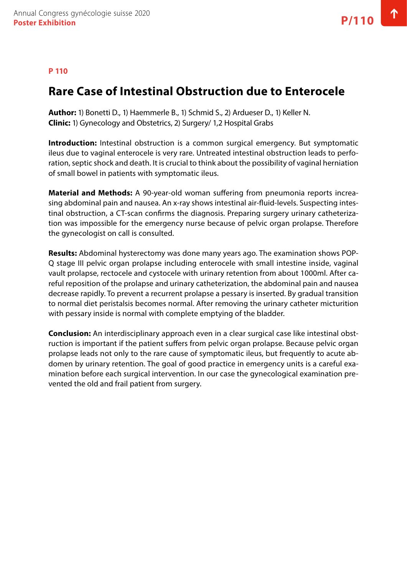#### **P 110**

### **Rare Case of Intestinal Obstruction due to Enterocele**

**Author:** 1) Bonetti D., 1) Haemmerle B., 1) Schmid S., 2) Ardueser D., 1) Keller N. **Clinic:** 1) Gynecology and Obstetrics, 2) Surgery/ 1,2 Hospital Grabs

**Introduction:** Intestinal obstruction is a common surgical emergency. But symptomatic ileus due to vaginal enterocele is very rare. Untreated intestinal obstruction leads to perforation, septic shock and death. It is crucial to think about the possibility of vaginal herniation of small bowel in patients with symptomatic ileus.

**Material and Methods:** A 90-year-old woman suffering from pneumonia reports increasing abdominal pain and nausea. An x-ray shows intestinal air-fluid-levels. Suspecting intestinal obstruction, a CT-scan confirms the diagnosis. Preparing surgery urinary catheterization was impossible for the emergency nurse because of pelvic organ prolapse. Therefore the gynecologist on call is consulted.

**Results:** Abdominal hysterectomy was done many years ago. The examination shows POP-Q stage III pelvic organ prolapse including enterocele with small intestine inside, vaginal vault prolapse, rectocele and cystocele with urinary retention from about 1000ml. After careful reposition of the prolapse and urinary catheterization, the abdominal pain and nausea decrease rapidly. To prevent a recurrent prolapse a pessary is inserted. By gradual transition to normal diet peristalsis becomes normal. After removing the urinary catheter micturition with pessary inside is normal with complete emptying of the bladder.

**Conclusion:** An interdisciplinary approach even in a clear surgical case like intestinal obstruction is important if the patient suffers from pelvic organ prolapse. Because pelvic organ prolapse leads not only to the rare cause of symptomatic ileus, but frequently to acute abdomen by urinary retention. The goal of good practice in emergency units is a careful examination before each surgical intervention. In our case the gynecological examination prevented the old and frail patient from surgery.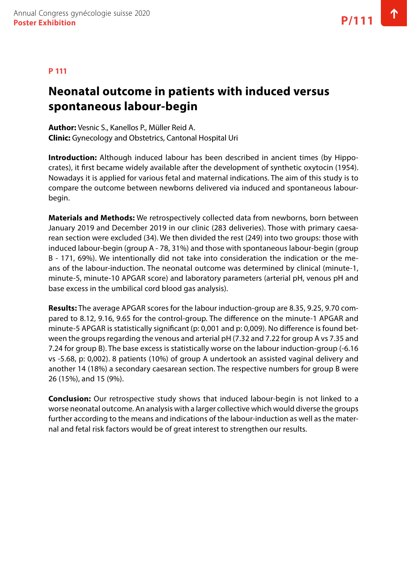#### **P 111**

### **Neonatal outcome in patients with induced versus spontaneous labour-begin**

**Author:** Vesnic S., Kanellos P., Müller Reid A. **Clinic:** Gynecology and Obstetrics, Cantonal Hospital Uri

**Introduction:** Although induced labour has been described in ancient times (by Hippocrates), it first became widely available after the development of synthetic oxytocin (1954). Nowadays it is applied for various fetal and maternal indications. The aim of this study is to compare the outcome between newborns delivered via induced and spontaneous labourbegin.

**Materials and Methods:** We retrospectively collected data from newborns, born between January 2019 and December 2019 in our clinic (283 deliveries). Those with primary caesarean section were excluded (34). We then divided the rest (249) into two groups: those with induced labour-begin (group A - 78, 31%) and those with spontaneous labour-begin (group B - 171, 69%). We intentionally did not take into consideration the indication or the means of the labour-induction. The neonatal outcome was determined by clinical (minute-1, minute-5, minute-10 APGAR score) and laboratory parameters (arterial pH, venous pH and base excess in the umbilical cord blood gas analysis).

**Results:** The average APGAR scores for the labour induction-group are 8.35, 9.25, 9.70 compared to 8.12, 9.16, 9.65 for the control-group. The difference on the minute-1 APGAR and minute-5 APGAR is statistically significant (p: 0,001 and p: 0,009). No difference is found between the groups regarding the venous and arterial pH (7.32 and 7.22 for group A vs 7.35 and 7.24 for group B). The base excess is statistically worse on the labour induction-group (-6.16 vs -5.68, p: 0,002). 8 patients (10%) of group A undertook an assisted vaginal delivery and another 14 (18%) a secondary caesarean section. The respective numbers for group B were 26 (15%), and 15 (9%).

**Conclusion:** Our retrospective study shows that induced labour-begin is not linked to a worse neonatal outcome. An analysis with a larger collective which would diverse the groups further according to the means and indications of the labour-induction as well as the maternal and fetal risk factors would be of great interest to strengthen our results.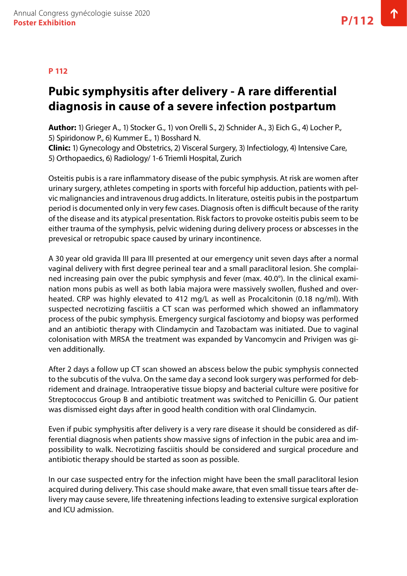#### **P 112**

# **Pubic symphysitis after delivery - A rare differential diagnosis in cause of a severe infection postpartum**

**Author:** 1) Grieger A., 1) Stocker G., 1) von Orelli S., 2) Schnider A., 3) Eich G., 4) Locher P., 5) Spiridonow P., 6) Kummer E., 1) Bosshard N.

**Clinic:** 1) Gynecology and Obstetrics, 2) Visceral Surgery, 3) Infectiology, 4) Intensive Care, 5) Orthopaedics, 6) Radiology/ 1-6 Triemli Hospital, Zurich

Osteitis pubis is a rare inflammatory disease of the pubic symphysis. At risk are women after urinary surgery, athletes competing in sports with forceful hip adduction, patients with pelvic malignancies and intravenous drug addicts. In literature, osteitis pubis in the postpartum period is documented only in very few cases. Diagnosis often is difficult because of the rarity of the disease and its atypical presentation. Risk factors to provoke osteitis pubis seem to be either trauma of the symphysis, pelvic widening during delivery process or abscesses in the prevesical or retropubic space caused by urinary incontinence.

A 30 year old gravida III para III presented at our emergency unit seven days after a normal vaginal delivery with first degree perineal tear and a small paraclitoral lesion. She complained increasing pain over the pubic symphysis and fever (max. 40.0°). In the clinical examination mons pubis as well as both labia majora were massively swollen, flushed and overheated. CRP was highly elevated to 412 mg/L as well as Procalcitonin (0.18 ng/ml). With suspected necrotizing fasciitis a CT scan was performed which showed an inflammatory process of the pubic symphysis. Emergency surgical fasciotomy and biopsy was performed and an antibiotic therapy with Clindamycin and Tazobactam was initiated. Due to vaginal colonisation with MRSA the treatment was expanded by Vancomycin and Privigen was given additionally.

After 2 days a follow up CT scan showed an abscess below the pubic symphysis connected to the subcutis of the vulva. On the same day a second look surgery was performed for debridement and drainage. Intraoperative tissue biopsy and bacterial culture were positive for Streptococcus Group B and antibiotic treatment was switched to Penicillin G. Our patient was dismissed eight days after in good health condition with oral Clindamycin.

Even if pubic symphysitis after delivery is a very rare disease it should be considered as differential diagnosis when patients show massive signs of infection in the pubic area and impossibility to walk. Necrotizing fasciitis should be considered and surgical procedure and antibiotic therapy should be started as soon as possible.

In our case suspected entry for the infection might have been the small paraclitoral lesion acquired during delivery. This case should make aware, that even small tissue tears after delivery may cause severe, life threatening infections leading to extensive surgical exploration and ICU admission.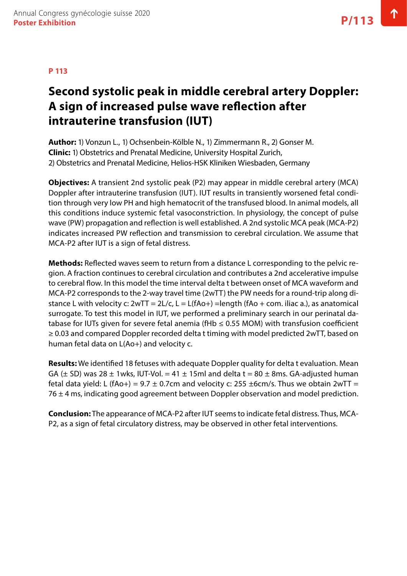# **Second systolic peak in middle cerebral artery Doppler: A sign of increased pulse wave reflection after intrauterine transfusion (IUT)**

**Author:** 1) Vonzun L., 1) Ochsenbein-Kölble N., 1) Zimmermann R., 2) Gonser M. **Clinic:** 1) Obstetrics and Prenatal Medicine, University Hospital Zurich, 2) Obstetrics and Prenatal Medicine, Helios-HSK Kliniken Wiesbaden, Germany

**Objectives:** A transient 2nd systolic peak (P2) may appear in middle cerebral artery (MCA) Doppler after intrauterine transfusion (IUT). IUT results in transiently worsened fetal condition through very low PH and high hematocrit of the transfused blood. In animal models, all this conditions induce systemic fetal vasoconstriction. In physiology, the concept of pulse wave (PW) propagation and reflection is well established. A 2nd systolic MCA peak (MCA-P2) indicates increased PW reflection and transmission to cerebral circulation. We assume that MCA-P2 after IUT is a sign of fetal distress.

**Methods:** Reflected waves seem to return from a distance L corresponding to the pelvic region. A fraction continues to cerebral circulation and contributes a 2nd accelerative impulse to cerebral flow. In this model the time interval delta t between onset of MCA waveform and MCA-P2 corresponds to the 2-way travel time (2wTT) the PW needs for a round-trip along distance L with velocity c:  $2wTT = 2L/c$ ,  $L = L(fAo+) = length(fAo + com.$  iliac a.), as anatomical surrogate. To test this model in IUT, we performed a preliminary search in our perinatal database for IUTs given for severe fetal anemia (fHb  $\leq$  0.55 MOM) with transfusion coefficient ≥ 0.03 and compared Doppler recorded delta t timing with model predicted 2wTT, based on human fetal data on L(Ao+) and velocity c.

**Results:** We identified 18 fetuses with adequate Doppler quality for delta t evaluation. Mean GA ( $\pm$  SD) was 28  $\pm$  1wks, IUT-Vol. = 41  $\pm$  15ml and delta t = 80  $\pm$  8ms. GA-adjusted human fetal data yield: L (fAo+) = 9.7  $\pm$  0.7cm and velocity c: 255  $\pm$ 6cm/s. Thus we obtain 2wTT =  $76 \pm 4$  ms, indicating good agreement between Doppler observation and model prediction.

**Conclusion:** The appearance of MCA-P2 after IUT seems to indicate fetal distress. Thus, MCA-P2, as a sign of fetal circulatory distress, may be observed in other fetal interventions.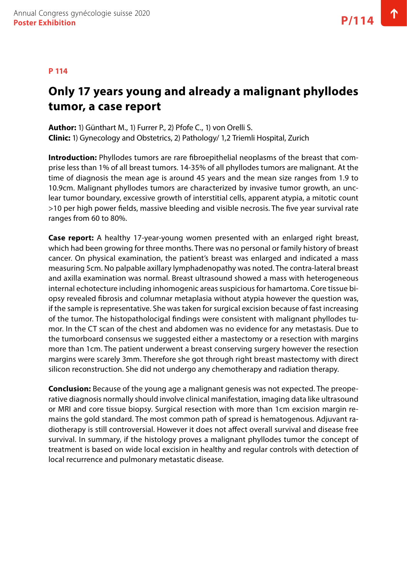# **Only 17 years young and already a malignant phyllodes tumor, a case report**

**Author:** 1) Günthart M., 1) Furrer P., 2) Pfofe C., 1) von Orelli S. **Clinic:** 1) Gynecology and Obstetrics, 2) Pathology/ 1,2 Triemli Hospital, Zurich

**Introduction:** Phyllodes tumors are rare fibroepithelial neoplasms of the breast that comprise less than 1% of all breast tumors. 14-35% of all phyllodes tumors are malignant. At the time of diagnosis the mean age is around 45 years and the mean size ranges from 1.9 to 10.9cm. Malignant phyllodes tumors are characterized by invasive tumor growth, an unclear tumor boundary, excessive growth of interstitial cells, apparent atypia, a mitotic count >10 per high power fields, massive bleeding and visible necrosis. The five year survival rate ranges from 60 to 80%.

**Case report:** A healthy 17-year-young women presented with an enlarged right breast, which had been growing for three months. There was no personal or family history of breast cancer. On physical examination, the patient's breast was enlarged and indicated a mass measuring 5cm. No palpable axillary lymphadenopathy was noted. The contra-lateral breast and axilla examination was normal. Breast ultrasound showed a mass with heterogeneous internal echotecture including inhomogenic areas suspicious for hamartoma. Core tissue biopsy revealed fibrosis and columnar metaplasia without atypia however the question was, if the sample is representative. She was taken for surgical excision because of fast increasing of the tumor. The histopatholocigal findings were consistent with malignant phyllodes tumor. In the CT scan of the chest and abdomen was no evidence for any metastasis. Due to the tumorboard consensus we suggested either a mastectomy or a resection with margins more than 1cm. The patient underwent a breast conserving surgery however the resection margins were scarely 3mm. Therefore she got through right breast mastectomy with direct silicon reconstruction. She did not undergo any chemotherapy and radiation therapy.

**Conclusion:** Because of the young age a malignant genesis was not expected. The preoperative diagnosis normally should involve clinical manifestation, imaging data like ultrasound or MRI and core tissue biopsy. Surgical resection with more than 1cm excision margin remains the gold standard. The most common path of spread is hematogenous. Adjuvant radiotherapy is still controversial. However it does not affect overall survival and disease free survival. In summary, if the histology proves a malignant phyllodes tumor the concept of treatment is based on wide local excision in healthy and regular controls with detection of local recurrence and pulmonary metastatic disease.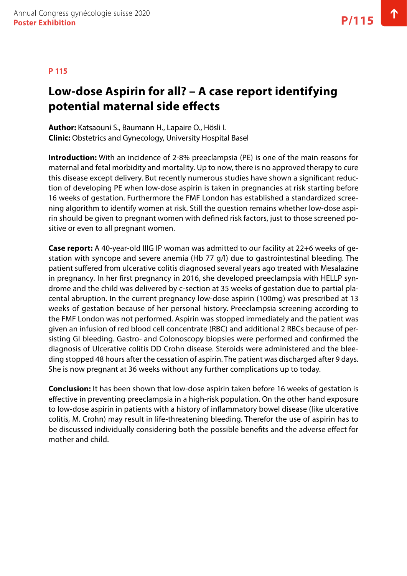# **Low-dose Aspirin for all? – A case report identifying potential maternal side effects**

**Author:** Katsaouni S., Baumann H., Lapaire O., Hösli I. **Clinic:** Obstetrics and Gynecology, University Hospital Basel

**Introduction:** With an incidence of 2-8% preeclampsia (PE) is one of the main reasons for maternal and fetal morbidity and mortality. Up to now, there is no approved therapy to cure this disease except delivery. But recently numerous studies have shown a significant reduction of developing PE when low-dose aspirin is taken in pregnancies at risk starting before 16 weeks of gestation. Furthermore the FMF London has established a standardized screening algorithm to identify women at risk. Still the question remains whether low-dose aspirin should be given to pregnant women with defined risk factors, just to those screened positive or even to all pregnant women.

**Case report:** A 40-year-old IIIG IP woman was admitted to our facility at 22+6 weeks of gestation with syncope and severe anemia (Hb 77 g/l) due to gastrointestinal bleeding. The patient suffered from ulcerative colitis diagnosed several years ago treated with Mesalazine in pregnancy. In her first pregnancy in 2016, she developed preeclampsia with HELLP syndrome and the child was delivered by c-section at 35 weeks of gestation due to partial placental abruption. In the current pregnancy low-dose aspirin (100mg) was prescribed at 13 weeks of gestation because of her personal history. Preeclampsia screening according to the FMF London was not performed. Aspirin was stopped immediately and the patient was given an infusion of red blood cell concentrate (RBC) and additional 2 RBCs because of persisting GI bleeding. Gastro- and Colonoscopy biopsies were performed and confirmed the diagnosis of Ulcerative colitis DD Crohn disease. Steroids were administered and the bleeding stopped 48 hours after the cessation of aspirin. The patient was discharged after 9 days. She is now pregnant at 36 weeks without any further complications up to today.

**Conclusion:** It has been shown that low-dose aspirin taken before 16 weeks of gestation is effective in preventing preeclampsia in a high-risk population. On the other hand exposure to low-dose aspirin in patients with a history of inflammatory bowel disease (like ulcerative colitis, M. Crohn) may result in life-threatening bleeding. Therefor the use of aspirin has to be discussed individually considering both the possible benefits and the adverse effect for mother and child.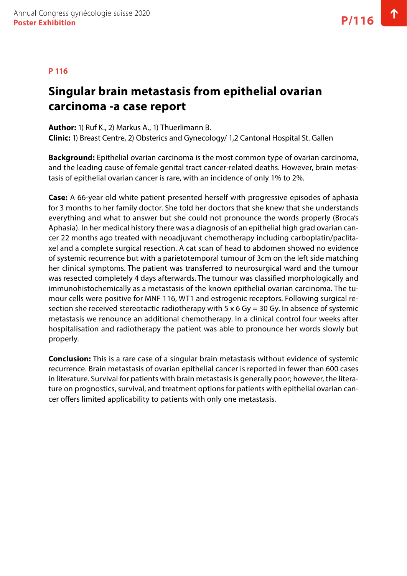#### **P 116**

### **Singular brain metastasis from epithelial ovarian carcinoma -a case report**

**Author:** 1) Ruf K., 2) Markus A., 1) Thuerlimann B. **Clinic:** 1) Breast Centre, 2) Obsterics and Gynecology/ 1,2 Cantonal Hospital St. Gallen

**Background:** Epithelial ovarian carcinoma is the most common type of ovarian carcinoma, and the leading cause of female genital tract cancer-related deaths. However, brain metastasis of epithelial ovarian cancer is rare, with an incidence of only 1% to 2%.

**Case:** A 66-year old white patient presented herself with progressive episodes of aphasia for 3 months to her family doctor. She told her doctors that she knew that she understands everything and what to answer but she could not pronounce the words properly (Broca's Aphasia). In her medical history there was a diagnosis of an epithelial high grad ovarian cancer 22 months ago treated with neoadjuvant chemotherapy including carboplatin/paclitaxel and a complete surgical resection. A cat scan of head to abdomen showed no evidence of systemic recurrence but with a parietotemporal tumour of 3cm on the left side matching her clinical symptoms. The patient was transferred to neurosurgical ward and the tumour was resected completely 4 days afterwards. The tumour was classified morphologically and immunohistochemically as a metastasis of the known epithelial ovarian carcinoma. The tumour cells were positive for MNF 116, WT1 and estrogenic receptors. Following surgical resection she received stereotactic radiotherapy with 5 x 6 Gy = 30 Gy. In absence of systemic metastasis we renounce an additional chemotherapy. In a clinical control four weeks after hospitalisation and radiotherapy the patient was able to pronounce her words slowly but properly.

**Conclusion:** This is a rare case of a singular brain metastasis without evidence of systemic recurrence. Brain metastasis of ovarian epithelial cancer is reported in fewer than 600 cases in literature. Survival for patients with brain metastasis is generally poor; however, the literature on prognostics, survival, and treatment options for patients with epithelial ovarian cancer offers limited applicability to patients with only one metastasis.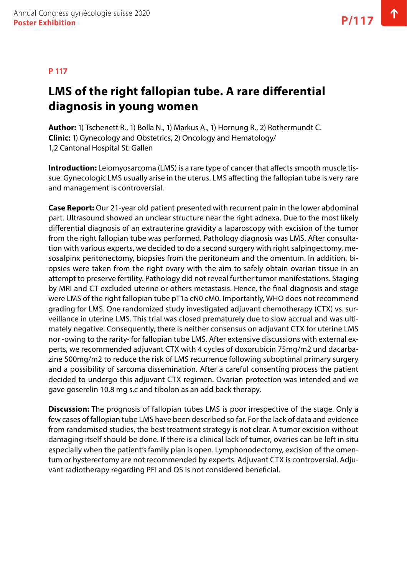#### **P 117**

# **LMS of the right fallopian tube. A rare differential diagnosis in young women**

**Author:** 1) Tschenett R., 1) Bolla N., 1) Markus A., 1) Hornung R., 2) Rothermundt C. **Clinic:** 1) Gynecology and Obstetrics, 2) Oncology and Hematology/ 1,2 Cantonal Hospital St. Gallen

**Introduction:** Leiomyosarcoma (LMS) is a rare type of cancer that affects smooth muscle tissue. Gynecologic LMS usually arise in the uterus. LMS affecting the fallopian tube is very rare and management is controversial.

**Case Report:** Our 21-year old patient presented with recurrent pain in the lower abdominal part. Ultrasound showed an unclear structure near the right adnexa. Due to the most likely differential diagnosis of an extrauterine gravidity a laparoscopy with excision of the tumor from the right fallopian tube was performed. Pathology diagnosis was LMS. After consultation with various experts, we decided to do a second surgery with right salpingectomy, mesosalpinx peritonectomy, biopsies from the peritoneum and the omentum. In addition, biopsies were taken from the right ovary with the aim to safely obtain ovarian tissue in an attempt to preserve fertility. Pathology did not reveal further tumor manifestations. Staging by MRI and CT excluded uterine or others metastasis. Hence, the final diagnosis and stage were LMS of the right fallopian tube pT1a cN0 cM0. Importantly, WHO does not recommend grading for LMS. One randomized study investigated adjuvant chemotherapy (CTX) vs. surveillance in uterine LMS. This trial was closed prematurely due to slow accrual and was ultimately negative. Consequently, there is neither consensus on adjuvant CTX for uterine LMS nor -owing to the rarity- for fallopian tube LMS. After extensive discussions with external experts, we recommended adjuvant CTX with 4 cycles of doxorubicin 75mg/m2 und dacarbazine 500mg/m2 to reduce the risk of LMS recurrence following suboptimal primary surgery and a possibility of sarcoma dissemination. After a careful consenting process the patient decided to undergo this adjuvant CTX regimen. Ovarian protection was intended and we gave goserelin 10.8 mg s.c and tibolon as an add back therapy.

**Discussion:** The prognosis of fallopian tubes LMS is poor irrespective of the stage. Only a few cases of fallopian tube LMS have been described so far. For the lack of data and evidence from randomised studies, the best treatment strategy is not clear. A tumor excision without damaging itself should be done. If there is a clinical lack of tumor, ovaries can be left in situ especially when the patient's family plan is open. Lymphonodectomy, excision of the omentum or hysterectomy are not recommended by experts. Adjuvant CTX is controversial. Adjuvant radiotherapy regarding PFI and OS is not considered beneficial.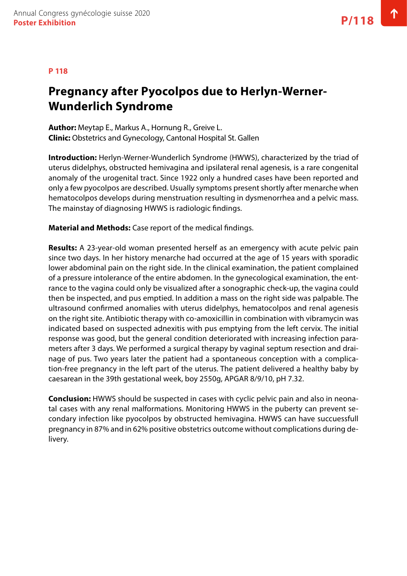#### **P 118**

# **Pregnancy after Pyocolpos due to Herlyn-Werner-Wunderlich Syndrome**

**Author:** Meytap E., Markus A., Hornung R., Greive L. **Clinic:** Obstetrics and Gynecology, Cantonal Hospital St. Gallen

**Introduction:** Herlyn-Werner-Wunderlich Syndrome (HWWS), characterized by the triad of uterus didelphys, obstructed hemivagina and ipsilateral renal agenesis, is a rare congenital anomaly of the urogenital tract. Since 1922 only a hundred cases have been reported and only a few pyocolpos are described. Usually symptoms present shortly after menarche when hematocolpos develops during menstruation resulting in dysmenorrhea and a pelvic mass. The mainstay of diagnosing HWWS is radiologic findings.

**Material and Methods:** Case report of the medical findings.

**Results:** A 23-year-old woman presented herself as an emergency with acute pelvic pain since two days. In her history menarche had occurred at the age of 15 years with sporadic lower abdominal pain on the right side. In the clinical examination, the patient complained of a pressure intolerance of the entire abdomen. In the gynecological examination, the entrance to the vagina could only be visualized after a sonographic check-up, the vagina could then be inspected, and pus emptied. In addition a mass on the right side was palpable. The ultrasound confirmed anomalies with uterus didelphys, hematocolpos and renal agenesis on the right site. Antibiotic therapy with co-amoxicillin in combination with vibramycin was indicated based on suspected adnexitis with pus emptying from the left cervix. The initial response was good, but the general condition deteriorated with increasing infection parameters after 3 days. We performed a surgical therapy by vaginal septum resection and drainage of pus. Two years later the patient had a spontaneous conception with a complication-free pregnancy in the left part of the uterus. The patient delivered a healthy baby by caesarean in the 39th gestational week, boy 2550g, APGAR 8/9/10, pH 7.32.

**Conclusion:** HWWS should be suspected in cases with cyclic pelvic pain and also in neonatal cases with any renal malformations. Monitoring HWWS in the puberty can prevent secondary infection like pyocolpos by obstructed hemivagina. HWWS can have succuessfull pregnancy in 87% and in 62% positive obstetrics outcome without complications during delivery.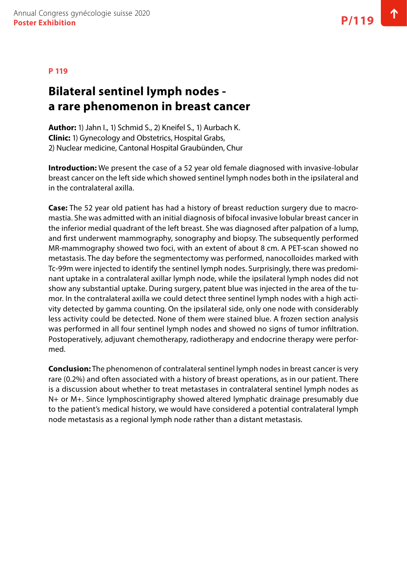# **Bilateral sentinel lymph nodes a rare phenomenon in breast cancer**

**Author:** 1) Jahn I., 1) Schmid S., 2) Kneifel S., 1) Aurbach K. **Clinic:** 1) Gynecology and Obstetrics, Hospital Grabs, 2) Nuclear medicine, Cantonal Hospital Graubünden, Chur

**Introduction:** We present the case of a 52 year old female diagnosed with invasive-lobular breast cancer on the left side which showed sentinel lymph nodes both in the ipsilateral and in the contralateral axilla.

**Case:** The 52 year old patient has had a history of breast reduction surgery due to macromastia. She was admitted with an initial diagnosis of bifocal invasive lobular breast cancer in the inferior medial quadrant of the left breast. She was diagnosed after palpation of a lump, and first underwent mammography, sonography and biopsy. The subsequently performed MR-mammography showed two foci, with an extent of about 8 cm. A PET-scan showed no metastasis. The day before the segmentectomy was performed, nanocolloides marked with Tc-99m were injected to identify the sentinel lymph nodes. Surprisingly, there was predominant uptake in a contralateral axillar lymph node, while the ipsilateral lymph nodes did not show any substantial uptake. During surgery, patent blue was injected in the area of the tumor. In the contralateral axilla we could detect three sentinel lymph nodes with a high activity detected by gamma counting. On the ipsilateral side, only one node with considerably less activity could be detected. None of them were stained blue. A frozen section analysis was performed in all four sentinel lymph nodes and showed no signs of tumor infiltration. Postoperatively, adjuvant chemotherapy, radiotherapy and endocrine therapy were performed.

**Conclusion:** The phenomenon of contralateral sentinel lymph nodes in breast cancer is very rare (0.2%) and often associated with a history of breast operations, as in our patient. There is a discussion about whether to treat metastases in contralateral sentinel lymph nodes as N+ or M+. Since lymphoscintigraphy showed altered lymphatic drainage presumably due to the patient's medical history, we would have considered a potential contralateral lymph node metastasis as a regional lymph node rather than a distant metastasis.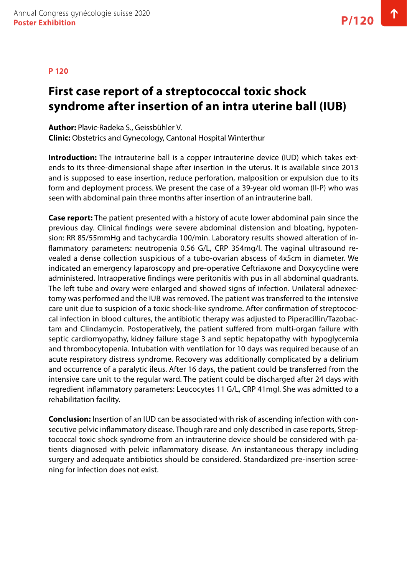### **First case report of a streptococcal toxic shock syndrome after insertion of an intra uterine ball (IUB)**

**Author:** Plavic-Radeka S., Geissbühler V. **Clinic:** Obstetrics and Gynecology, Cantonal Hospital Winterthur

**Introduction:** The intrauterine ball is a copper intrauterine device (IUD) which takes extends to its three-dimensional shape after insertion in the uterus. It is available since 2013 and is supposed to ease insertion, reduce perforation, malposition or expulsion due to its form and deployment process. We present the case of a 39-year old woman (II-P) who was seen with abdominal pain three months after insertion of an intrauterine ball.

**Case report:** The patient presented with a history of acute lower abdominal pain since the previous day. Clinical findings were severe abdominal distension and bloating, hypotension: RR 85/55mmHg and tachycardia 100/min. Laboratory results showed alteration of inflammatory parameters: neutropenia 0.56 G/L, CRP 354mg/l. The vaginal ultrasound revealed a dense collection suspicious of a tubo-ovarian abscess of 4x5cm in diameter. We indicated an emergency laparoscopy and pre-operative Ceftriaxone and Doxycycline were administered. Intraoperative findings were peritonitis with pus in all abdominal quadrants. The left tube and ovary were enlarged and showed signs of infection. Unilateral adnexectomy was performed and the IUB was removed. The patient was transferred to the intensive care unit due to suspicion of a toxic shock-like syndrome. After confirmation of streptococcal infection in blood cultures, the antibiotic therapy was adjusted to Piperacillin/Tazobactam and Clindamycin. Postoperatively, the patient suffered from multi-organ failure with septic cardiomyopathy, kidney failure stage 3 and septic hepatopathy with hypoglycemia and thrombocytopenia. Intubation with ventilation for 10 days was required because of an acute respiratory distress syndrome. Recovery was additionally complicated by a delirium and occurrence of a paralytic ileus. After 16 days, the patient could be transferred from the intensive care unit to the regular ward. The patient could be discharged after 24 days with regredient inflammatory parameters: Leucocytes 11 G/L, CRP 41mgl. She was admitted to a rehabilitation facility.

**Conclusion:** Insertion of an IUD can be associated with risk of ascending infection with consecutive pelvic inflammatory disease. Though rare and only described in case reports, Streptococcal toxic shock syndrome from an intrauterine device should be considered with patients diagnosed with pelvic inflammatory disease. An instantaneous therapy including surgery and adequate antibiotics should be considered. Standardized pre-insertion screening for infection does not exist.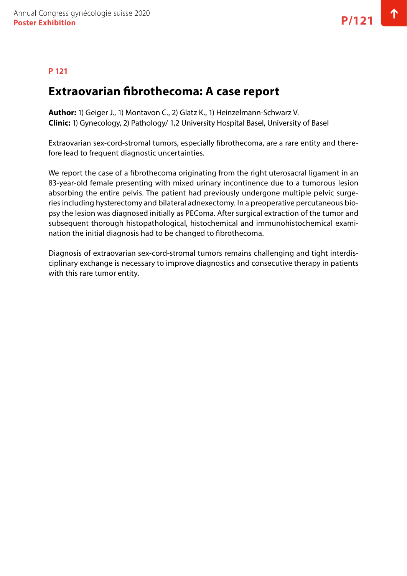### **P 121**

### **Extraovarian fibrothecoma: A case report**

**Author:** 1) Geiger J., 1) Montavon C., 2) Glatz K., 1) Heinzelmann-Schwarz V. **Clinic:** 1) Gynecology, 2) Pathology/ 1,2 University Hospital Basel, University of Basel

Extraovarian sex-cord-stromal tumors, especially fibrothecoma, are a rare entity and therefore lead to frequent diagnostic uncertainties.

We report the case of a fibrothecoma originating from the right uterosacral ligament in an 83-year-old female presenting with mixed urinary incontinence due to a tumorous lesion absorbing the entire pelvis. The patient had previously undergone multiple pelvic surgeries including hysterectomy and bilateral adnexectomy. In a preoperative percutaneous biopsy the lesion was diagnosed initially as PEComa. After surgical extraction of the tumor and subsequent thorough histopathological, histochemical and immunohistochemical examination the initial diagnosis had to be changed to fibrothecoma.

Diagnosis of extraovarian sex-cord-stromal tumors remains challenging and tight interdisciplinary exchange is necessary to improve diagnostics and consecutive therapy in patients with this rare tumor entity.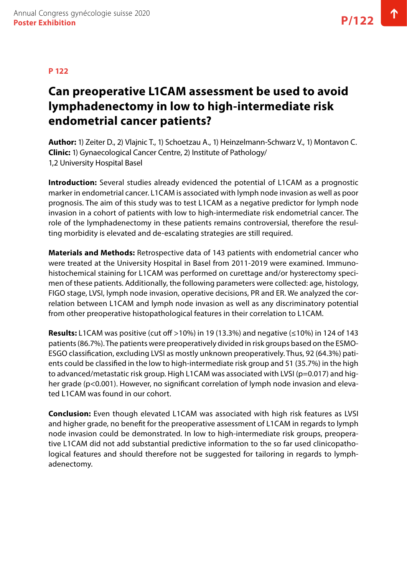# **Can preoperative L1CAM assessment be used to avoid lymphadenectomy in low to high-intermediate risk endometrial cancer patients?**

**Author:** 1) Zeiter D., 2) Vlajnic T., 1) Schoetzau A., 1) Heinzelmann-Schwarz V., 1) Montavon C. **Clinic:** 1) Gynaecological Cancer Centre, 2) Institute of Pathology/ 1,2 University Hospital Basel

**Introduction:** Several studies already evidenced the potential of L1CAM as a prognostic marker in endometrial cancer. L1CAM is associated with lymph node invasion as well as poor prognosis. The aim of this study was to test L1CAM as a negative predictor for lymph node invasion in a cohort of patients with low to high-intermediate risk endometrial cancer. The role of the lymphadenectomy in these patients remains controversial, therefore the resulting morbidity is elevated and de-escalating strategies are still required.

**Materials and Methods:** Retrospective data of 143 patients with endometrial cancer who were treated at the University Hospital in Basel from 2011-2019 were examined. Immunohistochemical staining for L1CAM was performed on curettage and/or hysterectomy specimen of these patients. Additionally, the following parameters were collected: age, histology, FIGO stage, LVSI, lymph node invasion, operative decisions, PR and ER. We analyzed the correlation between L1CAM and lymph node invasion as well as any discriminatory potential from other preoperative histopathological features in their correlation to L1CAM.

**Results:** L1CAM was positive (cut off >10%) in 19 (13.3%) and negative (≤10%) in 124 of 143 patients (86.7%). The patients were preoperatively divided in risk groups based on the ESMO-ESGO classification, excluding LVSI as mostly unknown preoperatively. Thus, 92 (64.3%) patients could be classified in the low to high-intermediate risk group and 51 (35.7%) in the high to advanced/metastatic risk group. High L1CAM was associated with LVSI (p=0.017) and higher grade (p<0.001). However, no significant correlation of lymph node invasion and elevated L1CAM was found in our cohort.

**Conclusion:** Even though elevated L1CAM was associated with high risk features as LVSI and higher grade, no benefit for the preoperative assessment of L1CAM in regards to lymph node invasion could be demonstrated. In low to high-intermediate risk groups, preoperative L1CAM did not add substantial predictive information to the so far used clinicopathological features and should therefore not be suggested for tailoring in regards to lymphadenectomy.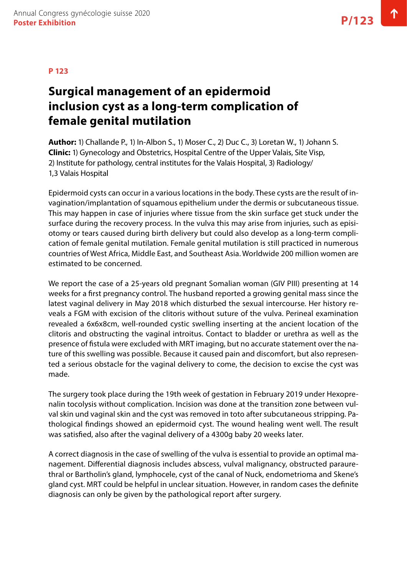### **Surgical management of an epidermoid inclusion cyst as a long-term complication of female genital mutilation**

**Author:** 1) Challande P., 1) In-Albon S., 1) Moser C., 2) Duc C., 3) Loretan W., 1) Johann S. **Clinic:** 1) Gynecology and Obstetrics, Hospital Centre of the Upper Valais, Site Visp, 2) Institute for pathology, central institutes for the Valais Hospital, 3) Radiology/ 1,3 Valais Hospital

Epidermoid cysts can occur in a various locations in the body. These cysts are the result of invagination/implantation of squamous epithelium under the dermis or subcutaneous tissue. This may happen in case of injuries where tissue from the skin surface get stuck under the surface during the recovery process. In the vulva this may arise from injuries, such as episiotomy or tears caused during birth delivery but could also develop as a long-term complication of female genital mutilation. Female genital mutilation is still practiced in numerous countries of West Africa, Middle East, and Southeast Asia. Worldwide 200 million women are estimated to be concerned.

We report the case of a 25-years old pregnant Somalian woman (GIV PIII) presenting at 14 weeks for a first pregnancy control. The husband reported a growing genital mass since the latest vaginal delivery in May 2018 which disturbed the sexual intercourse. Her history reveals a FGM with excision of the clitoris without suture of the vulva. Perineal examination revealed a 6x6x8cm, well-rounded cystic swelling inserting at the ancient location of the clitoris and obstructing the vaginal introitus. Contact to bladder or urethra as well as the presence of fistula were excluded with MRT imaging, but no accurate statement over the nature of this swelling was possible. Because it caused pain and discomfort, but also represented a serious obstacle for the vaginal delivery to come, the decision to excise the cyst was made.

The surgery took place during the 19th week of gestation in February 2019 under Hexoprenalin tocolysis without complication. Incision was done at the transition zone between vulval skin und vaginal skin and the cyst was removed in toto after subcutaneous stripping. Pathological findings showed an epidermoid cyst. The wound healing went well. The result was satisfied, also after the vaginal delivery of a 4300g baby 20 weeks later.

A correct diagnosis in the case of swelling of the vulva is essential to provide an optimal management. Differential diagnosis includes abscess, vulval malignancy, obstructed paraurethral or Bartholin's gland, lymphocele, cyst of the canal of Nuck, endometrioma and Skene's gland cyst. MRT could be helpful in unclear situation. However, in random cases the definite diagnosis can only be given by the pathological report after surgery.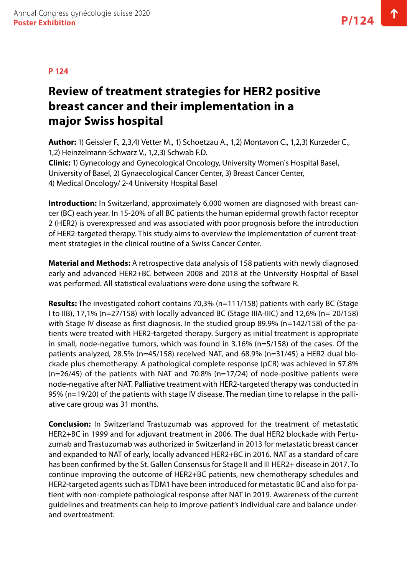# **Review of treatment strategies for HER2 positive breast cancer and their implementation in a major Swiss hospital**

**Author:** 1) Geissler F., 2,3,4) Vetter M., 1) Schoetzau A., 1,2) Montavon C., 1,2,3) Kurzeder C., 1,2) Heinzelmann-Schwarz V., 1,2,3) Schwab F.D. **Clinic:** 1) Gynecology and Gynecological Oncology, University Women`s Hospital Basel, University of Basel, 2) Gynaecological Cancer Center, 3) Breast Cancer Center,

4) Medical Oncology/ 2-4 University Hospital Basel

**Introduction:** In Switzerland, approximately 6,000 women are diagnosed with breast cancer (BC) each year. In 15-20% of all BC patients the human epidermal growth factor receptor 2 (HER2) is overexpressed and was associated with poor prognosis before the introduction of HER2-targeted therapy. This study aims to overview the implementation of current treatment strategies in the clinical routine of a Swiss Cancer Center.

**Material and Methods:** A retrospective data analysis of 158 patients with newly diagnosed early and advanced HER2+BC between 2008 and 2018 at the University Hospital of Basel was performed. All statistical evaluations were done using the software R.

**Results:** The investigated cohort contains 70,3% (n=111/158) patients with early BC (Stage I to IIB), 17,1% (n=27/158) with locally advanced BC (Stage IIIA-IIIC) and 12,6% (n= 20/158) with Stage IV disease as first diagnosis. In the studied group 89.9% (n=142/158) of the patients were treated with HER2-targeted therapy. Surgery as initial treatment is appropriate in small, node-negative tumors, which was found in 3.16% (n=5/158) of the cases. Of the patients analyzed, 28.5% (n=45/158) received NAT, and 68.9% (n=31/45) a HER2 dual blockade plus chemotherapy. A pathological complete response (pCR) was achieved in 57.8%  $(n=26/45)$  of the patients with NAT and 70.8%  $(n=17/24)$  of node-positive patients were node-negative after NAT. Palliative treatment with HER2-targeted therapy was conducted in 95% (n=19/20) of the patients with stage IV disease. The median time to relapse in the palliative care group was 31 months.

**Conclusion:** In Switzerland Trastuzumab was approved for the treatment of metastatic HER2+BC in 1999 and for adjuvant treatment in 2006. The dual HER2 blockade with Pertuzumab and Trastuzumab was authorized in Switzerland in 2013 for metastatic breast cancer and expanded to NAT of early, locally advanced HER2+BC in 2016. NAT as a standard of care has been confirmed by the St. Gallen Consensus for Stage II and III HER2+ disease in 2017. To continue improving the outcome of HER2+BC patients, new chemotherapy schedules and HER2-targeted agents such as TDM1 have been introduced for metastatic BC and also for patient with non-complete pathological response after NAT in 2019. Awareness of the current guidelines and treatments can help to improve patient's individual care and balance underand overtreatment.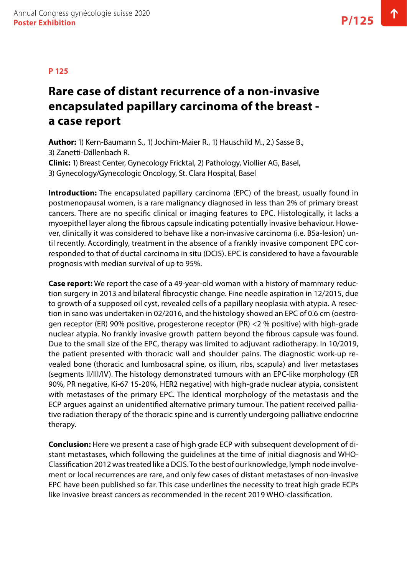### **P 125**

# **Rare case of distant recurrence of a non-invasive encapsulated papillary carcinoma of the breast a case report**

**Author:** 1) Kern-Baumann S., 1) Jochim-Maier R., 1) Hauschild M., 2.) Sasse B., 3) Zanetti-Dällenbach R. **Clinic:** 1) Breast Center, Gynecology Fricktal, 2) Pathology, Viollier AG, Basel, 3) Gynecology/Gynecologic Oncology, St. Clara Hospital, Basel

**Introduction:** The encapsulated papillary carcinoma (EPC) of the breast, usually found in postmenopausal women, is a rare malignancy diagnosed in less than 2% of primary breast cancers. There are no specific clinical or imaging features to EPC. Histologically, it lacks a myoepithel layer along the fibrous capsule indicating potentially invasive behaviour. However, clinically it was considered to behave like a non-invasive carcinoma (i.e. B5a-lesion) until recently. Accordingly, treatment in the absence of a frankly invasive component EPC corresponded to that of ductal carcinoma in situ (DCIS). EPC is considered to have a favourable prognosis with median survival of up to 95%.

**Case report:** We report the case of a 49-year-old woman with a history of mammary reduction surgery in 2013 and bilateral fibrocystic change. Fine needle aspiration in 12/2015, due to growth of a supposed oil cyst, revealed cells of a papillary neoplasia with atypia. A resection in sano was undertaken in 02/2016, and the histology showed an EPC of 0.6 cm (oestrogen receptor (ER) 90% positive, progesterone receptor (PR) <2 % positive) with high-grade nuclear atypia. No frankly invasive growth pattern beyond the fibrous capsule was found. Due to the small size of the EPC, therapy was limited to adjuvant radiotherapy. In 10/2019, the patient presented with thoracic wall and shoulder pains. The diagnostic work-up revealed bone (thoracic and lumbosacral spine, os ilium, ribs, scapula) and liver metastases (segments II/III/IV). The histology demonstrated tumours with an EPC-like morphology (ER 90%, PR negative, Ki-67 15-20%, HER2 negative) with high-grade nuclear atypia, consistent with metastases of the primary EPC. The identical morphology of the metastasis and the ECP argues against an unidentified alternative primary tumour. The patient received palliative radiation therapy of the thoracic spine and is currently undergoing palliative endocrine therapy.

**Conclusion:** Here we present a case of high grade ECP with subsequent development of distant metastases, which following the guidelines at the time of initial diagnosis and WHO-Classification 2012 was treated like a DCIS. To the best of our knowledge, lymph node involvement or local recurrences are rare, and only few cases of distant metastases of non-invasive EPC have been published so far. This case underlines the necessity to treat high grade ECPs like invasive breast cancers as recommended in the recent 2019 WHO-classification.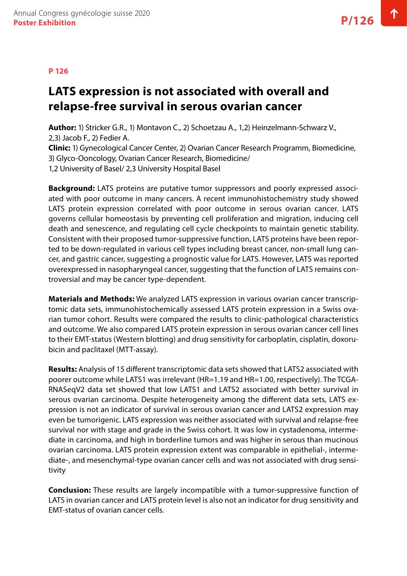#### **P 126**

### **LATS expression is not associated with overall and relapse-free survival in serous ovarian cancer**

**Author:** 1) Stricker G.R., 1) Montavon C., 2) Schoetzau A., 1,2) Heinzelmann-Schwarz V., 2,3) Jacob F., 2) Fedier A.

**Clinic:** 1) Gynecological Cancer Center, 2) Ovarian Cancer Research Programm, Biomedicine, 3) Glyco-Ooncology, Ovarian Cancer Research, Biomedicine/ 1,2 University of Basel/ 2,3 University Hospital Basel

**Background:** LATS proteins are putative tumor suppressors and poorly expressed associated with poor outcome in many cancers. A recent immunohistochemistry study showed LATS protein expression correlated with poor outcome in serous ovarian cancer. LATS governs cellular homeostasis by preventing cell proliferation and migration, inducing cell death and senescence, and regulating cell cycle checkpoints to maintain genetic stability. Consistent with their proposed tumor-suppressive function, LATS proteins have been reported to be down-regulated in various cell types including breast cancer, non-small lung cancer, and gastric cancer, suggesting a prognostic value for LATS. However, LATS was reported overexpressed in nasopharyngeal cancer, suggesting that the function of LATS remains controversial and may be cancer type-dependent.

**Materials and Methods:** We analyzed LATS expression in various ovarian cancer transcriptomic data sets, immunohistochemically assessed LATS protein expression in a Swiss ovarian tumor cohort. Results were compared the results to clinic-pathological characteristics and outcome. We also compared LATS protein expression in serous ovarian cancer cell lines to their EMT-status (Western blotting) and drug sensitivity for carboplatin, cisplatin, doxorubicin and paclitaxel (MTT-assay).

**Results:** Analysis of 15 different transcriptomic data sets showed that LATS2 associated with poorer outcome while LATS1 was irrelevant (HR=1.19 and HR=1.00, respectively). The TCGA-RNASeqV2 data set showed that low LATS1 and LATS2 associated with better survival in serous ovarian carcinoma. Despite heterogeneity among the different data sets, LATS expression is not an indicator of survival in serous ovarian cancer and LATS2 expression may even be tumorigenic. LATS expression was neither associated with survival and relapse-free survival nor with stage and grade in the Swiss cohort. It was low in cystadenoma, intermediate in carcinoma, and high in borderline tumors and was higher in serous than mucinous ovarian carcinoma. LATS protein expression extent was comparable in epithelial-, intermediate-, and mesenchymal-type ovarian cancer cells and was not associated with drug sensitivity

**Conclusion:** These results are largely incompatible with a tumor-suppressive function of LATS in ovarian cancer and LATS protein level is also not an indicator for drug sensitivity and EMT-status of ovarian cancer cells.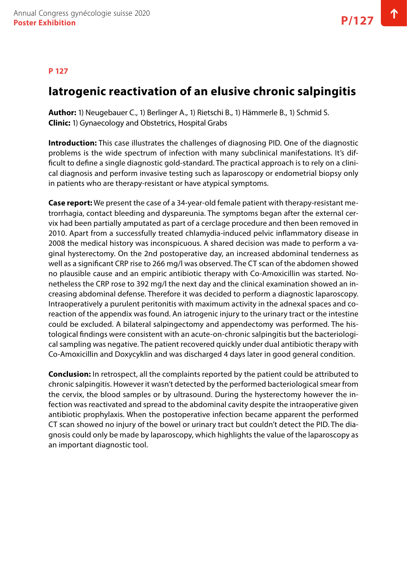### **Iatrogenic reactivation of an elusive chronic salpingitis**

**Author:** 1) Neugebauer C., 1) Berlinger A., 1) Rietschi B., 1) Hämmerle B., 1) Schmid S. **Clinic:** 1) Gynaecology and Obstetrics, Hospital Grabs

**Introduction:** This case illustrates the challenges of diagnosing PID. One of the diagnostic problems is the wide spectrum of infection with many subclinical manifestations. It's difficult to define a single diagnostic gold-standard. The practical approach is to rely on a clinical diagnosis and perform invasive testing such as laparoscopy or endometrial biopsy only in patients who are therapy-resistant or have atypical symptoms.

**Case report:** We present the case of a 34-year-old female patient with therapy-resistant metrorrhagia, contact bleeding and dyspareunia. The symptoms began after the external cervix had been partially amputated as part of a cerclage procedure and then been removed in 2010. Apart from a successfully treated chlamydia-induced pelvic inflammatory disease in 2008 the medical history was inconspicuous. A shared decision was made to perform a vaginal hysterectomy. On the 2nd postoperative day, an increased abdominal tenderness as well as a significant CRP rise to 266 mg/l was observed. The CT scan of the abdomen showed no plausible cause and an empiric antibiotic therapy with Co-Amoxicillin was started. Nonetheless the CRP rose to 392 mg/l the next day and the clinical examination showed an increasing abdominal defense. Therefore it was decided to perform a diagnostic laparoscopy. Intraoperatively a purulent peritonitis with maximum activity in the adnexal spaces and coreaction of the appendix was found. An iatrogenic injury to the urinary tract or the intestine could be excluded. A bilateral salpingectomy and appendectomy was performed. The histological findings were consistent with an acute-on-chronic salpingitis but the bacteriological sampling was negative. The patient recovered quickly under dual antibiotic therapy with Co-Amoxicillin and Doxycyklin and was discharged 4 days later in good general condition.

**Conclusion:** In retrospect, all the complaints reported by the patient could be attributed to chronic salpingitis. However it wasn't detected by the performed bacteriological smear from the cervix, the blood samples or by ultrasound. During the hysterectomy however the infection was reactivated and spread to the abdominal cavity despite the intraoperative given antibiotic prophylaxis. When the postoperative infection became apparent the performed CT scan showed no injury of the bowel or urinary tract but couldn't detect the PID. The diagnosis could only be made by laparoscopy, which highlights the value of the laparoscopy as an important diagnostic tool.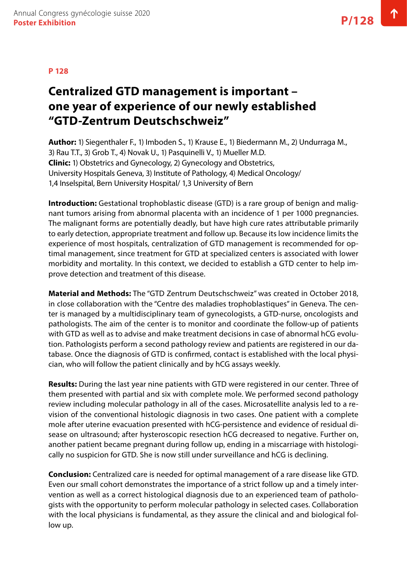### **Centralized GTD management is important – one year of experience of our newly established "GTD-Zentrum Deutschschweiz"**

**Author:** 1) Siegenthaler F., 1) Imboden S., 1) Krause E., 1) Biedermann M., 2) Undurraga M., 3) Rau T.T., 3) Grob T., 4) Novak U., 1) Pasquinelli V., 1) Mueller M.D. **Clinic:** 1) Obstetrics and Gynecology, 2) Gynecology and Obstetrics, University Hospitals Geneva, 3) Institute of Pathology, 4) Medical Oncology/ 1,4 Inselspital, Bern University Hospital/ 1,3 University of Bern

**Introduction:** Gestational trophoblastic disease (GTD) is a rare group of benign and malignant tumors arising from abnormal placenta with an incidence of 1 per 1000 pregnancies. The malignant forms are potentially deadly, but have high cure rates attributable primarily to early detection, appropriate treatment and follow up. Because its low incidence limits the experience of most hospitals, centralization of GTD management is recommended for optimal management, since treatment for GTD at specialized centers is associated with lower morbidity and mortality. In this context, we decided to establish a GTD center to help improve detection and treatment of this disease.

**Material and Methods:** The "GTD Zentrum Deutschschweiz" was created in October 2018, in close collaboration with the "Centre des maladies trophoblastiques" in Geneva. The center is managed by a multidisciplinary team of gynecologists, a GTD-nurse, oncologists and pathologists. The aim of the center is to monitor and coordinate the follow-up of patients with GTD as well as to advise and make treatment decisions in case of abnormal hCG evolution. Pathologists perform a second pathology review and patients are registered in our database. Once the diagnosis of GTD is confirmed, contact is established with the local physician, who will follow the patient clinically and by hCG assays weekly.

**Results:** During the last year nine patients with GTD were registered in our center. Three of them presented with partial and six with complete mole. We performed second pathology review including molecular pathology in all of the cases. Microsatellite analysis led to a revision of the conventional histologic diagnosis in two cases. One patient with a complete mole after uterine evacuation presented with hCG-persistence and evidence of residual disease on ultrasound; after hysteroscopic resection hCG decreased to negative. Further on, another patient became pregnant during follow up, ending in a miscarriage with histologically no suspicion for GTD. She is now still under surveillance and hCG is declining.

**Conclusion:** Centralized care is needed for optimal management of a rare disease like GTD. Even our small cohort demonstrates the importance of a strict follow up and a timely intervention as well as a correct histological diagnosis due to an experienced team of pathologists with the opportunity to perform molecular pathology in selected cases. Collaboration with the local physicians is fundamental, as they assure the clinical and and biological follow up.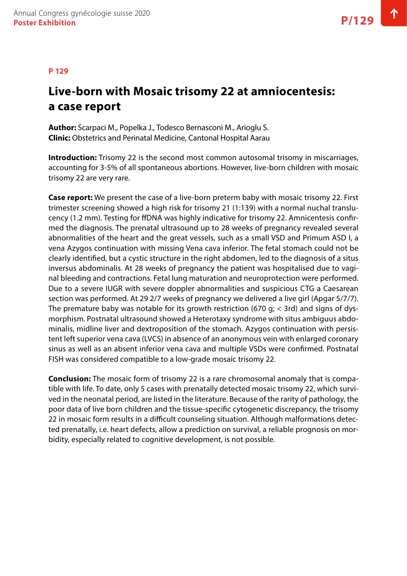#### **P 129**

### **Live-born with Mosaic trisomy 22 at amniocentesis: a case report**

**Author:** Scarpaci M., Popelka J., Todesco Bernasconi M., Arioglu S. **Clinic:** Obstetrics and Perinatal Medicine, Cantonal Hospital Aarau

**Introduction:** Trisomy 22 is the second most common autosomal trisomy in miscarriages, accounting for 3-5% of all spontaneous abortions. However, live-born children with mosaic trisomy 22 are very rare.

**Case report:** We present the case of a live-born preterm baby with mosaic trisomy 22. First trimester screening showed a high risk for trisomy 21 (1:139) with a normal nuchal translucency (1.2 mm). Testing for ffDNA was highly indicative for trisomy 22. Amnicentesis confirmed the diagnosis. The prenatal ultrasound up to 28 weeks of pregnancy revealed several abnormalities of the heart and the great vessels, such as a small VSD and Primum ASD I, a vena Azygos continuation with missing Vena cava inferior. The fetal stomach could not be clearly identified, but a cystic structure in the right abdomen, led to the diagnosis of a situs inversus abdominalis. At 28 weeks of pregnancy the patient was hospitalised due to vaginal bleeding and contractions. Fetal lung maturation and neuroprotection were performed. Due to a severe IUGR with severe doppler abnormalities and suspicious CTG a Caesarean section was performed. At 29 2/7 weeks of pregnancy we delivered a live girl (Apgar 5/7/7). The premature baby was notable for its growth restriction (670 g;  $<$  3rd) and signs of dysmorphism. Postnatal ultrasound showed a Heterotaxy syndrome with situs ambiguus abdominalis, midline liver and dextroposition of the stomach. Azygos continuation with persistent left superior vena cava (LVCS) in absence of an anonymous vein with enlarged coronary sinus as well as an absent inferior vena cava and multiple VSDs were confirmed. Postnatal FISH was considered compatible to a low-grade mosaic trisomy 22.

**Conclusion:** The mosaic form of trisomy 22 is a rare chromosomal anomaly that is compatible with life. To date, only 5 cases with prenatally detected mosaic trisomy 22, which survived in the neonatal period, are listed in the literature. Because of the rarity of pathology, the poor data of live born children and the tissue-specific cytogenetic discrepancy, the trisomy 22 in mosaic form results in a difficult counseling situation. Although malformations detected prenatally, i.e. heart defects, allow a prediction on survival, a reliable prognosis on morbidity, especially related to cognitive development, is not possible.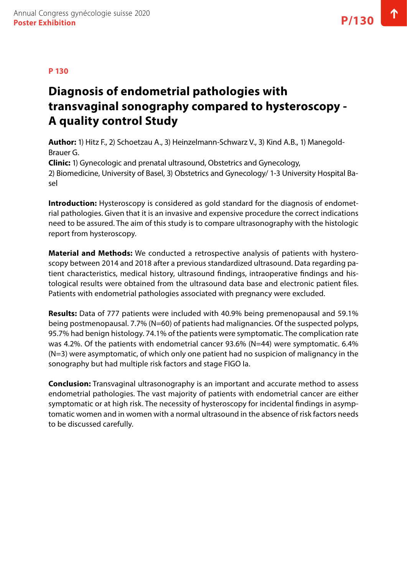# **Diagnosis of endometrial pathologies with transvaginal sonography compared to hysteroscopy - A quality control Study**

**Author:** 1) Hitz F., 2) Schoetzau A., 3) Heinzelmann-Schwarz V., 3) Kind A.B., 1) Manegold-Brauer G.

**Clinic:** 1) Gynecologic and prenatal ultrasound, Obstetrics and Gynecology, 2) Biomedicine, University of Basel, 3) Obstetrics and Gynecology/ 1-3 University Hospital Basel

**Introduction:** Hysteroscopy is considered as gold standard for the diagnosis of endometrial pathologies. Given that it is an invasive and expensive procedure the correct indications need to be assured. The aim of this study is to compare ultrasonography with the histologic report from hysteroscopy.

**Material and Methods:** We conducted a retrospective analysis of patients with hysteroscopy between 2014 and 2018 after a previous standardized ultrasound. Data regarding patient characteristics, medical history, ultrasound findings, intraoperative findings and histological results were obtained from the ultrasound data base and electronic patient files. Patients with endometrial pathologies associated with pregnancy were excluded.

**Results:** Data of 777 patients were included with 40.9% being premenopausal and 59.1% being postmenopausal. 7.7% (N=60) of patients had malignancies. Of the suspected polyps, 95.7% had benign histology. 74.1% of the patients were symptomatic. The complication rate was 4.2%. Of the patients with endometrial cancer 93.6% (N=44) were symptomatic. 6.4% (N=3) were asymptomatic, of which only one patient had no suspicion of malignancy in the sonography but had multiple risk factors and stage FIGO Ia.

**Conclusion:** Transvaginal ultrasonography is an important and accurate method to assess endometrial pathologies. The vast majority of patients with endometrial cancer are either symptomatic or at high risk. The necessity of hysteroscopy for incidental findings in asymptomatic women and in women with a normal ultrasound in the absence of risk factors needs to be discussed carefully.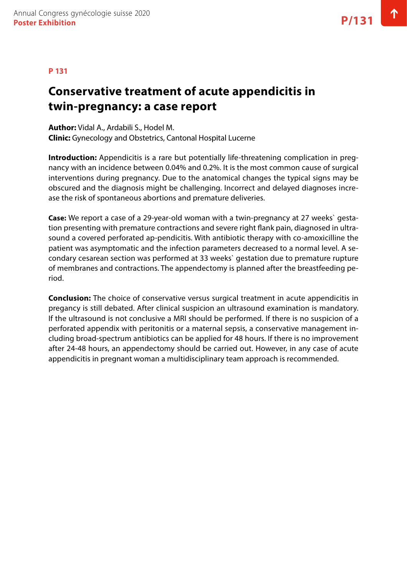#### **P 131**

# **Conservative treatment of acute appendicitis in twin-pregnancy: a case report**

**Author:** Vidal A., Ardabili S., Hodel M. **Clinic:** Gynecology and Obstetrics, Cantonal Hospital Lucerne

**Introduction:** Appendicitis is a rare but potentially life-threatening complication in pregnancy with an incidence between 0.04% and 0.2%. It is the most common cause of surgical interventions during pregnancy. Due to the anatomical changes the typical signs may be obscured and the diagnosis might be challenging. Incorrect and delayed diagnoses increase the risk of spontaneous abortions and premature deliveries.

**Case:** We report a case of a 29-year-old woman with a twin-pregnancy at 27 weeks` gestation presenting with premature contractions and severe right flank pain, diagnosed in ultrasound a covered perforated ap-pendicitis. With antibiotic therapy with co-amoxicilline the patient was asymptomatic and the infection parameters decreased to a normal level. A secondary cesarean section was performed at 33 weeks` gestation due to premature rupture of membranes and contractions. The appendectomy is planned after the breastfeeding period.

**Conclusion:** The choice of conservative versus surgical treatment in acute appendicitis in pregancy is still debated. After clinical suspicion an ultrasound examination is mandatory. If the ultrasound is not conclusive a MRI should be performed. If there is no suspicion of a perforated appendix with peritonitis or a maternal sepsis, a conservative management including broad-spectrum antibiotics can be applied for 48 hours. If there is no improvement after 24-48 hours, an appendectomy should be carried out. However, in any case of acute appendicitis in pregnant woman a multidisciplinary team approach is recommended.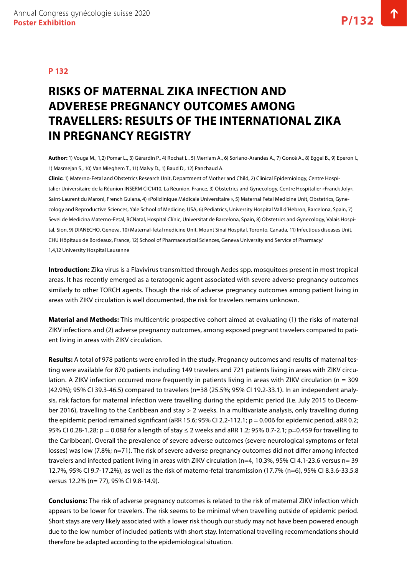# **RISKS OF MATERNAL ZIKA INFECTION AND ADVERESE PREGNANCY OUTCOMES AMONG TRAVELLERS: RESULTS OF THE INTERNATIONAL ZIKA IN PREGNANCY REGISTRY**

**Author:** 1) Vouga M., 1,2) Pomar L., 3) Gérardin P., 4) Rochat L., 5) Merriam A., 6) Soriano-Arandes A., 7) Goncé A., 8) Eggel B., 9) Eperon I., 1) Masmejan S., 10) Van Mieghem T., 11) Malvy D., 1) Baud D., 12) Panchaud A.

**Clinic:** 1) Materno-Fetal and Obstetrics Research Unit, Department of Mother and Child, 2) Clinical Epidemiology, Centre Hospitalier Universitaire de la Réunion INSERM CIC1410, La Réunion, France, 3) Obstetrics and Gynecology, Centre Hospitalier «Franck Joly», Saint-Laurent du Maroni, French Guiana, 4) «Policlinique Médicale Universitaire », 5) Maternal Fetal Medicine Unit, Obstetrics, Gynecology and Reproductive Sciences, Yale School of Medicine, USA, 6) Pediatrics, University Hospital Vall d'Hebron, Barcelona, Spain, 7) Sevei de Medicina Materno-Fetal, BCNatal, Hospital Clínic, Universitat de Barcelona, Spain, 8) Obstetrics and Gynecology, Valais Hospital, Sion, 9) DIANECHO, Geneva, 10) Maternal-fetal medicine Unit, Mount Sinai Hospital, Toronto, Canada, 11) Infectious diseases Unit, CHU Hôpitaux de Bordeaux, France, 12) School of Pharmaceutical Sciences, Geneva University and Service of Pharmacy/ 1,4,12 University Hospital Lausanne

**Introduction:** Zika virus is a Flavivirus transmitted through Aedes spp. mosquitoes present in most tropical areas. It has recently emerged as a teratogenic agent associated with severe adverse pregnancy outcomes similarly to other TORCH agents. Though the risk of adverse pregnancy outcomes among patient living in areas with ZIKV circulation is well documented, the risk for travelers remains unknown.

**Material and Methods:** This multicentric prospective cohort aimed at evaluating (1) the risks of maternal ZIKV infections and (2) adverse pregnancy outcomes, among exposed pregnant travelers compared to patient living in areas with ZIKV circulation.

**Results:** A total of 978 patients were enrolled in the study. Pregnancy outcomes and results of maternal testing were available for 870 patients including 149 travelers and 721 patients living in areas with ZIKV circulation. A ZIKV infection occurred more frequently in patients living in areas with ZIKV circulation (n = 309 (42.9%); 95% CI 39.3-46.5) compared to travelers (n=38 (25.5%; 95% CI 19.2-33.1). In an independent analysis, risk factors for maternal infection were travelling during the epidemic period (i.e. July 2015 to December 2016), travelling to the Caribbean and stay > 2 weeks. In a multivariate analysis, only travelling during the epidemic period remained significant (aRR 15.6; 95% CI 2.2-112.1; p = 0.006 for epidemic period, aRR 0.2; 95% CI 0.28-1.28; p = 0.088 for a length of stay ≤ 2 weeks and aRR 1.2; 95% 0.7-2.1; p=0.459 for travelling to the Caribbean). Overall the prevalence of severe adverse outcomes (severe neurological symptoms or fetal losses) was low (7.8%; n=71). The risk of severe adverse pregnancy outcomes did not differ among infected travelers and infected patient living in areas with ZIKV circulation (n=4, 10.3%, 95% CI 4.1-23.6 versus n= 39 12.7%, 95% CI 9.7-17.2%), as well as the risk of materno-fetal transmission (17.7% (n=6), 95% CI 8.3.6-33.5.8 versus 12.2% (n= 77), 95% CI 9.8-14.9).

**Conclusions:** The risk of adverse pregnancy outcomes is related to the risk of maternal ZIKV infection which appears to be lower for travelers. The risk seems to be minimal when travelling outside of epidemic period. Short stays are very likely associated with a lower risk though our study may not have been powered enough due to the low number of included patients with short stay. International travelling recommendations should therefore be adapted according to the epidemiological situation.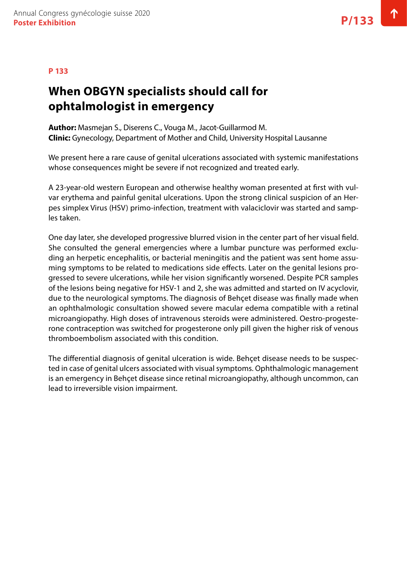# **When OBGYN specialists should call for ophtalmologist in emergency**

**Author:** Masmejan S., Diserens C., Vouga M., Jacot-Guillarmod M. **Clinic:** Gynecology, Department of Mother and Child, University Hospital Lausanne

We present here a rare cause of genital ulcerations associated with systemic manifestations whose consequences might be severe if not recognized and treated early.

A 23-year-old western European and otherwise healthy woman presented at first with vulvar erythema and painful genital ulcerations. Upon the strong clinical suspicion of an Herpes simplex Virus (HSV) primo-infection, treatment with valaciclovir was started and samples taken.

One day later, she developed progressive blurred vision in the center part of her visual field. She consulted the general emergencies where a lumbar puncture was performed excluding an herpetic encephalitis, or bacterial meningitis and the patient was sent home assuming symptoms to be related to medications side effects. Later on the genital lesions progressed to severe ulcerations, while her vision significantly worsened. Despite PCR samples of the lesions being negative for HSV-1 and 2, she was admitted and started on IV acyclovir, due to the neurological symptoms. The diagnosis of Behçet disease was finally made when an ophthalmologic consultation showed severe macular edema compatible with a retinal microangiopathy. High doses of intravenous steroids were administered. Oestro-progesterone contraception was switched for progesterone only pill given the higher risk of venous thromboembolism associated with this condition.

The differential diagnosis of genital ulceration is wide. Behçet disease needs to be suspected in case of genital ulcers associated with visual symptoms. Ophthalmologic management is an emergency in Behçet disease since retinal microangiopathy, although uncommon, can lead to irreversible vision impairment.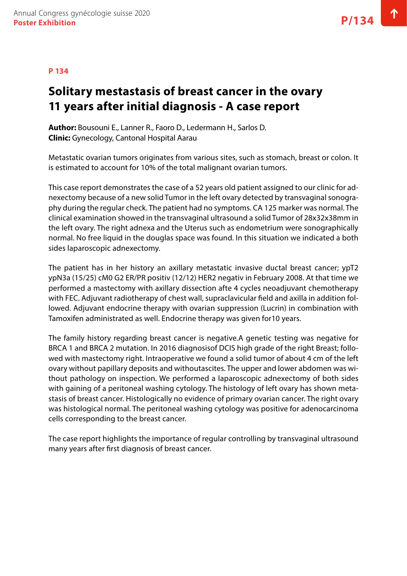# **Solitary mestastasis of breast cancer in the ovary 11 years after initial diagnosis - A case report**

**Author:** Bousouni E., Lanner R., Faoro D., Ledermann H., Sarlos D. **Clinic:** Gynecology, Cantonal Hospital Aarau

Metastatic ovarian tumors originates from various sites, such as stomach, breast or colon. It is estimated to account for 10% of the total malignant ovarian tumors.

This case report demonstrates the case of a 52 years old patient assigned to our clinic for adnexectomy because of a new solid Tumor in the left ovary detected by transvaginal sonography during the regular check. The patient had no symptoms. CA 125 marker was normal. The clinical examination showed in the transvaginal ultrasound a solid Tumor of 28x32x38mm in the left ovary. The right adnexa and the Uterus such as endometrium were sonographically normal. No free liquid in the douglas space was found. In this situation we indicated a both sides laparoscopic adnexectomy.

The patient has in her history an axillary metastatic invasive ductal breast cancer; ypT2 ypN3a (15/25) cM0 G2 ER/PR positiv (12/12) HER2 negativ in February 2008. At that time we performed a mastectomy with axillary dissection afte 4 cycles neoadjuvant chemotherapy with FEC. Adjuvant radiotherapy of chest wall, supraclavicular field and axilla in addition followed. Adjuvant endocrine therapy with ovarian suppression (Lucrin) in combination with Tamoxifen administrated as well. Endocrine therapy was given for10 years.

The family history regarding breast cancer is negative.A genetic testing was negative for BRCA 1 and BRCA 2 mutation. In 2016 diagnosisof DCIS high grade of the right Breast; followed with mastectomy right. Intraoperative we found a solid tumor of about 4 cm of the left ovary without papillary deposits and withoutascites. The upper and lower abdomen was without pathology on inspection. We performed a laparoscopic adnexectomy of both sides with gaining of a peritoneal washing cytology. The histology of left ovary has shown metastasis of breast cancer. Histologically no evidence of primary ovarian cancer. The right ovary was histological normal. The peritoneal washing cytology was positive for adenocarcinoma cells corresponding to the breast cancer.

The case report highlights the importance of regular controlling by transvaginal ultrasound many years after first diagnosis of breast cancer.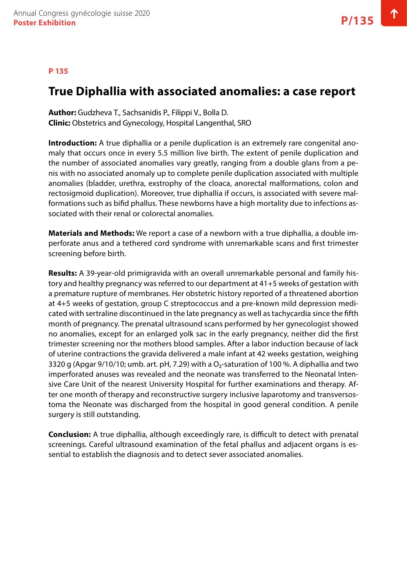### **P 135**

### **True Diphallia with associated anomalies: a case report**

**Author:** Gudzheva T., Sachsanidis P., Filippi V., Bolla D. **Clinic:** Obstetrics and Gynecology, Hospital Langenthal, SRO

**Introduction:** A true diphallia or a penile duplication is an extremely rare congenital anomaly that occurs once in every 5.5 million live birth. The extent of penile duplication and the number of associated anomalies vary greatly, ranging from a double glans from a penis with no associated anomaly up to complete penile duplication associated with multiple anomalies (bladder, urethra, exstrophy of the cloaca, anorectal malformations, colon and rectosigmoid duplication). Moreover, true diphallia if occurs, is associated with severe malformations such as bifid phallus. These newborns have a high mortality due to infections associated with their renal or colorectal anomalies.

**Materials and Methods:** We report a case of a newborn with a true diphallia, a double imperforate anus and a tethered cord syndrome with unremarkable scans and first trimester screening before birth.

**Results:** A 39-year-old primigravida with an overall unremarkable personal and family history and healthy pregnancy was referred to our department at 41+5 weeks of gestation with a premature rupture of membranes. Her obstetric history reported of a threatened abortion at 4+5 weeks of gestation, group C streptococcus and a pre-known mild depression medicated with sertraline discontinued in the late pregnancy as well as tachycardia since the fifth month of pregnancy. The prenatal ultrasound scans performed by her gynecologist showed no anomalies, except for an enlarged yolk sac in the early pregnancy, neither did the first trimester screening nor the mothers blood samples. After a labor induction because of lack of uterine contractions the gravida delivered a male infant at 42 weeks gestation, weighing 3320 g (Apgar 9/10/10; umb. art. pH, 7.29) with a  $O<sub>2</sub>$ -saturation of 100 %. A diphallia and two imperforated anuses was revealed and the neonate was transferred to the Neonatal Intensive Care Unit of the nearest University Hospital for further examinations and therapy. After one month of therapy and reconstructive surgery inclusive laparotomy and transversostoma the Neonate was discharged from the hospital in good general condition. A penile surgery is still outstanding.

**Conclusion:** A true diphallia, although exceedingly rare, is difficult to detect with prenatal screenings. Careful ultrasound examination of the fetal phallus and adjacent organs is essential to establish the diagnosis and to detect sever associated anomalies.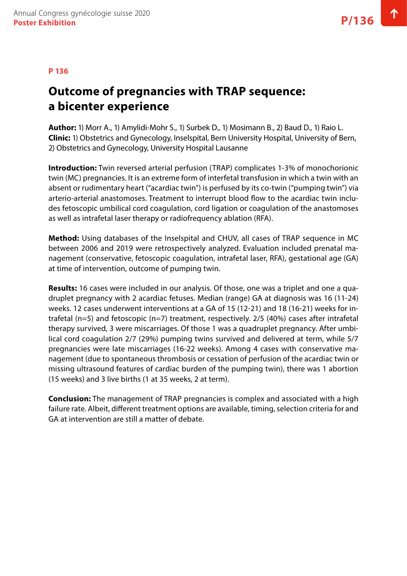### **P 136**

# **Outcome of pregnancies with TRAP sequence: a bicenter experience**

**Author:** 1) Morr A., 1) Amylidi-Mohr S., 1) Surbek D., 1) Mosimann B., 2) Baud D., 1) Raio L. **Clinic:** 1) Obstetrics and Gynecology, Inselspital, Bern University Hospital, University of Bern, 2) Obstetrics and Gynecology, University Hospital Lausanne

**Introduction:** Twin reversed arterial perfusion (TRAP) complicates 1-3% of monochorionic twin (MC) pregnancies. It is an extreme form of interfetal transfusion in which a twin with an absent or rudimentary heart ("acardiac twin") is perfused by its co-twin ("pumping twin") via arterio-arterial anastomoses. Treatment to interrupt blood flow to the acardiac twin includes fetoscopic umbilical cord coagulation, cord ligation or coagulation of the anastomoses as well as intrafetal laser therapy or radiofrequency ablation (RFA).

**Method:** Using databases of the Inselspital and CHUV, all cases of TRAP sequence in MC between 2006 and 2019 were retrospectively analyzed. Evaluation included prenatal management (conservative, fetoscopic coagulation, intrafetal laser, RFA), gestational age (GA) at time of intervention, outcome of pumping twin.

**Results:** 16 cases were included in our analysis. Of those, one was a triplet and one a quadruplet pregnancy with 2 acardiac fetuses. Median (range) GA at diagnosis was 16 (11-24) weeks. 12 cases underwent interventions at a GA of 15 (12-21) and 18 (16-21) weeks for intrafetal (n=5) and fetoscopic (n=7) treatment, respectively. 2/5 (40%) cases after intrafetal therapy survived, 3 were miscarriages. Of those 1 was a quadruplet pregnancy. After umbilical cord coagulation 2/7 (29%) pumping twins survived and delivered at term, while 5/7 pregnancies were late miscarriages (16-22 weeks). Among 4 cases with conservative management (due to spontaneous thrombosis or cessation of perfusion of the acardiac twin or missing ultrasound features of cardiac burden of the pumping twin), there was 1 abortion (15 weeks) and 3 live births (1 at 35 weeks, 2 at term).

**Conclusion:** The management of TRAP pregnancies is complex and associated with a high failure rate. Albeit, different treatment options are available, timing, selection criteria for and GA at intervention are still a matter of debate.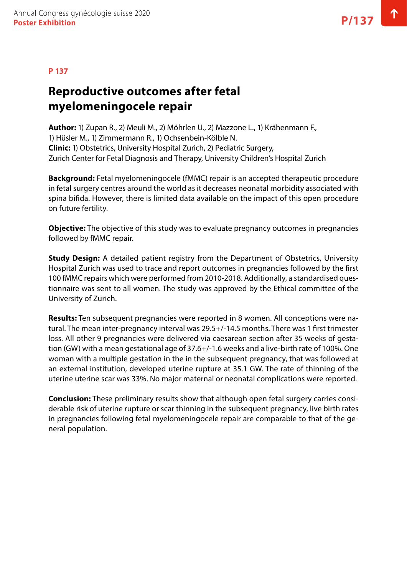### **Reproductive outcomes after fetal myelomeningocele repair**

**Author:** 1) Zupan R., 2) Meuli M., 2) Möhrlen U., 2) Mazzone L., 1) Krähenmann F., 1) Hüsler M., 1) Zimmermann R., 1) Ochsenbein-Kölble N. **Clinic:** 1) Obstetrics, University Hospital Zurich, 2) Pediatric Surgery, Zurich Center for Fetal Diagnosis and Therapy, University Children's Hospital Zurich

**Background:** Fetal myelomeningocele (fMMC) repair is an accepted therapeutic procedure in fetal surgery centres around the world as it decreases neonatal morbidity associated with spina bifida. However, there is limited data available on the impact of this open procedure on future fertility.

**Objective:** The objective of this study was to evaluate pregnancy outcomes in pregnancies followed by fMMC repair.

**Study Design:** A detailed patient registry from the Department of Obstetrics, University Hospital Zurich was used to trace and report outcomes in pregnancies followed by the first 100 fMMC repairs which were performed from 2010-2018. Additionally, a standardised questionnaire was sent to all women. The study was approved by the Ethical committee of the University of Zurich.

**Results:** Ten subsequent pregnancies were reported in 8 women. All conceptions were natural. The mean inter-pregnancy interval was 29.5+/-14.5 months. There was 1 first trimester loss. All other 9 pregnancies were delivered via caesarean section after 35 weeks of gestation (GW) with a mean gestational age of 37.6+/-1.6 weeks and a live-birth rate of 100%. One woman with a multiple gestation in the in the subsequent pregnancy, that was followed at an external institution, developed uterine rupture at 35.1 GW. The rate of thinning of the uterine uterine scar was 33%. No major maternal or neonatal complications were reported.

**Conclusion:** These preliminary results show that although open fetal surgery carries considerable risk of uterine rupture or scar thinning in the subsequent pregnancy, live birth rates in pregnancies following fetal myelomeningocele repair are comparable to that of the general population.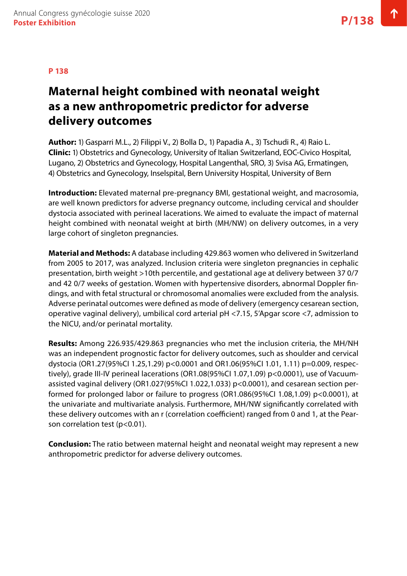# **Maternal height combined with neonatal weight as a new anthropometric predictor for adverse delivery outcomes**

**Author:** 1) Gasparri M.L., 2) Filippi V., 2) Bolla D., 1) Papadia A., 3) Tschudi R., 4) Raio L. **Clinic:** 1) Obstetrics and Gynecology, University of Italian Switzerland, EOC-Civico Hospital, Lugano, 2) Obstetrics and Gynecology, Hospital Langenthal, SRO, 3) Svisa AG, Ermatingen, 4) Obstetrics and Gynecology, Inselspital, Bern University Hospital, University of Bern

**Introduction:** Elevated maternal pre-pregnancy BMI, gestational weight, and macrosomia, are well known predictors for adverse pregnancy outcome, including cervical and shoulder dystocia associated with perineal lacerations. We aimed to evaluate the impact of maternal height combined with neonatal weight at birth (MH/NW) on delivery outcomes, in a very large cohort of singleton pregnancies.

**Material and Methods:** A database including 429.863 women who delivered in Switzerland from 2005 to 2017, was analyzed. Inclusion criteria were singleton pregnancies in cephalic presentation, birth weight >10th percentile, and gestational age at delivery between 37 0/7 and 42 0/7 weeks of gestation. Women with hypertensive disorders, abnormal Doppler findings, and with fetal structural or chromosomal anomalies were excluded from the analysis. Adverse perinatal outcomes were defined as mode of delivery (emergency cesarean section, operative vaginal delivery), umbilical cord arterial pH <7.15, 5'Apgar score <7, admission to the NICU, and/or perinatal mortality.

**Results:** Among 226.935/429.863 pregnancies who met the inclusion criteria, the MH/NH was an independent prognostic factor for delivery outcomes, such as shoulder and cervical dystocia (OR1.27(95%CI 1.25,1.29) p<0.0001 and OR1.06(95%CI 1.01, 1.11) p=0.009, respectively), grade III-IV perineal lacerations (OR1.08(95%CI 1.07,1.09) p<0.0001), use of Vacuumassisted vaginal delivery (OR1.027(95%CI 1.022,1.033) p<0.0001), and cesarean section performed for prolonged labor or failure to progress (OR1.086(95%CI 1.08,1.09) p<0.0001), at the univariate and multivariate analysis. Furthermore, MH/NW significantly correlated with these delivery outcomes with an r (correlation coefficient) ranged from 0 and 1, at the Pearson correlation test (p<0.01).

**Conclusion:** The ratio between maternal height and neonatal weight may represent a new anthropometric predictor for adverse delivery outcomes.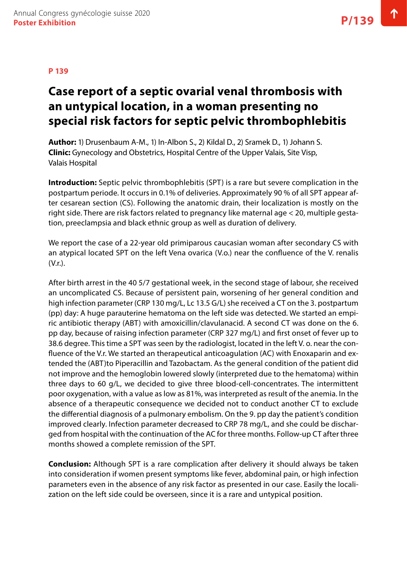# **Case report of a septic ovarial venal thrombosis with an untypical location, in a woman presenting no special risk factors for septic pelvic thrombophlebitis**

**Author:** 1) Drusenbaum A-M., 1) In-Albon S., 2) Kildal D., 2) Sramek D., 1) Johann S. **Clinic:** Gynecology and Obstetrics, Hospital Centre of the Upper Valais, Site Visp, Valais Hospital

**Introduction:** Septic pelvic thrombophlebitis (SPT) is a rare but severe complication in the postpartum periode. It occurs in 0.1% of deliveries. Approximately 90 % of all SPT appear after cesarean section (CS). Following the anatomic drain, their localization is mostly on the right side. There are risk factors related to pregnancy like maternal age < 20, multiple gestation, preeclampsia and black ethnic group as well as duration of delivery.

We report the case of a 22-year old primiparous caucasian woman after secondary CS with an atypical located SPT on the left Vena ovarica (V.o.) near the confluence of the V. renalis (V.r.).

After birth arrest in the 40 5/7 gestational week, in the second stage of labour, she received an uncomplicated CS. Because of persistent pain, worsening of her general condition and high infection parameter (CRP 130 mg/L, Lc 13.5 G/L) she received a CT on the 3. postpartum (pp) day: A huge parauterine hematoma on the left side was detected. We started an empiric antibiotic therapy (ABT) with amoxicillin/clavulanacid. A second CT was done on the 6. pp day, because of raising infection parameter (CRP 327 mg/L) and first onset of fever up to 38.6 degree. This time a SPT was seen by the radiologist, located in the left V. o. near the confluence of the V.r. We started an therapeutical anticoagulation (AC) with Enoxaparin and extended the (ABT)to Piperacillin and Tazobactam. As the general condition of the patient did not improve and the hemoglobin lowered slowly (interpreted due to the hematoma) within three days to 60 g/L, we decided to give three blood-cell-concentrates. The intermittent poor oxygenation, with a value as low as 81%, was interpreted as result of the anemia. In the absence of a therapeutic consequence we decided not to conduct another CT to exclude the differential diagnosis of a pulmonary embolism. On the 9. pp day the patient's condition improved clearly. Infection parameter decreased to CRP 78 mg/L, and she could be discharged from hospital with the continuation of the AC for three months. Follow-up CT after three months showed a complete remission of the SPT.

**Conclusion:** Although SPT is a rare complication after delivery it should always be taken into consideration if women present symptoms like fever, abdominal pain, or high infection parameters even in the absence of any risk factor as presented in our case. Easily the localization on the left side could be overseen, since it is a rare and untypical position.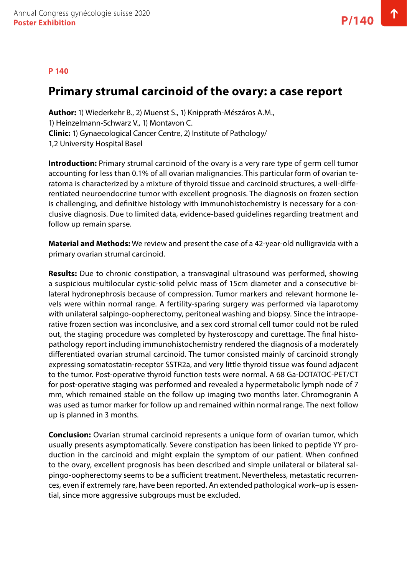### **Primary strumal carcinoid of the ovary: a case report**

**Author:** 1) Wiederkehr B., 2) Muenst S., 1) Knipprath-Mészáros A.M., 1) Heinzelmann-Schwarz V., 1) Montavon C. **Clinic:** 1) Gynaecological Cancer Centre, 2) Institute of Pathology/ 1,2 University Hospital Basel

**Introduction:** Primary strumal carcinoid of the ovary is a very rare type of germ cell tumor accounting for less than 0.1% of all ovarian malignancies. This particular form of ovarian teratoma is characterized by a mixture of thyroid tissue and carcinoid structures, a well-differentiated neuroendocrine tumor with excellent prognosis. The diagnosis on frozen section is challenging, and definitive histology with immunohistochemistry is necessary for a conclusive diagnosis. Due to limited data, evidence-based guidelines regarding treatment and follow up remain sparse.

**Material and Methods:** We review and present the case of a 42-year-old nulligravida with a primary ovarian strumal carcinoid.

**Results:** Due to chronic constipation, a transvaginal ultrasound was performed, showing a suspicious multilocular cystic-solid pelvic mass of 15cm diameter and a consecutive bilateral hydronephrosis because of compression. Tumor markers and relevant hormone levels were within normal range. A fertility-sparing surgery was performed via laparotomy with unilateral salpingo-oopherectomy, peritoneal washing and biopsy. Since the intraoperative frozen section was inconclusive, and a sex cord stromal cell tumor could not be ruled out, the staging procedure was completed by hysteroscopy and curettage. The final histopathology report including immunohistochemistry rendered the diagnosis of a moderately differentiated ovarian strumal carcinoid. The tumor consisted mainly of carcinoid strongly expressing somatostatin-receptor SSTR2a, and very little thyroid tissue was found adjacent to the tumor. Post-operative thyroid function tests were normal. A 68 Ga-DOTATOC-PET/CT for post-operative staging was performed and revealed a hypermetabolic lymph node of 7 mm, which remained stable on the follow up imaging two months later. Chromogranin A was used as tumor marker for follow up and remained within normal range. The next follow up is planned in 3 months.

**Conclusion:** Ovarian strumal carcinoid represents a unique form of ovarian tumor, which usually presents asymptomatically. Severe constipation has been linked to peptide YY production in the carcinoid and might explain the symptom of our patient. When confined to the ovary, excellent prognosis has been described and simple unilateral or bilateral salpingo-oopherectomy seems to be a sufficient treatment. Nevertheless, metastatic recurrences, even if extremely rare, have been reported. An extended pathological work–up is essential, since more aggressive subgroups must be excluded.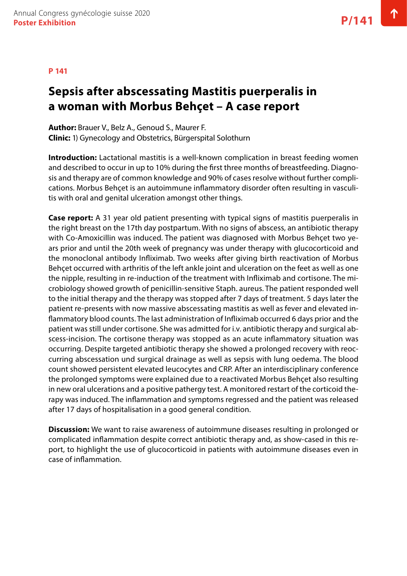### **P 141**

## **Sepsis after abscessating Mastitis puerperalis in a woman with Morbus Behçet – A case report**

**Author:** Brauer V., Belz A., Genoud S., Maurer F. **Clinic:** 1) Gynecology and Obstetrics, Bürgerspital Solothurn

**Introduction:** Lactational mastitis is a well-known complication in breast feeding women and described to occur in up to 10% during the first three months of breastfeeding. Diagnosis and therapy are of common knowledge and 90% of cases resolve without further complications. Morbus Behçet is an autoimmune inflammatory disorder often resulting in vasculitis with oral and genital ulceration amongst other things.

**Case report:** A 31 year old patient presenting with typical signs of mastitis puerperalis in the right breast on the 17th day postpartum. With no signs of abscess, an antibiotic therapy with Co-Amoxicillin was induced. The patient was diagnosed with Morbus Behçet two years prior and until the 20th week of pregnancy was under therapy with glucocorticoid and the monoclonal antibody Infliximab. Two weeks after giving birth reactivation of Morbus Behçet occurred with arthritis of the left ankle joint and ulceration on the feet as well as one the nipple, resulting in re-induction of the treatment with Infliximab and cortisone. The microbiology showed growth of penicillin-sensitive Staph. aureus. The patient responded well to the initial therapy and the therapy was stopped after 7 days of treatment. 5 days later the patient re-presents with now massive abscessating mastitis as well as fever and elevated inflammatory blood counts. The last administration of Infliximab occurred 6 days prior and the patient was still under cortisone. She was admitted for i.v. antibiotic therapy and surgical abscess-incision. The cortisone therapy was stopped as an acute inflammatory situation was occurring. Despite targeted antibiotic therapy she showed a prolonged recovery with reoccurring abscessation und surgical drainage as well as sepsis with lung oedema. The blood count showed persistent elevated leucocytes and CRP. After an interdisciplinary conference the prolonged symptoms were explained due to a reactivated Morbus Behçet also resulting in new oral ulcerations and a positive pathergy test. A monitored restart of the corticoid therapy was induced. The inflammation and symptoms regressed and the patient was released after 17 days of hospitalisation in a good general condition.

**Discussion:** We want to raise awareness of autoimmune diseases resulting in prolonged or complicated inflammation despite correct antibiotic therapy and, as show-cased in this report, to highlight the use of glucocorticoid in patients with autoimmune diseases even in case of inflammation.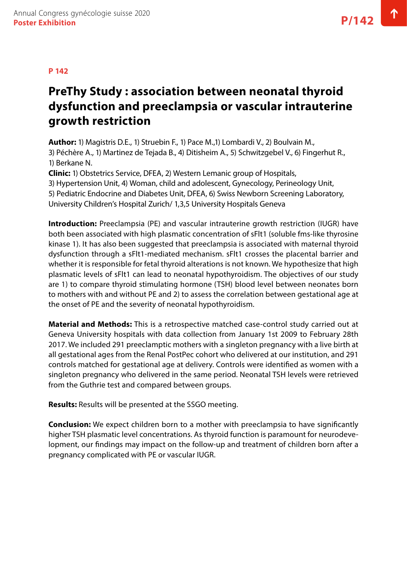# **PreThy Study : association between neonatal thyroid dysfunction and preeclampsia or vascular intrauterine growth restriction**

**Author:** 1) Magistris D.E., 1) Struebin F., 1) Pace M.,1) Lombardi V., 2) Boulvain M., 3) Péchère A., 1) Martinez de Tejada B., 4) Ditisheim A., 5) Schwitzgebel V., 6) Fingerhut R., 1) Berkane N.

**Clinic:** 1) Obstetrics Service, DFEA, 2) Western Lemanic group of Hospitals,

3) Hypertension Unit, 4) Woman, child and adolescent, Gynecology, Perineology Unit,

5) Pediatric Endocrine and Diabetes Unit, DFEA, 6) Swiss Newborn Screening Laboratory,

University Children's Hospital Zurich/ 1,3,5 University Hospitals Geneva

**Introduction:** Preeclampsia (PE) and vascular intrauterine growth restriction (IUGR) have both been associated with high plasmatic concentration of sFlt1 (soluble fms-like thyrosine kinase 1). It has also been suggested that preeclampsia is associated with maternal thyroid dysfunction through a sFlt1-mediated mechanism. sFlt1 crosses the placental barrier and whether it is responsible for fetal thyroid alterations is not known. We hypothesize that high plasmatic levels of sFlt1 can lead to neonatal hypothyroidism. The objectives of our study are 1) to compare thyroid stimulating hormone (TSH) blood level between neonates born to mothers with and without PE and 2) to assess the correlation between gestational age at the onset of PE and the severity of neonatal hypothyroidism.

**Material and Methods:** This is a retrospective matched case-control study carried out at Geneva University hospitals with data collection from January 1st 2009 to February 28th 2017. We included 291 preeclamptic mothers with a singleton pregnancy with a live birth at all gestational ages from the Renal PostPec cohort who delivered at our institution, and 291 controls matched for gestational age at delivery. Controls were identified as women with a singleton pregnancy who delivered in the same period. Neonatal TSH levels were retrieved from the Guthrie test and compared between groups.

**Results:** Results will be presented at the SSGO meeting.

**Conclusion:** We expect children born to a mother with preeclampsia to have significantly higher TSH plasmatic level concentrations. As thyroid function is paramount for neurodevelopment, our findings may impact on the follow-up and treatment of children born after a pregnancy complicated with PE or vascular IUGR.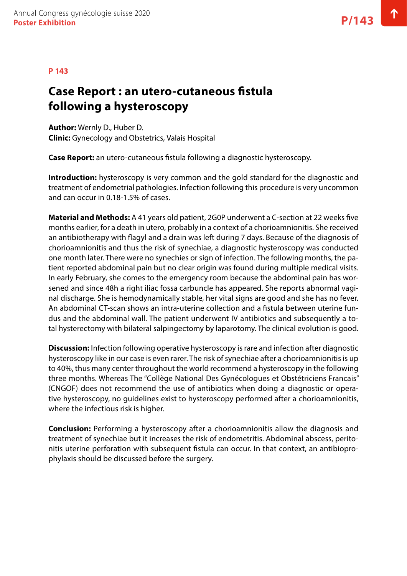#### **P 143**

### **Case Report : an utero-cutaneous fistula following a hysteroscopy**

**Author:** Wernly D., Huber D. **Clinic:** Gynecology and Obstetrics, Valais Hospital

**Case Report:** an utero-cutaneous fistula following a diagnostic hysteroscopy.

**Introduction:** hysteroscopy is very common and the gold standard for the diagnostic and treatment of endometrial pathologies. Infection following this procedure is very uncommon and can occur in 0.18-1.5% of cases.

**Material and Methods:** A 41 years old patient, 2G0P underwent a C-section at 22 weeks five months earlier, for a death in utero, probably in a context of a chorioamnionitis. She received an antibiotherapy with flagyl and a drain was left during 7 days. Because of the diagnosis of chorioamnionitis and thus the risk of synechiae, a diagnostic hysteroscopy was conducted one month later. There were no synechies or sign of infection. The following months, the patient reported abdominal pain but no clear origin was found during multiple medical visits. In early February, she comes to the emergency room because the abdominal pain has worsened and since 48h a right iliac fossa carbuncle has appeared. She reports abnormal vaginal discharge. She is hemodynamically stable, her vital signs are good and she has no fever. An abdominal CT-scan shows an intra-uterine collection and a fistula between uterine fundus and the abdominal wall. The patient underwent IV antibiotics and subsequently a total hysterectomy with bilateral salpingectomy by laparotomy. The clinical evolution is good.

**Discussion:** Infection following operative hysteroscopy is rare and infection after diagnostic hysteroscopy like in our case is even rarer. The risk of synechiae after a chorioamnionitis is up to 40%, thus many center throughout the world recommend a hysteroscopy in the following three months. Whereas The "Collège National Des Gynécologues et Obstétriciens Francais" (CNGOF) does not recommend the use of antibiotics when doing a diagnostic or operative hysteroscopy, no guidelines exist to hysteroscopy performed after a chorioamnionitis, where the infectious risk is higher.

**Conclusion:** Performing a hysteroscopy after a chorioamnionitis allow the diagnosis and treatment of synechiae but it increases the risk of endometritis. Abdominal abscess, peritonitis uterine perforation with subsequent fistula can occur. In that context, an antibioprophylaxis should be discussed before the surgery.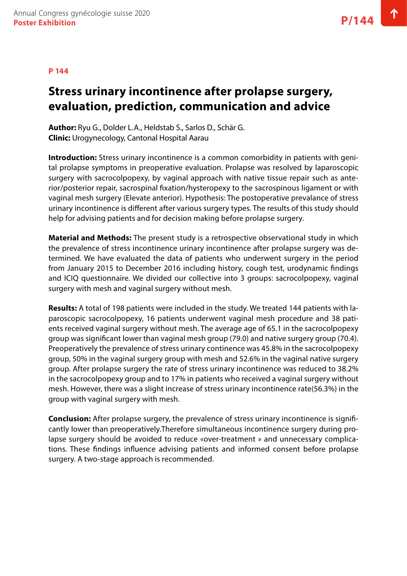#### **P 144**

# **Stress urinary incontinence after prolapse surgery, evaluation, prediction, communication and advice**

**Author:** Ryu G., Dolder L.A., Heldstab S., Sarlos D., Schär G. **Clinic:** Urogynecology, Cantonal Hospital Aarau

**Introduction:** Stress urinary incontinence is a common comorbidity in patients with genital prolapse symptoms in preoperative evaluation. Prolapse was resolved by laparoscopic surgery with sacrocolpopexy, by vaginal approach with native tissue repair such as anterior/posterior repair, sacrospinal fixation/hysteropexy to the sacrospinous ligament or with vaginal mesh surgery (Elevate anterior). Hypothesis: The postoperative prevalance of stress urinary incontinence is different after various surgery types. The results of this study should help for advising patients and for decision making before prolapse surgery.

**Material and Methods:** The present study is a retrospective observational study in which the prevalence of stress incontinence urinary incontinence after prolapse surgery was determined. We have evaluated the data of patients who underwent surgery in the period from January 2015 to December 2016 including history, cough test, urodynamic findings and ICIQ questionnaire. We divided our collective into 3 groups: sacrocolpopexy, vaginal surgery with mesh and vaginal surgery without mesh.

**Results:** A total of 198 patients were included in the study. We treated 144 patients with laparoscopic sacrocolpopexy, 16 patients underwent vaginal mesh procedure and 38 patients received vaginal surgery without mesh. The average age of 65.1 in the sacrocolpopexy group was significant lower than vaginal mesh group (79.0) and native surgery group (70.4). Preoperatively the prevalence of stress urinary continence was 45.8% in the sacrocolpopexy group, 50% in the vaginal surgery group with mesh and 52.6% in the vaginal native surgery group. After prolapse surgery the rate of stress urinary incontinence was reduced to 38.2% in the sacrocolpopexy group and to 17% in patients who received a vaginal surgery without mesh. However, there was a slight increase of stress urinary incontinence rate(56.3%) in the group with vaginal surgery with mesh.

**Conclusion:** After prolapse surgery, the prevalence of stress urinary incontinence is significantly lower than preoperatively.Therefore simultaneous incontinence surgery during prolapse surgery should be avoided to reduce «over-treatment » and unnecessary complications. These findings influence advising patients and informed consent before prolapse surgery. A two-stage approach is recommended.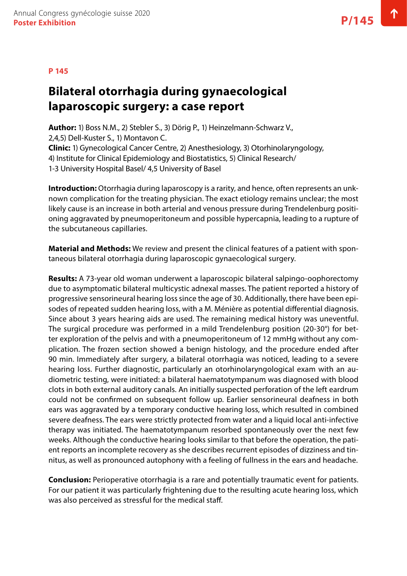# **Bilateral otorrhagia during gynaecological laparoscopic surgery: a case report**

**Author:** 1) Boss N.M., 2) Stebler S., 3) Dörig P., 1) Heinzelmann-Schwarz V., 2,4,5) Dell-Kuster S., 1) Montavon C. **Clinic:** 1) Gynecological Cancer Centre, 2) Anesthesiology, 3) Otorhinolaryngology, 4) Institute for Clinical Epidemiology and Biostatistics, 5) Clinical Research/ 1-3 University Hospital Basel/ 4,5 University of Basel

**Introduction:** Otorrhagia during laparoscopy is a rarity, and hence, often represents an unknown complication for the treating physician. The exact etiology remains unclear; the most likely cause is an increase in both arterial and venous pressure during Trendelenburg positioning aggravated by pneumoperitoneum and possible hypercapnia, leading to a rupture of the subcutaneous capillaries.

**Material and Methods:** We review and present the clinical features of a patient with spontaneous bilateral otorrhagia during laparoscopic gynaecological surgery.

**Results:** A 73-year old woman underwent a laparoscopic bilateral salpingo-oophorectomy due to asymptomatic bilateral multicystic adnexal masses. The patient reported a history of progressive sensorineural hearing loss since the age of 30. Additionally, there have been episodes of repeated sudden hearing loss, with a M. Ménière as potential differential diagnosis. Since about 3 years hearing aids are used. The remaining medical history was uneventful. The surgical procedure was performed in a mild Trendelenburg position (20-30°) for better exploration of the pelvis and with a pneumoperitoneum of 12 mmHg without any complication. The frozen section showed a benign histology, and the procedure ended after 90 min. Immediately after surgery, a bilateral otorrhagia was noticed, leading to a severe hearing loss. Further diagnostic, particularly an otorhinolaryngological exam with an audiometric testing, were initiated: a bilateral haematotympanum was diagnosed with blood clots in both external auditory canals. An initially suspected perforation of the left eardrum could not be confirmed on subsequent follow up. Earlier sensorineural deafness in both ears was aggravated by a temporary conductive hearing loss, which resulted in combined severe deafness. The ears were strictly protected from water and a liquid local anti-infective therapy was initiated. The haematotympanum resorbed spontaneously over the next few weeks. Although the conductive hearing looks similar to that before the operation, the patient reports an incomplete recovery as she describes recurrent episodes of dizziness and tinnitus, as well as pronounced autophony with a feeling of fullness in the ears and headache.

**Conclusion:** Perioperative otorrhagia is a rare and potentially traumatic event for patients. For our patient it was particularly frightening due to the resulting acute hearing loss, which was also perceived as stressful for the medical staff.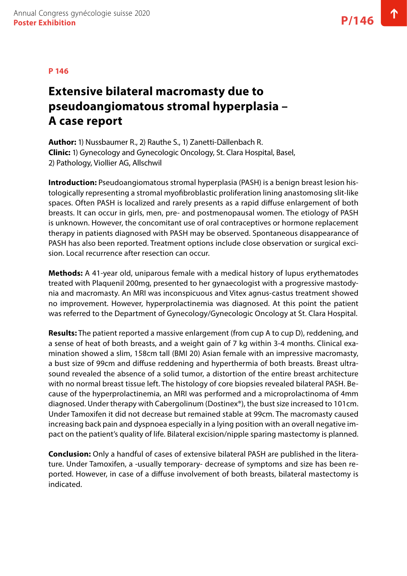## **Extensive bilateral macromasty due to pseudoangiomatous stromal hyperplasia – A case report**

**Author:** 1) Nussbaumer R., 2) Rauthe S., 1) Zanetti-Dällenbach R. **Clinic:** 1) Gynecology and Gynecologic Oncology, St. Clara Hospital, Basel, 2) Pathology, Viollier AG, Allschwil

**Introduction:** Pseudoangiomatous stromal hyperplasia (PASH) is a benign breast lesion histologically representing a stromal myofibroblastic proliferation lining anastomosing slit-like spaces. Often PASH is localized and rarely presents as a rapid diffuse enlargement of both breasts. It can occur in girls, men, pre- and postmenopausal women. The etiology of PASH is unknown. However, the concomitant use of oral contraceptives or hormone replacement therapy in patients diagnosed with PASH may be observed. Spontaneous disappearance of PASH has also been reported. Treatment options include close observation or surgical excision. Local recurrence after resection can occur.

**Methods:** A 41-year old, uniparous female with a medical history of lupus erythematodes treated with Plaquenil 200mg, presented to her gynaecologist with a progressive mastodynia and macromasty. An MRI was inconspicuous and Vitex agnus-castus treatment showed no improvement. However, hyperprolactinemia was diagnosed. At this point the patient was referred to the Department of Gynecology/Gynecologic Oncology at St. Clara Hospital.

**Results:** The patient reported a massive enlargement (from cup A to cup D), reddening, and a sense of heat of both breasts, and a weight gain of 7 kg within 3-4 months. Clinical examination showed a slim, 158cm tall (BMI 20) Asian female with an impressive macromasty, a bust size of 99cm and diffuse reddening and hyperthermia of both breasts. Breast ultrasound revealed the absence of a solid tumor, a distortion of the entire breast architecture with no normal breast tissue left. The histology of core biopsies revealed bilateral PASH. Because of the hyperprolactinemia, an MRI was performed and a microprolactinoma of 4mm diagnosed. Under therapy with Cabergolinum (Dostinex®), the bust size increased to 101cm. Under Tamoxifen it did not decrease but remained stable at 99cm. The macromasty caused increasing back pain and dyspnoea especially in a lying position with an overall negative impact on the patient's quality of life. Bilateral excision/nipple sparing mastectomy is planned.

**Conclusion:** Only a handful of cases of extensive bilateral PASH are published in the literature. Under Tamoxifen, a -usually temporary- decrease of symptoms and size has been reported. However, in case of a diffuse involvement of both breasts, bilateral mastectomy is indicated.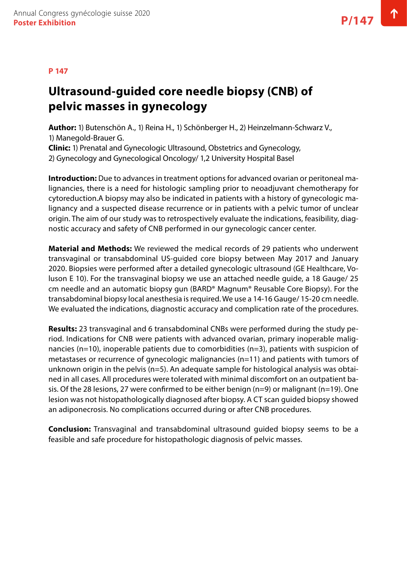# **Ultrasound-guided core needle biopsy (CNB) of pelvic masses in gynecology**

**Author:** 1) Butenschön A., 1) Reina H., 1) Schönberger H., 2) Heinzelmann-Schwarz V., 1) Manegold-Brauer G. **Clinic:** 1) Prenatal and Gynecologic Ultrasound, Obstetrics and Gynecology,

2) Gynecology and Gynecological Oncology/ 1,2 University Hospital Basel

**Introduction:** Due to advances in treatment options for advanced ovarian or peritoneal malignancies, there is a need for histologic sampling prior to neoadjuvant chemotherapy for cytoreduction.A biopsy may also be indicated in patients with a history of gynecologic malignancy and a suspected disease recurrence or in patients with a pelvic tumor of unclear origin. The aim of our study was to retrospectively evaluate the indications, feasibility, diagnostic accuracy and safety of CNB performed in our gynecologic cancer center.

**Material and Methods:** We reviewed the medical records of 29 patients who underwent transvaginal or transabdominal US-guided core biopsy between May 2017 and January 2020. Biopsies were performed after a detailed gynecologic ultrasound (GE Healthcare, Voluson E 10). For the transvaginal biopsy we use an attached needle guide, a 18 Gauge/ 25 cm needle and an automatic biopsy gun (BARD® Magnum® Reusable Core Biopsy). For the transabdominal biopsy local anesthesia is required. We use a 14-16 Gauge/ 15-20 cm needle. We evaluated the indications, diagnostic accuracy and complication rate of the procedures.

**Results:** 23 transvaginal and 6 transabdominal CNBs were performed during the study period. Indications for CNB were patients with advanced ovarian, primary inoperable malignancies ( $n=10$ ), inoperable patients due to comorbidities ( $n=3$ ), patients with suspicion of metastases or recurrence of gynecologic malignancies (n=11) and patients with tumors of unknown origin in the pelvis (n=5). An adequate sample for histological analysis was obtained in all cases. All procedures were tolerated with minimal discomfort on an outpatient basis. Of the 28 lesions, 27 were confirmed to be either benign (n=9) or malignant (n=19). One lesion was not histopathologically diagnosed after biopsy. A CT scan guided biopsy showed an adiponecrosis. No complications occurred during or after CNB procedures.

**Conclusion:** Transvaginal and transabdominal ultrasound guided biopsy seems to be a feasible and safe procedure for histopathologic diagnosis of pelvic masses.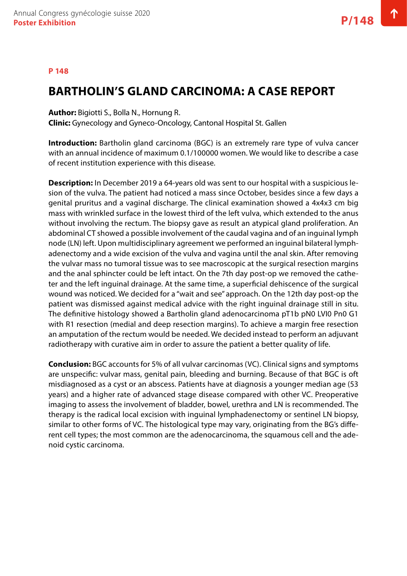### **BARTHOLIN'S GLAND CARCINOMA: A CASE REPORT**

**Author:** Bigiotti S., Bolla N., Hornung R.

**Clinic:** Gynecology and Gyneco-Oncology, Cantonal Hospital St. Gallen

**Introduction:** Bartholin gland carcinoma (BGC) is an extremely rare type of vulva cancer with an annual incidence of maximum 0.1/100000 women. We would like to describe a case of recent institution experience with this disease.

**Description:** In December 2019 a 64-years old was sent to our hospital with a suspicious lesion of the vulva. The patient had noticed a mass since October, besides since a few days a genital pruritus and a vaginal discharge. The clinical examination showed a 4x4x3 cm big mass with wrinkled surface in the lowest third of the left vulva, which extended to the anus without involving the rectum. The biopsy gave as result an atypical gland proliferation. An abdominal CT showed a possible involvement of the caudal vagina and of an inguinal lymph node (LN) left. Upon multidisciplinary agreement we performed an inguinal bilateral lymphadenectomy and a wide excision of the vulva and vagina until the anal skin. After removing the vulvar mass no tumoral tissue was to see macroscopic at the surgical resection margins and the anal sphincter could be left intact. On the 7th day post-op we removed the catheter and the left inguinal drainage. At the same time, a superficial dehiscence of the surgical wound was noticed. We decided for a "wait and see" approach. On the 12th day post-op the patient was dismissed against medical advice with the right inguinal drainage still in situ. The definitive histology showed a Bartholin gland adenocarcinoma pT1b pN0 LVI0 Pn0 G1 with R1 resection (medial and deep resection margins). To achieve a margin free resection an amputation of the rectum would be needed. We decided instead to perform an adjuvant radiotherapy with curative aim in order to assure the patient a better quality of life.

**Conclusion:** BGC accounts for 5% of all vulvar carcinomas (VC). Clinical signs and symptoms are unspecific: vulvar mass, genital pain, bleeding and burning. Because of that BGC is oft misdiagnosed as a cyst or an abscess. Patients have at diagnosis a younger median age (53 years) and a higher rate of advanced stage disease compared with other VC. Preoperative imaging to assess the involvement of bladder, bowel, urethra and LN is recommended. The therapy is the radical local excision with inguinal lymphadenectomy or sentinel LN biopsy, similar to other forms of VC. The histological type may vary, originating from the BG's different cell types; the most common are the adenocarcinoma, the squamous cell and the adenoid cystic carcinoma.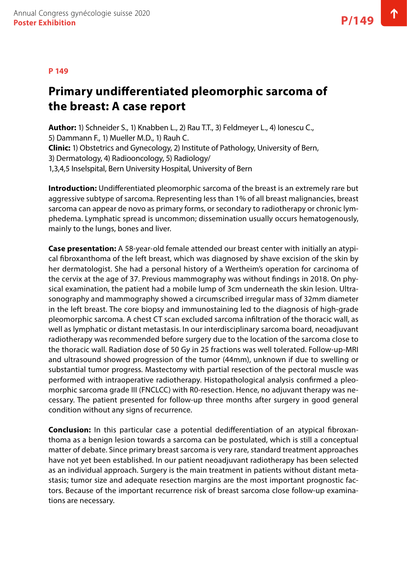#### **P 149**

# **Primary undifferentiated pleomorphic sarcoma of the breast: A case report**

**Author:** 1) Schneider S., 1) Knabben L., 2) Rau T.T., 3) Feldmeyer L., 4) Ionescu C., 5) Dammann F., 1) Mueller M.D., 1) Rauh C. **Clinic:** 1) Obstetrics and Gynecology, 2) Institute of Pathology, University of Bern, 3) Dermatology, 4) Radiooncology, 5) Radiology/ 1,3,4,5 Inselspital, Bern University Hospital, University of Bern

**Introduction:** Undifferentiated pleomorphic sarcoma of the breast is an extremely rare but aggressive subtype of sarcoma. Representing less than 1% of all breast malignancies, breast sarcoma can appear de novo as primary forms, or secondary to radiotherapy or chronic lymphedema. Lymphatic spread is uncommon; dissemination usually occurs hematogenously, mainly to the lungs, bones and liver.

**Case presentation:** A 58-year-old female attended our breast center with initially an atypical fibroxanthoma of the left breast, which was diagnosed by shave excision of the skin by her dermatologist. She had a personal history of a Wertheim's operation for carcinoma of the cervix at the age of 37. Previous mammography was without findings in 2018. On physical examination, the patient had a mobile lump of 3cm underneath the skin lesion. Ultrasonography and mammography showed a circumscribed irregular mass of 32mm diameter in the left breast. The core biopsy and immunostaining led to the diagnosis of high-grade pleomorphic sarcoma. A chest CT scan excluded sarcoma infiltration of the thoracic wall, as well as lymphatic or distant metastasis. In our interdisciplinary sarcoma board, neoadjuvant radiotherapy was recommended before surgery due to the location of the sarcoma close to the thoracic wall. Radiation dose of 50 Gy in 25 fractions was well tolerated. Follow-up-MRI and ultrasound showed progression of the tumor (44mm), unknown if due to swelling or substantial tumor progress. Mastectomy with partial resection of the pectoral muscle was performed with intraoperative radiotherapy. Histopathological analysis confirmed a pleomorphic sarcoma grade III (FNCLCC) with R0-resection. Hence, no adjuvant therapy was necessary. The patient presented for follow-up three months after surgery in good general condition without any signs of recurrence.

**Conclusion:** In this particular case a potential dedifferentiation of an atypical fibroxanthoma as a benign lesion towards a sarcoma can be postulated, which is still a conceptual matter of debate. Since primary breast sarcoma is very rare, standard treatment approaches have not yet been established. In our patient neoadjuvant radiotherapy has been selected as an individual approach. Surgery is the main treatment in patients without distant metastasis; tumor size and adequate resection margins are the most important prognostic factors. Because of the important recurrence risk of breast sarcoma close follow-up examinations are necessary.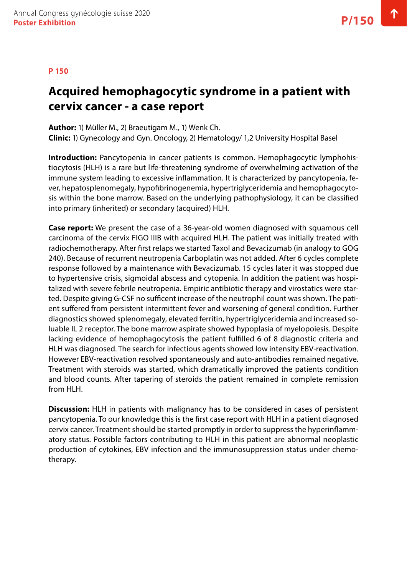#### **P 150**

### **Acquired hemophagocytic syndrome in a patient with cervix cancer - a case report**

**Author:** 1) Müller M., 2) Braeutigam M., 1) Wenk Ch.

**Clinic:** 1) Gynecology and Gyn. Oncology, 2) Hematology/ 1,2 University Hospital Basel

**Introduction:** Pancytopenia in cancer patients is common. Hemophagocytic lymphohistiocytosis (HLH) is a rare but life-threatening syndrome of overwhelming activation of the immune system leading to excessive inflammation. It is characterized by pancytopenia, fever, hepatosplenomegaly, hypofibrinogenemia, hypertriglyceridemia and hemophagocytosis within the bone marrow. Based on the underlying pathophysiology, it can be classified into primary (inherited) or secondary (acquired) HLH.

**Case report:** We present the case of a 36-year-old women diagnosed with squamous cell carcinoma of the cervix FIGO IIIB with acquired HLH. The patient was initially treated with radiochemotherapy. After first relaps we started Taxol and Bevacizumab (in analogy to GOG 240). Because of recurrent neutropenia Carboplatin was not added. After 6 cycles complete response followed by a maintenance with Bevacizumab. 15 cycles later it was stopped due to hypertensive crisis, sigmoidal abscess and cytopenia. In addition the patient was hospitalized with severe febrile neutropenia. Empiric antibiotic therapy and virostatics were started. Despite giving G-CSF no sufficent increase of the neutrophil count was shown. The patient suffered from persistent intermittent fever and worsening of general condition. Further diagnostics showed splenomegaly, elevated ferritin, hypertriglyceridemia and increased soluable IL 2 receptor. The bone marrow aspirate showed hypoplasia of myelopoiesis. Despite lacking evidence of hemophagocytosis the patient fulfilled 6 of 8 diagnostic criteria and HLH was diagnosed. The search for infectious agents showed low intensity EBV-reactivation. However EBV-reactivation resolved spontaneously and auto-antibodies remained negative. Treatment with steroids was started, which dramatically improved the patients condition and blood counts. After tapering of steroids the patient remained in complete remission from HLH.

**Discussion:** HLH in patients with malignancy has to be considered in cases of persistent pancytopenia. To our knowledge this is the first case report with HLH in a patient diagnosed cervix cancer. Treatment should be started promptly in order to suppress the hyperinflammatory status. Possible factors contributing to HLH in this patient are abnormal neoplastic production of cytokines, EBV infection and the immunosuppression status under chemotherapy.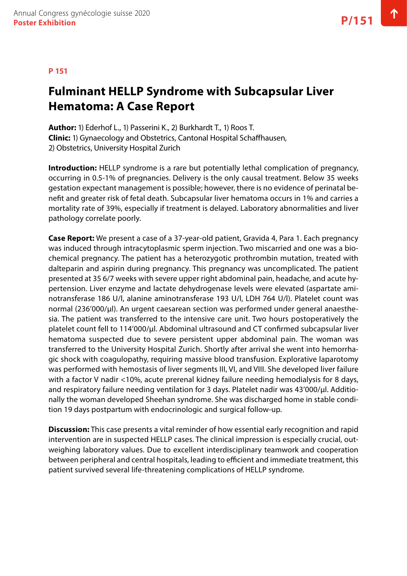# **Fulminant HELLP Syndrome with Subcapsular Liver Hematoma: A Case Report**

**Author:** 1) Ederhof L., 1) Passerini K., 2) Burkhardt T., 1) Roos T. **Clinic:** 1) Gynaecology and Obstetrics, Cantonal Hospital Schaffhausen, 2) Obstetrics, University Hospital Zurich

**Introduction:** HELLP syndrome is a rare but potentially lethal complication of pregnancy, occurring in 0.5-1% of pregnancies. Delivery is the only causal treatment. Below 35 weeks gestation expectant management is possible; however, there is no evidence of perinatal benefit and greater risk of fetal death. Subcapsular liver hematoma occurs in 1% and carries a mortality rate of 39%, especially if treatment is delayed. Laboratory abnormalities and liver pathology correlate poorly.

**Case Report:** We present a case of a 37-year-old patient, Gravida 4, Para 1. Each pregnancy was induced through intracytoplasmic sperm injection. Two miscarried and one was a biochemical pregnancy. The patient has a heterozygotic prothrombin mutation, treated with dalteparin and aspirin during pregnancy. This pregnancy was uncomplicated. The patient presented at 35 6/7 weeks with severe upper right abdominal pain, headache, and acute hypertension. Liver enzyme and lactate dehydrogenase levels were elevated (aspartate aminotransferase 186 U/l, alanine aminotransferase 193 U/l, LDH 764 U/l). Platelet count was normal (236'000/µl). An urgent caesarean section was performed under general anaesthesia. The patient was transferred to the intensive care unit. Two hours postoperatively the platelet count fell to 114'000/µl. Abdominal ultrasound and CT confirmed subcapsular liver hematoma suspected due to severe persistent upper abdominal pain. The woman was transferred to the University Hospital Zurich. Shortly after arrival she went into hemorrhagic shock with coagulopathy, requiring massive blood transfusion. Explorative laparotomy was performed with hemostasis of liver segments III, VI, and VIII. She developed liver failure with a factor V nadir <10%, acute prerenal kidney failure needing hemodialysis for 8 days, and respiratory failure needing ventilation for 3 days. Platelet nadir was 43'000/µl. Additionally the woman developed Sheehan syndrome. She was discharged home in stable condition 19 days postpartum with endocrinologic and surgical follow-up.

**Discussion:** This case presents a vital reminder of how essential early recognition and rapid intervention are in suspected HELLP cases. The clinical impression is especially crucial, outweighing laboratory values. Due to excellent interdisciplinary teamwork and cooperation between peripheral and central hospitals, leading to efficient and immediate treatment, this patient survived several life-threatening complications of HELLP syndrome.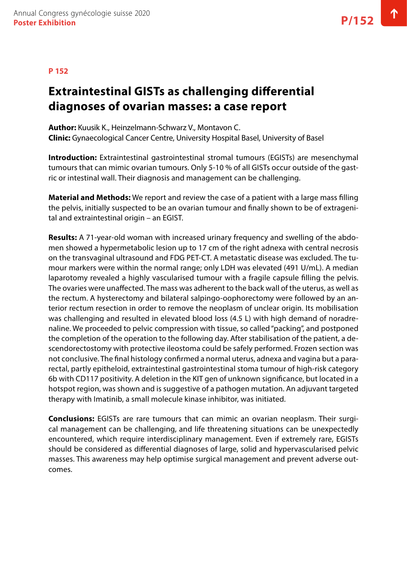### **P 152**

## **Extraintestinal GISTs as challenging differential diagnoses of ovarian masses: a case report**

**Author:** Kuusik K., Heinzelmann-Schwarz V., Montavon C. **Clinic:** Gynaecological Cancer Centre, University Hospital Basel, University of Basel

**Introduction:** Extraintestinal gastrointestinal stromal tumours (EGISTs) are mesenchymal tumours that can mimic ovarian tumours. Only 5-10 % of all GISTs occur outside of the gastric or intestinal wall. Their diagnosis and management can be challenging.

**Material and Methods:** We report and review the case of a patient with a large mass filling the pelvis, initially suspected to be an ovarian tumour and finally shown to be of extragenital and extraintestinal origin – an EGIST.

**Results:** A 71-year-old woman with increased urinary frequency and swelling of the abdomen showed a hypermetabolic lesion up to 17 cm of the right adnexa with central necrosis on the transvaginal ultrasound and FDG PET-CT. A metastatic disease was excluded. The tumour markers were within the normal range; only LDH was elevated (491 U/mL). A median laparotomy revealed a highly vascularised tumour with a fragile capsule filling the pelvis. The ovaries were unaffected. The mass was adherent to the back wall of the uterus, as well as the rectum. A hysterectomy and bilateral salpingo-oophorectomy were followed by an anterior rectum resection in order to remove the neoplasm of unclear origin. Its mobilisation was challenging and resulted in elevated blood loss (4.5 L) with high demand of noradrenaline. We proceeded to pelvic compression with tissue, so called "packing", and postponed the completion of the operation to the following day. After stabilisation of the patient, a descendorectostomy with protective ileostoma could be safely performed. Frozen section was not conclusive. The final histology confirmed a normal uterus, adnexa and vagina but a pararectal, partly epitheloid, extraintestinal gastrointestinal stoma tumour of high-risk category 6b with CD117 positivity. A deletion in the KIT gen of unknown significance, but located in a hotspot region, was shown and is suggestive of a pathogen mutation. An adjuvant targeted therapy with Imatinib, a small molecule kinase inhibitor, was initiated.

**Conclusions:** EGISTs are rare tumours that can mimic an ovarian neoplasm. Their surgical management can be challenging, and life threatening situations can be unexpectedly encountered, which require interdisciplinary management. Even if extremely rare, EGISTs should be considered as differential diagnoses of large, solid and hypervascularised pelvic masses. This awareness may help optimise surgical management and prevent adverse outcomes.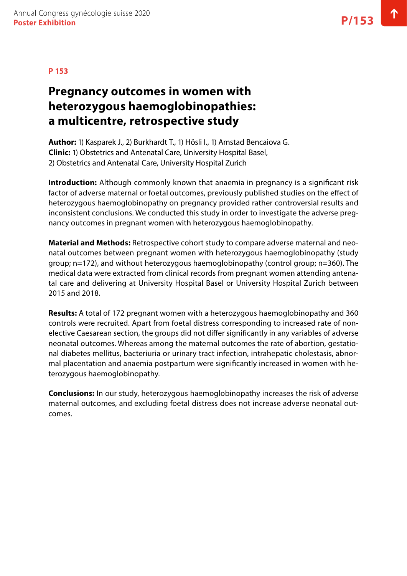### **Pregnancy outcomes in women with heterozygous haemoglobinopathies: a multicentre, retrospective study**

**Author:** 1) Kasparek J., 2) Burkhardt T., 1) Hösli I., 1) Amstad Bencaiova G. **Clinic:** 1) Obstetrics and Antenatal Care, University Hospital Basel, 2) Obstetrics and Antenatal Care, University Hospital Zurich

**Introduction:** Although commonly known that anaemia in pregnancy is a significant risk factor of adverse maternal or foetal outcomes, previously published studies on the effect of heterozygous haemoglobinopathy on pregnancy provided rather controversial results and inconsistent conclusions. We conducted this study in order to investigate the adverse pregnancy outcomes in pregnant women with heterozygous haemoglobinopathy.

**Material and Methods:** Retrospective cohort study to compare adverse maternal and neonatal outcomes between pregnant women with heterozygous haemoglobinopathy (study group; n=172), and without heterozygous haemoglobinopathy (control group; n=360). The medical data were extracted from clinical records from pregnant women attending antenatal care and delivering at University Hospital Basel or University Hospital Zurich between 2015 and 2018.

**Results:** A total of 172 pregnant women with a heterozygous haemoglobinopathy and 360 controls were recruited. Apart from foetal distress corresponding to increased rate of nonelective Caesarean section, the groups did not differ significantly in any variables of adverse neonatal outcomes. Whereas among the maternal outcomes the rate of abortion, gestational diabetes mellitus, bacteriuria or urinary tract infection, intrahepatic cholestasis, abnormal placentation and anaemia postpartum were significantly increased in women with heterozygous haemoglobinopathy.

**Conclusions:** In our study, heterozygous haemoglobinopathy increases the risk of adverse maternal outcomes, and excluding foetal distress does not increase adverse neonatal outcomes.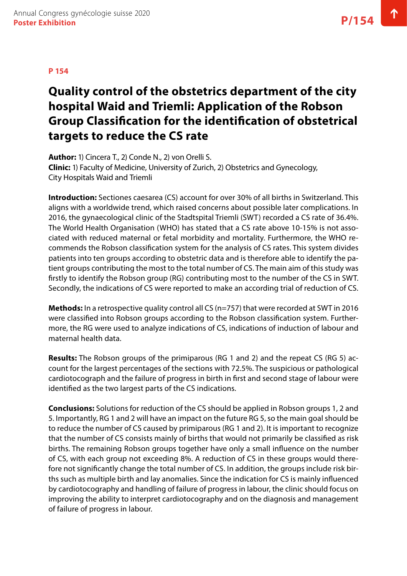# **Quality control of the obstetrics department of the city hospital Waid and Triemli: Application of the Robson Group Classification for the identification of obstetrical targets to reduce the CS rate**

**Author:** 1) Cincera T., 2) Conde N., 2) von Orelli S. **Clinic:** 1) Faculty of Medicine, University of Zurich, 2) Obstetrics and Gynecology, City Hospitals Waid and Triemli

**Introduction:** Sectiones caesarea (CS) account for over 30% of all births in Switzerland. This aligns with a worldwide trend, which raised concerns about possible later complications. In 2016, the gynaecological clinic of the Stadtspital Triemli (SWT) recorded a CS rate of 36.4%. The World Health Organisation (WHO) has stated that a CS rate above 10-15% is not associated with reduced maternal or fetal morbidity and mortality. Furthermore, the WHO recommends the Robson classification system for the analysis of CS rates. This system divides patients into ten groups according to obstetric data and is therefore able to identify the patient groups contributing the most to the total number of CS. The main aim of this study was firstly to identify the Robson group (RG) contributing most to the number of the CS in SWT. Secondly, the indications of CS were reported to make an according trial of reduction of CS.

**Methods:** In a retrospective quality control all CS (n=757) that were recorded at SWT in 2016 were classified into Robson groups according to the Robson classification system. Furthermore, the RG were used to analyze indications of CS, indications of induction of labour and maternal health data.

**Results:** The Robson groups of the primiparous (RG 1 and 2) and the repeat CS (RG 5) account for the largest percentages of the sections with 72.5%. The suspicious or pathological cardiotocograph and the failure of progress in birth in first and second stage of labour were identified as the two largest parts of the CS indications.

**Conclusions:** Solutions for reduction of the CS should be applied in Robson groups 1, 2 and 5. Importantly, RG 1 and 2 will have an impact on the future RG 5, so the main goal should be to reduce the number of CS caused by primiparous (RG 1 and 2). It is important to recognize that the number of CS consists mainly of births that would not primarily be classified as risk births. The remaining Robson groups together have only a small influence on the number of CS, with each group not exceeding 8%. A reduction of CS in these groups would therefore not significantly change the total number of CS. In addition, the groups include risk births such as multiple birth and lay anomalies. Since the indication for CS is mainly influenced by cardiotocography and handling of failure of progress in labour, the clinic should focus on improving the ability to interpret cardiotocography and on the diagnosis and management of failure of progress in labour.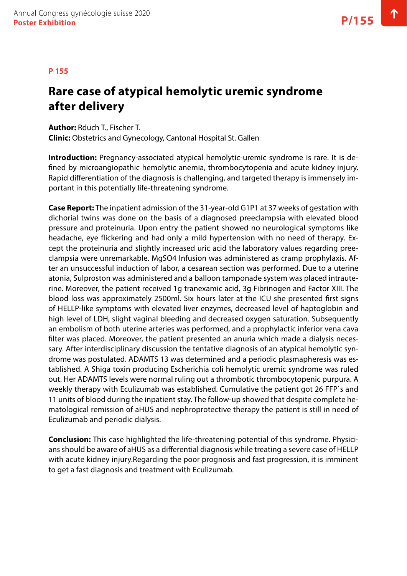#### **P 155**

### **Rare case of atypical hemolytic uremic syndrome after delivery**

**Author:** Rduch T., Fischer T. **Clinic:** Obstetrics and Gynecology, Cantonal Hospital St. Gallen

**Introduction:** Pregnancy-associated atypical hemolytic-uremic syndrome is rare. It is defined by microangiopathic hemolytic anemia, thrombocytopenia and acute kidney injury. Rapid differentiation of the diagnosis is challenging, and targeted therapy is immensely important in this potentially life-threatening syndrome.

**Case Report:** The inpatient admission of the 31-year-old G1P1 at 37 weeks of gestation with dichorial twins was done on the basis of a diagnosed preeclampsia with elevated blood pressure and proteinuria. Upon entry the patient showed no neurological symptoms like headache, eye flickering and had only a mild hypertension with no need of therapy. Except the proteinuria and slightly increased uric acid the laboratory values regarding preeclampsia were unremarkable. MgSO4 Infusion was administered as cramp prophylaxis. After an unsuccessful induction of labor, a cesarean section was performed. Due to a uterine atonia, Sulproston was administered and a balloon tamponade system was placed intrauterine. Moreover, the patient received 1g tranexamic acid, 3g Fibrinogen and Factor XIII. The blood loss was approximately 2500ml. Six hours later at the ICU she presented first signs of HELLP-like symptoms with elevated liver enzymes, decreased level of haptoglobin and high level of LDH, slight vaginal bleeding and decreased oxygen saturation. Subsequently an embolism of both uterine arteries was performed, and a prophylactic inferior vena cava filter was placed. Moreover, the patient presented an anuria which made a dialysis necessary. After interdisciplinary discussion the tentative diagnosis of an atypical hemolytic syndrome was postulated. ADAMTS 13 was determined and a periodic plasmapheresis was established. A Shiga toxin producing Escherichia coli hemolytic uremic syndrome was ruled out. Her ADAMTS levels were normal ruling out a thrombotic thrombocytopenic purpura. A weekly therapy with Eculizumab was established. Cumulative the patient got 26 FFP`s and 11 units of blood during the inpatient stay. The follow-up showed that despite complete hematological remission of aHUS and nephroprotective therapy the patient is still in need of Eculizumab and periodic dialysis.

**Conclusion:** This case highlighted the life-threatening potential of this syndrome. Physicians should be aware of aHUS as a differential diagnosis while treating a severe case of HELLP with acute kidney injury.Regarding the poor prognosis and fast progression, it is imminent to get a fast diagnosis and treatment with Eculizumab.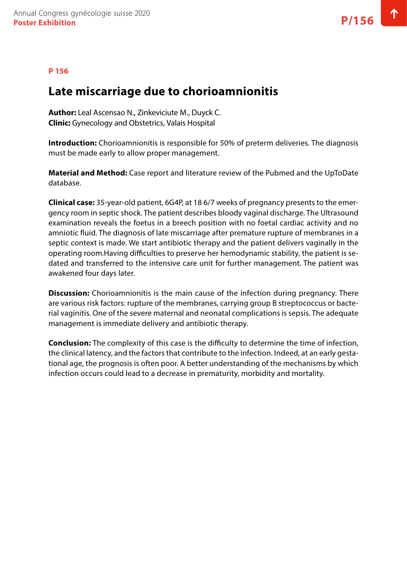### **P 156**

### **Late miscarriage due to chorioamnionitis**

**Author:** Leal Ascensao N., Zinkeviciute M., Duyck C. **Clinic:** Gynecology and Obstetrics, Valais Hospital

**Introduction:** Chorioamnionitis is responsible for 50% of preterm deliveries. The diagnosis must be made early to allow proper management.

**Material and Method:** Case report and literature review of the Pubmed and the UpToDate database.

**Clinical case:** 35-year-old patient, 6G4P, at 18 6/7 weeks of pregnancy presents to the emergency room in septic shock. The patient describes bloody vaginal discharge. The Ultrasound examination reveals the foetus in a breech position with no foetal cardiac activity and no amniotic fluid. The diagnosis of late miscarriage after premature rupture of membranes in a septic context is made. We start antibiotic therapy and the patient delivers vaginally in the operating room.Having difficulties to preserve her hemodynamic stability, the patient is sedated and transferred to the intensive care unit for further management. The patient was awakened four days later.

**Discussion:** Chorioamnionitis is the main cause of the infection during pregnancy. There are various risk factors: rupture of the membranes, carrying group B streptococcus or bacterial vaginitis. One of the severe maternal and neonatal complications is sepsis. The adequate management is immediate delivery and antibiotic therapy.

**Conclusion:** The complexity of this case is the difficulty to determine the time of infection, the clinical latency, and the factors that contribute to the infection. Indeed, at an early gestational age, the prognosis is often poor. A better understanding of the mechanisms by which infection occurs could lead to a decrease in prematurity, morbidity and mortality.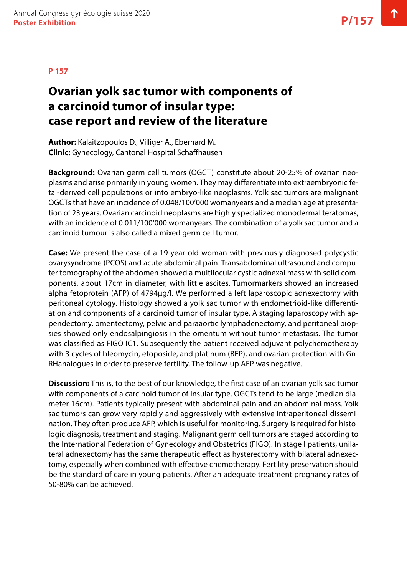# **Ovarian yolk sac tumor with components of a carcinoid tumor of insular type: case report and review of the literature**

**Author:** Kalaitzopoulos D., Villiger A., Eberhard M. **Clinic:** Gynecology, Cantonal Hospital Schaffhausen

**Background:** Ovarian germ cell tumors (OGCT) constitute about 20-25% of ovarian neoplasms and arise primarily in young women. They may differentiate into extraembryonic fetal-derived cell populations or into embryo-like neoplasms. Yolk sac tumors are malignant OGCTs that have an incidence of 0.048/100'000 womanyears and a median age at presentation of 23 years. Ovarian carcinoid neoplasms are highly specialized monodermal teratomas, with an incidence of 0.011/100'000 womanyears. The combination of a yolk sac tumor and a carcinoid tumour is also called a mixed germ cell tumor.

**Case:** We present the case of a 19-year-old woman with previously diagnosed polycystic ovarysyndrome (PCOS) and acute abdominal pain. Transabdominal ultrasound and computer tomography of the abdomen showed a multilocular cystic adnexal mass with solid components, about 17cm in diameter, with little ascites. Tumormarkers showed an increased alpha fetoprotein (AFP) of 4794µg/l. We performed a left laparoscopic adnexectomy with peritoneal cytology. Histology showed a yolk sac tumor with endometrioid-like differentiation and components of a carcinoid tumor of insular type. A staging laparoscopy with appendectomy, omentectomy, pelvic and paraaortic lymphadenectomy, and peritoneal biopsies showed only endosalpingiosis in the omentum without tumor metastasis. The tumor was classified as FIGO IC1. Subsequently the patient received adjuvant polychemotherapy with 3 cycles of bleomycin, etoposide, and platinum (BEP), and ovarian protection with Gn-RHanalogues in order to preserve fertility. The follow-up AFP was negative.

**Discussion:** This is, to the best of our knowledge, the first case of an ovarian yolk sac tumor with components of a carcinoid tumor of insular type. OGCTs tend to be large (median diameter 16cm). Patients typically present with abdominal pain and an abdominal mass. Yolk sac tumors can grow very rapidly and aggressively with extensive intraperitoneal dissemination. They often produce AFP, which is useful for monitoring. Surgery is required for histologic diagnosis, treatment and staging. Malignant germ cell tumors are staged according to the International Federation of Gynecology and Obstetrics (FIGO). In stage I patients, unilateral adnexectomy has the same therapeutic effect as hysterectomy with bilateral adnexectomy, especially when combined with effective chemotherapy. Fertility preservation should be the standard of care in young patients. After an adequate treatment pregnancy rates of 50-80% can be achieved.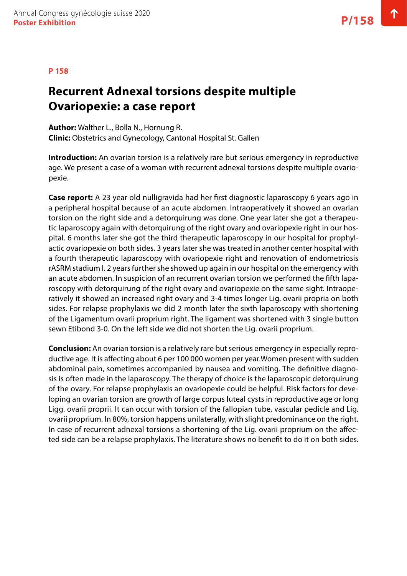#### **P 158**

### **Recurrent Adnexal torsions despite multiple Ovariopexie: a case report**

**Author:** Walther L., Bolla N., Hornung R. **Clinic:** Obstetrics and Gynecology, Cantonal Hospital St. Gallen

**Introduction:** An ovarian torsion is a relatively rare but serious emergency in reproductive age. We present a case of a woman with recurrent adnexal torsions despite multiple ovariopexie.

**Case report:** A 23 year old nulligravida had her first diagnostic laparoscopy 6 years ago in a peripheral hospital because of an acute abdomen. Intraoperatively it showed an ovarian torsion on the right side and a detorquirung was done. One year later she got a therapeutic laparoscopy again with detorquirung of the right ovary and ovariopexie right in our hospital. 6 months later she got the third therapeutic laparoscopy in our hospital for prophylactic ovariopexie on both sides. 3 years later she was treated in another center hospital with a fourth therapeutic laparoscopy with ovariopexie right and renovation of endometriosis rASRM stadium I. 2 years further she showed up again in our hospital on the emergency with an acute abdomen. In suspicion of an recurrent ovarian torsion we performed the fifth laparoscopy with detorquirung of the right ovary and ovariopexie on the same sight. Intraoperatively it showed an increased right ovary and 3-4 times longer Lig. ovarii propria on both sides. For relapse prophylaxis we did 2 month later the sixth laparoscopy with shortening of the Ligamentum ovarii proprium right. The ligament was shortened with 3 single button sewn Etibond 3-0. On the left side we did not shorten the Lig. ovarii proprium.

**Conclusion:** An ovarian torsion is a relatively rare but serious emergency in especially reproductive age. It is affecting about 6 per 100 000 women per year.Women present with sudden abdominal pain, sometimes accompanied by nausea and vomiting. The definitive diagnosis is often made in the laparoscopy. The therapy of choice is the laparoscopic detorquirung of the ovary. For relapse prophylaxis an ovariopexie could be helpful. Risk factors for developing an ovarian torsion are growth of large corpus luteal cysts in reproductive age or long Ligg. ovarii proprii. It can occur with torsion of the fallopian tube, vascular pedicle and Lig. ovarii proprium. In 80%, torsion happens unilaterally, with slight predominance on the right. In case of recurrent adnexal torsions a shortening of the Lig. ovarii proprium on the affected side can be a relapse prophylaxis. The literature shows no benefit to do it on both sides.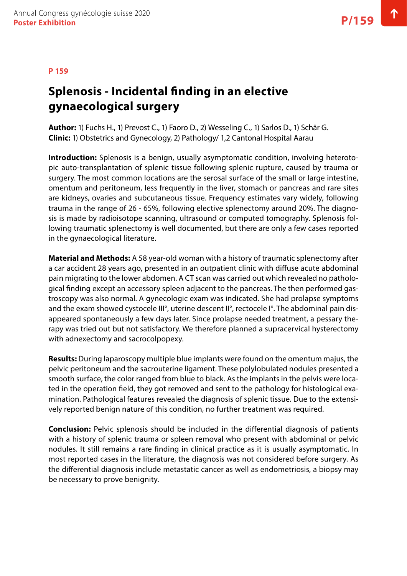# **Splenosis - Incidental finding in an elective gynaecological surgery**

**Author:** 1) Fuchs H., 1) Prevost C., 1) Faoro D., 2) Wesseling C., 1) Sarlos D., 1) Schär G. **Clinic:** 1) Obstetrics and Gynecology, 2) Pathology/ 1,2 Cantonal Hospital Aarau

**Introduction:** Splenosis is a benign, usually asymptomatic condition, involving heterotopic auto-transplantation of splenic tissue following splenic rupture, caused by trauma or surgery. The most common locations are the serosal surface of the small or large intestine, omentum and peritoneum, less frequently in the liver, stomach or pancreas and rare sites are kidneys, ovaries and subcutaneous tissue. Frequency estimates vary widely, following trauma in the range of 26 - 65%, following elective splenectomy around 20%. The diagnosis is made by radioisotope scanning, ultrasound or computed tomography. Splenosis following traumatic splenectomy is well documented, but there are only a few cases reported in the gynaecological literature.

**Material and Methods:** A 58 year-old woman with a history of traumatic splenectomy after a car accident 28 years ago, presented in an outpatient clinic with diffuse acute abdominal pain migrating to the lower abdomen. A CT scan was carried out which revealed no pathological finding except an accessory spleen adjacent to the pancreas. The then performed gastroscopy was also normal. A gynecologic exam was indicated. She had prolapse symptoms and the exam showed cystocele III°, uterine descent II°, rectocele I°. The abdominal pain disappeared spontaneously a few days later. Since prolapse needed treatment, a pessary therapy was tried out but not satisfactory. We therefore planned a supracervical hysterectomy with adnexectomy and sacrocolpopexy.

**Results:** During laparoscopy multiple blue implants were found on the omentum majus, the pelvic peritoneum and the sacrouterine ligament. These polylobulated nodules presented a smooth surface, the color ranged from blue to black. As the implants in the pelvis were located in the operation field, they got removed and sent to the pathology for histological examination. Pathological features revealed the diagnosis of splenic tissue. Due to the extensively reported benign nature of this condition, no further treatment was required.

**Conclusion:** Pelvic splenosis should be included in the differential diagnosis of patients with a history of splenic trauma or spleen removal who present with abdominal or pelvic nodules. It still remains a rare finding in clinical practice as it is usually asymptomatic. In most reported cases in the literature, the diagnosis was not considered before surgery. As the differential diagnosis include metastatic cancer as well as endometriosis, a biopsy may be necessary to prove benignity.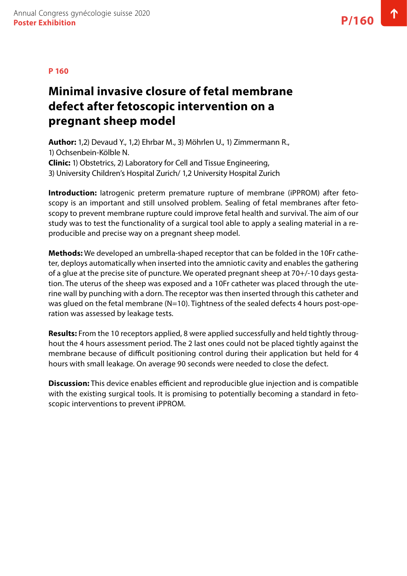### **Minimal invasive closure of fetal membrane defect after fetoscopic intervention on a pregnant sheep model**

**Author:** 1,2) Devaud Y., 1,2) Ehrbar M., 3) Möhrlen U., 1) Zimmermann R., 1) Ochsenbein-Kölble N. **Clinic:** 1) Obstetrics, 2) Laboratory for Cell and Tissue Engineering, 3) University Children's Hospital Zurich/ 1,2 University Hospital Zurich

**Introduction:** Iatrogenic preterm premature rupture of membrane (iPPROM) after fetoscopy is an important and still unsolved problem. Sealing of fetal membranes after fetoscopy to prevent membrane rupture could improve fetal health and survival. The aim of our study was to test the functionality of a surgical tool able to apply a sealing material in a reproducible and precise way on a pregnant sheep model.

**Methods:** We developed an umbrella-shaped receptor that can be folded in the 10Fr catheter, deploys automatically when inserted into the amniotic cavity and enables the gathering of a glue at the precise site of puncture. We operated pregnant sheep at 70+/-10 days gestation. The uterus of the sheep was exposed and a 10Fr catheter was placed through the uterine wall by punching with a dorn. The receptor was then inserted through this catheter and was glued on the fetal membrane (N=10). Tightness of the sealed defects 4 hours post-operation was assessed by leakage tests.

**Results:** From the 10 receptors applied, 8 were applied successfully and held tightly throughout the 4 hours assessment period. The 2 last ones could not be placed tightly against the membrane because of difficult positioning control during their application but held for 4 hours with small leakage. On average 90 seconds were needed to close the defect.

**Discussion:** This device enables efficient and reproducible glue injection and is compatible with the existing surgical tools. It is promising to potentially becoming a standard in fetoscopic interventions to prevent iPPROM.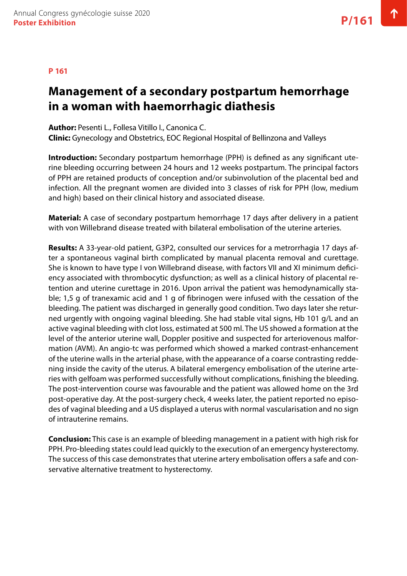### **Management of a secondary postpartum hemorrhage in a woman with haemorrhagic diathesis**

**Author:** Pesenti L., Follesa Vitillo I., Canonica C. **Clinic:** Gynecology and Obstetrics, EOC Regional Hospital of Bellinzona and Valleys

**Introduction:** Secondary postpartum hemorrhage (PPH) is defined as any significant uterine bleeding occurring between 24 hours and 12 weeks postpartum. The principal factors of PPH are retained products of conception and/or subinvolution of the placental bed and infection. All the pregnant women are divided into 3 classes of risk for PPH (low, medium and high) based on their clinical history and associated disease.

**Material:** A case of secondary postpartum hemorrhage 17 days after delivery in a patient with von Willebrand disease treated with bilateral embolisation of the uterine arteries.

**Results:** A 33-year-old patient, G3P2, consulted our services for a metrorrhagia 17 days after a spontaneous vaginal birth complicated by manual placenta removal and curettage. She is known to have type I von Willebrand disease, with factors VII and XI minimum deficiency associated with thrombocytic dysfunction; as well as a clinical history of placental retention and uterine curettage in 2016. Upon arrival the patient was hemodynamically stable; 1,5 g of tranexamic acid and 1 g of fibrinogen were infused with the cessation of the bleeding. The patient was discharged in generally good condition. Two days later she returned urgently with ongoing vaginal bleeding. She had stable vital signs, Hb 101 g/L and an active vaginal bleeding with clot loss, estimated at 500 ml. The US showed a formation at the level of the anterior uterine wall, Doppler positive and suspected for arteriovenous malformation (AVM). An angio-tc was performed which showed a marked contrast-enhancement of the uterine walls in the arterial phase, with the appearance of a coarse contrasting reddening inside the cavity of the uterus. A bilateral emergency embolisation of the uterine arteries with gelfoam was performed successfully without complications, finishing the bleeding. The post-intervention course was favourable and the patient was allowed home on the 3rd post-operative day. At the post-surgery check, 4 weeks later, the patient reported no episodes of vaginal bleeding and a US displayed a uterus with normal vascularisation and no sign of intrauterine remains.

**Conclusion:** This case is an example of bleeding management in a patient with high risk for PPH. Pro-bleeding states could lead quickly to the execution of an emergency hysterectomy. The success of this case demonstrates that uterine artery embolisation offers a safe and conservative alternative treatment to hysterectomy.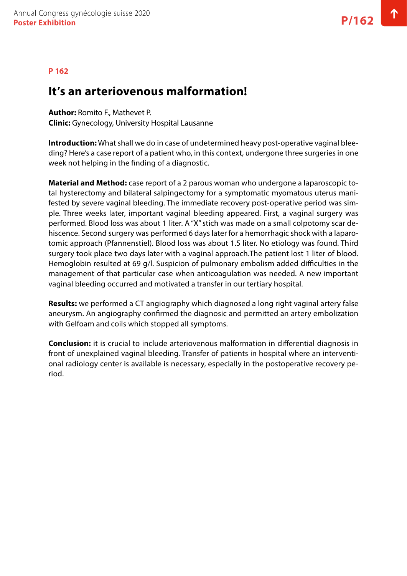### **It's an arteriovenous malformation!**

**Author:** Romito F., Mathevet P.

**Clinic:** Gynecology, University Hospital Lausanne

**Introduction:** What shall we do in case of undetermined heavy post-operative vaginal bleeding? Here's a case report of a patient who, in this context, undergone three surgeries in one week not helping in the finding of a diagnostic.

**Material and Method:** case report of a 2 parous woman who undergone a laparoscopic total hysterectomy and bilateral salpingectomy for a symptomatic myomatous uterus manifested by severe vaginal bleeding. The immediate recovery post-operative period was simple. Three weeks later, important vaginal bleeding appeared. First, a vaginal surgery was performed. Blood loss was about 1 liter. A "X" stich was made on a small colpotomy scar dehiscence. Second surgery was performed 6 days later for a hemorrhagic shock with a laparotomic approach (Pfannenstiel). Blood loss was about 1.5 liter. No etiology was found. Third surgery took place two days later with a vaginal approach.The patient lost 1 liter of blood. Hemoglobin resulted at 69 g/l. Suspicion of pulmonary embolism added difficulties in the management of that particular case when anticoagulation was needed. A new important vaginal bleeding occurred and motivated a transfer in our tertiary hospital.

**Results:** we performed a CT angiography which diagnosed a long right vaginal artery false aneurysm. An angiography confirmed the diagnosic and permitted an artery embolization with Gelfoam and coils which stopped all symptoms.

**Conclusion:** it is crucial to include arteriovenous malformation in differential diagnosis in front of unexplained vaginal bleeding. Transfer of patients in hospital where an interventional radiology center is available is necessary, especially in the postoperative recovery period.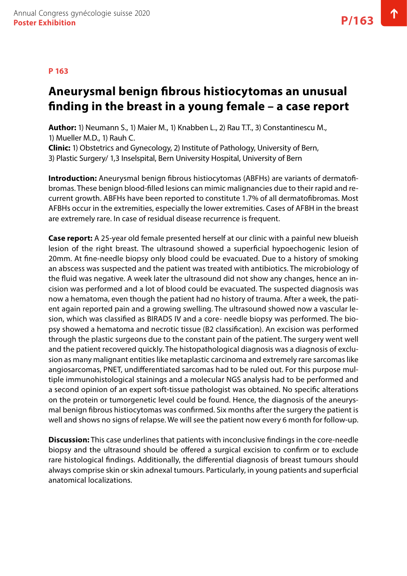#### **P 163**

# **Aneurysmal benign fibrous histiocytomas an unusual finding in the breast in a young female – a case report**

**Author:** 1) Neumann S., 1) Maier M., 1) Knabben L., 2) Rau T.T., 3) Constantinescu M., 1) Mueller M.D., 1) Rauh C.

**Clinic:** 1) Obstetrics and Gynecology, 2) Institute of Pathology, University of Bern, 3) Plastic Surgery/ 1,3 Inselspital, Bern University Hospital, University of Bern

**Introduction:** Aneurysmal benign fibrous histiocytomas (ABFHs) are variants of dermatofibromas. These benign blood‐filled lesions can mimic malignancies due to their rapid and recurrent growth. ABFHs have been reported to constitute 1.7% of all dermatofibromas. Most AFBHs occur in the extremities, especially the lower extremities. Cases of AFBH in the breast are extremely rare. In case of residual disease recurrence is frequent.

**Case report:** A 25-year old female presented herself at our clinic with a painful new blueish lesion of the right breast. The ultrasound showed a superficial hypoechogenic lesion of 20mm. At fine-needle biopsy only blood could be evacuated. Due to a history of smoking an abscess was suspected and the patient was treated with antibiotics. The microbiology of the fluid was negative. A week later the ultrasound did not show any changes, hence an incision was performed and a lot of blood could be evacuated. The suspected diagnosis was now a hematoma, even though the patient had no history of trauma. After a week, the patient again reported pain and a growing swelling. The ultrasound showed now a vascular lesion, which was classified as BIRADS IV and a core- needle biopsy was performed. The biopsy showed a hematoma and necrotic tissue (B2 classification). An excision was performed through the plastic surgeons due to the constant pain of the patient. The surgery went well and the patient recovered quickly. The histopathological diagnosis was a diagnosis of exclusion as many malignant entities like metaplastic carcinoma and extremely rare sarcomas like angiosarcomas, PNET, undifferentiated sarcomas had to be ruled out. For this purpose multiple immunohistological stainings and a molecular NGS analysis had to be performed and a second opinion of an expert soft-tissue pathologist was obtained. No specific alterations on the protein or tumorgenetic level could be found. Hence, the diagnosis of the aneurysmal benign fibrous histiocytomas was confirmed. Six months after the surgery the patient is well and shows no signs of relapse. We will see the patient now every 6 month for follow-up.

**Discussion:** This case underlines that patients with inconclusive findings in the core-needle biopsy and the ultrasound should be offered a surgical excision to confirm or to exclude rare histological findings. Additionally, the differential diagnosis of breast tumours should always comprise skin or skin adnexal tumours. Particularly, in young patients and superficial anatomical localizations.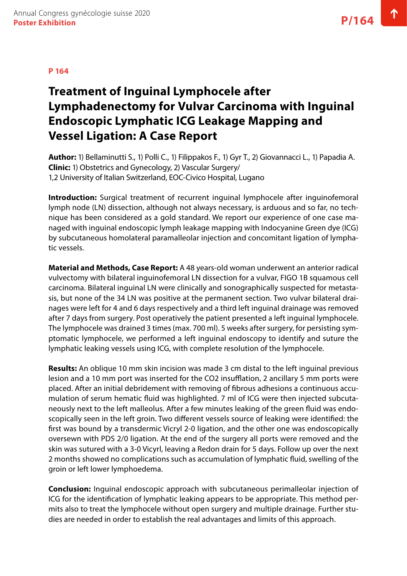# **Treatment of Inguinal Lymphocele after Lymphadenectomy for Vulvar Carcinoma with Inguinal Endoscopic Lymphatic ICG Leakage Mapping and Vessel Ligation: A Case Report**

**Author:** 1) Bellaminutti S., 1) Polli C., 1) Filippakos F., 1) Gyr T., 2) Giovannacci L., 1) Papadia A. **Clinic:** 1) Obstetrics and Gynecology, 2) Vascular Surgery/ 1,2 University of Italian Switzerland, EOC-Civico Hospital, Lugano

**Introduction:** Surgical treatment of recurrent inguinal lymphocele after inguinofemoral lymph node (LN) dissection, although not always necessary, is arduous and so far, no technique has been considered as a gold standard. We report our experience of one case managed with inguinal endoscopic lymph leakage mapping with Indocyanine Green dye (ICG) by subcutaneous homolateral paramalleolar injection and concomitant ligation of lymphatic vessels.

**Material and Methods, Case Report:** A 48 years-old woman underwent an anterior radical vulvectomy with bilateral inguinofemoral LN dissection for a vulvar, FIGO 1B squamous cell carcinoma. Bilateral inguinal LN were clinically and sonographically suspected for metastasis, but none of the 34 LN was positive at the permanent section. Two vulvar bilateral drainages were left for 4 and 6 days respectively and a third left inguinal drainage was removed after 7 days from surgery. Post operatively the patient presented a left inguinal lymphocele. The lymphocele was drained 3 times (max. 700 ml). 5 weeks after surgery, for persisting symptomatic lymphocele, we performed a left inguinal endoscopy to identify and suture the lymphatic leaking vessels using ICG, with complete resolution of the lymphocele.

**Results:** An oblique 10 mm skin incision was made 3 cm distal to the left inguinal previous lesion and a 10 mm port was inserted for the CO2 insufflation, 2 ancillary 5 mm ports were placed. After an initial debridement with removing of fibrous adhesions a continuous accumulation of serum hematic fluid was highlighted. 7 ml of ICG were then injected subcutaneously next to the left malleolus. After a few minutes leaking of the green fluid was endoscopically seen in the left groin. Two different vessels source of leaking were identified: the first was bound by a transdermic Vicryl 2-0 ligation, and the other one was endoscopically oversewn with PDS 2/0 ligation. At the end of the surgery all ports were removed and the skin was sutured with a 3-0 Vicyrl, leaving a Redon drain for 5 days. Follow up over the next 2 months showed no complications such as accumulation of lymphatic fluid, swelling of the groin or left lower lymphoedema.

**Conclusion:** Inguinal endoscopic approach with subcutaneous perimalleolar injection of ICG for the identification of lymphatic leaking appears to be appropriate. This method permits also to treat the lymphocele without open surgery and multiple drainage. Further studies are needed in order to establish the real advantages and limits of this approach.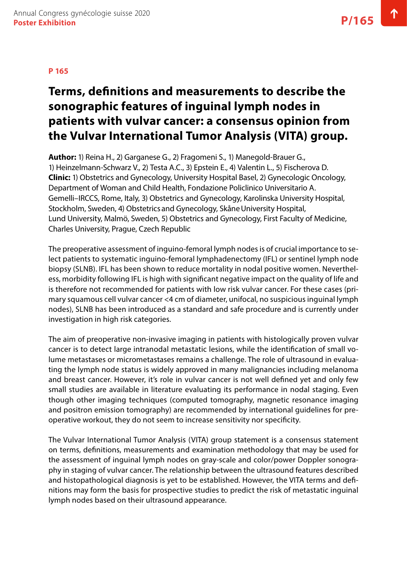# **Terms, definitions and measurements to describe the sonographic features of inguinal lymph nodes in patients with vulvar cancer: a consensus opinion from the Vulvar International Tumor Analysis (VITA) group.**

**Author:** 1) Reina H., 2) Garganese G., 2) Fragomeni S., 1) Manegold-Brauer G., 1) Heinzelmann-Schwarz V., 2) Testa A.C., 3) Epstein E., 4) Valentin L., 5) Fischerova D. **Clinic:** 1) Obstetrics and Gynecology, University Hospital Basel, 2) Gynecologic Oncology, Department of Woman and Child Health, Fondazione Policlinico Universitario A. Gemelli–IRCCS, Rome, Italy, 3) Obstetrics and Gynecology, Karolinska University Hospital, Stockholm, Sweden, 4) Obstetrics and Gynecology, Skåne University Hospital, Lund University, Malmö, Sweden, 5) Obstetrics and Gynecology, First Faculty of Medicine, Charles University, Prague, Czech Republic

The preoperative assessment of inguino-femoral lymph nodes is of crucial importance to select patients to systematic inguino-femoral lymphadenectomy (IFL) or sentinel lymph node biopsy (SLNB). IFL has been shown to reduce mortality in nodal positive women. Nevertheless, morbidity following IFL is high with significant negative impact on the quality of life and is therefore not recommended for patients with low risk vulvar cancer. For these cases (primary squamous cell vulvar cancer <4 cm of diameter, unifocal, no suspicious inguinal lymph nodes), SLNB has been introduced as a standard and safe procedure and is currently under investigation in high risk categories.

The aim of preoperative non-invasive imaging in patients with histologically proven vulvar cancer is to detect large intranodal metastatic lesions, while the identification of small volume metastases or micrometastases remains a challenge. The role of ultrasound in evaluating the lymph node status is widely approved in many malignancies including melanoma and breast cancer. However, it's role in vulvar cancer is not well defined yet and only few small studies are available in literature evaluating its performance in nodal staging. Even though other imaging techniques (computed tomography, magnetic resonance imaging and positron emission tomography) are recommended by international guidelines for preoperative workout, they do not seem to increase sensitivity nor specificity.

The Vulvar International Tumor Analysis (VITA) group statement is a consensus statement on terms, definitions, measurements and examination methodology that may be used for the assessment of inguinal lymph nodes on gray-scale and color/power Doppler sonography in staging of vulvar cancer. The relationship between the ultrasound features described and histopathological diagnosis is yet to be established. However, the VITA terms and definitions may form the basis for prospective studies to predict the risk of metastatic inguinal lymph nodes based on their ultrasound appearance.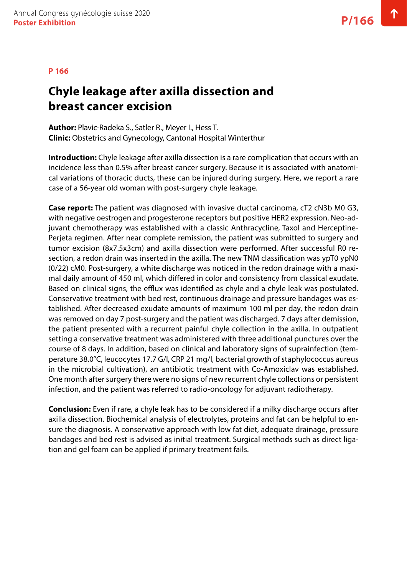## **Chyle leakage after axilla dissection and breast cancer excision**

**Author:** Plavic-Radeka S., Satler R., Meyer I., Hess T. **Clinic:** Obstetrics and Gynecology, Cantonal Hospital Winterthur

**Introduction:** Chyle leakage after axilla dissection is a rare complication that occurs with an incidence less than 0.5% after breast cancer surgery. Because it is associated with anatomical variations of thoracic ducts, these can be injured during surgery. Here, we report a rare case of a 56-year old woman with post-surgery chyle leakage.

**Case report:** The patient was diagnosed with invasive ductal carcinoma, cT2 cN3b M0 G3, with negative oestrogen and progesterone receptors but positive HER2 expression. Neo-adjuvant chemotherapy was established with a classic Anthracycline, Taxol and Herceptine-Perjeta regimen. After near complete remission, the patient was submitted to surgery and tumor excision (8x7.5x3cm) and axilla dissection were performed. After successful R0 resection, a redon drain was inserted in the axilla. The new TNM classification was ypT0 ypN0 (0/22) cM0. Post-surgery, a white discharge was noticed in the redon drainage with a maximal daily amount of 450 ml, which differed in color and consistency from classical exudate. Based on clinical signs, the efflux was identified as chyle and a chyle leak was postulated. Conservative treatment with bed rest, continuous drainage and pressure bandages was established. After decreased exudate amounts of maximum 100 ml per day, the redon drain was removed on day 7 post-surgery and the patient was discharged. 7 days after demission, the patient presented with a recurrent painful chyle collection in the axilla. In outpatient setting a conservative treatment was administered with three additional punctures over the course of 8 days. In addition, based on clinical and laboratory signs of suprainfection (temperature 38.0°C, leucocytes 17.7 G/l, CRP 21 mg/l, bacterial growth of staphylococcus aureus in the microbial cultivation), an antibiotic treatment with Co-Amoxiclav was established. One month after surgery there were no signs of new recurrent chyle collections or persistent infection, and the patient was referred to radio-oncology for adjuvant radiotherapy.

**Conclusion:** Even if rare, a chyle leak has to be considered if a milky discharge occurs after axilla dissection. Biochemical analysis of electrolytes, proteins and fat can be helpful to ensure the diagnosis. A conservative approach with low fat diet, adequate drainage, pressure bandages and bed rest is advised as initial treatment. Surgical methods such as direct ligation and gel foam can be applied if primary treatment fails.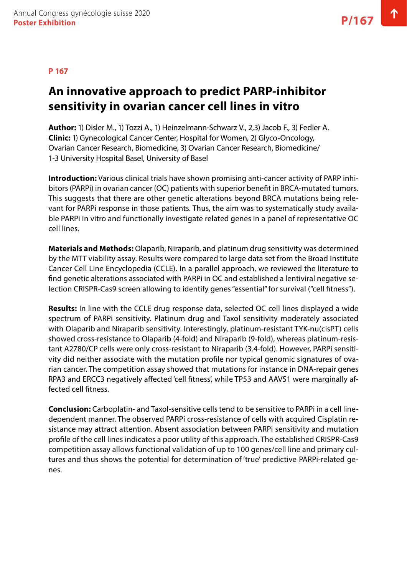# **An innovative approach to predict PARP-inhibitor sensitivity in ovarian cancer cell lines in vitro**

**Author:** 1) Disler M., 1) Tozzi A., 1) Heinzelmann-Schwarz V., 2,3) Jacob F., 3) Fedier A. **Clinic:** 1) Gynecological Cancer Center, Hospital for Women, 2) Glyco-Oncology, Ovarian Cancer Research, Biomedicine, 3) Ovarian Cancer Research, Biomedicine/ 1-3 University Hospital Basel, University of Basel

**Introduction:** Various clinical trials have shown promising anti-cancer activity of PARP inhibitors (PARPi) in ovarian cancer (OC) patients with superior benefit in BRCA-mutated tumors. This suggests that there are other genetic alterations beyond BRCA mutations being relevant for PARPi response in those patients. Thus, the aim was to systematically study available PARPi in vitro and functionally investigate related genes in a panel of representative OC cell lines.

**Materials and Methods:** Olaparib, Niraparib, and platinum drug sensitivity was determined by the MTT viability assay. Results were compared to large data set from the Broad Institute Cancer Cell Line Encyclopedia (CCLE). In a parallel approach, we reviewed the literature to find genetic alterations associated with PARPi in OC and established a lentiviral negative selection CRISPR-Cas9 screen allowing to identify genes "essential" for survival ("cell fitness").

**Results:** In line with the CCLE drug response data, selected OC cell lines displayed a wide spectrum of PARPi sensitivity. Platinum drug and Taxol sensitivity moderately associated with Olaparib and Niraparib sensitivity. Interestingly, platinum-resistant TYK-nu(cisPT) cells showed cross-resistance to Olaparib (4-fold) and Niraparib (9-fold), whereas platinum-resistant A2780/CP cells were only cross-resistant to Niraparib (3.4-fold). However, PARPi sensitivity did neither associate with the mutation profile nor typical genomic signatures of ovarian cancer. The competition assay showed that mutations for instance in DNA-repair genes RPA3 and ERCC3 negatively affected 'cell fitness', while TP53 and AAVS1 were marginally affected cell fitness.

**Conclusion:** Carboplatin- and Taxol-sensitive cells tend to be sensitive to PARPi in a cell linedependent manner. The observed PARPi cross-resistance of cells with acquired Cisplatin resistance may attract attention. Absent association between PARPi sensitivity and mutation profile of the cell lines indicates a poor utility of this approach. The established CRISPR-Cas9 competition assay allows functional validation of up to 100 genes/cell line and primary cultures and thus shows the potential for determination of 'true' predictive PARPi-related genes.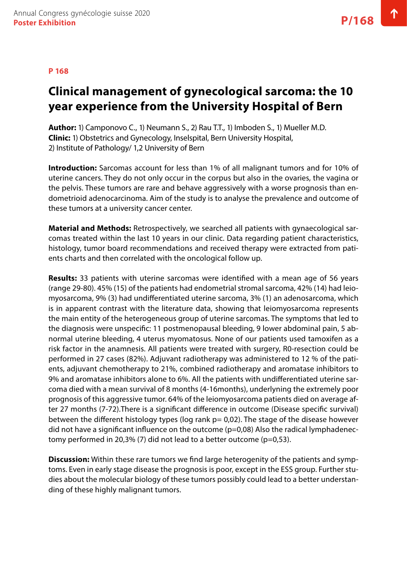# **Clinical management of gynecological sarcoma: the 10 year experience from the University Hospital of Bern**

**Author:** 1) Camponovo C., 1) Neumann S., 2) Rau T.T., 1) Imboden S., 1) Mueller M.D. **Clinic:** 1) Obstetrics and Gynecology, Inselspital, Bern University Hospital, 2) Institute of Pathology/ 1,2 University of Bern

**Introduction:** Sarcomas account for less than 1% of all malignant tumors and for 10% of uterine cancers. They do not only occur in the corpus but also in the ovaries, the vagina or the pelvis. These tumors are rare and behave aggressively with a worse prognosis than endometrioid adenocarcinoma. Aim of the study is to analyse the prevalence and outcome of these tumors at a university cancer center.

**Material and Methods:** Retrospectively, we searched all patients with gynaecological sarcomas treated within the last 10 years in our clinic. Data regarding patient characteristics, histology, tumor board recommendations and received therapy were extracted from patients charts and then correlated with the oncological follow up.

**Results:** 33 patients with uterine sarcomas were identified with a mean age of 56 years (range 29-80). 45% (15) of the patients had endometrial stromal sarcoma, 42% (14) had leiomyosarcoma, 9% (3) had undifferentiated uterine sarcoma, 3% (1) an adenosarcoma, which is in apparent contrast with the literature data, showing that leiomyosarcoma represents the main entity of the heterogeneous group of uterine sarcomas. The symptoms that led to the diagnosis were unspecific: 11 postmenopausal bleeding, 9 lower abdominal pain, 5 abnormal uterine bleeding, 4 uterus myomatosus. None of our patients used tamoxifen as a risk factor in the anamnesis. All patients were treated with surgery, R0-resection could be performed in 27 cases (82%). Adjuvant radiotherapy was administered to 12 % of the patients, adjuvant chemotherapy to 21%, combined radiotherapy and aromatase inhibitors to 9% and aromatase inhibitors alone to 6%. All the patients with undifferentiated uterine sarcoma died with a mean survival of 8 months (4-16months), underlyning the extremely poor prognosis of this aggressive tumor. 64% of the leiomyosarcoma patients died on average after 27 months (7-72).There is a significant difference in outcome (Disease specific survival) between the different histology types (log rank  $p= 0.02$ ). The stage of the disease however did not have a significant influence on the outcome (p=0,08) Also the radical lymphadenectomy performed in 20,3% (7) did not lead to a better outcome ( $p=0.53$ ).

**Discussion:** Within these rare tumors we find large heterogenity of the patients and symptoms. Even in early stage disease the prognosis is poor, except in the ESS group. Further studies about the molecular biology of these tumors possibly could lead to a better understanding of these highly malignant tumors.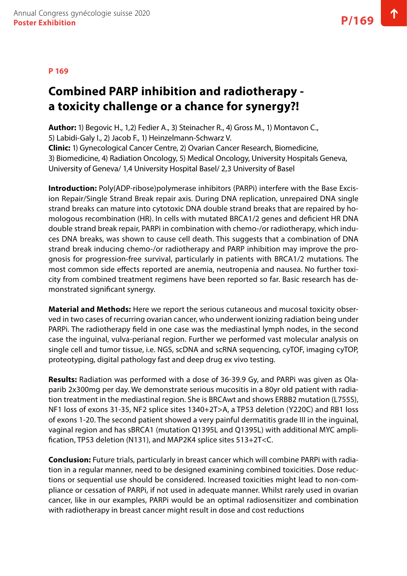#### **P 169**

# **Combined PARP inhibition and radiotherapy a toxicity challenge or a chance for synergy?!**

**Author:** 1) Begovic H., 1,2) Fedier A., 3) Steinacher R., 4) Gross M., 1) Montavon C., 5) Labidi-Galy I., 2) Jacob F., 1) Heinzelmann-Schwarz V.

**Clinic:** 1) Gynecological Cancer Centre, 2) Ovarian Cancer Research, Biomedicine, 3) Biomedicine, 4) Radiation Oncology, 5) Medical Oncology, University Hospitals Geneva, University of Geneva/ 1,4 University Hospital Basel/ 2,3 University of Basel

**Introduction:** Poly(ADP-ribose)polymerase inhibitors (PARPi) interfere with the Base Excision Repair/Single Strand Break repair axis. During DNA replication, unrepaired DNA single strand breaks can mature into cytotoxic DNA double strand breaks that are repaired by homologous recombination (HR). In cells with mutated BRCA1/2 genes and deficient HR DNA double strand break repair, PARPi in combination with chemo-/or radiotherapy, which induces DNA breaks, was shown to cause cell death. This suggests that a combination of DNA strand break inducing chemo-/or radiotherapy and PARP inhibition may improve the prognosis for progression-free survival, particularly in patients with BRCA1/2 mutations. The most common side effects reported are anemia, neutropenia and nausea. No further toxicity from combined treatment regimens have been reported so far. Basic research has demonstrated significant synergy.

**Material and Methods:** Here we report the serious cutaneous and mucosal toxicity observed in two cases of recurring ovarian cancer, who underwent ionizing radiation being under PARPi. The radiotherapy field in one case was the mediastinal lymph nodes, in the second case the inguinal, vulva-perianal region. Further we performed vast molecular analysis on single cell and tumor tissue, i.e. NGS, scDNA and scRNA sequencing, cyTOF, imaging cyTOP, proteotyping, digital pathology fast and deep drug ex vivo testing.

**Results:** Radiation was performed with a dose of 36-39.9 Gy, and PARPi was given as Olaparib 2x300mg per day. We demonstrate serious mucositis in a 80yr old patient with radiation treatment in the mediastinal region. She is BRCAwt and shows ERBB2 mutation (L755S), NF1 loss of exons 31-35, NF2 splice sites 1340+2T>A, a TP53 deletion (Y220C) and RB1 loss of exons 1-20. The second patient showed a very painful dermatitis grade III in the inguinal, vaginal region and has sBRCA1 (mutation Q1395L and Q1395L) with additional MYC amplification, TP53 deletion (N131), and MAP2K4 splice sites 513+2T<C.

**Conclusion:** Future trials, particularly in breast cancer which will combine PARPi with radiation in a regular manner, need to be designed examining combined toxicities. Dose reductions or sequential use should be considered. Increased toxicities might lead to non-compliance or cessation of PARPi, if not used in adequate manner. Whilst rarely used in ovarian cancer, like in our examples, PARPi would be an optimal radiosensitizer and combination with radiotherapy in breast cancer might result in dose and cost reductions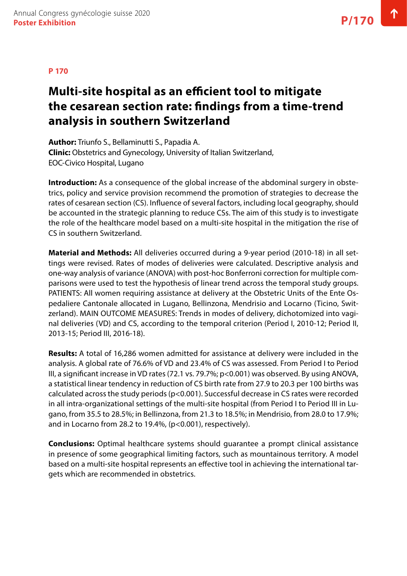# **Multi-site hospital as an efficient tool to mitigate the cesarean section rate: findings from a time-trend analysis in southern Switzerland**

**Author:** Triunfo S., Bellaminutti S., Papadia A. **Clinic:** Obstetrics and Gynecology, University of Italian Switzerland, EOC-Civico Hospital, Lugano

**Introduction:** As a consequence of the global increase of the abdominal surgery in obstetrics, policy and service provision recommend the promotion of strategies to decrease the rates of cesarean section (CS). Influence of several factors, including local geography, should be accounted in the strategic planning to reduce CSs. The aim of this study is to investigate the role of the healthcare model based on a multi-site hospital in the mitigation the rise of CS in southern Switzerland.

**Material and Methods:** All deliveries occurred during a 9-year period (2010-18) in all settings were revised. Rates of modes of deliveries were calculated. Descriptive analysis and one‐way analysis of variance (ANOVA) with post‐hoc Bonferroni correction for multiple comparisons were used to test the hypothesis of linear trend across the temporal study groups. PATIENTS: All women requiring assistance at delivery at the Obstetric Units of the Ente Ospedaliere Cantonale allocated in Lugano, Bellinzona, Mendrisio and Locarno (Ticino, Switzerland). MAIN OUTCOME MEASURES: Trends in modes of delivery, dichotomized into vaginal deliveries (VD) and CS, according to the temporal criterion (Period I, 2010-12; Period II, 2013-15; Period III, 2016-18).

**Results:** A total of 16,286 women admitted for assistance at delivery were included in the analysis. A global rate of 76.6% of VD and 23.4% of CS was assessed. From Period I to Period III, a significant increase in VD rates (72.1 vs. 79.7%; p<0.001) was observed. By using ANOVA, a statistical linear tendency in reduction of CS birth rate from 27.9 to 20.3 per 100 births was calculated across the study periods (p<0.001). Successful decrease in CS rates were recorded in all intra-organizational settings of the multi-site hospital (from Period I to Period III in Lugano, from 35.5 to 28.5%; in Bellinzona, from 21.3 to 18.5%; in Mendrisio, from 28.0 to 17.9%; and in Locarno from 28.2 to 19.4%, (p<0.001), respectively).

**Conclusions:** Optimal healthcare systems should guarantee a prompt clinical assistance in presence of some geographical limiting factors, such as mountainous territory. A model based on a multi-site hospital represents an effective tool in achieving the international targets which are recommended in obstetrics.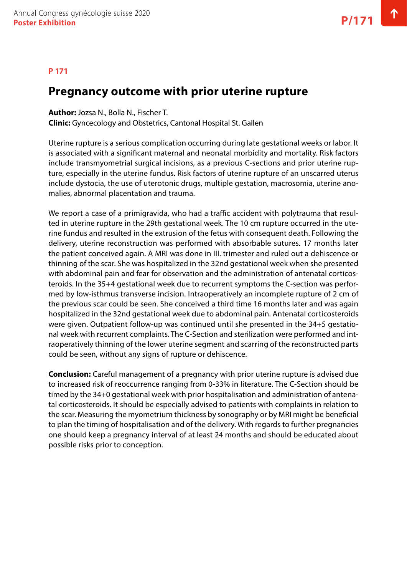#### **P 171**

### **Pregnancy outcome with prior uterine rupture**

**Author:** Jozsa N., Bolla N., Fischer T.

**Clinic:** Gyncecology and Obstetrics, Cantonal Hospital St. Gallen

Uterine rupture is a serious complication occurring during late gestational weeks or labor. It is associated with a significant maternal and neonatal morbidity and mortality. Risk factors include transmyometrial surgical incisions, as a previous C-sections and prior uterine rupture, especially in the uterine fundus. Risk factors of uterine rupture of an unscarred uterus include dystocia, the use of uterotonic drugs, multiple gestation, macrosomia, uterine anomalies, abnormal placentation and trauma.

We report a case of a primigravida, who had a traffic accident with polytrauma that resulted in uterine rupture in the 29th gestational week. The 10 cm rupture occurred in the uterine fundus and resulted in the extrusion of the fetus with consequent death. Following the delivery, uterine reconstruction was performed with absorbable sutures. 17 months later the patient conceived again. A MRI was done in III. trimester and ruled out a dehiscence or thinning of the scar. She was hospitalized in the 32nd gestational week when she presented with abdominal pain and fear for observation and the administration of antenatal corticosteroids. In the 35+4 gestational week due to recurrent symptoms the C-section was performed by low-isthmus transverse incision. Intraoperatively an incomplete rupture of 2 cm of the previous scar could be seen. She conceived a third time 16 months later and was again hospitalized in the 32nd gestational week due to abdominal pain. Antenatal corticosteroids were given. Outpatient follow-up was continued until she presented in the 34+5 gestational week with recurrent complaints. The C-Section and sterilization were performed and intraoperatively thinning of the lower uterine segment and scarring of the reconstructed parts could be seen, without any signs of rupture or dehiscence.

**Conclusion:** Careful management of a pregnancy with prior uterine rupture is advised due to increased risk of reoccurrence ranging from 0-33% in literature. The C-Section should be timed by the 34+0 gestational week with prior hospitalisation and administration of antenatal corticosteroids. It should be especially advised to patients with complaints in relation to the scar. Measuring the myometrium thickness by sonography or by MRI might be beneficial to plan the timing of hospitalisation and of the delivery. With regards to further pregnancies one should keep a pregnancy interval of at least 24 months and should be educated about possible risks prior to conception.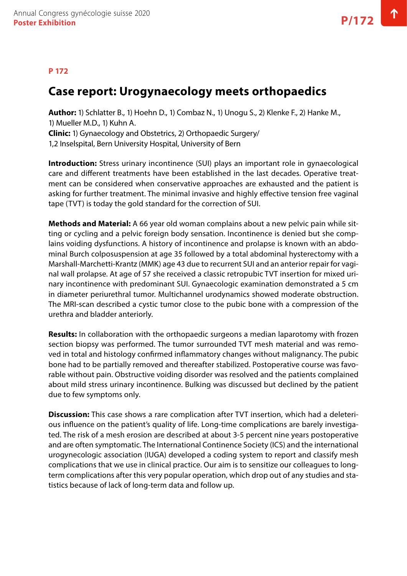### **P 172**

### **Case report: Urogynaecology meets orthopaedics**

**Author:** 1) Schlatter B., 1) Hoehn D., 1) Combaz N., 1) Unogu S., 2) Klenke F., 2) Hanke M., 1) Mueller M.D., 1) Kuhn A. **Clinic:** 1) Gynaecology and Obstetrics, 2) Orthopaedic Surgery/ 1,2 Inselspital, Bern University Hospital, University of Bern

**Introduction:** Stress urinary incontinence (SUI) plays an important role in gynaecological care and different treatments have been established in the last decades. Operative treatment can be considered when conservative approaches are exhausted and the patient is asking for further treatment. The minimal invasive and highly effective tension free vaginal tape (TVT) is today the gold standard for the correction of SUI.

**Methods and Material:** A 66 year old woman complains about a new pelvic pain while sitting or cycling and a pelvic foreign body sensation. Incontinence is denied but she complains voiding dysfunctions. A history of incontinence and prolapse is known with an abdominal Burch colposuspension at age 35 followed by a total abdominal hysterectomy with a Marshall-Marchetti-Krantz (MMK) age 43 due to recurrent SUI and an anterior repair for vaginal wall prolapse. At age of 57 she received a classic retropubic TVT insertion for mixed urinary incontinence with predominant SUI. Gynaecologic examination demonstrated a 5 cm in diameter periurethral tumor. Multichannel urodynamics showed moderate obstruction. The MRI-scan described a cystic tumor close to the pubic bone with a compression of the urethra and bladder anteriorly.

**Results:** In collaboration with the orthopaedic surgeons a median laparotomy with frozen section biopsy was performed. The tumor surrounded TVT mesh material and was removed in total and histology confirmed inflammatory changes without malignancy. The pubic bone had to be partially removed and thereafter stabilized. Postoperative course was favorable without pain. Obstructive voiding disorder was resolved and the patients complained about mild stress urinary incontinence. Bulking was discussed but declined by the patient due to few symptoms only.

**Discussion:** This case shows a rare complication after TVT insertion, which had a deleterious influence on the patient's quality of life. Long-time complications are barely investigated. The risk of a mesh erosion are described at about 3-5 percent nine years postoperative and are often symptomatic. The International Continence Society (ICS) and the international urogynecologic association (IUGA) developed a coding system to report and classify mesh complications that we use in clinical practice. Our aim is to sensitize our colleagues to longterm complications after this very popular operation, which drop out of any studies and statistics because of lack of long-term data and follow up.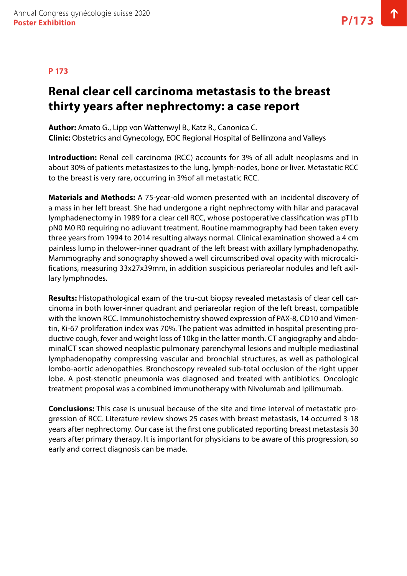### **Renal clear cell carcinoma metastasis to the breast thirty years after nephrectomy: a case report**

**Author:** Amato G., Lipp von Wattenwyl B., Katz R., Canonica C. **Clinic:** Obstetrics and Gynecology, EOC Regional Hospital of Bellinzona and Valleys

**Introduction:** Renal cell carcinoma (RCC) accounts for 3% of all adult neoplasms and in about 30% of patients metastasizes to the lung, lymph-nodes, bone or liver. Metastatic RCC to the breast is very rare, occurring in 3%of all metastatic RCC.

**Materials and Methods:** A 75-year-old women presented with an incidental discovery of a mass in her left breast. She had undergone a right nephrectomy with hilar and paracaval lymphadenectomy in 1989 for a clear cell RCC, whose postoperative classification was pT1b pN0 M0 R0 requiring no adiuvant treatment. Routine mammography had been taken every three years from 1994 to 2014 resulting always normal. Clinical examination showed a 4 cm painless lump in thelower-inner quadrant of the left breast with axillary lymphadenopathy. Mammography and sonography showed a well circumscribed oval opacity with microcalcifications, measuring 33x27x39mm, in addition suspicious periareolar nodules and left axillary lymphnodes.

**Results:** Histopathological exam of the tru-cut biopsy revealed metastasis of clear cell carcinoma in both lower-inner quadrant and periareolar region of the left breast, compatible with the known RCC. Immunohistochemistry showed expression of PAX-8, CD10 and Vimentin, Ki-67 proliferation index was 70%. The patient was admitted in hospital presenting productive cough, fever and weight loss of 10kg in the latter month. CT angiography and abdominalCT scan showed neoplastic pulmonary parenchymal lesions and multiple mediastinal lymphadenopathy compressing vascular and bronchial structures, as well as pathological lombo-aortic adenopathies. Bronchoscopy revealed sub-total occlusion of the right upper lobe. A post-stenotic pneumonia was diagnosed and treated with antibiotics. Oncologic treatment proposal was a combined immunotherapy with Nivolumab and Ipilimumab.

**Conclusions:** This case is unusual because of the site and time interval of metastatic progression of RCC. Literature review shows 25 cases with breast metastasis, 14 occurred 3-18 years after nephrectomy. Our case ist the first one publicated reporting breast metastasis 30 years after primary therapy. It is important for physicians to be aware of this progression, so early and correct diagnosis can be made.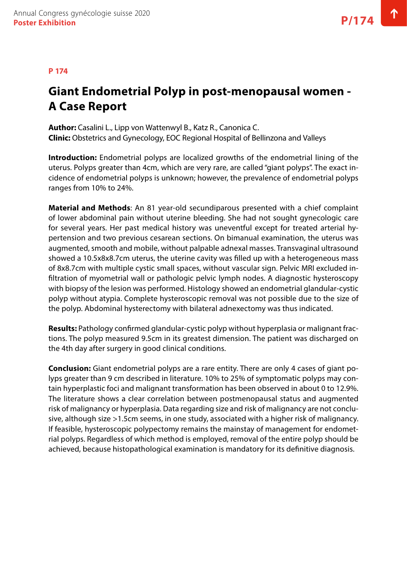#### **P 174**

# **Giant Endometrial Polyp in post-menopausal women - A Case Report**

**Author:** Casalini L., Lipp von Wattenwyl B., Katz R., Canonica C. **Clinic:** Obstetrics and Gynecology, EOC Regional Hospital of Bellinzona and Valleys

**Introduction:** Endometrial polyps are localized growths of the endometrial lining of the uterus. Polyps greater than 4cm, which are very rare, are called "giant polyps". The exact incidence of endometrial polyps is unknown; however, the prevalence of endometrial polyps ranges from 10% to 24%.

**Material and Methods**: An 81 year-old secundiparous presented with a chief complaint of lower abdominal pain without uterine bleeding. She had not sought gynecologic care for several years. Her past medical history was uneventful except for treated arterial hypertension and two previous cesarean sections. On bimanual examination, the uterus was augmented, smooth and mobile, without palpable adnexal masses. Transvaginal ultrasound showed a 10.5x8x8.7cm uterus, the uterine cavity was filled up with a heterogeneous mass of 8x8.7cm with multiple cystic small spaces, without vascular sign. Pelvic MRI excluded infiltration of myometrial wall or pathologic pelvic lymph nodes. A diagnostic hysteroscopy with biopsy of the lesion was performed. Histology showed an endometrial glandular-cystic polyp without atypia. Complete hysteroscopic removal was not possible due to the size of the polyp. Abdominal hysterectomy with bilateral adnexectomy was thus indicated.

**Results:** Pathology confirmed glandular-cystic polyp without hyperplasia or malignant fractions. The polyp measured 9.5cm in its greatest dimension. The patient was discharged on the 4th day after surgery in good clinical conditions.

**Conclusion:** Giant endometrial polyps are a rare entity. There are only 4 cases of giant polyps greater than 9 cm described in literature. 10% to 25% of symptomatic polyps may contain hyperplastic foci and malignant transformation has been observed in about 0 to 12.9%. The literature shows a clear correlation between postmenopausal status and augmented risk of malignancy or hyperplasia. Data regarding size and risk of malignancy are not conclusive, although size >1.5cm seems, in one study, associated with a higher risk of malignancy. If feasible, hysteroscopic polypectomy remains the mainstay of management for endometrial polyps. Regardless of which method is employed, removal of the entire polyp should be achieved, because histopathological examination is mandatory for its definitive diagnosis.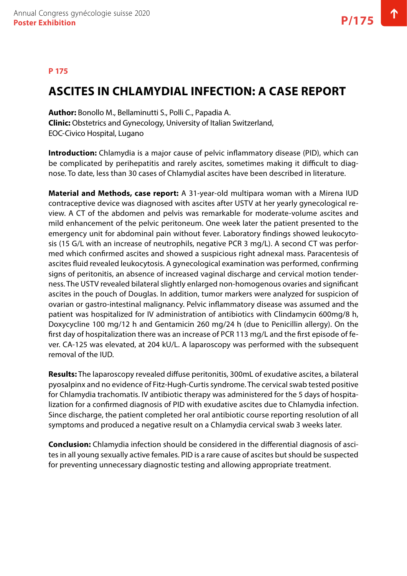#### **P 175**

### **ASCITES IN CHLAMYDIAL INFECTION: A CASE REPORT**

**Author:** Bonollo M., Bellaminutti S., Polli C., Papadia A. **Clinic:** Obstetrics and Gynecology, University of Italian Switzerland, EOC-Civico Hospital, Lugano

**Introduction:** Chlamydia is a major cause of pelvic inflammatory disease (PID), which can be complicated by perihepatitis and rarely ascites, sometimes making it difficult to diagnose. To date, less than 30 cases of Chlamydial ascites have been described in literature.

**Material and Methods, case report:** A 31-year-old multipara woman with a Mirena IUD contraceptive device was diagnosed with ascites after USTV at her yearly gynecological review. A CT of the abdomen and pelvis was remarkable for moderate-volume ascites and mild enhancement of the pelvic peritoneum. One week later the patient presented to the emergency unit for abdominal pain without fever. Laboratory findings showed leukocytosis (15 G/L with an increase of neutrophils, negative PCR 3 mg/L). A second CT was performed which confirmed ascites and showed a suspicious right adnexal mass. Paracentesis of ascites fluid revealed leukocytosis. A gynecological examination was performed, confirming signs of peritonitis, an absence of increased vaginal discharge and cervical motion tenderness. The USTV revealed bilateral slightly enlarged non-homogenous ovaries and significant ascites in the pouch of Douglas. In addition, tumor markers were analyzed for suspicion of ovarian or gastro-intestinal malignancy. Pelvic inflammatory disease was assumed and the patient was hospitalized for IV administration of antibiotics with Clindamycin 600mg/8 h, Doxycycline 100 mg/12 h and Gentamicin 260 mg/24 h (due to Penicillin allergy). On the first day of hospitalization there was an increase of PCR 113 mg/L and the first episode of fever. CA-125 was elevated, at 204 kU/L. A laparoscopy was performed with the subsequent removal of the IUD.

**Results:** The laparoscopy revealed diffuse peritonitis, 300mL of exudative ascites, a bilateral pyosalpinx and no evidence of Fitz-Hugh-Curtis syndrome. The cervical swab tested positive for Chlamydia trachomatis. IV antibiotic therapy was administered for the 5 days of hospitalization for a confirmed diagnosis of PID with exudative ascites due to Chlamydia infection. Since discharge, the patient completed her oral antibiotic course reporting resolution of all symptoms and produced a negative result on a Chlamydia cervical swab 3 weeks later.

**Conclusion:** Chlamydia infection should be considered in the differential diagnosis of ascites in all young sexually active females. PID is a rare cause of ascites but should be suspected for preventing unnecessary diagnostic testing and allowing appropriate treatment.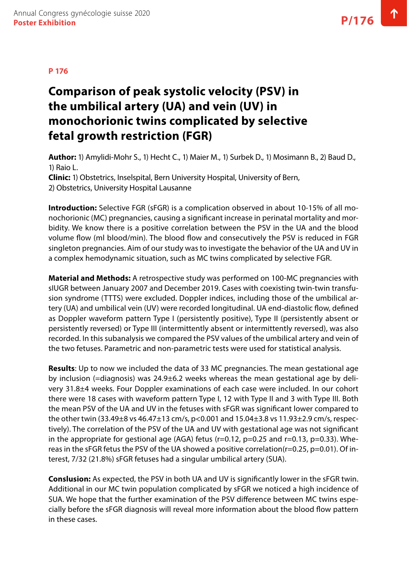# **Comparison of peak systolic velocity (PSV) in the umbilical artery (UA) and vein (UV) in monochorionic twins complicated by selective fetal growth restriction (FGR)**

**Author:** 1) Amylidi-Mohr S., 1) Hecht C., 1) Maier M., 1) Surbek D., 1) Mosimann B., 2) Baud D., 1) Raio L.

**Clinic:** 1) Obstetrics, Inselspital, Bern University Hospital, University of Bern, 2) Obstetrics, University Hospital Lausanne

**Introduction:** Selective FGR (sFGR) is a complication observed in about 10-15% of all monochorionic (MC) pregnancies, causing a significant increase in perinatal mortality and morbidity. We know there is a positive correlation between the PSV in the UA and the blood volume flow (ml blood/min). The blood flow and consecutively the PSV is reduced in FGR singleton pregnancies. Aim of our study was to investigate the behavior of the UA and UV in a complex hemodynamic situation, such as MC twins complicated by selective FGR.

**Material and Methods:** A retrospective study was performed on 100-MC pregnancies with sIUGR between January 2007 and December 2019. Cases with coexisting twin-twin transfusion syndrome (TTTS) were excluded. Doppler indices, including those of the umbilical artery (UA) and umbilical vein (UV) were recorded longitudinal. UA end-diastolic flow, defined as Doppler waveform pattern Type I (persistently positive), Type II (persistently absent or persistently reversed) or Type III (intermittently absent or intermittently reversed), was also recorded. In this subanalysis we compared the PSV values of the umbilical artery and vein of the two fetuses. Parametric and non-parametric tests were used for statistical analysis.

**Results**: Up to now we included the data of 33 MC pregnancies. The mean gestational age by inclusion (=diagnosis) was 24.9±6.2 weeks whereas the mean gestational age by delivery 31.8±4 weeks. Four Doppler examinations of each case were included. In our cohort there were 18 cases with waveform pattern Type I, 12 with Type II and 3 with Type III. Both the mean PSV of the UA and UV in the fetuses with sFGR was significant lower compared to the other twin (33.49±8 vs 46.47±13 cm/s, p<0.001 and 15.04±3.8 vs 11.93±2.9 cm/s, respectively). The correlation of the PSV of the UA and UV with gestational age was not significant in the appropriate for gestional age (AGA) fetus ( $r=0.12$ ,  $p=0.25$  and  $r=0.13$ ,  $p=0.33$ ). Whereas in the sFGR fetus the PSV of the UA showed a positive correlation(r=0.25, p=0.01). Of interest, 7/32 (21.8%) sFGR fetuses had a singular umbilical artery (SUA).

**Conslusion:** As expected, the PSV in both UA and UV is significantly lower in the sFGR twin. Additional in our MC twin population complicated by sFGR we noticed a high incidence of SUA. We hope that the further examination of the PSV difference between MC twins especially before the sFGR diagnosis will reveal more information about the blood flow pattern in these cases.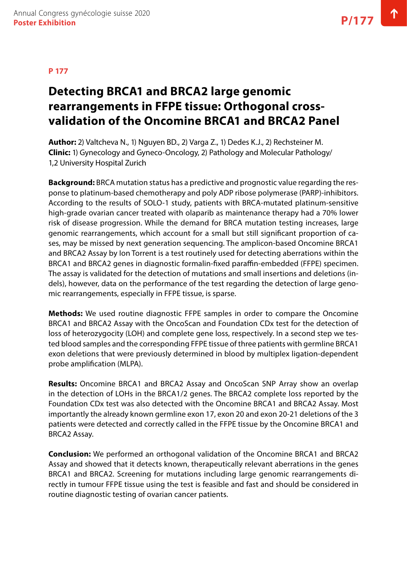# **Detecting BRCA1 and BRCA2 large genomic rearrangements in FFPE tissue: Orthogonal crossvalidation of the Oncomine BRCA1 and BRCA2 Panel**

**Author:** 2) Valtcheva N., 1) Nguyen BD., 2) Varga Z., 1) Dedes K.J., 2) Rechsteiner M. **Clinic:** 1) Gynecology and Gyneco-Oncology, 2) Pathology and Molecular Pathology/ 1,2 University Hospital Zurich

**Background:** BRCA mutation status has a predictive and prognostic value regarding the response to platinum-based chemotherapy and poly ADP ribose polymerase (PARP)-inhibitors. According to the results of SOLO-1 study, patients with BRCA-mutated platinum-sensitive high-grade ovarian cancer treated with olaparib as maintenance therapy had a 70% lower risk of disease progression. While the demand for BRCA mutation testing increases, large genomic rearrangements, which account for a small but still significant proportion of cases, may be missed by next generation sequencing. The amplicon-based Oncomine BRCA1 and BRCA2 Assay by Ion Torrent is a test routinely used for detecting aberrations within the BRCA1 and BRCA2 genes in diagnostic formalin-fixed paraffin-embedded (FFPE) specimen. The assay is validated for the detection of mutations and small insertions and deletions (indels), however, data on the performance of the test regarding the detection of large genomic rearrangements, especially in FFPE tissue, is sparse.

**Methods:** We used routine diagnostic FFPE samples in order to compare the Oncomine BRCA1 and BRCA2 Assay with the OncoScan and Foundation CDx test for the detection of loss of heterozygocity (LOH) and complete gene loss, respectively. In a second step we tested blood samples and the corresponding FFPE tissue of three patients with germline BRCA1 exon deletions that were previously determined in blood by multiplex ligation-dependent probe amplification (MLPA).

**Results:** Oncomine BRCA1 and BRCA2 Assay and OncoScan SNP Array show an overlap in the detection of LOHs in the BRCA1/2 genes. The BRCA2 complete loss reported by the Foundation CDx test was also detected with the Oncomine BRCA1 and BRCA2 Assay. Most importantly the already known germline exon 17, exon 20 and exon 20-21 deletions of the 3 patients were detected and correctly called in the FFPE tissue by the Oncomine BRCA1 and BRCA2 Assay.

**Conclusion:** We performed an orthogonal validation of the Oncomine BRCA1 and BRCA2 Assay and showed that it detects known, therapeutically relevant aberrations in the genes BRCA1 and BRCA2. Screening for mutations including large genomic rearrangements directly in tumour FFPE tissue using the test is feasible and fast and should be considered in routine diagnostic testing of ovarian cancer patients.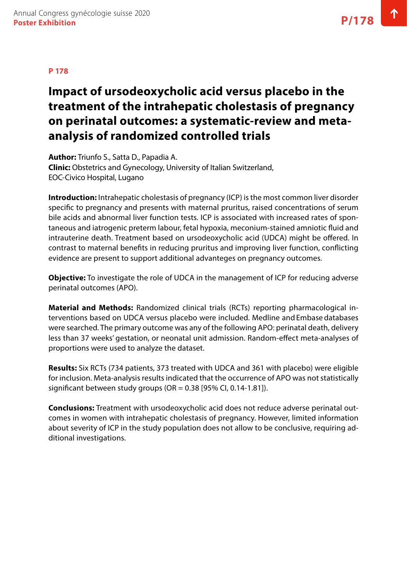# **Impact of ursodeoxycholic acid versus placebo in the treatment of the intrahepatic cholestasis of pregnancy on perinatal outcomes: a systematic-review and metaanalysis of randomized controlled trials**

**Author:** Triunfo S., Satta D., Papadia A. **Clinic:** Obstetrics and Gynecology, University of Italian Switzerland, EOC-Civico Hospital, Lugano

**Introduction:** Intrahepatic cholestasis of pregnancy (ICP) is the most common liver disorder specific to pregnancy and presents with maternal pruritus, raised concentrations of serum bile acids and abnormal liver function tests. ICP is associated with increased rates of spontaneous and iatrogenic preterm labour, fetal hypoxia, meconium-stained amniotic fluid and intrauterine death. Treatment based on ursodeoxycholic acid (UDCA) might be offered. In contrast to maternal benefits in reducing pruritus and improving liver function, conflicting evidence are present to support additional advanteges on pregnancy outcomes.

**Objective:** To investigate the role of UDCA in the management of ICP for reducing adverse perinatal outcomes (APO).

**Material and Methods:** Randomized clinical trials (RCTs) reporting pharmacological interventions based on UDCA versus placebo were included. Medline and Embase databases were searched. The primary outcome was any of the following APO: perinatal death, delivery less than 37 weeks' gestation, or neonatal unit admission. Random-effect meta-analyses of proportions were used to analyze the dataset.

**Results:** Six RCTs (734 patients, 373 treated with UDCA and 361 with placebo) were eligible for inclusion. Meta-analysis results indicated that the occurrence of APO was not statistically significant between study groups ( $OR = 0.38$  [95% CI, 0.14-1.81]).

**Conclusions:** Treatment with ursodeoxycholic acid does not reduce adverse perinatal outcomes in women with intrahepatic cholestasis of pregnancy. However, limited information about severity of ICP in the study population does not allow to be conclusive, requiring additional investigations.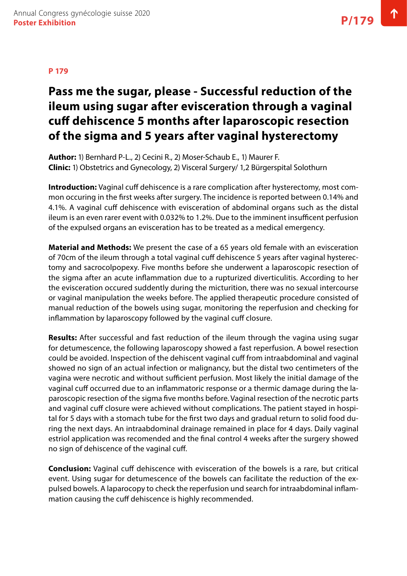# **Pass me the sugar, please - Successful reduction of the ileum using sugar after evisceration through a vaginal cuff dehiscence 5 months after laparoscopic resection of the sigma and 5 years after vaginal hysterectomy**

**Author:** 1) Bernhard P-L., 2) Cecini R., 2) Moser-Schaub E., 1) Maurer F. **Clinic:** 1) Obstetrics and Gynecology, 2) Visceral Surgery/ 1,2 Bürgerspital Solothurn

**Introduction:** Vaginal cuff dehiscence is a rare complication after hysterectomy, most common occuring in the first weeks after surgery. The incidence is reported between 0.14% and 4.1%. A vaginal cuff dehiscence with evisceration of abdominal organs such as the distal ileum is an even rarer event with 0.032% to 1.2%. Due to the imminent insufficent perfusion of the expulsed organs an evisceration has to be treated as a medical emergency.

**Material and Methods:** We present the case of a 65 years old female with an evisceration of 70cm of the ileum through a total vaginal cuff dehiscence 5 years after vaginal hysterectomy and sacrocolpopexy. Five months before she underwent a laparoscopic resection of the sigma after an acute inflammation due to a rupturized diverticulitis. According to her the evisceration occured suddently during the micturition, there was no sexual intercourse or vaginal manipulation the weeks before. The applied therapeutic procedure consisted of manual reduction of the bowels using sugar, monitoring the reperfusion and checking for inflammation by laparoscopy followed by the vaginal cuff closure.

**Results:** After successful and fast reduction of the ileum through the vagina using sugar for detumescence, the following laparoscopy showed a fast reperfusion. A bowel resection could be avoided. Inspection of the dehiscent vaginal cuff from intraabdominal and vaginal showed no sign of an actual infection or malignancy, but the distal two centimeters of the vagina were necrotic and without sufficient perfusion. Most likely the initial damage of the vaginal cuff occurred due to an inflammatoric response or a thermic damage during the laparoscopic resection of the sigma five months before. Vaginal resection of the necrotic parts and vaginal cuff closure were achieved without complications. The patient stayed in hospital for 5 days with a stomach tube for the first two days and gradual return to solid food during the next days. An intraabdominal drainage remained in place for 4 days. Daily vaginal estriol application was recomended and the final control 4 weeks after the surgery showed no sign of dehiscence of the vaginal cuff.

**Conclusion:** Vaginal cuff dehiscence with evisceration of the bowels is a rare, but critical event. Using sugar for detumescence of the bowels can facilitate the reduction of the expulsed bowels. A laparocopy to check the reperfusion und search for intraabdominal inflammation causing the cuff dehiscence is highly recommended.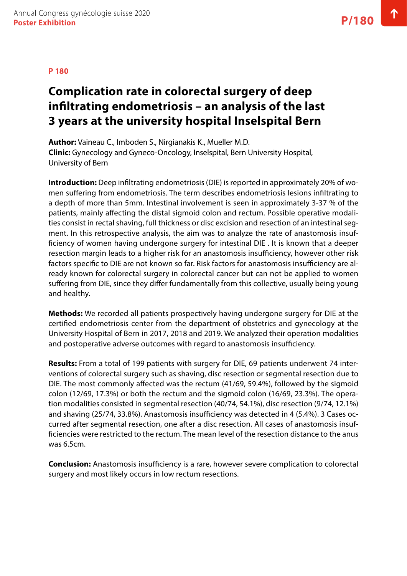# **Complication rate in colorectal surgery of deep infiltrating endometriosis – an analysis of the last 3 years at the university hospital Inselspital Bern**

**Author:** Vaineau C., Imboden S., Nirgianakis K., Mueller M.D. **Clinic:** Gynecology and Gyneco-Oncology, Inselspital, Bern University Hospital, University of Bern

**Introduction:** Deep infiltrating endometriosis (DIE) is reported in approximately 20% of women suffering from endometriosis. The term describes endometriosis lesions infiltrating to a depth of more than 5mm. Intestinal involvement is seen in approximately 3-37 % of the patients, mainly affecting the distal sigmoid colon and rectum. Possible operative modalities consist in rectal shaving, full thickness or disc excision and resection of an intestinal segment. In this retrospective analysis, the aim was to analyze the rate of anastomosis insufficiency of women having undergone surgery for intestinal DIE . It is known that a deeper resection margin leads to a higher risk for an anastomosis insufficiency, however other risk factors specific to DIE are not known so far. Risk factors for anastomosis insufficiency are already known for colorectal surgery in colorectal cancer but can not be applied to women suffering from DIE, since they differ fundamentally from this collective, usually being young and healthy.

**Methods:** We recorded all patients prospectively having undergone surgery for DIE at the certified endometriosis center from the department of obstetrics and gynecology at the University Hospital of Bern in 2017, 2018 and 2019. We analyzed their operation modalities and postoperative adverse outcomes with regard to anastomosis insufficiency.

**Results:** From a total of 199 patients with surgery for DIE, 69 patients underwent 74 interventions of colorectal surgery such as shaving, disc resection or segmental resection due to DIE. The most commonly affected was the rectum (41/69, 59.4%), followed by the sigmoid colon (12/69, 17.3%) or both the rectum and the sigmoid colon (16/69, 23.3%). The operation modalities consisted in segmental resection (40/74, 54.1%), disc resection (9/74, 12.1%) and shaving (25/74, 33.8%). Anastomosis insufficiency was detected in 4 (5.4%). 3 Cases occurred after segmental resection, one after a disc resection. All cases of anastomosis insufficiencies were restricted to the rectum. The mean level of the resection distance to the anus was 6.5cm.

**Conclusion:** Anastomosis insufficiency is a rare, however severe complication to colorectal surgery and most likely occurs in low rectum resections.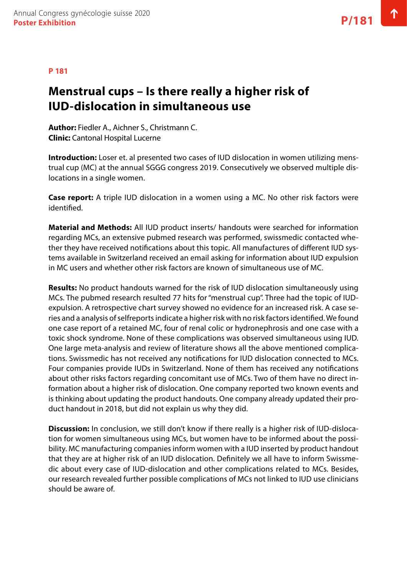#### **P 181**

### **Menstrual cups – Is there really a higher risk of IUD-dislocation in simultaneous use**

**Author:** Fiedler A., Aichner S., Christmann C. **Clinic:** Cantonal Hospital Lucerne

**Introduction:** Loser et. al presented two cases of IUD dislocation in women utilizing menstrual cup (MC) at the annual SGGG congress 2019. Consecutively we observed multiple dislocations in a single women.

**Case report:** A triple IUD dislocation in a women using a MC. No other risk factors were identified.

**Material and Methods:** All IUD product inserts/ handouts were searched for information regarding MCs, an extensive pubmed research was performed, swissmedic contacted whether they have received notifications about this topic. All manufactures of different IUD systems available in Switzerland received an email asking for information about IUD expulsion in MC users and whether other risk factors are known of simultaneous use of MC.

**Results:** No product handouts warned for the risk of IUD dislocation simultaneously using MCs. The pubmed research resulted 77 hits for "menstrual cup". Three had the topic of IUDexpulsion. A retrospective chart survey showed no evidence for an increased risk. A case series and a analysis of selfreports indicate a higher risk with no risk factors identified. We found one case report of a retained MC, four of renal colic or hydronephrosis and one case with a toxic shock syndrome. None of these complications was observed simultaneous using IUD. One large meta-analysis and review of literature shows all the above mentioned complications. Swissmedic has not received any notifications for IUD dislocation connected to MCs. Four companies provide IUDs in Switzerland. None of them has received any notifications about other risks factors regarding concomitant use of MCs. Two of them have no direct information about a higher risk of dislocation. One company reported two known events and is thinking about updating the product handouts. One company already updated their product handout in 2018, but did not explain us why they did.

**Discussion:** In conclusion, we still don't know if there really is a higher risk of IUD-dislocation for women simultaneous using MCs, but women have to be informed about the possibility. MC manufacturing companies inform women with a IUD inserted by product handout that they are at higher risk of an IUD dislocation. Definitely we all have to inform Swissmedic about every case of IUD-dislocation and other complications related to MCs. Besides, our research revealed further possible complications of MCs not linked to IUD use clinicians should be aware of.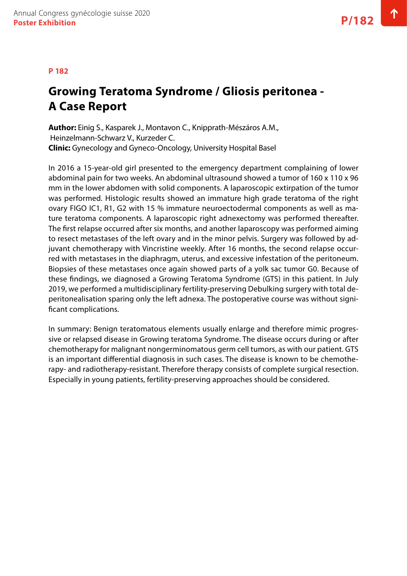# **Growing Teratoma Syndrome / Gliosis peritonea - A Case Report**

**Author:** Einig S., Kasparek J., Montavon C., Knipprath-Mészáros A.M., Heinzelmann-Schwarz V., Kurzeder C. **Clinic:** Gynecology and Gyneco-Oncology, University Hospital Basel

In 2016 a 15-year-old girl presented to the emergency department complaining of lower abdominal pain for two weeks. An abdominal ultrasound showed a tumor of 160 x 110 x 96 mm in the lower abdomen with solid components. A laparoscopic extirpation of the tumor was performed. Histologic results showed an immature high grade teratoma of the right ovary FIGO IC1, R1, G2 with 15 % immature neuroectodermal components as well as mature teratoma components. A laparoscopic right adnexectomy was performed thereafter. The first relapse occurred after six months, and another laparoscopy was performed aiming to resect metastases of the left ovary and in the minor pelvis. Surgery was followed by adjuvant chemotherapy with Vincristine weekly. After 16 months, the second relapse occurred with metastases in the diaphragm, uterus, and excessive infestation of the peritoneum. Biopsies of these metastases once again showed parts of a yolk sac tumor G0. Because of these findings, we diagnosed a Growing Teratoma Syndrome (GTS) in this patient. In July 2019, we performed a multidisciplinary fertility-preserving Debulking surgery with total deperitonealisation sparing only the left adnexa. The postoperative course was without significant complications.

In summary: Benign teratomatous elements usually enlarge and therefore mimic progressive or relapsed disease in Growing teratoma Syndrome. The disease occurs during or after chemotherapy for malignant nongerminomatous germ cell tumors, as with our patient. GTS is an important differential diagnosis in such cases. The disease is known to be chemotherapy- and radiotherapy-resistant. Therefore therapy consists of complete surgical resection. Especially in young patients, fertility-preserving approaches should be considered.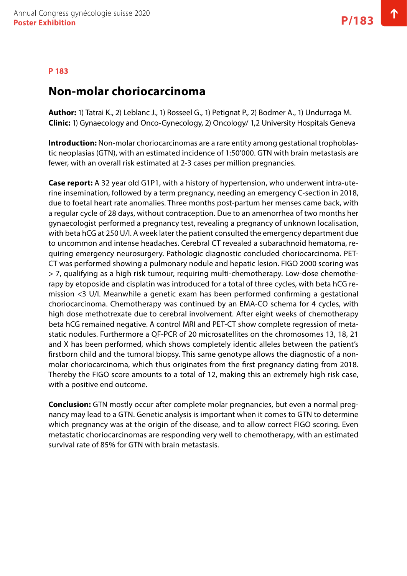### **Non-molar choriocarcinoma**

**Author:** 1) Tatrai K., 2) Leblanc J., 1) Rosseel G., 1) Petignat P., 2) Bodmer A., 1) Undurraga M. **Clinic:** 1) Gynaecology and Onco-Gynecology, 2) Oncology/ 1,2 University Hospitals Geneva

**Introduction:** Non-molar choriocarcinomas are a rare entity among gestational trophoblastic neoplasias (GTN), with an estimated incidence of 1:50'000. GTN with brain metastasis are fewer, with an overall risk estimated at 2-3 cases per million pregnancies.

**Case report:** A 32 year old G1P1, with a history of hypertension, who underwent intra-uterine insemination, followed by a term pregnancy, needing an emergency C-section in 2018, due to foetal heart rate anomalies. Three months post-partum her menses came back, with a regular cycle of 28 days, without contraception. Due to an amenorrhea of two months her gynaecologist performed a pregnancy test, revealing a pregnancy of unknown localisation, with beta hCG at 250 U/l. A week later the patient consulted the emergency department due to uncommon and intense headaches. Cerebral CT revealed a subarachnoid hematoma, requiring emergency neurosurgery. Pathologic diagnostic concluded choriocarcinoma. PET-CT was performed showing a pulmonary nodule and hepatic lesion. FIGO 2000 scoring was > 7, qualifying as a high risk tumour, requiring multi-chemotherapy. Low-dose chemotherapy by etoposide and cisplatin was introduced for a total of three cycles, with beta hCG remission <3 U/l. Meanwhile a genetic exam has been performed confirming a gestational choriocarcinoma. Chemotherapy was continued by an EMA-CO schema for 4 cycles, with high dose methotrexate due to cerebral involvement. After eight weeks of chemotherapy beta hCG remained negative. A control MRI and PET-CT show complete regression of metastatic nodules. Furthermore a QF-PCR of 20 microsatellites on the chromosomes 13, 18, 21 and X has been performed, which shows completely identic alleles between the patient's firstborn child and the tumoral biopsy. This same genotype allows the diagnostic of a nonmolar choriocarcinoma, which thus originates from the first pregnancy dating from 2018. Thereby the FIGO score amounts to a total of 12, making this an extremely high risk case, with a positive end outcome.

**Conclusion:** GTN mostly occur after complete molar pregnancies, but even a normal pregnancy may lead to a GTN. Genetic analysis is important when it comes to GTN to determine which pregnancy was at the origin of the disease, and to allow correct FIGO scoring. Even metastatic choriocarcinomas are responding very well to chemotherapy, with an estimated survival rate of 85% for GTN with brain metastasis.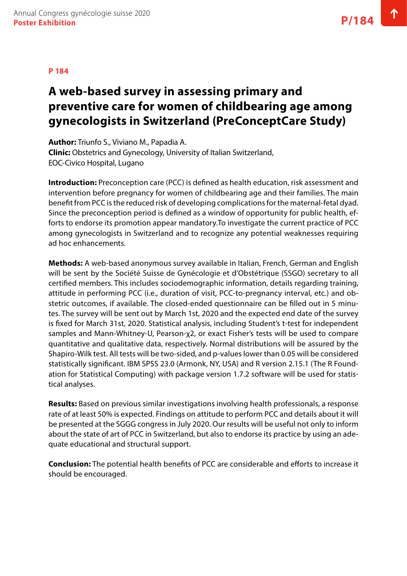# **A web-based survey in assessing primary and preventive care for women of childbearing age among gynecologists in Switzerland (PreConceptCare Study)**

**Author:** Triunfo S., Viviano M., Papadia A.

**Clinic:** Obstetrics and Gynecology, University of Italian Switzerland, EOC-Civico Hospital, Lugano

**Introduction:** Preconception care (PCC) is defined as health education, risk assessment and intervention before pregnancy for women of childbearing age and their families. The main benefit from PCC is the reduced risk of developing complications for the maternal-fetal dyad. Since the preconception period is defined as a window of opportunity for public health, efforts to endorse its promotion appear mandatory.To investigate the current practice of PCC among gynecologists in Switzerland and to recognize any potential weaknesses requiring ad hoc enhancements.

**Methods:** A web-based anonymous survey available in Italian, French, German and English will be sent by the Société Suisse de Gynécologie et d'Obstétrique (SSGO) secretary to all certified members. This includes sociodemographic information, details regarding training, attitude in performing PCC (i.e., duration of visit, PCC-to-pregnancy interval, etc.) and obstetric outcomes, if available. The closed-ended questionnaire can be filled out in 5 minutes. The survey will be sent out by March 1st, 2020 and the expected end date of the survey is fixed for March 31st, 2020. Statistical analysis, including Student's t-test for independent samples and Mann-Whitney-U, Pearson-χ2, or exact Fisher's tests will be used to compare quantitative and qualitative data, respectively. Normal distributions will be assured by the Shapiro-Wilk test. All tests will be two-sided, and p-values lower than 0.05 will be considered statistically significant. IBM SPSS 23.0 (Armonk, NY, USA) and R version 2.15.1 (The R Foundation for Statistical Computing) with package version 1.7.2 software will be used for statistical analyses.

**Results:** Based on previous similar investigations involving health professionals, a response rate of at least 50% is expected. Findings on attitude to perform PCC and details about it will be presented at the SGGG congress in July 2020. Our results will be useful not only to inform about the state of art of PCC in Switzerland, but also to endorse its practice by using an adequate educational and structural support.

**Conclusion:** The potential health benefits of PCC are considerable and efforts to increase it should be encouraged.